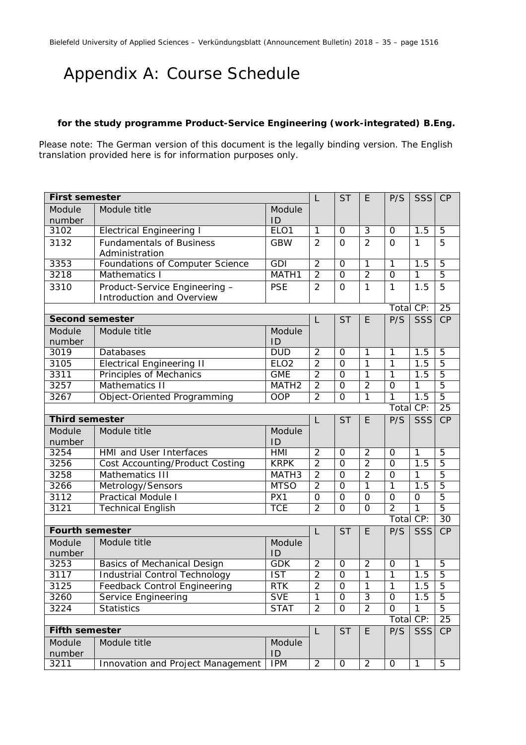## Appendix A: Course Schedule

### **for the study programme Product-Service Engineering (work-integrated) B.Eng.**

Please note: The German version of this document is the legally binding version. The English translation provided here is for information purposes only.

| <b>First semester</b>  |                                                                                      | L                                   | <b>ST</b>                        | E                          | P/S                              | <b>SSS</b>     | CP               |                 |
|------------------------|--------------------------------------------------------------------------------------|-------------------------------------|----------------------------------|----------------------------|----------------------------------|----------------|------------------|-----------------|
| Module                 | Module title                                                                         | Module                              |                                  |                            |                                  |                |                  |                 |
| number                 |                                                                                      | ID                                  |                                  |                            |                                  |                |                  |                 |
| 3102                   | <b>Electrical Engineering I</b>                                                      | ELO <sub>1</sub>                    | $\overline{1}$                   | $\overline{0}$             | $\overline{3}$                   | $\Omega$       | 1.5              | $\overline{5}$  |
| 3132                   | <b>Fundamentals of Business</b>                                                      | <b>GBW</b>                          | $\overline{2}$                   | $\Omega$                   | $\overline{2}$                   | $\mathbf 0$    | $\mathbf{1}$     | 5               |
|                        | Administration                                                                       |                                     |                                  |                            |                                  |                |                  |                 |
| 3353                   | Foundations of Computer Science                                                      | <b>GDI</b>                          | $\overline{2}$                   | $\Omega$                   | $\overline{1}$                   | $\overline{1}$ | 1.5              | $\overline{5}$  |
| 3218                   | Mathematics I                                                                        | MATH1                               | $\overline{2}$                   | $\overline{0}$             | $\overline{2}$                   | $\mathbf 0$    | 1                | $\overline{5}$  |
| 3310                   | Product-Service Engineering -                                                        | <b>PSE</b>                          | $\overline{2}$                   | $\Omega$                   | $\mathbf{1}$                     | $\mathbf{1}$   | 1.5              | 5               |
|                        | Introduction and Overview                                                            |                                     |                                  |                            |                                  |                |                  |                 |
|                        |                                                                                      |                                     |                                  |                            |                                  | Total CP:      |                  | $\overline{25}$ |
| <b>Second semester</b> |                                                                                      |                                     | L                                | <b>ST</b>                  | E                                | P/S            | SSS              | CP              |
| Module                 | Module title<br>Module                                                               |                                     |                                  |                            |                                  |                |                  |                 |
| number                 |                                                                                      | ID                                  |                                  |                            |                                  |                |                  |                 |
| 3019                   | Databases                                                                            | <b>DUD</b>                          | $\overline{2}$                   | $\Omega$<br>$\overline{O}$ | $\overline{1}$                   | $\mathbf{1}$   | 1.5              | $\overline{5}$  |
| 3105                   | $\overline{2}$<br><b>Electrical Engineering II</b><br>ELO <sub>2</sub><br><b>GME</b> |                                     |                                  |                            | $\mathbf{1}$                     | $\overline{1}$ | 1.5              | $\overline{5}$  |
| 3311                   | <b>Principles of Mechanics</b>                                                       | $\overline{2}$                      | $\overline{0}$<br>$\overline{0}$ | 1<br>$\overline{2}$        | $\overline{1}$<br>$\overline{O}$ | 1.5            | $\overline{5}$   |                 |
| 3257                   | <b>Mathematics II</b>                                                                | $\overline{2}$<br>MATH <sub>2</sub> |                                  |                            |                                  |                | $\mathbf{1}$     | $\overline{5}$  |
| 3267                   | Object-Oriented Programming                                                          | <b>OOP</b>                          | $\overline{2}$                   | $\Omega$                   | $\mathbf{1}$                     | $\mathbf{1}$   | $\overline{1.5}$ | $\overline{5}$  |
|                        |                                                                                      |                                     |                                  |                            | Total CP:                        |                | $\overline{25}$  |                 |
| <b>Third semester</b>  |                                                                                      |                                     | L                                | <b>ST</b>                  | E                                | P/S            | SSS              | CP              |
| Module                 | Module title                                                                         | Module                              |                                  |                            |                                  |                |                  |                 |
| number                 |                                                                                      | ID                                  |                                  |                            |                                  |                |                  |                 |
| 3254                   | <b>HMI</b> and User Interfaces                                                       | <b>HMI</b>                          | $\overline{2}$                   | $\Omega$                   | $\overline{2}$                   | $\Omega$       | $\mathbf{1}$     | 5               |
| 3256                   | <b>Cost Accounting/Product Costing</b>                                               | <b>KRPK</b>                         | $\overline{2}$                   | $\overline{0}$             | $\overline{2}$                   | $\Omega$       | $\overline{1.5}$ | $\overline{5}$  |
| 3258                   | Mathematics III                                                                      | MATH <sub>3</sub>                   | $\overline{2}$                   | $\overline{0}$             | $\overline{2}$                   | $\overline{0}$ | 1                | $\overline{5}$  |
| 3266                   | Metrology/Sensors                                                                    | <b>MTSO</b>                         | $\overline{2}$                   | $\overline{O}$             | 1                                | $\mathbf{1}$   | 1.5              | $\overline{5}$  |
| 3112                   | <b>Practical Module I</b>                                                            | PX1                                 | $\overline{0}$                   | $\overline{0}$             | $\overline{0}$                   | $\Omega$       | $\overline{O}$   | $\overline{5}$  |
| 3121                   | <b>Technical English</b>                                                             | <b>TCE</b>                          | $\overline{2}$                   | $\overline{0}$             | $\overline{0}$                   | $\overline{2}$ | $\overline{1}$   | $\overline{5}$  |
|                        |                                                                                      |                                     |                                  |                            |                                  | Total CP:      |                  | $\overline{30}$ |
| <b>Fourth semester</b> |                                                                                      |                                     | $\mathsf{L}$                     | <b>ST</b>                  | E                                | P/S            | SSS              | CP              |
| Module                 | Module title                                                                         | Module                              |                                  |                            |                                  |                |                  |                 |
| number                 |                                                                                      | ID                                  |                                  |                            |                                  |                |                  |                 |
| 3253                   | Basics of Mechanical Design                                                          | <b>GDK</b>                          | $\overline{2}$                   | 0                          | $\overline{2}$                   | 0              | $\mathbf{1}$     | 5               |
| 3117                   | <b>Industrial Control Technology</b>                                                 | $\overline{\text{IST}}$             | $\overline{2}$                   | $\overline{0}$             | $\overline{1}$                   | $\overline{1}$ | 1.5              | $\overline{5}$  |
| 3125                   | Feedback Control Engineering                                                         | <b>RTK</b>                          | $\overline{2}$                   | $\overline{0}$             | $\overline{1}$                   | $\overline{1}$ | 1.5              | $\overline{5}$  |
| 3260                   | Service Engineering                                                                  | <b>SVE</b>                          | $\overline{1}$                   | 0                          | $\overline{3}$                   | 0              | $\overline{1}.5$ | $\overline{5}$  |
| 3224                   | <b>Statistics</b>                                                                    | <b>STAT</b>                         | $\overline{2}$                   | 0                          | $\overline{2}$                   | 0              | 1                | 5               |
|                        |                                                                                      |                                     |                                  |                            |                                  | Total CP:      |                  | 25              |
| <b>Fifth semester</b>  |                                                                                      |                                     | L                                | <b>ST</b>                  | E                                | P/S            | SSS              | CP              |
| Module                 | Module title                                                                         | Module                              |                                  |                            |                                  |                |                  |                 |
| number                 |                                                                                      | ID<br><b>IPM</b>                    |                                  |                            |                                  |                |                  |                 |
| 3211                   | Innovation and Project Management                                                    | $\overline{2}$                      | $\mathbf 0$                      | $\overline{2}$             | $\mathbf 0$                      | $\mathbf{1}$   | 5                |                 |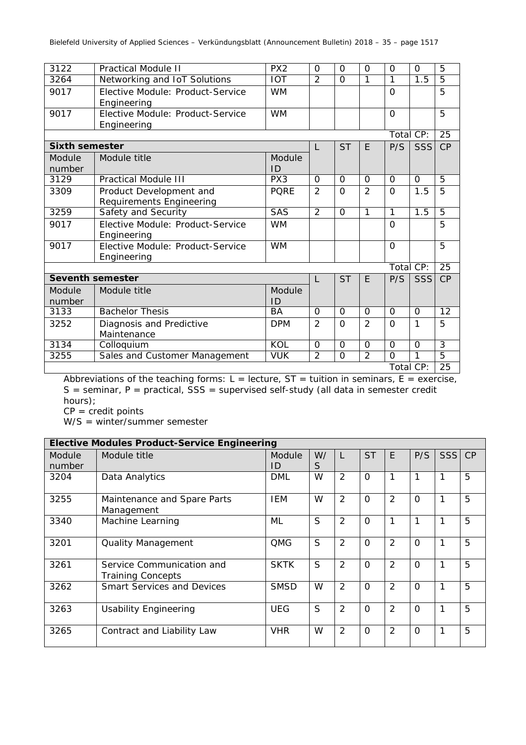| 3122                    | <b>Practical Module II</b>       | PX2                   | $\Omega$       | $\Omega$       | $\mathbf 0$    | $\Omega$       | $\Omega$ | $\overline{5}$  |
|-------------------------|----------------------------------|-----------------------|----------------|----------------|----------------|----------------|----------|-----------------|
| 3264                    | Networking and IoT Solutions     | <b>IOT</b>            | $\overline{2}$ | $\Omega$       | $\mathbf{1}$   | 1              | 1.5      | 5               |
| 9017                    | Elective Module: Product-Service | <b>WM</b>             |                |                |                | $\Omega$       |          | 5               |
|                         | Engineering                      |                       |                |                |                |                |          |                 |
| 9017                    | Elective Module: Product-Service | <b>WM</b>             |                |                |                | $\Omega$       |          | 5               |
|                         | Engineering                      |                       |                |                |                |                |          |                 |
|                         |                                  |                       |                |                |                | Total CP:      |          | $\overline{25}$ |
| <b>Sixth semester</b>   |                                  |                       | L              | <b>ST</b>      | E.             | P/S            | SSS      | CP              |
| Module                  | Module title                     | Module                |                |                |                |                |          |                 |
| number                  |                                  | ID<br>PX <sub>3</sub> |                |                |                |                |          |                 |
| 3129                    | <b>Practical Module III</b>      | $\Omega$              | $\Omega$       | $\Omega$       | $\Omega$       | $\Omega$       | 5        |                 |
| 3309                    | Product Development and          | <b>PQRE</b>           | $\overline{2}$ | $\Omega$       | $\overline{2}$ | $\Omega$       | 1.5      | 5               |
|                         | Requirements Engineering         |                       |                |                |                |                |          |                 |
| 3259                    | Safety and Security              | <b>SAS</b>            | 2              | $\Omega$       | $\mathbf{1}$   | 1              | 1.5      | $\overline{5}$  |
| 9017                    | Elective Module: Product-Service | <b>WM</b>             |                |                |                | $\Omega$       |          | 5               |
|                         | Engineering                      |                       |                |                |                |                |          |                 |
| 9017                    | Elective Module: Product-Service | <b>WM</b>             |                |                |                | $\Omega$       |          | 5               |
|                         | Engineering                      |                       |                |                |                |                |          |                 |
|                         |                                  |                       |                |                |                | Total CP:      |          | $\overline{25}$ |
| <b>Seventh semester</b> |                                  |                       | L              | <b>ST</b>      | F.             | P/S            | SSS      | CP              |
| Module                  | Module title                     | Module                |                |                |                |                |          |                 |
| number                  |                                  | ID                    |                |                |                |                |          |                 |
| 3133                    | <b>Bachelor Thesis</b>           | <b>BA</b>             | $\Omega$       | $\Omega$       | $\Omega$       | $\Omega$       | $\Omega$ | 12              |
| 3252                    | Diagnosis and Predictive         | <b>DPM</b>            | $\overline{2}$ | $\Omega$       | $\overline{2}$ | $\overline{O}$ | 1        | 5               |
|                         | Maintenance                      |                       |                |                |                |                |          |                 |
| 3134                    | Colloquium                       | <b>KOL</b>            | $\Omega$       | $\Omega$       | $\Omega$       | $\Omega$       | $\Omega$ | $\overline{3}$  |
| 3255                    | Sales and Customer Management    | <b>VUK</b>            | $\overline{2}$ | $\overline{O}$ | $\overline{2}$ | $\overline{0}$ | 1        | $\overline{5}$  |
|                         |                                  |                       |                |                |                | Total CP:      |          | 25              |

Abbreviations of the teaching forms:  $L =$  lecture,  $ST =$  tuition in seminars,  $E =$  exercise,  $S =$  seminar, P = practical,  $SS =$  supervised self-study (all data in semester credit hours);

 $CP = \text{credit points}$ 

W/S = winter/summer semester

|                  | <b>Elective Modules Product-Service Engineering</b>   |              |         |                |           |                |          |            |    |
|------------------|-------------------------------------------------------|--------------|---------|----------------|-----------|----------------|----------|------------|----|
| Module<br>number | Module title                                          | Module<br>ID | W/<br>S | L              | <b>ST</b> | F              | P/S      | <b>SSS</b> | CP |
| 3204             | Data Analytics                                        | <b>DML</b>   | W       | $\overline{2}$ | $\Omega$  | $\mathbf{1}$   |          | 1          | 5  |
| 3255             | Maintenance and Spare Parts<br>Management             | IEM          | W       | $\overline{2}$ | $\Omega$  | 2              | $\Omega$ | 1          | 5  |
| 3340             | Machine Learning                                      | ML           | S       | $\overline{2}$ | $\Omega$  |                |          |            | 5  |
| 3201             | <b>Quality Management</b>                             | <b>QMG</b>   | S       | $\overline{2}$ | $\Omega$  | $\overline{2}$ | $\Omega$ |            | 5  |
| 3261             | Service Communication and<br><b>Training Concepts</b> | <b>SKTK</b>  | S       | $\overline{2}$ | $\Omega$  | 2              | $\Omega$ | 1          | 5  |
| 3262             | <b>Smart Services and Devices</b>                     | <b>SMSD</b>  | W       | $\overline{2}$ | $\Omega$  | $\mathcal{P}$  | $\Omega$ | 1          | 5  |
| 3263             | <b>Usability Engineering</b>                          | <b>UEG</b>   | S       | $\overline{2}$ | $\Omega$  | $\mathcal{P}$  | $\Omega$ | 1          | 5  |
| 3265             | Contract and Liability Law                            | <b>VHR</b>   | W       | $\overline{2}$ | $\Omega$  | 2              | $\Omega$ | 1          | 5  |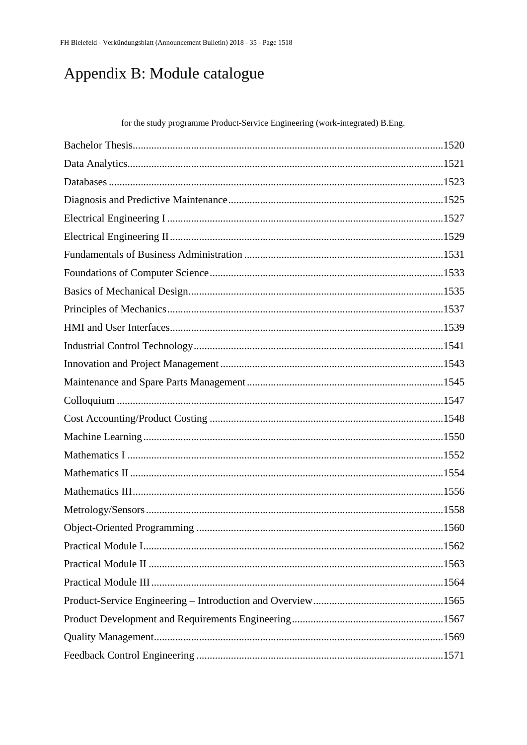# Appendix B: Module catalogue

for the study programme Product-Service Engineering (work-integrated) B.Eng.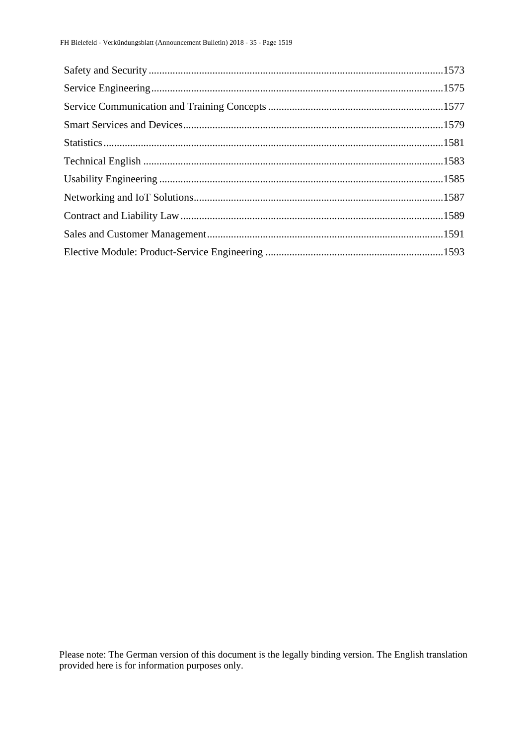Please note: The German version of this document is the legally binding version. The English translation provided here is for information purposes only.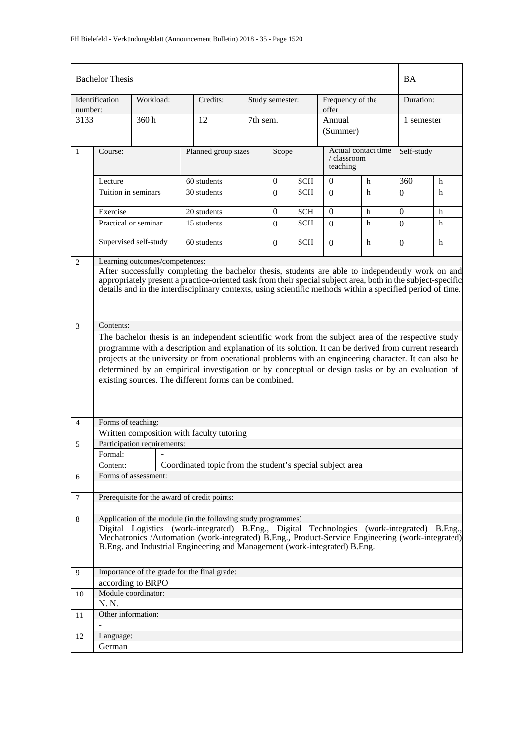|                | <b>Bachelor Thesis</b>                                                                                                                                                                                                                                                                                                                                                                                                                                                              |                             |                                                                                                                                                                                                                                                                                                                                              |          |                 |            |                    |                           | <b>BA</b>    |           |  |
|----------------|-------------------------------------------------------------------------------------------------------------------------------------------------------------------------------------------------------------------------------------------------------------------------------------------------------------------------------------------------------------------------------------------------------------------------------------------------------------------------------------|-----------------------------|----------------------------------------------------------------------------------------------------------------------------------------------------------------------------------------------------------------------------------------------------------------------------------------------------------------------------------------------|----------|-----------------|------------|--------------------|---------------------------|--------------|-----------|--|
| number:        | Identification                                                                                                                                                                                                                                                                                                                                                                                                                                                                      | Workload:                   | Credits:                                                                                                                                                                                                                                                                                                                                     |          | Study semester: |            |                    | Frequency of the<br>offer |              | Duration: |  |
| 3133           |                                                                                                                                                                                                                                                                                                                                                                                                                                                                                     | 360h                        | 12                                                                                                                                                                                                                                                                                                                                           | 7th sem. |                 |            | Annual<br>(Summer) |                           | 1 semester   |           |  |
| $\mathbf{1}$   | Actual contact time<br>Planned group sizes<br>Course:<br>Scope<br>/ classroom<br>teaching                                                                                                                                                                                                                                                                                                                                                                                           |                             |                                                                                                                                                                                                                                                                                                                                              |          |                 | Self-study |                    |                           |              |           |  |
|                | Lecture                                                                                                                                                                                                                                                                                                                                                                                                                                                                             |                             | 60 students                                                                                                                                                                                                                                                                                                                                  |          | $\overline{0}$  | <b>SCH</b> | $\overline{0}$     | h                         | 360          | h         |  |
|                | Tuition in seminars                                                                                                                                                                                                                                                                                                                                                                                                                                                                 |                             | 30 students                                                                                                                                                                                                                                                                                                                                  |          | $\Omega$        | SCH        | $\Omega$           | h                         | $\Omega$     | h         |  |
|                | Exercise                                                                                                                                                                                                                                                                                                                                                                                                                                                                            |                             | 20 students                                                                                                                                                                                                                                                                                                                                  |          | $\theta$        | <b>SCH</b> | $\mathbf{0}$       | h                         | $\mathbf{0}$ | h         |  |
|                |                                                                                                                                                                                                                                                                                                                                                                                                                                                                                     | Practical or seminar        | 15 students                                                                                                                                                                                                                                                                                                                                  |          | $\Omega$        | <b>SCH</b> | $\Omega$           | h                         | $\Omega$     | h         |  |
|                |                                                                                                                                                                                                                                                                                                                                                                                                                                                                                     | Supervised self-study       | 60 students                                                                                                                                                                                                                                                                                                                                  |          | $\Omega$        | <b>SCH</b> | $\Omega$           | h                         | $\Omega$     | h         |  |
| 2              | Learning outcomes/competences:<br>After successfully completing the bachelor thesis, students are able to independently work on and<br>appropriately present a practice-oriented task from their special subject area, both in the subject-specific<br>details and in the interdisciplinary contexts, using scientific methods within a specified period of time.                                                                                                                   |                             |                                                                                                                                                                                                                                                                                                                                              |          |                 |            |                    |                           |              |           |  |
| 3              | Contents:                                                                                                                                                                                                                                                                                                                                                                                                                                                                           |                             |                                                                                                                                                                                                                                                                                                                                              |          |                 |            |                    |                           |              |           |  |
|                | The bachelor thesis is an independent scientific work from the subject area of the respective study<br>programme with a description and explanation of its solution. It can be derived from current research<br>projects at the university or from operational problems with an engineering character. It can also be<br>determined by an empirical investigation or by conceptual or design tasks or by an evaluation of<br>existing sources. The different forms can be combined. |                             |                                                                                                                                                                                                                                                                                                                                              |          |                 |            |                    |                           |              |           |  |
| $\overline{4}$ | Forms of teaching:                                                                                                                                                                                                                                                                                                                                                                                                                                                                  |                             |                                                                                                                                                                                                                                                                                                                                              |          |                 |            |                    |                           |              |           |  |
| 5              |                                                                                                                                                                                                                                                                                                                                                                                                                                                                                     | Participation requirements: | Written composition with faculty tutoring                                                                                                                                                                                                                                                                                                    |          |                 |            |                    |                           |              |           |  |
|                | Formal:                                                                                                                                                                                                                                                                                                                                                                                                                                                                             | $\sim$                      |                                                                                                                                                                                                                                                                                                                                              |          |                 |            |                    |                           |              |           |  |
|                | Content:                                                                                                                                                                                                                                                                                                                                                                                                                                                                            |                             | Coordinated topic from the student's special subject area                                                                                                                                                                                                                                                                                    |          |                 |            |                    |                           |              |           |  |
| 6              |                                                                                                                                                                                                                                                                                                                                                                                                                                                                                     | Forms of assessment:        |                                                                                                                                                                                                                                                                                                                                              |          |                 |            |                    |                           |              |           |  |
| $\tau$         |                                                                                                                                                                                                                                                                                                                                                                                                                                                                                     |                             | Prerequisite for the award of credit points:                                                                                                                                                                                                                                                                                                 |          |                 |            |                    |                           |              |           |  |
| 8              |                                                                                                                                                                                                                                                                                                                                                                                                                                                                                     |                             | Application of the module (in the following study programmes)<br>Digital Logistics (work-integrated) B.Eng., Digital Technologies (work-integrated) B.Eng.,<br>Mechatronics /Automation (work-integrated) B.Eng., Product-Service Engineering (work-integrated)<br>B.Eng. and Industrial Engineering and Management (work-integrated) B.Eng. |          |                 |            |                    |                           |              |           |  |
| 9              |                                                                                                                                                                                                                                                                                                                                                                                                                                                                                     | according to BRPO           | Importance of the grade for the final grade:                                                                                                                                                                                                                                                                                                 |          |                 |            |                    |                           |              |           |  |
| 10             |                                                                                                                                                                                                                                                                                                                                                                                                                                                                                     | Module coordinator:         |                                                                                                                                                                                                                                                                                                                                              |          |                 |            |                    |                           |              |           |  |
| 11             | N. N.<br>Other information:                                                                                                                                                                                                                                                                                                                                                                                                                                                         |                             |                                                                                                                                                                                                                                                                                                                                              |          |                 |            |                    |                           |              |           |  |
|                |                                                                                                                                                                                                                                                                                                                                                                                                                                                                                     |                             |                                                                                                                                                                                                                                                                                                                                              |          |                 |            |                    |                           |              |           |  |
| 12             | Language:<br>German                                                                                                                                                                                                                                                                                                                                                                                                                                                                 |                             |                                                                                                                                                                                                                                                                                                                                              |          |                 |            |                    |                           |              |           |  |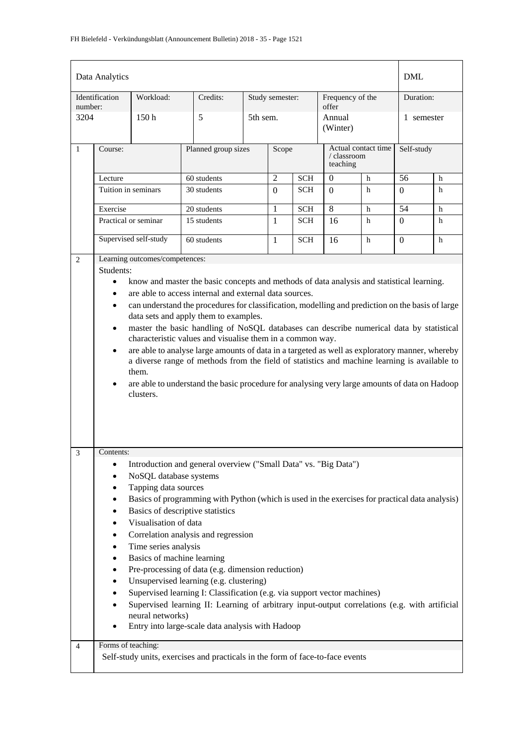|                | Data Analytics                                                                |                                  |                                                                                                                                                                                                |            |                |                                              |                         |                     | <b>DML</b>       |            |  |
|----------------|-------------------------------------------------------------------------------|----------------------------------|------------------------------------------------------------------------------------------------------------------------------------------------------------------------------------------------|------------|----------------|----------------------------------------------|-------------------------|---------------------|------------------|------------|--|
| number:        | Identification                                                                | Workload:                        | Credits:                                                                                                                                                                                       |            |                | Frequency of the<br>Study semester:<br>offer |                         |                     | Duration:        |            |  |
| 3204           |                                                                               | 150h                             | 5                                                                                                                                                                                              | 5th sem.   |                |                                              | Annual<br>(Winter)      |                     | 1 semester       |            |  |
| $\mathbf{1}$   | Course:                                                                       |                                  | Planned group sizes                                                                                                                                                                            |            | Scope          |                                              | / classroom<br>teaching | Actual contact time |                  | Self-study |  |
|                | Lecture                                                                       |                                  | 60 students                                                                                                                                                                                    |            | $\overline{2}$ | <b>SCH</b>                                   | $\mathbf{0}$            | h                   | 56               | h          |  |
|                | Tuition in seminars                                                           |                                  | 30 students                                                                                                                                                                                    |            | $\overline{0}$ | <b>SCH</b>                                   | $\Omega$                | h                   | $\overline{0}$   | h          |  |
|                | Exercise<br>20 students                                                       |                                  | 1                                                                                                                                                                                              | <b>SCH</b> | 8              | h                                            | 54                      | h                   |                  |            |  |
|                |                                                                               | Practical or seminar             | 15 students                                                                                                                                                                                    |            | $\mathbf{1}$   | <b>SCH</b>                                   | 16                      | h                   | $\boldsymbol{0}$ | h          |  |
|                |                                                                               | Supervised self-study            | 60 students                                                                                                                                                                                    |            | 1              | <b>SCH</b>                                   | 16                      | h                   | $\mathbf{0}$     | h          |  |
| 2              |                                                                               | Learning outcomes/competences:   |                                                                                                                                                                                                |            |                |                                              |                         |                     |                  |            |  |
|                | Students:                                                                     |                                  |                                                                                                                                                                                                |            |                |                                              |                         |                     |                  |            |  |
|                | $\bullet$                                                                     |                                  | know and master the basic concepts and methods of data analysis and statistical learning.                                                                                                      |            |                |                                              |                         |                     |                  |            |  |
|                | ٠                                                                             |                                  | are able to access internal and external data sources.                                                                                                                                         |            |                |                                              |                         |                     |                  |            |  |
|                | $\bullet$                                                                     |                                  | can understand the procedures for classification, modelling and prediction on the basis of large                                                                                               |            |                |                                              |                         |                     |                  |            |  |
|                |                                                                               |                                  | data sets and apply them to examples.                                                                                                                                                          |            |                |                                              |                         |                     |                  |            |  |
|                | $\bullet$                                                                     |                                  | master the basic handling of NoSQL databases can describe numerical data by statistical                                                                                                        |            |                |                                              |                         |                     |                  |            |  |
|                |                                                                               |                                  | characteristic values and visualise them in a common way.                                                                                                                                      |            |                |                                              |                         |                     |                  |            |  |
|                | $\bullet$                                                                     |                                  | are able to analyse large amounts of data in a targeted as well as exploratory manner, whereby<br>a diverse range of methods from the field of statistics and machine learning is available to |            |                |                                              |                         |                     |                  |            |  |
|                |                                                                               | them.                            |                                                                                                                                                                                                |            |                |                                              |                         |                     |                  |            |  |
|                | ٠                                                                             |                                  | are able to understand the basic procedure for analysing very large amounts of data on Hadoop                                                                                                  |            |                |                                              |                         |                     |                  |            |  |
|                |                                                                               | clusters.                        |                                                                                                                                                                                                |            |                |                                              |                         |                     |                  |            |  |
|                |                                                                               |                                  |                                                                                                                                                                                                |            |                |                                              |                         |                     |                  |            |  |
|                |                                                                               |                                  |                                                                                                                                                                                                |            |                |                                              |                         |                     |                  |            |  |
| 3              | Contents:                                                                     |                                  |                                                                                                                                                                                                |            |                |                                              |                         |                     |                  |            |  |
|                | $\bullet$                                                                     |                                  | Introduction and general overview ("Small Data" vs. "Big Data")                                                                                                                                |            |                |                                              |                         |                     |                  |            |  |
|                | $\bullet$                                                                     | NoSQL database systems           |                                                                                                                                                                                                |            |                |                                              |                         |                     |                  |            |  |
|                | ٠                                                                             | Tapping data sources             |                                                                                                                                                                                                |            |                |                                              |                         |                     |                  |            |  |
|                | ٠                                                                             |                                  | Basics of programming with Python (which is used in the exercises for practical data analysis)                                                                                                 |            |                |                                              |                         |                     |                  |            |  |
|                | ٠                                                                             | Basics of descriptive statistics |                                                                                                                                                                                                |            |                |                                              |                         |                     |                  |            |  |
|                | $\bullet$                                                                     | Visualisation of data            |                                                                                                                                                                                                |            |                |                                              |                         |                     |                  |            |  |
|                | $\bullet$                                                                     |                                  | Correlation analysis and regression                                                                                                                                                            |            |                |                                              |                         |                     |                  |            |  |
|                | $\bullet$                                                                     | Time series analysis             |                                                                                                                                                                                                |            |                |                                              |                         |                     |                  |            |  |
|                | ٠                                                                             | Basics of machine learning       |                                                                                                                                                                                                |            |                |                                              |                         |                     |                  |            |  |
|                |                                                                               |                                  | Pre-processing of data (e.g. dimension reduction)<br>Unsupervised learning (e.g. clustering)                                                                                                   |            |                |                                              |                         |                     |                  |            |  |
|                | ٠<br>$\bullet$                                                                |                                  | Supervised learning I: Classification (e.g. via support vector machines)                                                                                                                       |            |                |                                              |                         |                     |                  |            |  |
|                | $\bullet$                                                                     |                                  | Supervised learning II: Learning of arbitrary input-output correlations (e.g. with artificial                                                                                                  |            |                |                                              |                         |                     |                  |            |  |
|                |                                                                               | neural networks)                 |                                                                                                                                                                                                |            |                |                                              |                         |                     |                  |            |  |
|                |                                                                               |                                  | Entry into large-scale data analysis with Hadoop                                                                                                                                               |            |                |                                              |                         |                     |                  |            |  |
|                | Forms of teaching:                                                            |                                  |                                                                                                                                                                                                |            |                |                                              |                         |                     |                  |            |  |
| $\overline{4}$ |                                                                               |                                  |                                                                                                                                                                                                |            |                |                                              |                         |                     |                  |            |  |
|                | Self-study units, exercises and practicals in the form of face-to-face events |                                  |                                                                                                                                                                                                |            |                |                                              |                         |                     |                  |            |  |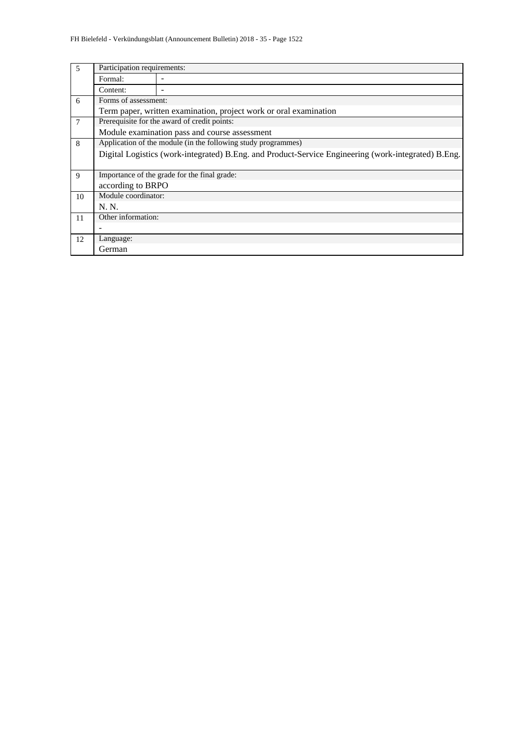| 5  | Participation requirements:                                                                         |                                              |  |  |  |  |  |  |  |  |
|----|-----------------------------------------------------------------------------------------------------|----------------------------------------------|--|--|--|--|--|--|--|--|
|    | Formal:                                                                                             |                                              |  |  |  |  |  |  |  |  |
|    | Content:                                                                                            |                                              |  |  |  |  |  |  |  |  |
| 6  | Forms of assessment:                                                                                |                                              |  |  |  |  |  |  |  |  |
|    | Term paper, written examination, project work or oral examination                                   |                                              |  |  |  |  |  |  |  |  |
| 7  | Prerequisite for the award of credit points:                                                        |                                              |  |  |  |  |  |  |  |  |
|    | Module examination pass and course assessment                                                       |                                              |  |  |  |  |  |  |  |  |
| 8  | Application of the module (in the following study programmes)                                       |                                              |  |  |  |  |  |  |  |  |
|    | Digital Logistics (work-integrated) B.Eng. and Product-Service Engineering (work-integrated) B.Eng. |                                              |  |  |  |  |  |  |  |  |
|    |                                                                                                     |                                              |  |  |  |  |  |  |  |  |
| 9  |                                                                                                     | Importance of the grade for the final grade: |  |  |  |  |  |  |  |  |
|    | according to BRPO                                                                                   |                                              |  |  |  |  |  |  |  |  |
| 10 | Module coordinator:                                                                                 |                                              |  |  |  |  |  |  |  |  |
|    | N. N.                                                                                               |                                              |  |  |  |  |  |  |  |  |
| 11 | Other information:                                                                                  |                                              |  |  |  |  |  |  |  |  |
|    |                                                                                                     |                                              |  |  |  |  |  |  |  |  |
| 12 | Language:                                                                                           |                                              |  |  |  |  |  |  |  |  |
|    | German                                                                                              |                                              |  |  |  |  |  |  |  |  |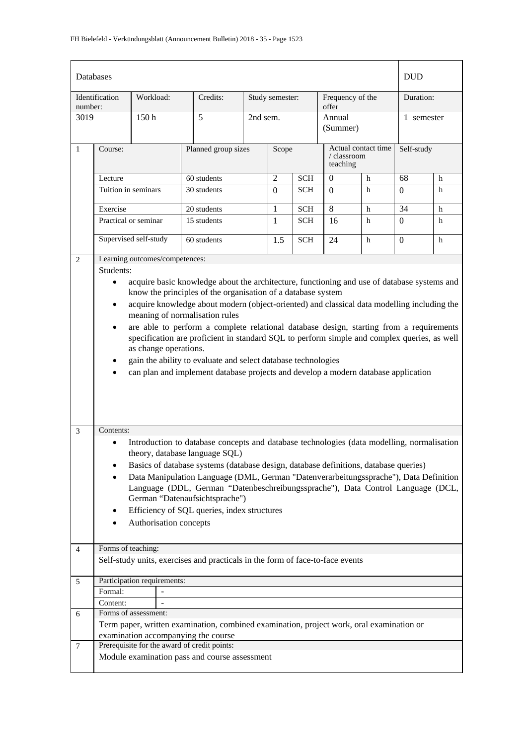| Databases      |                                                                                                                                                                                                                                                                                                                                                                                                                                                                                                                                                                                                                                                                                                                    |                                |                                                                                                                   |          |                 |            |                                                |           | <b>DUD</b>     |   |
|----------------|--------------------------------------------------------------------------------------------------------------------------------------------------------------------------------------------------------------------------------------------------------------------------------------------------------------------------------------------------------------------------------------------------------------------------------------------------------------------------------------------------------------------------------------------------------------------------------------------------------------------------------------------------------------------------------------------------------------------|--------------------------------|-------------------------------------------------------------------------------------------------------------------|----------|-----------------|------------|------------------------------------------------|-----------|----------------|---|
| number:        | Identification                                                                                                                                                                                                                                                                                                                                                                                                                                                                                                                                                                                                                                                                                                     | Workload:                      | Credits:                                                                                                          |          | Study semester: |            | Frequency of the<br>offer                      | Duration: |                |   |
| 3019           | 5<br>150h                                                                                                                                                                                                                                                                                                                                                                                                                                                                                                                                                                                                                                                                                                          |                                |                                                                                                                   | 2nd sem. |                 |            | Annual<br>(Summer)                             |           | 1 semester     |   |
| $\mathbf{1}$   | Course:                                                                                                                                                                                                                                                                                                                                                                                                                                                                                                                                                                                                                                                                                                            |                                | Planned group sizes                                                                                               |          | Scope           |            | Actual contact time<br>/ classroom<br>teaching |           | Self-study     |   |
|                | Lecture                                                                                                                                                                                                                                                                                                                                                                                                                                                                                                                                                                                                                                                                                                            |                                | 60 students                                                                                                       |          | $\overline{2}$  | <b>SCH</b> | $\overline{0}$                                 | $h$       | 68             | h |
|                | Tuition in seminars                                                                                                                                                                                                                                                                                                                                                                                                                                                                                                                                                                                                                                                                                                |                                | 30 students                                                                                                       |          | $\Omega$        | <b>SCH</b> | $\Omega$                                       | h         | $\overline{0}$ | h |
|                | Exercise                                                                                                                                                                                                                                                                                                                                                                                                                                                                                                                                                                                                                                                                                                           |                                | 20 students                                                                                                       |          | $\mathbf{1}$    | <b>SCH</b> | 8                                              | h         | 34             | h |
|                |                                                                                                                                                                                                                                                                                                                                                                                                                                                                                                                                                                                                                                                                                                                    | Practical or seminar           | 15 students                                                                                                       |          | $\mathbf{1}$    | <b>SCH</b> | 16                                             | h         | $\overline{0}$ | h |
|                |                                                                                                                                                                                                                                                                                                                                                                                                                                                                                                                                                                                                                                                                                                                    | Supervised self-study          | 60 students                                                                                                       |          | 1.5             | <b>SCH</b> | 24                                             | h         | $\mathbf{0}$   | h |
| 2              |                                                                                                                                                                                                                                                                                                                                                                                                                                                                                                                                                                                                                                                                                                                    | Learning outcomes/competences: |                                                                                                                   |          |                 |            |                                                |           |                |   |
|                | Students:                                                                                                                                                                                                                                                                                                                                                                                                                                                                                                                                                                                                                                                                                                          |                                |                                                                                                                   |          |                 |            |                                                |           |                |   |
| $\mathfrak{Z}$ | acquire basic knowledge about the architecture, functioning and use of database systems and<br>$\bullet$<br>know the principles of the organisation of a database system<br>acquire knowledge about modern (object-oriented) and classical data modelling including the<br>$\bullet$<br>meaning of normalisation rules<br>are able to perform a complete relational database design, starting from a requirements<br>$\bullet$<br>specification are proficient in standard SQL to perform simple and complex queries, as well<br>as change operations.<br>gain the ability to evaluate and select database technologies<br>٠<br>can plan and implement database projects and develop a modern database application |                                |                                                                                                                   |          |                 |            |                                                |           |                |   |
|                | Contents:                                                                                                                                                                                                                                                                                                                                                                                                                                                                                                                                                                                                                                                                                                          |                                | Introduction to database concepts and database technologies (data modelling, normalisation                        |          |                 |            |                                                |           |                |   |
|                |                                                                                                                                                                                                                                                                                                                                                                                                                                                                                                                                                                                                                                                                                                                    |                                | theory, database language SQL)                                                                                    |          |                 |            |                                                |           |                |   |
|                | ٠                                                                                                                                                                                                                                                                                                                                                                                                                                                                                                                                                                                                                                                                                                                  |                                | Basics of database systems (database design, database definitions, database queries)                              |          |                 |            |                                                |           |                |   |
|                |                                                                                                                                                                                                                                                                                                                                                                                                                                                                                                                                                                                                                                                                                                                    |                                | Data Manipulation Language (DML, German "Datenverarbeitungssprache"), Data Definition                             |          |                 |            |                                                |           |                |   |
|                |                                                                                                                                                                                                                                                                                                                                                                                                                                                                                                                                                                                                                                                                                                                    |                                | Language (DDL, German "Datenbeschreibungssprache"), Data Control Language (DCL,<br>German "Datenaufsichtsprache") |          |                 |            |                                                |           |                |   |
|                | ٠                                                                                                                                                                                                                                                                                                                                                                                                                                                                                                                                                                                                                                                                                                                  |                                | Efficiency of SQL queries, index structures                                                                       |          |                 |            |                                                |           |                |   |
|                | $\bullet$                                                                                                                                                                                                                                                                                                                                                                                                                                                                                                                                                                                                                                                                                                          | Authorisation concepts         |                                                                                                                   |          |                 |            |                                                |           |                |   |
|                |                                                                                                                                                                                                                                                                                                                                                                                                                                                                                                                                                                                                                                                                                                                    |                                |                                                                                                                   |          |                 |            |                                                |           |                |   |
| $\overline{4}$ | Forms of teaching:                                                                                                                                                                                                                                                                                                                                                                                                                                                                                                                                                                                                                                                                                                 |                                |                                                                                                                   |          |                 |            |                                                |           |                |   |
|                |                                                                                                                                                                                                                                                                                                                                                                                                                                                                                                                                                                                                                                                                                                                    |                                | Self-study units, exercises and practicals in the form of face-to-face events                                     |          |                 |            |                                                |           |                |   |
|                |                                                                                                                                                                                                                                                                                                                                                                                                                                                                                                                                                                                                                                                                                                                    |                                |                                                                                                                   |          |                 |            |                                                |           |                |   |
| 5              |                                                                                                                                                                                                                                                                                                                                                                                                                                                                                                                                                                                                                                                                                                                    | Participation requirements:    |                                                                                                                   |          |                 |            |                                                |           |                |   |
|                | Formal:                                                                                                                                                                                                                                                                                                                                                                                                                                                                                                                                                                                                                                                                                                            |                                |                                                                                                                   |          |                 |            |                                                |           |                |   |
| 6              | Content:                                                                                                                                                                                                                                                                                                                                                                                                                                                                                                                                                                                                                                                                                                           | Forms of assessment:           |                                                                                                                   |          |                 |            |                                                |           |                |   |
|                |                                                                                                                                                                                                                                                                                                                                                                                                                                                                                                                                                                                                                                                                                                                    |                                | Term paper, written examination, combined examination, project work, oral examination or                          |          |                 |            |                                                |           |                |   |
|                |                                                                                                                                                                                                                                                                                                                                                                                                                                                                                                                                                                                                                                                                                                                    |                                | examination accompanying the course                                                                               |          |                 |            |                                                |           |                |   |
| 7              |                                                                                                                                                                                                                                                                                                                                                                                                                                                                                                                                                                                                                                                                                                                    |                                | Prerequisite for the award of credit points:                                                                      |          |                 |            |                                                |           |                |   |
|                | Module examination pass and course assessment                                                                                                                                                                                                                                                                                                                                                                                                                                                                                                                                                                                                                                                                      |                                |                                                                                                                   |          |                 |            |                                                |           |                |   |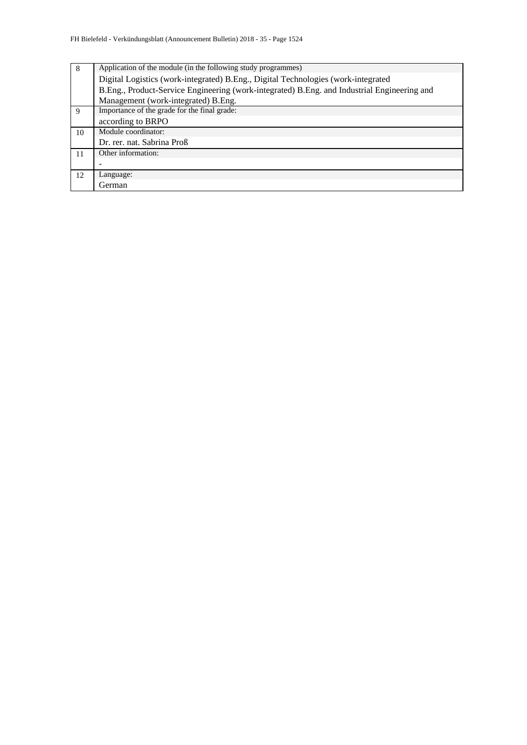| 8  | Application of the module (in the following study programmes)                               |  |  |  |  |  |  |  |  |
|----|---------------------------------------------------------------------------------------------|--|--|--|--|--|--|--|--|
|    | Digital Logistics (work-integrated) B.Eng., Digital Technologies (work-integrated           |  |  |  |  |  |  |  |  |
|    | B.Eng., Product-Service Engineering (work-integrated) B.Eng. and Industrial Engineering and |  |  |  |  |  |  |  |  |
|    | Management (work-integrated) B.Eng.                                                         |  |  |  |  |  |  |  |  |
| 9  | Importance of the grade for the final grade:                                                |  |  |  |  |  |  |  |  |
|    | according to BRPO                                                                           |  |  |  |  |  |  |  |  |
| 10 | Module coordinator:                                                                         |  |  |  |  |  |  |  |  |
|    | Dr. rer. nat. Sabrina Proß                                                                  |  |  |  |  |  |  |  |  |
| 11 | Other information:                                                                          |  |  |  |  |  |  |  |  |
|    |                                                                                             |  |  |  |  |  |  |  |  |
| 12 | Language:                                                                                   |  |  |  |  |  |  |  |  |
|    | German                                                                                      |  |  |  |  |  |  |  |  |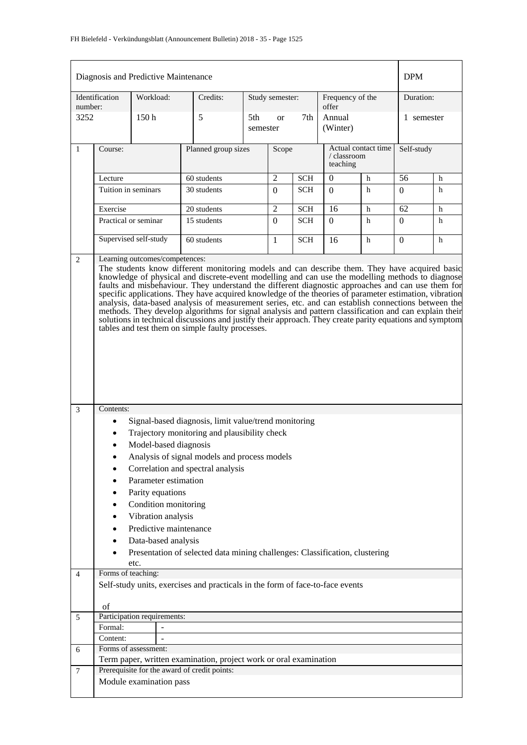|                 |                                                                                                                                                                                                                                                                                                                                                                                                                                                                                                                                                                                                                                                                                                                                                                                                                                   | Diagnosis and Predictive Maintenance |                                                                               |                 |                 |            |                                           |                     | <b>DPM</b>     |            |  |
|-----------------|-----------------------------------------------------------------------------------------------------------------------------------------------------------------------------------------------------------------------------------------------------------------------------------------------------------------------------------------------------------------------------------------------------------------------------------------------------------------------------------------------------------------------------------------------------------------------------------------------------------------------------------------------------------------------------------------------------------------------------------------------------------------------------------------------------------------------------------|--------------------------------------|-------------------------------------------------------------------------------|-----------------|-----------------|------------|-------------------------------------------|---------------------|----------------|------------|--|
|                 | Identification                                                                                                                                                                                                                                                                                                                                                                                                                                                                                                                                                                                                                                                                                                                                                                                                                    | Workload:                            | Credits:                                                                      |                 | Study semester: |            | Frequency of the                          |                     | Duration:      |            |  |
| number:<br>3252 |                                                                                                                                                                                                                                                                                                                                                                                                                                                                                                                                                                                                                                                                                                                                                                                                                                   | 150h                                 | 5                                                                             | 5th<br>semester | <b>or</b>       | 7th        | offer<br>Annual<br>1 semester<br>(Winter) |                     |                |            |  |
| $\mathbf{1}$    | Course:                                                                                                                                                                                                                                                                                                                                                                                                                                                                                                                                                                                                                                                                                                                                                                                                                           |                                      | Planned group sizes                                                           |                 | Scope           |            | / classroom<br>teaching                   | Actual contact time |                | Self-study |  |
|                 | Lecture                                                                                                                                                                                                                                                                                                                                                                                                                                                                                                                                                                                                                                                                                                                                                                                                                           |                                      | 60 students                                                                   |                 | 2               | <b>SCH</b> | 0                                         | h                   | 56             | h          |  |
|                 | Tuition in seminars                                                                                                                                                                                                                                                                                                                                                                                                                                                                                                                                                                                                                                                                                                                                                                                                               |                                      | 30 students                                                                   |                 | $\Omega$        | <b>SCH</b> | $\Omega$                                  | h                   | 0              | h          |  |
|                 | Exercise                                                                                                                                                                                                                                                                                                                                                                                                                                                                                                                                                                                                                                                                                                                                                                                                                          |                                      | 20 students                                                                   |                 | $\overline{c}$  | <b>SCH</b> | 16                                        | h                   | 62             | h          |  |
|                 |                                                                                                                                                                                                                                                                                                                                                                                                                                                                                                                                                                                                                                                                                                                                                                                                                                   | Practical or seminar                 | 15 students                                                                   |                 | $\theta$        | SCH        | $\Omega$                                  | h                   | $\overline{0}$ | h          |  |
|                 |                                                                                                                                                                                                                                                                                                                                                                                                                                                                                                                                                                                                                                                                                                                                                                                                                                   | Supervised self-study                | 60 students                                                                   |                 | 1               | <b>SCH</b> | 16                                        | h                   | $\Omega$       | h          |  |
|                 | Learning outcomes/competences:<br>The students know different monitoring models and can describe them. They have acquired basic<br>knowledge of physical and discrete-event modelling and can use the modelling methods to diagnose<br>faults and misbehaviour. They understand the different diagnostic approaches and can use them for<br>specific applications. They have acquired knowledge of the theories of parameter estimation, vibration<br>analysis, data-based analysis of measurement series, etc. and can establish connections between the<br>methods. They develop algorithms for signal analysis and pattern classification and can explain their<br>solutions in technical discussions and justify their approach. They create parity equations and symptom<br>tables and test them on simple faulty processes. |                                      |                                                                               |                 |                 |            |                                           |                     |                |            |  |
| 3               | Contents:                                                                                                                                                                                                                                                                                                                                                                                                                                                                                                                                                                                                                                                                                                                                                                                                                         |                                      |                                                                               |                 |                 |            |                                           |                     |                |            |  |
|                 | ٠                                                                                                                                                                                                                                                                                                                                                                                                                                                                                                                                                                                                                                                                                                                                                                                                                                 |                                      | Signal-based diagnosis, limit value/trend monitoring                          |                 |                 |            |                                           |                     |                |            |  |
|                 |                                                                                                                                                                                                                                                                                                                                                                                                                                                                                                                                                                                                                                                                                                                                                                                                                                   |                                      | Trajectory monitoring and plausibility check                                  |                 |                 |            |                                           |                     |                |            |  |
|                 |                                                                                                                                                                                                                                                                                                                                                                                                                                                                                                                                                                                                                                                                                                                                                                                                                                   | Model-based diagnosis                |                                                                               |                 |                 |            |                                           |                     |                |            |  |
|                 |                                                                                                                                                                                                                                                                                                                                                                                                                                                                                                                                                                                                                                                                                                                                                                                                                                   |                                      | Analysis of signal models and process models                                  |                 |                 |            |                                           |                     |                |            |  |
|                 |                                                                                                                                                                                                                                                                                                                                                                                                                                                                                                                                                                                                                                                                                                                                                                                                                                   | Parameter estimation                 | Correlation and spectral analysis                                             |                 |                 |            |                                           |                     |                |            |  |
|                 |                                                                                                                                                                                                                                                                                                                                                                                                                                                                                                                                                                                                                                                                                                                                                                                                                                   | Parity equations                     |                                                                               |                 |                 |            |                                           |                     |                |            |  |
|                 |                                                                                                                                                                                                                                                                                                                                                                                                                                                                                                                                                                                                                                                                                                                                                                                                                                   | Condition monitoring                 |                                                                               |                 |                 |            |                                           |                     |                |            |  |
|                 |                                                                                                                                                                                                                                                                                                                                                                                                                                                                                                                                                                                                                                                                                                                                                                                                                                   | Vibration analysis                   |                                                                               |                 |                 |            |                                           |                     |                |            |  |
|                 |                                                                                                                                                                                                                                                                                                                                                                                                                                                                                                                                                                                                                                                                                                                                                                                                                                   | Predictive maintenance               |                                                                               |                 |                 |            |                                           |                     |                |            |  |
|                 |                                                                                                                                                                                                                                                                                                                                                                                                                                                                                                                                                                                                                                                                                                                                                                                                                                   | Data-based analysis                  |                                                                               |                 |                 |            |                                           |                     |                |            |  |
|                 |                                                                                                                                                                                                                                                                                                                                                                                                                                                                                                                                                                                                                                                                                                                                                                                                                                   | etc.                                 | Presentation of selected data mining challenges: Classification, clustering   |                 |                 |            |                                           |                     |                |            |  |
| $\overline{4}$  | Forms of teaching:                                                                                                                                                                                                                                                                                                                                                                                                                                                                                                                                                                                                                                                                                                                                                                                                                |                                      |                                                                               |                 |                 |            |                                           |                     |                |            |  |
|                 |                                                                                                                                                                                                                                                                                                                                                                                                                                                                                                                                                                                                                                                                                                                                                                                                                                   |                                      | Self-study units, exercises and practicals in the form of face-to-face events |                 |                 |            |                                           |                     |                |            |  |
|                 | of                                                                                                                                                                                                                                                                                                                                                                                                                                                                                                                                                                                                                                                                                                                                                                                                                                |                                      |                                                                               |                 |                 |            |                                           |                     |                |            |  |
| 5               |                                                                                                                                                                                                                                                                                                                                                                                                                                                                                                                                                                                                                                                                                                                                                                                                                                   | Participation requirements:          |                                                                               |                 |                 |            |                                           |                     |                |            |  |
|                 | Formal:                                                                                                                                                                                                                                                                                                                                                                                                                                                                                                                                                                                                                                                                                                                                                                                                                           |                                      |                                                                               |                 |                 |            |                                           |                     |                |            |  |
|                 | Content:                                                                                                                                                                                                                                                                                                                                                                                                                                                                                                                                                                                                                                                                                                                                                                                                                          |                                      |                                                                               |                 |                 |            |                                           |                     |                |            |  |
| 6               |                                                                                                                                                                                                                                                                                                                                                                                                                                                                                                                                                                                                                                                                                                                                                                                                                                   | Forms of assessment:                 | Term paper, written examination, project work or oral examination             |                 |                 |            |                                           |                     |                |            |  |
| $\overline{7}$  |                                                                                                                                                                                                                                                                                                                                                                                                                                                                                                                                                                                                                                                                                                                                                                                                                                   |                                      | Prerequisite for the award of credit points:                                  |                 |                 |            |                                           |                     |                |            |  |
|                 |                                                                                                                                                                                                                                                                                                                                                                                                                                                                                                                                                                                                                                                                                                                                                                                                                                   | Module examination pass              |                                                                               |                 |                 |            |                                           |                     |                |            |  |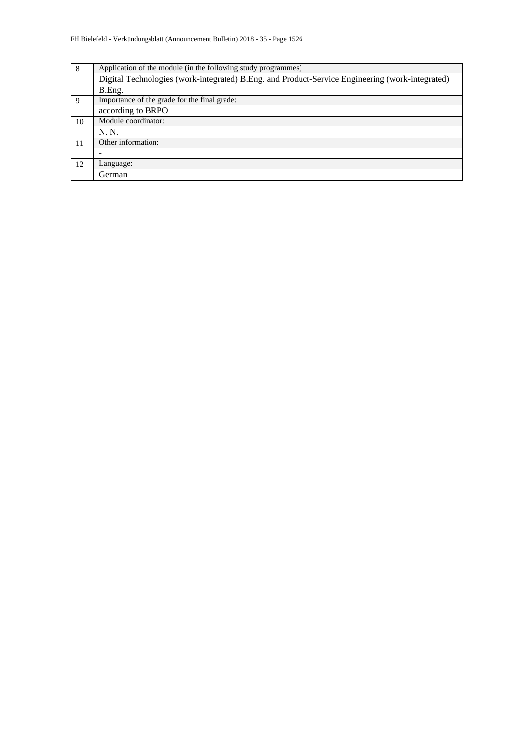| 8  | Application of the module (in the following study programmes)                                   |
|----|-------------------------------------------------------------------------------------------------|
|    | Digital Technologies (work-integrated) B.Eng. and Product-Service Engineering (work-integrated) |
|    | B.Eng.                                                                                          |
| 9  | Importance of the grade for the final grade:                                                    |
|    | according to BRPO                                                                               |
| 10 | Module coordinator:                                                                             |
|    | N. N.                                                                                           |
| 11 | Other information:                                                                              |
|    |                                                                                                 |
| 12 | Language:                                                                                       |
|    | German                                                                                          |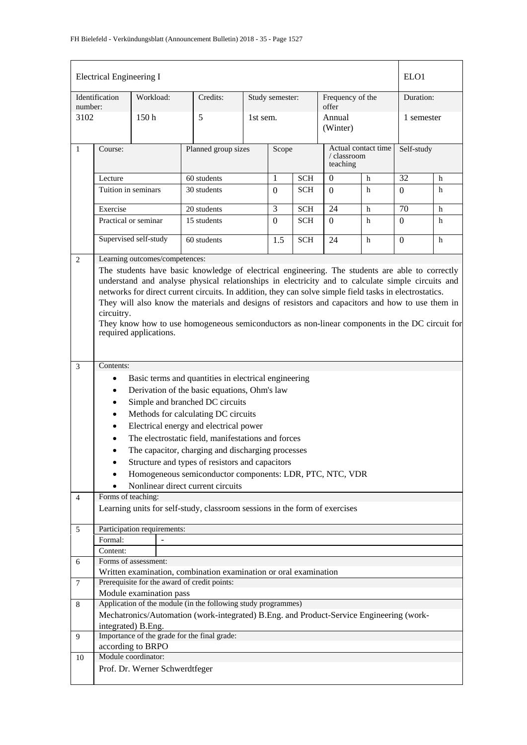| <b>Electrical Engineering I</b><br>ELO <sub>1</sub> |                                                                                                                                                                                                                                                                                                                                                                                                                                                                                                                                     |                                |  |                                                                                                                                                                                                                                                                                                                 |  |                 |            |                                                |   |            |   |
|-----------------------------------------------------|-------------------------------------------------------------------------------------------------------------------------------------------------------------------------------------------------------------------------------------------------------------------------------------------------------------------------------------------------------------------------------------------------------------------------------------------------------------------------------------------------------------------------------------|--------------------------------|--|-----------------------------------------------------------------------------------------------------------------------------------------------------------------------------------------------------------------------------------------------------------------------------------------------------------------|--|-----------------|------------|------------------------------------------------|---|------------|---|
| number:                                             | Identification                                                                                                                                                                                                                                                                                                                                                                                                                                                                                                                      | Workload:                      |  | Credits:                                                                                                                                                                                                                                                                                                        |  | Study semester: |            | Frequency of the<br>offer                      |   | Duration:  |   |
| 3102                                                |                                                                                                                                                                                                                                                                                                                                                                                                                                                                                                                                     | 150 <sub>h</sub>               |  | 5                                                                                                                                                                                                                                                                                                               |  | 1st sem.        |            | Annual<br>(Winter)                             |   | 1 semester |   |
| $\mathbf{1}$                                        | Course:                                                                                                                                                                                                                                                                                                                                                                                                                                                                                                                             |                                |  | Planned group sizes                                                                                                                                                                                                                                                                                             |  | Scope           |            | Actual contact time<br>/ classroom<br>teaching |   | Self-study |   |
|                                                     | Lecture                                                                                                                                                                                                                                                                                                                                                                                                                                                                                                                             |                                |  | 60 students                                                                                                                                                                                                                                                                                                     |  | 1               | <b>SCH</b> | $\Omega$                                       | h | 32         | h |
|                                                     | Tuition in seminars                                                                                                                                                                                                                                                                                                                                                                                                                                                                                                                 |                                |  | 30 students                                                                                                                                                                                                                                                                                                     |  | $\Omega$        | <b>SCH</b> | $\Omega$                                       | h | $\Omega$   | h |
|                                                     | Exercise                                                                                                                                                                                                                                                                                                                                                                                                                                                                                                                            |                                |  | 20 students                                                                                                                                                                                                                                                                                                     |  | 3               | <b>SCH</b> | 24                                             | h | 70         | h |
|                                                     | Practical or seminar                                                                                                                                                                                                                                                                                                                                                                                                                                                                                                                |                                |  | 15 students                                                                                                                                                                                                                                                                                                     |  | $\Omega$        | <b>SCH</b> | $\Omega$                                       | h | $\Omega$   | h |
|                                                     |                                                                                                                                                                                                                                                                                                                                                                                                                                                                                                                                     | Supervised self-study          |  | 60 students                                                                                                                                                                                                                                                                                                     |  | 1.5             | <b>SCH</b> | 24                                             | h | 0          | h |
| $\overline{2}$                                      |                                                                                                                                                                                                                                                                                                                                                                                                                                                                                                                                     | Learning outcomes/competences: |  |                                                                                                                                                                                                                                                                                                                 |  |                 |            |                                                |   |            |   |
|                                                     |                                                                                                                                                                                                                                                                                                                                                                                                                                                                                                                                     |                                |  | The students have basic knowledge of electrical engineering. The students are able to correctly<br>understand and analyse physical relationships in electricity and to calculate simple circuits and<br>networks for direct current circuits. In addition, they can solve simple field tasks in electrostatics. |  |                 |            |                                                |   |            |   |
|                                                     | They will also know the materials and designs of resistors and capacitors and how to use them in<br>circuitry.<br>They know how to use homogeneous semiconductors as non-linear components in the DC circuit for<br>required applications.                                                                                                                                                                                                                                                                                          |                                |  |                                                                                                                                                                                                                                                                                                                 |  |                 |            |                                                |   |            |   |
| 3                                                   |                                                                                                                                                                                                                                                                                                                                                                                                                                                                                                                                     |                                |  |                                                                                                                                                                                                                                                                                                                 |  |                 |            |                                                |   |            |   |
|                                                     | Contents:<br>Basic terms and quantities in electrical engineering<br>$\bullet$<br>Derivation of the basic equations, Ohm's law<br>٠<br>Simple and branched DC circuits<br>$\bullet$<br>Methods for calculating DC circuits<br>Electrical energy and electrical power<br>The electrostatic field, manifestations and forces<br>The capacitor, charging and discharging processes<br>Structure and types of resistors and capacitors<br>Homogeneous semiconductor components: LDR, PTC, NTC, VDR<br>Nonlinear direct current circuits |                                |  |                                                                                                                                                                                                                                                                                                                 |  |                 |            |                                                |   |            |   |
| $\overline{4}$                                      | Forms of teaching:                                                                                                                                                                                                                                                                                                                                                                                                                                                                                                                  |                                |  |                                                                                                                                                                                                                                                                                                                 |  |                 |            |                                                |   |            |   |
|                                                     |                                                                                                                                                                                                                                                                                                                                                                                                                                                                                                                                     |                                |  | Learning units for self-study, classroom sessions in the form of exercises                                                                                                                                                                                                                                      |  |                 |            |                                                |   |            |   |
| 5                                                   |                                                                                                                                                                                                                                                                                                                                                                                                                                                                                                                                     | Participation requirements:    |  |                                                                                                                                                                                                                                                                                                                 |  |                 |            |                                                |   |            |   |
|                                                     | Formal:                                                                                                                                                                                                                                                                                                                                                                                                                                                                                                                             |                                |  |                                                                                                                                                                                                                                                                                                                 |  |                 |            |                                                |   |            |   |
|                                                     | Content:                                                                                                                                                                                                                                                                                                                                                                                                                                                                                                                            |                                |  |                                                                                                                                                                                                                                                                                                                 |  |                 |            |                                                |   |            |   |
| 6                                                   |                                                                                                                                                                                                                                                                                                                                                                                                                                                                                                                                     | Forms of assessment:           |  | Written examination, combination examination or oral examination                                                                                                                                                                                                                                                |  |                 |            |                                                |   |            |   |
| $\overline{7}$                                      |                                                                                                                                                                                                                                                                                                                                                                                                                                                                                                                                     |                                |  | Prerequisite for the award of credit points:                                                                                                                                                                                                                                                                    |  |                 |            |                                                |   |            |   |
|                                                     |                                                                                                                                                                                                                                                                                                                                                                                                                                                                                                                                     | Module examination pass        |  |                                                                                                                                                                                                                                                                                                                 |  |                 |            |                                                |   |            |   |
| $\,8\,$                                             |                                                                                                                                                                                                                                                                                                                                                                                                                                                                                                                                     |                                |  | Application of the module (in the following study programmes)                                                                                                                                                                                                                                                   |  |                 |            |                                                |   |            |   |
|                                                     |                                                                                                                                                                                                                                                                                                                                                                                                                                                                                                                                     |                                |  | Mechatronics/Automation (work-integrated) B.Eng. and Product-Service Engineering (work-                                                                                                                                                                                                                         |  |                 |            |                                                |   |            |   |
|                                                     |                                                                                                                                                                                                                                                                                                                                                                                                                                                                                                                                     | integrated) B.Eng.             |  |                                                                                                                                                                                                                                                                                                                 |  |                 |            |                                                |   |            |   |
| 9                                                   |                                                                                                                                                                                                                                                                                                                                                                                                                                                                                                                                     | according to BRPO              |  | Importance of the grade for the final grade:                                                                                                                                                                                                                                                                    |  |                 |            |                                                |   |            |   |
| 10                                                  |                                                                                                                                                                                                                                                                                                                                                                                                                                                                                                                                     | Module coordinator:            |  |                                                                                                                                                                                                                                                                                                                 |  |                 |            |                                                |   |            |   |
|                                                     |                                                                                                                                                                                                                                                                                                                                                                                                                                                                                                                                     | Prof. Dr. Werner Schwerdtfeger |  |                                                                                                                                                                                                                                                                                                                 |  |                 |            |                                                |   |            |   |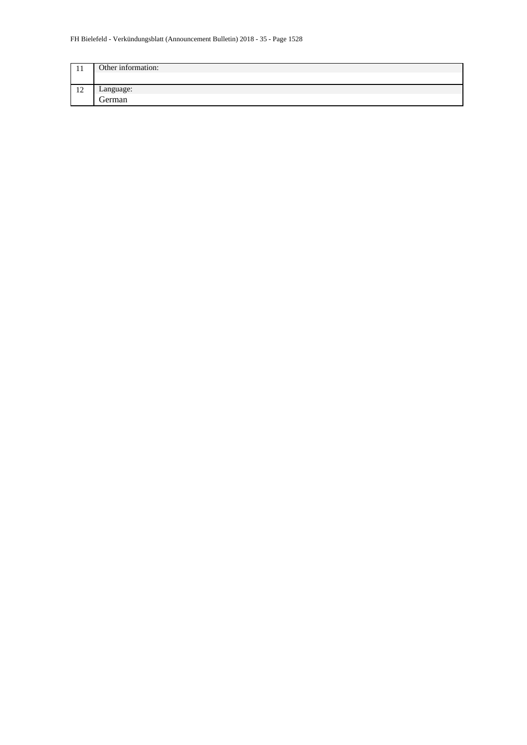| -11                  | Other information: |
|----------------------|--------------------|
|                      |                    |
| 1 <sub>0</sub><br>14 | Language:          |
|                      | German             |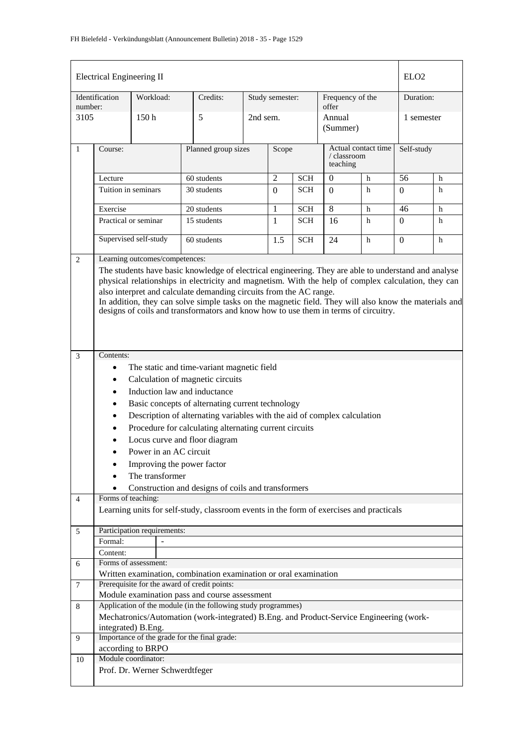| <b>Electrical Engineering II</b> |                                                                                                                                                                                                                                                                                                                                                                                                                                                                                   |                                |                                                                                                                |                     |                 |            |                                                | ELO <sub>2</sub> |                  |   |
|----------------------------------|-----------------------------------------------------------------------------------------------------------------------------------------------------------------------------------------------------------------------------------------------------------------------------------------------------------------------------------------------------------------------------------------------------------------------------------------------------------------------------------|--------------------------------|----------------------------------------------------------------------------------------------------------------|---------------------|-----------------|------------|------------------------------------------------|------------------|------------------|---|
| number:                          | Identification                                                                                                                                                                                                                                                                                                                                                                                                                                                                    | Workload:                      | Credits:                                                                                                       |                     | Study semester: |            | Frequency of the<br>offer                      |                  | Duration:        |   |
| 3105                             |                                                                                                                                                                                                                                                                                                                                                                                                                                                                                   | 150 <sub>h</sub>               | 5                                                                                                              |                     | 2nd sem.        |            | Annual<br>(Summer)                             |                  | 1 semester       |   |
| $\mathbf{1}$                     | Course:                                                                                                                                                                                                                                                                                                                                                                                                                                                                           |                                |                                                                                                                | Planned group sizes |                 | Scope      | Actual contact time<br>/ classroom<br>teaching |                  | Self-study       |   |
|                                  | Lecture                                                                                                                                                                                                                                                                                                                                                                                                                                                                           |                                | 60 students                                                                                                    |                     | $\overline{2}$  | <b>SCH</b> | $\mathbf{0}$                                   | h                | 56               | h |
|                                  | Tuition in seminars                                                                                                                                                                                                                                                                                                                                                                                                                                                               |                                | 30 students                                                                                                    |                     | $\Omega$        | <b>SCH</b> | $\Omega$                                       | h                | $\Omega$         | h |
|                                  | Exercise                                                                                                                                                                                                                                                                                                                                                                                                                                                                          |                                | 20 students                                                                                                    |                     | 1               | <b>SCH</b> | 8                                              | h                | 46               | h |
|                                  | Practical or seminar                                                                                                                                                                                                                                                                                                                                                                                                                                                              |                                | 15 students                                                                                                    |                     | 1               | <b>SCH</b> | 16                                             | h                | 0                | h |
|                                  |                                                                                                                                                                                                                                                                                                                                                                                                                                                                                   | Supervised self-study          | 60 students                                                                                                    |                     | 1.5             | <b>SCH</b> | 24                                             | h                | $\boldsymbol{0}$ | h |
| 2                                |                                                                                                                                                                                                                                                                                                                                                                                                                                                                                   | Learning outcomes/competences: |                                                                                                                |                     |                 |            |                                                |                  |                  |   |
|                                  | The students have basic knowledge of electrical engineering. They are able to understand and analyse<br>physical relationships in electricity and magnetism. With the help of complex calculation, they can<br>also interpret and calculate demanding circuits from the AC range.<br>In addition, they can solve simple tasks on the magnetic field. They will also know the materials and<br>designs of coils and transformators and know how to use them in terms of circuitry. |                                |                                                                                                                |                     |                 |            |                                                |                  |                  |   |
|                                  |                                                                                                                                                                                                                                                                                                                                                                                                                                                                                   |                                |                                                                                                                |                     |                 |            |                                                |                  |                  |   |
| $\mathfrak{Z}$                   | Contents:                                                                                                                                                                                                                                                                                                                                                                                                                                                                         |                                |                                                                                                                |                     |                 |            |                                                |                  |                  |   |
|                                  | $\bullet$                                                                                                                                                                                                                                                                                                                                                                                                                                                                         |                                | The static and time-variant magnetic field                                                                     |                     |                 |            |                                                |                  |                  |   |
|                                  | $\bullet$                                                                                                                                                                                                                                                                                                                                                                                                                                                                         |                                | Calculation of magnetic circuits                                                                               |                     |                 |            |                                                |                  |                  |   |
|                                  | $\bullet$                                                                                                                                                                                                                                                                                                                                                                                                                                                                         |                                | Induction law and inductance                                                                                   |                     |                 |            |                                                |                  |                  |   |
|                                  | $\bullet$                                                                                                                                                                                                                                                                                                                                                                                                                                                                         |                                | Basic concepts of alternating current technology                                                               |                     |                 |            |                                                |                  |                  |   |
|                                  | ٠                                                                                                                                                                                                                                                                                                                                                                                                                                                                                 |                                | Description of alternating variables with the aid of complex calculation                                       |                     |                 |            |                                                |                  |                  |   |
|                                  | ٠                                                                                                                                                                                                                                                                                                                                                                                                                                                                                 |                                | Procedure for calculating alternating current circuits                                                         |                     |                 |            |                                                |                  |                  |   |
|                                  |                                                                                                                                                                                                                                                                                                                                                                                                                                                                                   |                                | Locus curve and floor diagram                                                                                  |                     |                 |            |                                                |                  |                  |   |
|                                  |                                                                                                                                                                                                                                                                                                                                                                                                                                                                                   | Power in an AC circuit         |                                                                                                                |                     |                 |            |                                                |                  |                  |   |
|                                  |                                                                                                                                                                                                                                                                                                                                                                                                                                                                                   | Improving the power factor     |                                                                                                                |                     |                 |            |                                                |                  |                  |   |
|                                  |                                                                                                                                                                                                                                                                                                                                                                                                                                                                                   | The transformer                |                                                                                                                |                     |                 |            |                                                |                  |                  |   |
| $\overline{4}$                   | Forms of teaching:                                                                                                                                                                                                                                                                                                                                                                                                                                                                |                                | Construction and designs of coils and transformers                                                             |                     |                 |            |                                                |                  |                  |   |
|                                  |                                                                                                                                                                                                                                                                                                                                                                                                                                                                                   |                                | Learning units for self-study, classroom events in the form of exercises and practicals                        |                     |                 |            |                                                |                  |                  |   |
| 5                                |                                                                                                                                                                                                                                                                                                                                                                                                                                                                                   | Participation requirements:    |                                                                                                                |                     |                 |            |                                                |                  |                  |   |
|                                  | Formal:                                                                                                                                                                                                                                                                                                                                                                                                                                                                           |                                |                                                                                                                |                     |                 |            |                                                |                  |                  |   |
|                                  | Content:                                                                                                                                                                                                                                                                                                                                                                                                                                                                          |                                |                                                                                                                |                     |                 |            |                                                |                  |                  |   |
| 6                                |                                                                                                                                                                                                                                                                                                                                                                                                                                                                                   | Forms of assessment:           | Written examination, combination examination or oral examination                                               |                     |                 |            |                                                |                  |                  |   |
| $\tau$                           |                                                                                                                                                                                                                                                                                                                                                                                                                                                                                   |                                | Prerequisite for the award of credit points:                                                                   |                     |                 |            |                                                |                  |                  |   |
| 8                                |                                                                                                                                                                                                                                                                                                                                                                                                                                                                                   |                                | Module examination pass and course assessment<br>Application of the module (in the following study programmes) |                     |                 |            |                                                |                  |                  |   |
|                                  |                                                                                                                                                                                                                                                                                                                                                                                                                                                                                   |                                | Mechatronics/Automation (work-integrated) B.Eng. and Product-Service Engineering (work-                        |                     |                 |            |                                                |                  |                  |   |
|                                  |                                                                                                                                                                                                                                                                                                                                                                                                                                                                                   | integrated) B.Eng.             |                                                                                                                |                     |                 |            |                                                |                  |                  |   |
| 9                                |                                                                                                                                                                                                                                                                                                                                                                                                                                                                                   |                                | Importance of the grade for the final grade:                                                                   |                     |                 |            |                                                |                  |                  |   |
|                                  |                                                                                                                                                                                                                                                                                                                                                                                                                                                                                   | according to BRPO              |                                                                                                                |                     |                 |            |                                                |                  |                  |   |
| 10                               |                                                                                                                                                                                                                                                                                                                                                                                                                                                                                   | Module coordinator:            |                                                                                                                |                     |                 |            |                                                |                  |                  |   |
|                                  | Prof. Dr. Werner Schwerdtfeger                                                                                                                                                                                                                                                                                                                                                                                                                                                    |                                |                                                                                                                |                     |                 |            |                                                |                  |                  |   |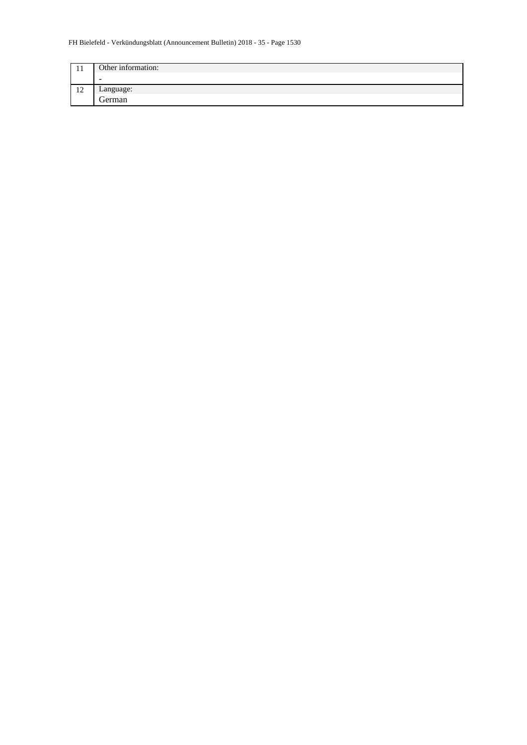#### FH Bielefeld - Verkündungsblatt (Announcement Bulletin) 2018 - 35 - Page 1530

| . .                      | Other information: |
|--------------------------|--------------------|
|                          | $\sim$             |
| $\sim$<br>$\overline{1}$ | Language:          |
|                          | German             |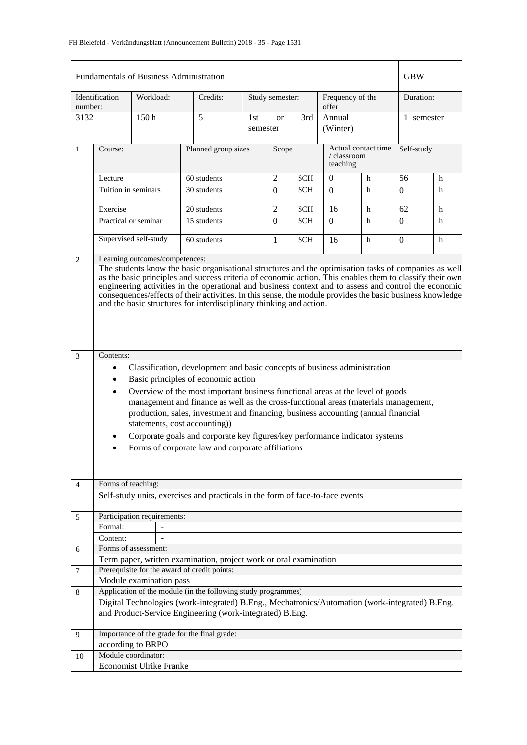|              | <b>Fundamentals of Business Administration</b>                                                                                                                                                                                                                                                                                                                                                                                                                                                                                                                                                           |           |  |                                                                                                                                                                                                                              |                 |                |                           | <b>GBW</b>                                     |   |            |            |  |
|--------------|----------------------------------------------------------------------------------------------------------------------------------------------------------------------------------------------------------------------------------------------------------------------------------------------------------------------------------------------------------------------------------------------------------------------------------------------------------------------------------------------------------------------------------------------------------------------------------------------------------|-----------|--|------------------------------------------------------------------------------------------------------------------------------------------------------------------------------------------------------------------------------|-----------------|----------------|---------------------------|------------------------------------------------|---|------------|------------|--|
| number:      | Identification                                                                                                                                                                                                                                                                                                                                                                                                                                                                                                                                                                                           | Workload: |  | Credits:                                                                                                                                                                                                                     | Study semester: |                | Frequency of the<br>offer |                                                |   | Duration:  |            |  |
| 3132         |                                                                                                                                                                                                                                                                                                                                                                                                                                                                                                                                                                                                          | 150h      |  | 5                                                                                                                                                                                                                            | 1st<br>semester | <sub>or</sub>  | 3rd                       | Annual<br>(Winter)                             |   |            | 1 semester |  |
| $\mathbf{1}$ | Course:                                                                                                                                                                                                                                                                                                                                                                                                                                                                                                                                                                                                  |           |  | Planned group sizes                                                                                                                                                                                                          |                 | Scope          |                           | Actual contact time<br>/ classroom<br>teaching |   | Self-study |            |  |
|              | Lecture                                                                                                                                                                                                                                                                                                                                                                                                                                                                                                                                                                                                  |           |  | 60 students                                                                                                                                                                                                                  |                 | $\overline{2}$ | <b>SCH</b>                | $\theta$                                       | h | 56         | h          |  |
|              | Tuition in seminars                                                                                                                                                                                                                                                                                                                                                                                                                                                                                                                                                                                      |           |  | 30 students                                                                                                                                                                                                                  |                 | $\Omega$       | <b>SCH</b>                | $\Omega$                                       | h | $\Omega$   | h          |  |
|              | Exercise                                                                                                                                                                                                                                                                                                                                                                                                                                                                                                                                                                                                 |           |  | 20 students                                                                                                                                                                                                                  |                 | $\overline{2}$ | <b>SCH</b>                | 16                                             | h | 62         | h          |  |
|              | Practical or seminar                                                                                                                                                                                                                                                                                                                                                                                                                                                                                                                                                                                     |           |  | 15 students                                                                                                                                                                                                                  |                 | $\Omega$       | <b>SCH</b>                | $\Omega$                                       | h | $\Omega$   | h          |  |
|              | Supervised self-study                                                                                                                                                                                                                                                                                                                                                                                                                                                                                                                                                                                    |           |  | 60 students                                                                                                                                                                                                                  |                 | 1              | <b>SCH</b>                | 16                                             | h | $\Omega$   | h          |  |
| 2            | Learning outcomes/competences:<br>The students know the basic organisational structures and the optimisation tasks of companies as well<br>as the basic principles and success criteria of economic action. This enables them to classify their own<br>engineering activities in the operational and business context and to assess and control the economic<br>consequences/effects of their activities. In this sense, the module provides the basic business knowledge<br>and the basic structures for interdisciplinary thinking and action.                                                         |           |  |                                                                                                                                                                                                                              |                 |                |                           |                                                |   |            |            |  |
| 3            | Contents:<br>Classification, development and basic concepts of business administration<br>$\bullet$<br>Basic principles of economic action<br>$\bullet$<br>Overview of the most important business functional areas at the level of goods<br>$\bullet$<br>management and finance as well as the cross-functional areas (materials management,<br>production, sales, investment and financing, business accounting (annual financial<br>statements, cost accounting))<br>Corporate goals and corporate key figures/key performance indicator systems<br>Forms of corporate law and corporate affiliations |           |  |                                                                                                                                                                                                                              |                 |                |                           |                                                |   |            |            |  |
| 4            | Forms of teaching:                                                                                                                                                                                                                                                                                                                                                                                                                                                                                                                                                                                       |           |  | Self-study units, exercises and practicals in the form of face-to-face events                                                                                                                                                |                 |                |                           |                                                |   |            |            |  |
| 5            | Participation requirements:                                                                                                                                                                                                                                                                                                                                                                                                                                                                                                                                                                              |           |  |                                                                                                                                                                                                                              |                 |                |                           |                                                |   |            |            |  |
|              | Formal:                                                                                                                                                                                                                                                                                                                                                                                                                                                                                                                                                                                                  |           |  |                                                                                                                                                                                                                              |                 |                |                           |                                                |   |            |            |  |
|              | Content:                                                                                                                                                                                                                                                                                                                                                                                                                                                                                                                                                                                                 |           |  |                                                                                                                                                                                                                              |                 |                |                           |                                                |   |            |            |  |
| 6            | Forms of assessment:                                                                                                                                                                                                                                                                                                                                                                                                                                                                                                                                                                                     |           |  |                                                                                                                                                                                                                              |                 |                |                           |                                                |   |            |            |  |
|              |                                                                                                                                                                                                                                                                                                                                                                                                                                                                                                                                                                                                          |           |  | Term paper, written examination, project work or oral examination                                                                                                                                                            |                 |                |                           |                                                |   |            |            |  |
| 7            |                                                                                                                                                                                                                                                                                                                                                                                                                                                                                                                                                                                                          |           |  | Prerequisite for the award of credit points:                                                                                                                                                                                 |                 |                |                           |                                                |   |            |            |  |
|              | Module examination pass                                                                                                                                                                                                                                                                                                                                                                                                                                                                                                                                                                                  |           |  |                                                                                                                                                                                                                              |                 |                |                           |                                                |   |            |            |  |
| 8            |                                                                                                                                                                                                                                                                                                                                                                                                                                                                                                                                                                                                          |           |  | Application of the module (in the following study programmes)<br>Digital Technologies (work-integrated) B.Eng., Mechatronics/Automation (work-integrated) B.Eng.<br>and Product-Service Engineering (work-integrated) B.Eng. |                 |                |                           |                                                |   |            |            |  |
| 9            |                                                                                                                                                                                                                                                                                                                                                                                                                                                                                                                                                                                                          |           |  | Importance of the grade for the final grade:                                                                                                                                                                                 |                 |                |                           |                                                |   |            |            |  |
|              | according to BRPO                                                                                                                                                                                                                                                                                                                                                                                                                                                                                                                                                                                        |           |  |                                                                                                                                                                                                                              |                 |                |                           |                                                |   |            |            |  |
| 10           | Module coordinator:                                                                                                                                                                                                                                                                                                                                                                                                                                                                                                                                                                                      |           |  |                                                                                                                                                                                                                              |                 |                |                           |                                                |   |            |            |  |
|              | <b>Economist Ulrike Franke</b>                                                                                                                                                                                                                                                                                                                                                                                                                                                                                                                                                                           |           |  |                                                                                                                                                                                                                              |                 |                |                           |                                                |   |            |            |  |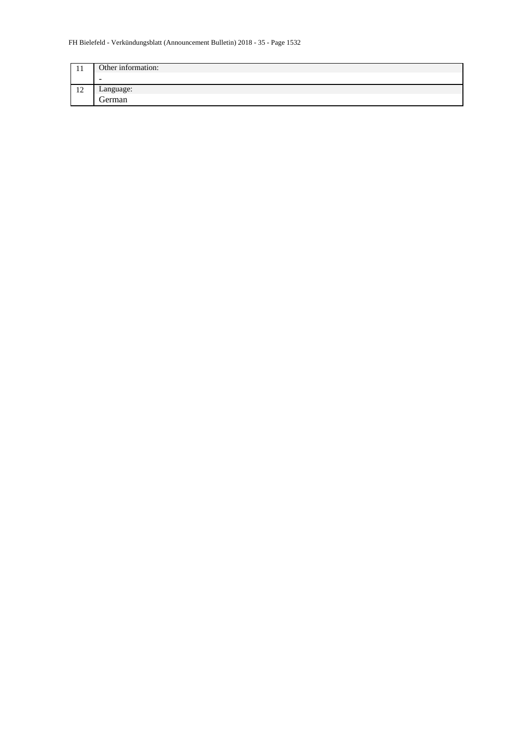#### FH Bielefeld - Verkündungsblatt (Announcement Bulletin) 2018 - 35 - Page 1532

| . .                      | Other information: |
|--------------------------|--------------------|
|                          | $\sim$             |
| $\sim$<br>$\overline{1}$ | Language:          |
|                          | German             |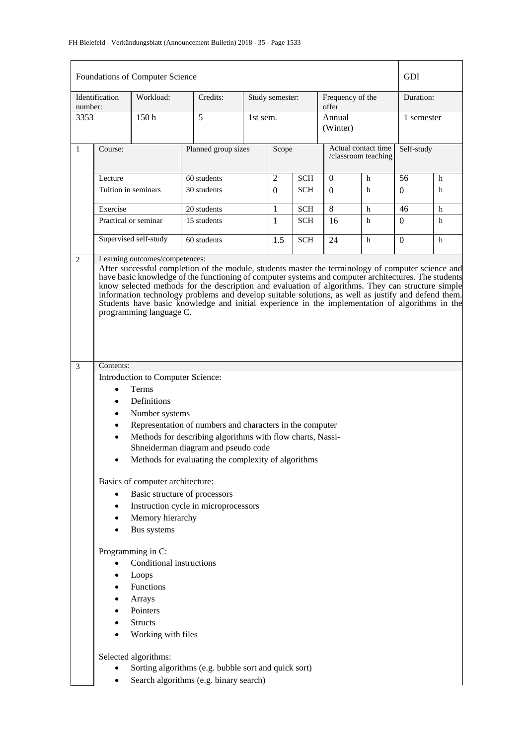|              |                                                                                                                                                                                                                                                                                                                                                     | Foundations of Computer Science                                             |                                                                                                                                                          |                     |                 |            |                                            |             | <b>GDI</b>     |           |  |
|--------------|-----------------------------------------------------------------------------------------------------------------------------------------------------------------------------------------------------------------------------------------------------------------------------------------------------------------------------------------------------|-----------------------------------------------------------------------------|----------------------------------------------------------------------------------------------------------------------------------------------------------|---------------------|-----------------|------------|--------------------------------------------|-------------|----------------|-----------|--|
| number:      | Identification                                                                                                                                                                                                                                                                                                                                      | Workload:                                                                   | Credits:                                                                                                                                                 |                     | Study semester: |            | Frequency of the<br>offer                  |             |                | Duration: |  |
| 3353         |                                                                                                                                                                                                                                                                                                                                                     | 150 <sub>h</sub>                                                            | 5                                                                                                                                                        |                     | 1st sem.        |            | Annual<br>(Winter)                         |             | 1 semester     |           |  |
| $\mathbf{1}$ | Course:                                                                                                                                                                                                                                                                                                                                             |                                                                             |                                                                                                                                                          | Planned group sizes |                 | Scope      | Actual contact time<br>/classroom teaching |             | Self-study     |           |  |
|              | Lecture                                                                                                                                                                                                                                                                                                                                             |                                                                             | 60 students                                                                                                                                              |                     | $\overline{2}$  | <b>SCH</b> | $\Omega$                                   | h           | 56             | h         |  |
|              | Tuition in seminars                                                                                                                                                                                                                                                                                                                                 |                                                                             | 30 students                                                                                                                                              |                     | $\theta$        | SCH        | $\Omega$                                   | h           | $\Omega$       | h         |  |
|              | Exercise                                                                                                                                                                                                                                                                                                                                            |                                                                             | 20 students                                                                                                                                              |                     | 1               | <b>SCH</b> | 8                                          | h           | 46             | h         |  |
|              |                                                                                                                                                                                                                                                                                                                                                     | Practical or seminar                                                        | 15 students                                                                                                                                              |                     | 1               | <b>SCH</b> | 16                                         | h           | $\overline{0}$ | h         |  |
|              |                                                                                                                                                                                                                                                                                                                                                     | Supervised self-study                                                       | 60 students                                                                                                                                              |                     | 1.5             | <b>SCH</b> | 24                                         | $\mathbf h$ | $\Omega$       | h         |  |
| 3            | know selected methods for the description and evaluation of algorithms. They can structure simple<br>information technology problems and develop suitable solutions, as well as justify and defend them.<br>Students have basic knowledge and initial experience in the implementation of algorithms in the<br>programming language C.<br>Contents: |                                                                             |                                                                                                                                                          |                     |                 |            |                                            |             |                |           |  |
|              | $\bullet$<br>$\bullet$<br>$\bullet$<br>$\bullet$                                                                                                                                                                                                                                                                                                    | Introduction to Computer Science:<br>Terms<br>Definitions<br>Number systems | Representation of numbers and characters in the computer                                                                                                 |                     |                 |            |                                            |             |                |           |  |
|              | $\bullet$                                                                                                                                                                                                                                                                                                                                           |                                                                             | Methods for describing algorithms with flow charts, Nassi-<br>Shneiderman diagram and pseudo code<br>Methods for evaluating the complexity of algorithms |                     |                 |            |                                            |             |                |           |  |
|              |                                                                                                                                                                                                                                                                                                                                                     | Basics of computer architecture:                                            |                                                                                                                                                          |                     |                 |            |                                            |             |                |           |  |
|              | $\bullet$                                                                                                                                                                                                                                                                                                                                           |                                                                             | Basic structure of processors                                                                                                                            |                     |                 |            |                                            |             |                |           |  |
|              | $\bullet$                                                                                                                                                                                                                                                                                                                                           |                                                                             | Instruction cycle in microprocessors                                                                                                                     |                     |                 |            |                                            |             |                |           |  |
|              |                                                                                                                                                                                                                                                                                                                                                     | Memory hierarchy<br>Bus systems                                             |                                                                                                                                                          |                     |                 |            |                                            |             |                |           |  |
|              | Programming in C:<br>Conditional instructions<br>Loops<br>Functions<br>Arrays<br>Pointers<br>$\bullet$<br><b>Structs</b><br>$\bullet$<br>Working with files                                                                                                                                                                                         |                                                                             |                                                                                                                                                          |                     |                 |            |                                            |             |                |           |  |
|              | Selected algorithms:<br>Sorting algorithms (e.g. bubble sort and quick sort)<br>Search algorithms (e.g. binary search)<br>٠                                                                                                                                                                                                                         |                                                                             |                                                                                                                                                          |                     |                 |            |                                            |             |                |           |  |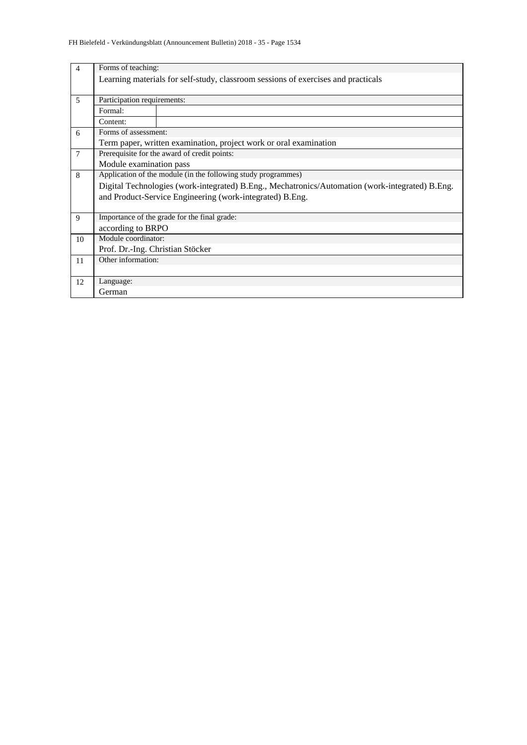| $\overline{4}$ | Forms of teaching:                                                                              |                                                                                   |  |  |  |  |  |  |  |
|----------------|-------------------------------------------------------------------------------------------------|-----------------------------------------------------------------------------------|--|--|--|--|--|--|--|
|                |                                                                                                 | Learning materials for self-study, classroom sessions of exercises and practicals |  |  |  |  |  |  |  |
|                |                                                                                                 |                                                                                   |  |  |  |  |  |  |  |
| 5              | Participation requirements:                                                                     |                                                                                   |  |  |  |  |  |  |  |
|                | Formal:                                                                                         |                                                                                   |  |  |  |  |  |  |  |
|                | Content:                                                                                        |                                                                                   |  |  |  |  |  |  |  |
| 6              | Forms of assessment:                                                                            |                                                                                   |  |  |  |  |  |  |  |
|                |                                                                                                 | Term paper, written examination, project work or oral examination                 |  |  |  |  |  |  |  |
| $\overline{7}$ |                                                                                                 | Prerequisite for the award of credit points:                                      |  |  |  |  |  |  |  |
|                | Module examination pass                                                                         |                                                                                   |  |  |  |  |  |  |  |
| 8              | Application of the module (in the following study programmes)                                   |                                                                                   |  |  |  |  |  |  |  |
|                | Digital Technologies (work-integrated) B.Eng., Mechatronics/Automation (work-integrated) B.Eng. |                                                                                   |  |  |  |  |  |  |  |
|                |                                                                                                 | and Product-Service Engineering (work-integrated) B.Eng.                          |  |  |  |  |  |  |  |
|                |                                                                                                 |                                                                                   |  |  |  |  |  |  |  |
| 9              |                                                                                                 | Importance of the grade for the final grade:                                      |  |  |  |  |  |  |  |
|                | according to BRPO                                                                               |                                                                                   |  |  |  |  |  |  |  |
| 10             | Module coordinator:                                                                             |                                                                                   |  |  |  |  |  |  |  |
|                | Prof. Dr.-Ing. Christian Stöcker                                                                |                                                                                   |  |  |  |  |  |  |  |
| 11             | Other information:                                                                              |                                                                                   |  |  |  |  |  |  |  |
|                |                                                                                                 |                                                                                   |  |  |  |  |  |  |  |
| 12             | Language:                                                                                       |                                                                                   |  |  |  |  |  |  |  |
|                | German                                                                                          |                                                                                   |  |  |  |  |  |  |  |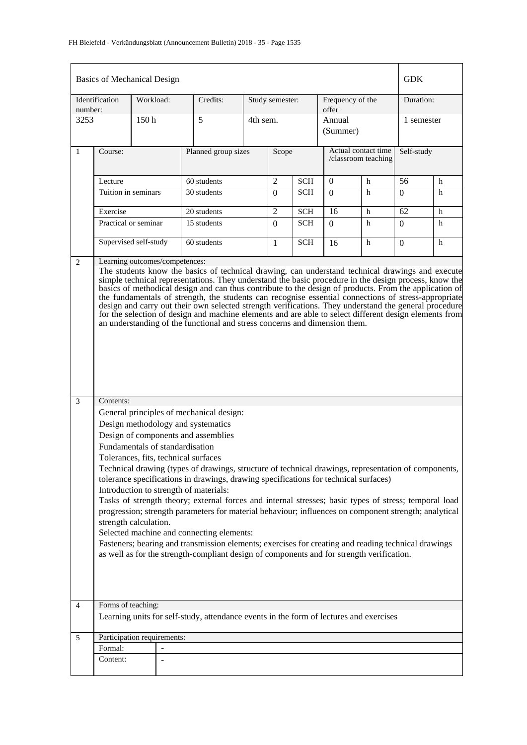| <b>GDK</b><br><b>Basics of Mechanical Design</b> |                                                                                                                                                                                                                                                                                                                                                                                                                                                                                                                                                                                                                                                                                                                                                                                                                                                                                                                                                                                                                                                                                                                                                                                                                                                                                                                                                                                                                                                                                                                                                                                                                                                                                                                            |                             |                                                                                        |  |                 |            |                                            |   |            |   |
|--------------------------------------------------|----------------------------------------------------------------------------------------------------------------------------------------------------------------------------------------------------------------------------------------------------------------------------------------------------------------------------------------------------------------------------------------------------------------------------------------------------------------------------------------------------------------------------------------------------------------------------------------------------------------------------------------------------------------------------------------------------------------------------------------------------------------------------------------------------------------------------------------------------------------------------------------------------------------------------------------------------------------------------------------------------------------------------------------------------------------------------------------------------------------------------------------------------------------------------------------------------------------------------------------------------------------------------------------------------------------------------------------------------------------------------------------------------------------------------------------------------------------------------------------------------------------------------------------------------------------------------------------------------------------------------------------------------------------------------------------------------------------------------|-----------------------------|----------------------------------------------------------------------------------------|--|-----------------|------------|--------------------------------------------|---|------------|---|
| number:                                          | Identification                                                                                                                                                                                                                                                                                                                                                                                                                                                                                                                                                                                                                                                                                                                                                                                                                                                                                                                                                                                                                                                                                                                                                                                                                                                                                                                                                                                                                                                                                                                                                                                                                                                                                                             | Workload:                   | Credits:                                                                               |  | Study semester: |            | Frequency of the<br>offer                  |   | Duration:  |   |
| 3253                                             |                                                                                                                                                                                                                                                                                                                                                                                                                                                                                                                                                                                                                                                                                                                                                                                                                                                                                                                                                                                                                                                                                                                                                                                                                                                                                                                                                                                                                                                                                                                                                                                                                                                                                                                            | 150 <sub>h</sub>            | 5                                                                                      |  | 4th sem.        |            | Annual<br>(Summer)                         |   | 1 semester |   |
| $\mathbf{1}$                                     | Course:                                                                                                                                                                                                                                                                                                                                                                                                                                                                                                                                                                                                                                                                                                                                                                                                                                                                                                                                                                                                                                                                                                                                                                                                                                                                                                                                                                                                                                                                                                                                                                                                                                                                                                                    |                             | Planned group sizes                                                                    |  | Scope           |            | Actual contact time<br>/classroom teaching |   | Self-study |   |
|                                                  | Lecture                                                                                                                                                                                                                                                                                                                                                                                                                                                                                                                                                                                                                                                                                                                                                                                                                                                                                                                                                                                                                                                                                                                                                                                                                                                                                                                                                                                                                                                                                                                                                                                                                                                                                                                    |                             | 60 students                                                                            |  | 2               | <b>SCH</b> | $\mathbf{0}$                               | h | 56         | h |
|                                                  | Tuition in seminars                                                                                                                                                                                                                                                                                                                                                                                                                                                                                                                                                                                                                                                                                                                                                                                                                                                                                                                                                                                                                                                                                                                                                                                                                                                                                                                                                                                                                                                                                                                                                                                                                                                                                                        |                             | 30 students                                                                            |  | $\Omega$        | <b>SCH</b> | $\Omega$                                   | h | $\Omega$   | h |
|                                                  | Exercise                                                                                                                                                                                                                                                                                                                                                                                                                                                                                                                                                                                                                                                                                                                                                                                                                                                                                                                                                                                                                                                                                                                                                                                                                                                                                                                                                                                                                                                                                                                                                                                                                                                                                                                   |                             | 20 students                                                                            |  | $\overline{2}$  | <b>SCH</b> | 16                                         | h | 62         | h |
|                                                  |                                                                                                                                                                                                                                                                                                                                                                                                                                                                                                                                                                                                                                                                                                                                                                                                                                                                                                                                                                                                                                                                                                                                                                                                                                                                                                                                                                                                                                                                                                                                                                                                                                                                                                                            | Practical or seminar        | 15 students                                                                            |  | $\theta$        | <b>SCH</b> | $\Omega$                                   | h | 0          | h |
|                                                  |                                                                                                                                                                                                                                                                                                                                                                                                                                                                                                                                                                                                                                                                                                                                                                                                                                                                                                                                                                                                                                                                                                                                                                                                                                                                                                                                                                                                                                                                                                                                                                                                                                                                                                                            | Supervised self-study       | 60 students                                                                            |  | 1               | <b>SCH</b> | 16                                         | h | 0          | h |
| 3                                                | Learning outcomes/competences:<br>2<br>The students know the basics of technical drawing, can understand technical drawings and execute<br>simple technical representations. They understand the basic procedure in the design process, know the<br>basics of methodical design and can thus contribute to the design of products. From the application of<br>the fundamentals of strength, the students can recognise essential connections of stress-appropriate<br>design and carry out their own selected strength verifications. They understand the general procedure<br>for the selection of design and machine elements and are able to select different design elements from<br>an understanding of the functional and stress concerns and dimension them.<br>Contents:<br>General principles of mechanical design:<br>Design methodology and systematics<br>Design of components and assemblies<br>Fundamentals of standardisation<br>Tolerances, fits, technical surfaces<br>Technical drawing (types of drawings, structure of technical drawings, representation of components,<br>tolerance specifications in drawings, drawing specifications for technical surfaces)<br>Introduction to strength of materials:<br>Tasks of strength theory; external forces and internal stresses; basic types of stress; temporal load<br>progression; strength parameters for material behaviour; influences on component strength; analytical<br>strength calculation.<br>Selected machine and connecting elements:<br>Fasteners; bearing and transmission elements; exercises for creating and reading technical drawings<br>as well as for the strength-compliant design of components and for strength verification. |                             |                                                                                        |  |                 |            |                                            |   |            |   |
| 4                                                | Forms of teaching:                                                                                                                                                                                                                                                                                                                                                                                                                                                                                                                                                                                                                                                                                                                                                                                                                                                                                                                                                                                                                                                                                                                                                                                                                                                                                                                                                                                                                                                                                                                                                                                                                                                                                                         |                             | Learning units for self-study, attendance events in the form of lectures and exercises |  |                 |            |                                            |   |            |   |
| 5                                                |                                                                                                                                                                                                                                                                                                                                                                                                                                                                                                                                                                                                                                                                                                                                                                                                                                                                                                                                                                                                                                                                                                                                                                                                                                                                                                                                                                                                                                                                                                                                                                                                                                                                                                                            | Participation requirements: |                                                                                        |  |                 |            |                                            |   |            |   |
|                                                  | Formal:                                                                                                                                                                                                                                                                                                                                                                                                                                                                                                                                                                                                                                                                                                                                                                                                                                                                                                                                                                                                                                                                                                                                                                                                                                                                                                                                                                                                                                                                                                                                                                                                                                                                                                                    |                             |                                                                                        |  |                 |            |                                            |   |            |   |
|                                                  | Content:                                                                                                                                                                                                                                                                                                                                                                                                                                                                                                                                                                                                                                                                                                                                                                                                                                                                                                                                                                                                                                                                                                                                                                                                                                                                                                                                                                                                                                                                                                                                                                                                                                                                                                                   |                             |                                                                                        |  |                 |            |                                            |   |            |   |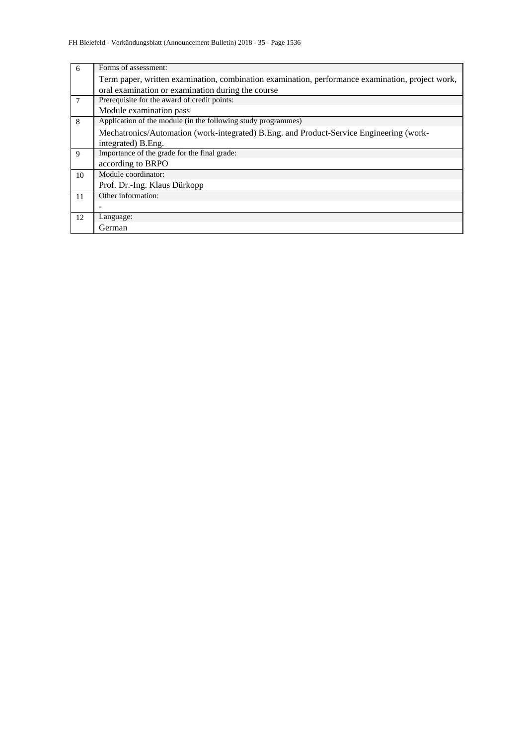| 6              | Forms of assessment:                                                                             |
|----------------|--------------------------------------------------------------------------------------------------|
|                | Term paper, written examination, combination examination, performance examination, project work, |
|                | oral examination or examination during the course                                                |
| $\overline{7}$ | Prerequisite for the award of credit points:                                                     |
|                | Module examination pass                                                                          |
| 8              | Application of the module (in the following study programmes)                                    |
|                | Mechatronics/Automation (work-integrated) B.Eng. and Product-Service Engineering (work-          |
|                | integrated) B. Eng.                                                                              |
| 9              | Importance of the grade for the final grade:                                                     |
|                | according to BRPO                                                                                |
| 10             | Module coordinator:                                                                              |
|                | Prof. Dr.-Ing. Klaus Dürkopp                                                                     |
| 11             | Other information:                                                                               |
|                |                                                                                                  |
| 12             | Language:                                                                                        |
|                | German                                                                                           |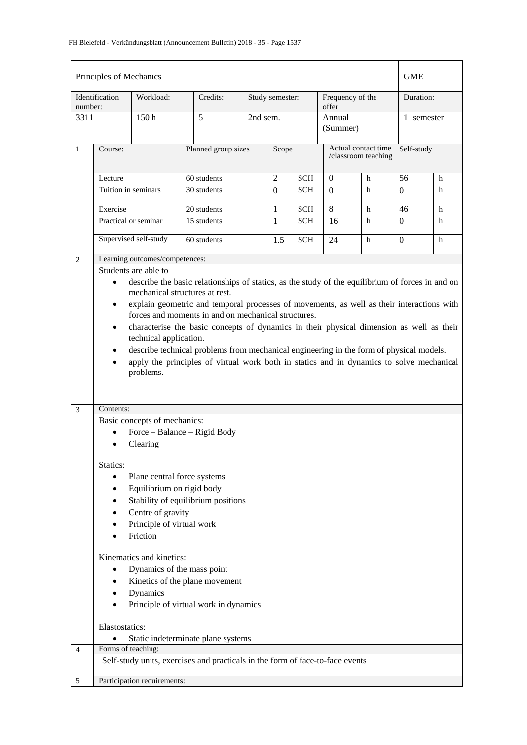| Principles of Mechanics                                                                                                                                                                          |                             |                                       |                                                                                          |          |                 |                    |                           | GME                 |            |   |
|--------------------------------------------------------------------------------------------------------------------------------------------------------------------------------------------------|-----------------------------|---------------------------------------|------------------------------------------------------------------------------------------|----------|-----------------|--------------------|---------------------------|---------------------|------------|---|
| number:                                                                                                                                                                                          | Identification              | Workload:                             | Credits:                                                                                 |          | Study semester: |                    | Frequency of the<br>offer |                     | Duration:  |   |
| 3311                                                                                                                                                                                             | 5<br>150 <sub>h</sub>       |                                       |                                                                                          | 2nd sem. |                 | Annual<br>(Summer) |                           | 1 semester          |            |   |
| $\mathbf{1}$                                                                                                                                                                                     | Course:                     |                                       | Planned group sizes                                                                      |          | Scope           |                    | Actual contact time       | /classroom teaching | Self-study |   |
|                                                                                                                                                                                                  | Lecture                     |                                       | 60 students                                                                              |          | 2               | <b>SCH</b>         | $\boldsymbol{0}$          | h                   | 56         | h |
|                                                                                                                                                                                                  | Tuition in seminars         |                                       | 30 students                                                                              |          | $\Omega$        | <b>SCH</b>         | $\Omega$                  | h                   | $\Omega$   | h |
|                                                                                                                                                                                                  | Exercise                    |                                       | 20 students                                                                              |          | 1               | <b>SCH</b>         | 8                         | h                   | 46         | h |
|                                                                                                                                                                                                  |                             | Practical or seminar                  | 15 students                                                                              |          | $\mathbf{1}$    | <b>SCH</b>         | 16                        | h                   | $\Omega$   | h |
|                                                                                                                                                                                                  |                             | Supervised self-study                 | 60 students                                                                              |          | 1.5             | <b>SCH</b>         | 24                        | h                   | $\Omega$   | h |
| 2                                                                                                                                                                                                |                             | Learning outcomes/competences:        |                                                                                          |          |                 |                    |                           |                     |            |   |
|                                                                                                                                                                                                  |                             | Students are able to                  |                                                                                          |          |                 |                    |                           |                     |            |   |
| describe the basic relationships of statics, as the study of the equilibrium of forces in and on<br>$\bullet$                                                                                    |                             |                                       |                                                                                          |          |                 |                    |                           |                     |            |   |
| mechanical structures at rest.<br>explain geometric and temporal processes of movements, as well as their interactions with<br>$\bullet$                                                         |                             |                                       |                                                                                          |          |                 |                    |                           |                     |            |   |
|                                                                                                                                                                                                  |                             |                                       | forces and moments in and on mechanical structures.                                      |          |                 |                    |                           |                     |            |   |
|                                                                                                                                                                                                  | $\bullet$                   |                                       | characterise the basic concepts of dynamics in their physical dimension as well as their |          |                 |                    |                           |                     |            |   |
|                                                                                                                                                                                                  |                             | technical application.                |                                                                                          |          |                 |                    |                           |                     |            |   |
| describe technical problems from mechanical engineering in the form of physical models.<br>$\bullet$<br>apply the principles of virtual work both in statics and in dynamics to solve mechanical |                             |                                       |                                                                                          |          |                 |                    |                           |                     |            |   |
|                                                                                                                                                                                                  | $\bullet$                   |                                       |                                                                                          |          |                 |                    |                           |                     |            |   |
|                                                                                                                                                                                                  |                             | problems.                             |                                                                                          |          |                 |                    |                           |                     |            |   |
|                                                                                                                                                                                                  |                             |                                       |                                                                                          |          |                 |                    |                           |                     |            |   |
| 3                                                                                                                                                                                                | Contents:                   |                                       |                                                                                          |          |                 |                    |                           |                     |            |   |
|                                                                                                                                                                                                  |                             | Basic concepts of mechanics:          |                                                                                          |          |                 |                    |                           |                     |            |   |
|                                                                                                                                                                                                  | $\bullet$                   | Force - Balance - Rigid Body          |                                                                                          |          |                 |                    |                           |                     |            |   |
|                                                                                                                                                                                                  |                             | Clearing                              |                                                                                          |          |                 |                    |                           |                     |            |   |
|                                                                                                                                                                                                  | Statics:                    |                                       |                                                                                          |          |                 |                    |                           |                     |            |   |
|                                                                                                                                                                                                  | $\bullet$                   | Plane central force systems           |                                                                                          |          |                 |                    |                           |                     |            |   |
|                                                                                                                                                                                                  | $\bullet$                   | Equilibrium on rigid body             |                                                                                          |          |                 |                    |                           |                     |            |   |
|                                                                                                                                                                                                  | $\bullet$                   |                                       | Stability of equilibrium positions                                                       |          |                 |                    |                           |                     |            |   |
|                                                                                                                                                                                                  | $\bullet$                   | Centre of gravity                     |                                                                                          |          |                 |                    |                           |                     |            |   |
|                                                                                                                                                                                                  | ٠                           | Principle of virtual work<br>Friction |                                                                                          |          |                 |                    |                           |                     |            |   |
|                                                                                                                                                                                                  |                             |                                       |                                                                                          |          |                 |                    |                           |                     |            |   |
|                                                                                                                                                                                                  |                             | Kinematics and kinetics:              |                                                                                          |          |                 |                    |                           |                     |            |   |
|                                                                                                                                                                                                  | $\bullet$                   | Dynamics of the mass point            |                                                                                          |          |                 |                    |                           |                     |            |   |
|                                                                                                                                                                                                  | ٠                           |                                       | Kinetics of the plane movement                                                           |          |                 |                    |                           |                     |            |   |
|                                                                                                                                                                                                  | $\bullet$                   | Dynamics                              |                                                                                          |          |                 |                    |                           |                     |            |   |
|                                                                                                                                                                                                  | $\bullet$                   |                                       | Principle of virtual work in dynamics                                                    |          |                 |                    |                           |                     |            |   |
|                                                                                                                                                                                                  | Elastostatics:              |                                       |                                                                                          |          |                 |                    |                           |                     |            |   |
|                                                                                                                                                                                                  |                             |                                       | Static indeterminate plane systems                                                       |          |                 |                    |                           |                     |            |   |
| 4                                                                                                                                                                                                | Forms of teaching:          |                                       |                                                                                          |          |                 |                    |                           |                     |            |   |
|                                                                                                                                                                                                  |                             |                                       | Self-study units, exercises and practicals in the form of face-to-face events            |          |                 |                    |                           |                     |            |   |
| 5                                                                                                                                                                                                | Participation requirements: |                                       |                                                                                          |          |                 |                    |                           |                     |            |   |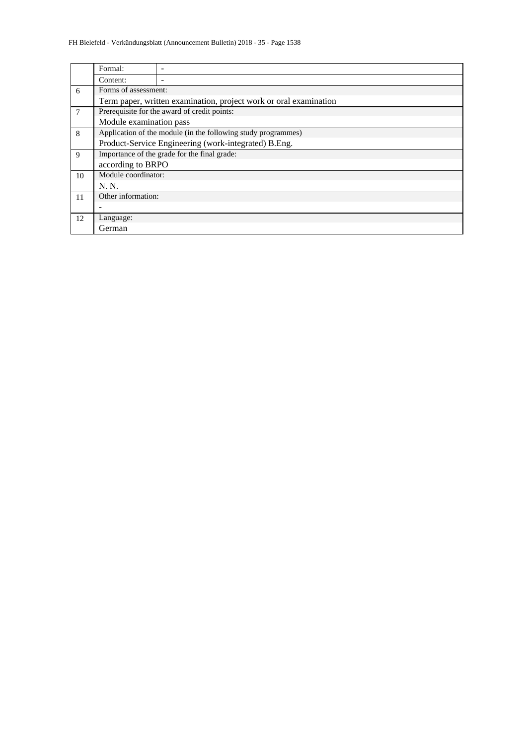|                | Formal:                                                           |                                                               |  |  |  |  |  |  |  |
|----------------|-------------------------------------------------------------------|---------------------------------------------------------------|--|--|--|--|--|--|--|
|                | Content:                                                          |                                                               |  |  |  |  |  |  |  |
| 6              |                                                                   | Forms of assessment:                                          |  |  |  |  |  |  |  |
|                | Term paper, written examination, project work or oral examination |                                                               |  |  |  |  |  |  |  |
| $\overline{7}$ | Prerequisite for the award of credit points:                      |                                                               |  |  |  |  |  |  |  |
|                | Module examination pass                                           |                                                               |  |  |  |  |  |  |  |
| 8              |                                                                   | Application of the module (in the following study programmes) |  |  |  |  |  |  |  |
|                |                                                                   | Product-Service Engineering (work-integrated) B.Eng.          |  |  |  |  |  |  |  |
| 9              |                                                                   | Importance of the grade for the final grade:                  |  |  |  |  |  |  |  |
|                | according to BRPO                                                 |                                                               |  |  |  |  |  |  |  |
| 10             | Module coordinator:                                               |                                                               |  |  |  |  |  |  |  |
|                | N. N.                                                             |                                                               |  |  |  |  |  |  |  |
| 11             | Other information:                                                |                                                               |  |  |  |  |  |  |  |
|                |                                                                   |                                                               |  |  |  |  |  |  |  |
| 12             | Language:                                                         |                                                               |  |  |  |  |  |  |  |
|                | German                                                            |                                                               |  |  |  |  |  |  |  |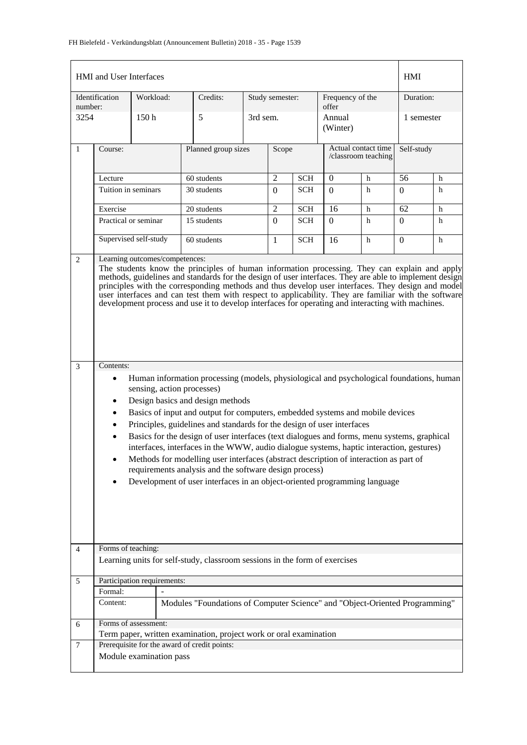| HMI and User Interfaces | <b>HMI</b>                                                                                                                                                                                                                                                                                                                                                                                                                                                                                                                                                                                                                                                                                                                                                                                                                                                                                                                                                                                                                                                                                                                                                                                                                                                                                                                                                                   |                             |                                                                             |          |                     |                     |                           |   |                  |   |
|-------------------------|------------------------------------------------------------------------------------------------------------------------------------------------------------------------------------------------------------------------------------------------------------------------------------------------------------------------------------------------------------------------------------------------------------------------------------------------------------------------------------------------------------------------------------------------------------------------------------------------------------------------------------------------------------------------------------------------------------------------------------------------------------------------------------------------------------------------------------------------------------------------------------------------------------------------------------------------------------------------------------------------------------------------------------------------------------------------------------------------------------------------------------------------------------------------------------------------------------------------------------------------------------------------------------------------------------------------------------------------------------------------------|-----------------------------|-----------------------------------------------------------------------------|----------|---------------------|---------------------|---------------------------|---|------------------|---|
| number:                 | Identification                                                                                                                                                                                                                                                                                                                                                                                                                                                                                                                                                                                                                                                                                                                                                                                                                                                                                                                                                                                                                                                                                                                                                                                                                                                                                                                                                               | Workload:                   | Credits:                                                                    |          | Study semester:     |                     | Frequency of the<br>offer |   | Duration:        |   |
| 3254                    |                                                                                                                                                                                                                                                                                                                                                                                                                                                                                                                                                                                                                                                                                                                                                                                                                                                                                                                                                                                                                                                                                                                                                                                                                                                                                                                                                                              | 150h                        | 5                                                                           | 3rd sem. |                     |                     | Annual<br>(Winter)        |   | 1 semester       |   |
| $\mathbf{1}$            | Planned group sizes<br>Course:                                                                                                                                                                                                                                                                                                                                                                                                                                                                                                                                                                                                                                                                                                                                                                                                                                                                                                                                                                                                                                                                                                                                                                                                                                                                                                                                               |                             | Scope                                                                       |          | Actual contact time | /classroom teaching | Self-study                |   |                  |   |
|                         | Lecture                                                                                                                                                                                                                                                                                                                                                                                                                                                                                                                                                                                                                                                                                                                                                                                                                                                                                                                                                                                                                                                                                                                                                                                                                                                                                                                                                                      |                             | 60 students                                                                 |          | $\overline{2}$      | <b>SCH</b>          | $\mathbf{0}$              | h | 56               | h |
|                         | Tuition in seminars                                                                                                                                                                                                                                                                                                                                                                                                                                                                                                                                                                                                                                                                                                                                                                                                                                                                                                                                                                                                                                                                                                                                                                                                                                                                                                                                                          |                             | 30 students                                                                 |          | $\Omega$            | <b>SCH</b>          | $\Omega$                  | h | $\Omega$         | h |
|                         | Exercise                                                                                                                                                                                                                                                                                                                                                                                                                                                                                                                                                                                                                                                                                                                                                                                                                                                                                                                                                                                                                                                                                                                                                                                                                                                                                                                                                                     |                             | 20 students                                                                 |          | $\overline{2}$      | <b>SCH</b>          | 16                        | h | 62               | h |
|                         |                                                                                                                                                                                                                                                                                                                                                                                                                                                                                                                                                                                                                                                                                                                                                                                                                                                                                                                                                                                                                                                                                                                                                                                                                                                                                                                                                                              | Practical or seminar        | 15 students                                                                 |          | $\Omega$            | <b>SCH</b>          | $\Omega$                  | h | $\Omega$         | h |
|                         |                                                                                                                                                                                                                                                                                                                                                                                                                                                                                                                                                                                                                                                                                                                                                                                                                                                                                                                                                                                                                                                                                                                                                                                                                                                                                                                                                                              | Supervised self-study       | 60 students                                                                 |          |                     | <b>SCH</b>          | 16                        | h | $\boldsymbol{0}$ | h |
| 3                       | Learning outcomes/competences:<br>$\overline{2}$<br>The students know the principles of human information processing. They can explain and apply<br>methods, guidelines and standards for the design of user interfaces. They are able to implement design<br>principles with the corresponding methods and thus develop user interfaces. They design and model<br>user interfaces and can test them with respect to applicability. They are familiar with the software<br>development process and use it to develop interfaces for operating and interacting with machines.<br>Contents:<br>Human information processing (models, physiological and psychological foundations, human<br>$\bullet$<br>sensing, action processes)<br>Design basics and design methods<br>$\bullet$<br>Basics of input and output for computers, embedded systems and mobile devices<br>Principles, guidelines and standards for the design of user interfaces<br>Basics for the design of user interfaces (text dialogues and forms, menu systems, graphical<br>interfaces, interfaces in the WWW, audio dialogue systems, haptic interaction, gestures)<br>Methods for modelling user interfaces (abstract description of interaction as part of<br>٠<br>requirements analysis and the software design process)<br>Development of user interfaces in an object-oriented programming language |                             |                                                                             |          |                     |                     |                           |   |                  |   |
| $\overline{4}$          | Forms of teaching:                                                                                                                                                                                                                                                                                                                                                                                                                                                                                                                                                                                                                                                                                                                                                                                                                                                                                                                                                                                                                                                                                                                                                                                                                                                                                                                                                           |                             | Learning units for self-study, classroom sessions in the form of exercises  |          |                     |                     |                           |   |                  |   |
|                         |                                                                                                                                                                                                                                                                                                                                                                                                                                                                                                                                                                                                                                                                                                                                                                                                                                                                                                                                                                                                                                                                                                                                                                                                                                                                                                                                                                              | Participation requirements: |                                                                             |          |                     |                     |                           |   |                  |   |
| 5                       | Formal:                                                                                                                                                                                                                                                                                                                                                                                                                                                                                                                                                                                                                                                                                                                                                                                                                                                                                                                                                                                                                                                                                                                                                                                                                                                                                                                                                                      |                             |                                                                             |          |                     |                     |                           |   |                  |   |
|                         | Content:                                                                                                                                                                                                                                                                                                                                                                                                                                                                                                                                                                                                                                                                                                                                                                                                                                                                                                                                                                                                                                                                                                                                                                                                                                                                                                                                                                     |                             | Modules "Foundations of Computer Science" and "Object-Oriented Programming" |          |                     |                     |                           |   |                  |   |
| 6                       |                                                                                                                                                                                                                                                                                                                                                                                                                                                                                                                                                                                                                                                                                                                                                                                                                                                                                                                                                                                                                                                                                                                                                                                                                                                                                                                                                                              | Forms of assessment:        |                                                                             |          |                     |                     |                           |   |                  |   |
|                         |                                                                                                                                                                                                                                                                                                                                                                                                                                                                                                                                                                                                                                                                                                                                                                                                                                                                                                                                                                                                                                                                                                                                                                                                                                                                                                                                                                              |                             | Term paper, written examination, project work or oral examination           |          |                     |                     |                           |   |                  |   |
| 7                       |                                                                                                                                                                                                                                                                                                                                                                                                                                                                                                                                                                                                                                                                                                                                                                                                                                                                                                                                                                                                                                                                                                                                                                                                                                                                                                                                                                              | Module examination pass     | Prerequisite for the award of credit points:                                |          |                     |                     |                           |   |                  |   |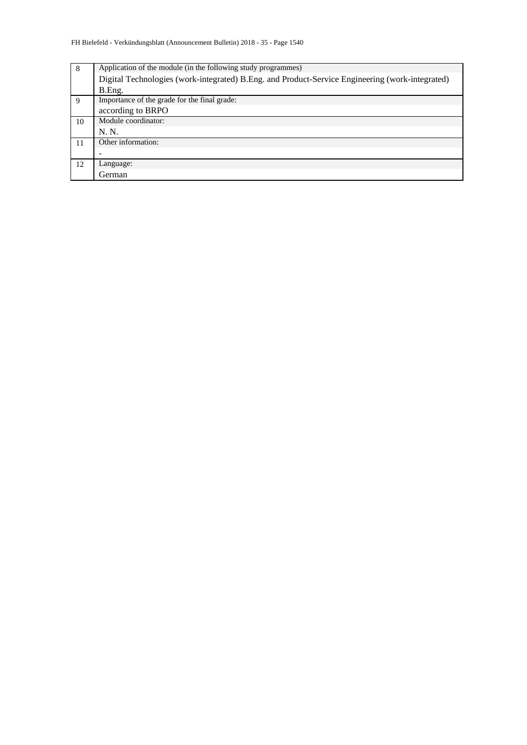| 8  | Application of the module (in the following study programmes)                                   |
|----|-------------------------------------------------------------------------------------------------|
|    | Digital Technologies (work-integrated) B.Eng. and Product-Service Engineering (work-integrated) |
|    | B.Eng.                                                                                          |
| 9  | Importance of the grade for the final grade:                                                    |
|    | according to BRPO                                                                               |
| 10 | Module coordinator:                                                                             |
|    | N. N.                                                                                           |
| 11 | Other information:                                                                              |
|    |                                                                                                 |
| 12 | Language:                                                                                       |
|    | German                                                                                          |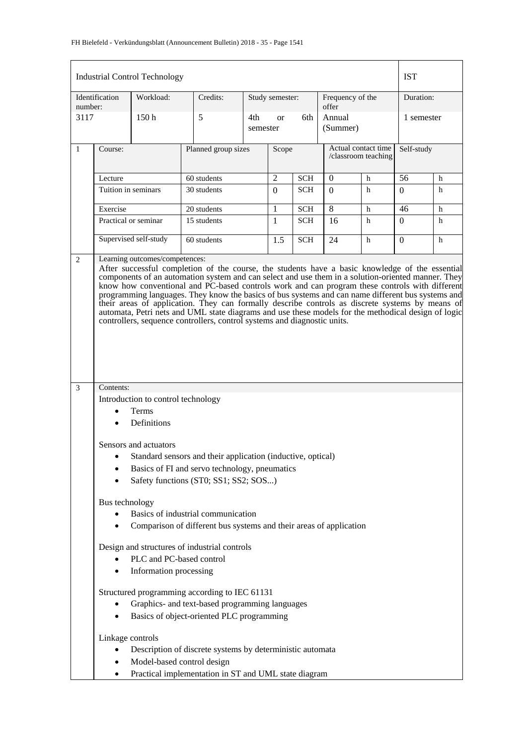#### FH Bielefeld - Verkündungsblatt (Announcement Bulletin) 2018 - 35 - Page 1541

|         |                                                                                                                                                                                                                                                                                                                                                                                                                                                                                                                                                                                                                                                                                                    | <b>Industrial Control Technology</b>                              |                                                                                        |                  |                 |            |                    |                                            | <b>IST</b> |            |  |
|---------|----------------------------------------------------------------------------------------------------------------------------------------------------------------------------------------------------------------------------------------------------------------------------------------------------------------------------------------------------------------------------------------------------------------------------------------------------------------------------------------------------------------------------------------------------------------------------------------------------------------------------------------------------------------------------------------------------|-------------------------------------------------------------------|----------------------------------------------------------------------------------------|------------------|-----------------|------------|--------------------|--------------------------------------------|------------|------------|--|
| number: | Identification                                                                                                                                                                                                                                                                                                                                                                                                                                                                                                                                                                                                                                                                                     | Workload:                                                         | Credits:                                                                               |                  | Study semester: |            | offer              | Frequency of the                           |            | Duration:  |  |
| 3117    |                                                                                                                                                                                                                                                                                                                                                                                                                                                                                                                                                                                                                                                                                                    | 150h                                                              | 5                                                                                      | 4th-<br>semester | <sub>or</sub>   | 6th        | Annual<br>(Summer) |                                            |            | 1 semester |  |
| 1       | Course:                                                                                                                                                                                                                                                                                                                                                                                                                                                                                                                                                                                                                                                                                            |                                                                   | Planned group sizes                                                                    |                  | Scope           |            |                    | Actual contact time<br>/classroom teaching |            | Self-study |  |
|         | Lecture                                                                                                                                                                                                                                                                                                                                                                                                                                                                                                                                                                                                                                                                                            |                                                                   | 60 students                                                                            |                  | $\overline{c}$  | <b>SCH</b> | 0<br>h             |                                            | 56         | h          |  |
|         | Tuition in seminars                                                                                                                                                                                                                                                                                                                                                                                                                                                                                                                                                                                                                                                                                |                                                                   | 30 students                                                                            |                  | $\Omega$        | SCH        | $\Omega$           | h                                          | $\Omega$   | h          |  |
|         | Exercise                                                                                                                                                                                                                                                                                                                                                                                                                                                                                                                                                                                                                                                                                           |                                                                   | 20 students                                                                            |                  | 1               | <b>SCH</b> | 8                  | h                                          | 46         | h          |  |
|         | Practical or seminar                                                                                                                                                                                                                                                                                                                                                                                                                                                                                                                                                                                                                                                                               |                                                                   | 15 students                                                                            |                  | 1               | <b>SCH</b> | 16                 | h                                          | $\Omega$   | h          |  |
|         |                                                                                                                                                                                                                                                                                                                                                                                                                                                                                                                                                                                                                                                                                                    | Supervised self-study                                             | 60 students                                                                            |                  | 1.5             | <b>SCH</b> | 24                 | h                                          | $\Omega$   | h          |  |
|         | After successful completion of the course, the students have a basic knowledge of the essential<br>components of an automation system and can select and use them in a solution-oriented manner. They<br>know how conventional and PC-based controls work and can program these controls with different<br>programming languages. They know the basics of bus systems and can name different bus systems and<br>their areas of application. They can formally describe controls as discrete systems by means of<br>automata, Petri nets and UML state diagrams and use these models for the methodical design of logic<br>controllers, sequence controllers, control systems and diagnostic units. |                                                                   |                                                                                        |                  |                 |            |                    |                                            |            |            |  |
| 3       | Contents:                                                                                                                                                                                                                                                                                                                                                                                                                                                                                                                                                                                                                                                                                          |                                                                   |                                                                                        |                  |                 |            |                    |                                            |            |            |  |
|         |                                                                                                                                                                                                                                                                                                                                                                                                                                                                                                                                                                                                                                                                                                    | Introduction to control technology<br><b>Terms</b><br>Definitions |                                                                                        |                  |                 |            |                    |                                            |            |            |  |
|         |                                                                                                                                                                                                                                                                                                                                                                                                                                                                                                                                                                                                                                                                                                    | Sensors and actuators                                             |                                                                                        |                  |                 |            |                    |                                            |            |            |  |
|         |                                                                                                                                                                                                                                                                                                                                                                                                                                                                                                                                                                                                                                                                                                    |                                                                   | Standard sensors and their application (inductive, optical)                            |                  |                 |            |                    |                                            |            |            |  |
|         |                                                                                                                                                                                                                                                                                                                                                                                                                                                                                                                                                                                                                                                                                                    |                                                                   | Basics of FI and servo technology, pneumatics<br>Safety functions (ST0; SS1; SS2; SOS) |                  |                 |            |                    |                                            |            |            |  |
|         | Bus technology                                                                                                                                                                                                                                                                                                                                                                                                                                                                                                                                                                                                                                                                                     |                                                                   |                                                                                        |                  |                 |            |                    |                                            |            |            |  |
|         |                                                                                                                                                                                                                                                                                                                                                                                                                                                                                                                                                                                                                                                                                                    |                                                                   | Basics of industrial communication                                                     |                  |                 |            |                    |                                            |            |            |  |
|         |                                                                                                                                                                                                                                                                                                                                                                                                                                                                                                                                                                                                                                                                                                    |                                                                   | Comparison of different bus systems and their areas of application                     |                  |                 |            |                    |                                            |            |            |  |
|         |                                                                                                                                                                                                                                                                                                                                                                                                                                                                                                                                                                                                                                                                                                    |                                                                   | Design and structures of industrial controls                                           |                  |                 |            |                    |                                            |            |            |  |
|         |                                                                                                                                                                                                                                                                                                                                                                                                                                                                                                                                                                                                                                                                                                    | PLC and PC-based control<br>Information processing                |                                                                                        |                  |                 |            |                    |                                            |            |            |  |
|         |                                                                                                                                                                                                                                                                                                                                                                                                                                                                                                                                                                                                                                                                                                    |                                                                   | Structured programming according to IEC 61131                                          |                  |                 |            |                    |                                            |            |            |  |
|         | Graphics- and text-based programming languages                                                                                                                                                                                                                                                                                                                                                                                                                                                                                                                                                                                                                                                     |                                                                   |                                                                                        |                  |                 |            |                    |                                            |            |            |  |
|         | $\bullet$                                                                                                                                                                                                                                                                                                                                                                                                                                                                                                                                                                                                                                                                                          |                                                                   | Basics of object-oriented PLC programming                                              |                  |                 |            |                    |                                            |            |            |  |
|         | Linkage controls                                                                                                                                                                                                                                                                                                                                                                                                                                                                                                                                                                                                                                                                                   |                                                                   |                                                                                        |                  |                 |            |                    |                                            |            |            |  |
|         |                                                                                                                                                                                                                                                                                                                                                                                                                                                                                                                                                                                                                                                                                                    |                                                                   | Description of discrete systems by deterministic automata                              |                  |                 |            |                    |                                            |            |            |  |
|         |                                                                                                                                                                                                                                                                                                                                                                                                                                                                                                                                                                                                                                                                                                    | Model-based control design                                        |                                                                                        |                  |                 |            |                    |                                            |            |            |  |
|         | ٠                                                                                                                                                                                                                                                                                                                                                                                                                                                                                                                                                                                                                                                                                                  |                                                                   | Practical implementation in ST and UML state diagram                                   |                  |                 |            |                    |                                            |            |            |  |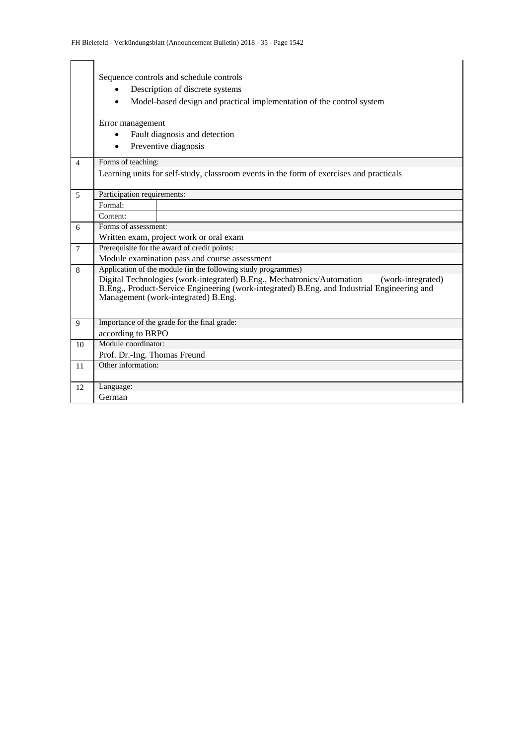|                | Sequence controls and schedule controls<br>Description of discrete systems<br>Model-based design and practical implementation of the control system<br>Error management<br>Fault diagnosis and detection                          |
|----------------|-----------------------------------------------------------------------------------------------------------------------------------------------------------------------------------------------------------------------------------|
|                | Preventive diagnosis                                                                                                                                                                                                              |
| $\overline{4}$ | Forms of teaching:                                                                                                                                                                                                                |
|                | Learning units for self-study, classroom events in the form of exercises and practicals                                                                                                                                           |
| $\overline{5}$ | Participation requirements:                                                                                                                                                                                                       |
|                | Formal:                                                                                                                                                                                                                           |
|                | Content:                                                                                                                                                                                                                          |
| 6              | Forms of assessment:                                                                                                                                                                                                              |
|                | Written exam, project work or oral exam                                                                                                                                                                                           |
| $\overline{7}$ | Prerequisite for the award of credit points:                                                                                                                                                                                      |
|                | Module examination pass and course assessment                                                                                                                                                                                     |
| 8              | Application of the module (in the following study programmes)                                                                                                                                                                     |
|                | Digital Technologies (work-integrated) B.Eng., Mechatronics/Automation<br>(work-integrated)<br>B.Eng., Product-Service Engineering (work-integrated) B.Eng. and Industrial Engineering and<br>Management (work-integrated) B.Eng. |
| $\mathbf Q$    | Importance of the grade for the final grade:                                                                                                                                                                                      |
|                | according to BRPO                                                                                                                                                                                                                 |
| 10             | Module coordinator:                                                                                                                                                                                                               |
|                | Prof. Dr.-Ing. Thomas Freund                                                                                                                                                                                                      |
| 11             | Other information:                                                                                                                                                                                                                |
| 12             | Language:                                                                                                                                                                                                                         |
|                | German                                                                                                                                                                                                                            |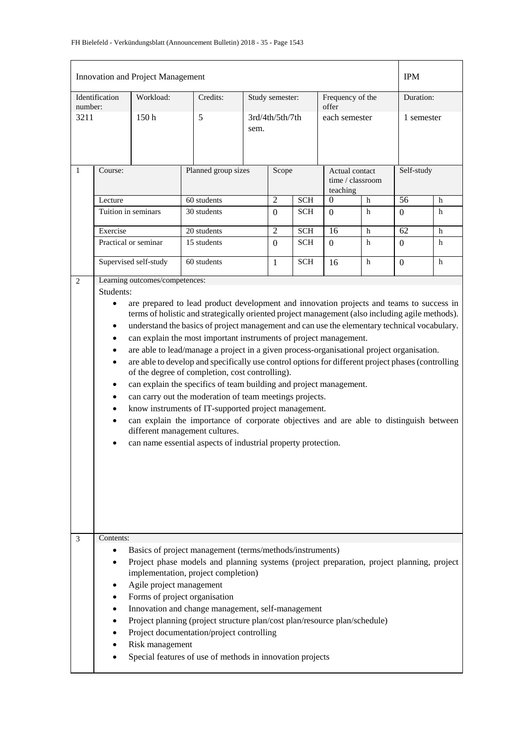|              |                                                                                                                                                                                                                                                                                                                                                                                                                                                                                                                                                                                                                                                                                                                                                                                                                                                                                                                       | <b>Innovation and Project Management</b>                |             |                     |                 |            |                                                |             | <b>IPM</b>      |            |  |
|--------------|-----------------------------------------------------------------------------------------------------------------------------------------------------------------------------------------------------------------------------------------------------------------------------------------------------------------------------------------------------------------------------------------------------------------------------------------------------------------------------------------------------------------------------------------------------------------------------------------------------------------------------------------------------------------------------------------------------------------------------------------------------------------------------------------------------------------------------------------------------------------------------------------------------------------------|---------------------------------------------------------|-------------|---------------------|-----------------|------------|------------------------------------------------|-------------|-----------------|------------|--|
|              | Workload:<br>Identification<br>number:                                                                                                                                                                                                                                                                                                                                                                                                                                                                                                                                                                                                                                                                                                                                                                                                                                                                                |                                                         | Credits:    |                     | Study semester: |            | Frequency of the<br>offer                      |             |                 | Duration:  |  |
| 3211         |                                                                                                                                                                                                                                                                                                                                                                                                                                                                                                                                                                                                                                                                                                                                                                                                                                                                                                                       | 150 <sub>h</sub>                                        | 5           | sem.                | 3rd/4th/5th/7th |            | each semester                                  |             |                 | 1 semester |  |
| $\mathbf{1}$ | Course:                                                                                                                                                                                                                                                                                                                                                                                                                                                                                                                                                                                                                                                                                                                                                                                                                                                                                                               |                                                         |             | Planned group sizes |                 | Scope      | Actual contact<br>time / classroom<br>teaching |             |                 | Self-study |  |
|              | Lecture                                                                                                                                                                                                                                                                                                                                                                                                                                                                                                                                                                                                                                                                                                                                                                                                                                                                                                               |                                                         | 60 students |                     | $\overline{2}$  | <b>SCH</b> | $\theta$                                       | h           | $\overline{56}$ | h          |  |
|              |                                                                                                                                                                                                                                                                                                                                                                                                                                                                                                                                                                                                                                                                                                                                                                                                                                                                                                                       | Tuition in seminars                                     | 30 students |                     | $\Omega$        | SCH        | $\Omega$                                       | h           | $\overline{0}$  | h          |  |
|              | Exercise                                                                                                                                                                                                                                                                                                                                                                                                                                                                                                                                                                                                                                                                                                                                                                                                                                                                                                              |                                                         | 20 students |                     | $\overline{c}$  | <b>SCH</b> | 16                                             | h           | 62              | h          |  |
|              |                                                                                                                                                                                                                                                                                                                                                                                                                                                                                                                                                                                                                                                                                                                                                                                                                                                                                                                       | Practical or seminar                                    | 15 students |                     | $\Omega$        | <b>SCH</b> | $\Omega$                                       | h           | $\Omega$        | h          |  |
|              |                                                                                                                                                                                                                                                                                                                                                                                                                                                                                                                                                                                                                                                                                                                                                                                                                                                                                                                       | Supervised self-study<br>Learning outcomes/competences: | 60 students |                     | $\mathbf{1}$    | <b>SCH</b> | 16                                             | $\mathbf h$ | $\mathbf{0}$    | h          |  |
| 3            | terms of holistic and strategically oriented project management (also including agile methods).<br>understand the basics of project management and can use the elementary technical vocabulary.<br>٠<br>can explain the most important instruments of project management.<br>are able to lead/manage a project in a given process-organisational project organisation.<br>are able to develop and specifically use control options for different project phases (controlling<br>of the degree of completion, cost controlling).<br>can explain the specifics of team building and project management.<br>can carry out the moderation of team meetings projects.<br>know instruments of IT-supported project management.<br>can explain the importance of corporate objectives and are able to distinguish between<br>different management cultures.<br>can name essential aspects of industrial property protection. |                                                         |             |                     |                 |            |                                                |             |                 |            |  |
|              | Contents:<br>Basics of project management (terms/methods/instruments)<br>$\bullet$<br>Project phase models and planning systems (project preparation, project planning, project<br>implementation, project completion)<br>Agile project management<br>Forms of project organisation<br>Innovation and change management, self-management<br>Project planning (project structure plan/cost plan/resource plan/schedule)<br>Project documentation/project controlling<br>Risk management<br>Special features of use of methods in innovation projects                                                                                                                                                                                                                                                                                                                                                                   |                                                         |             |                     |                 |            |                                                |             |                 |            |  |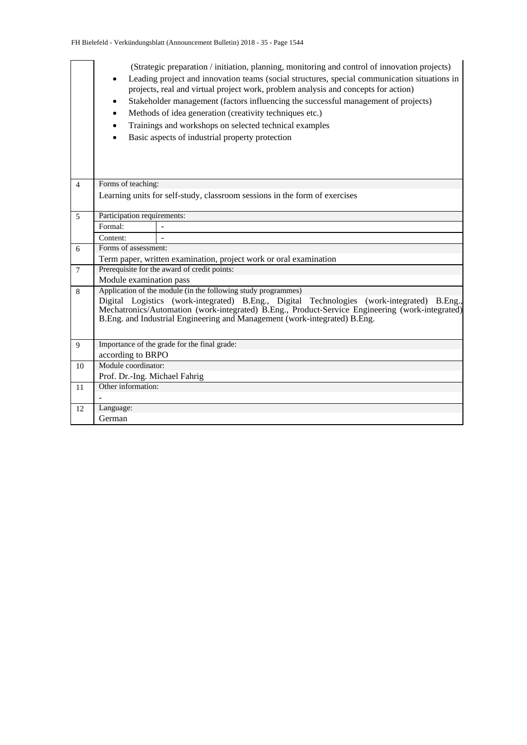|                 | (Strategic preparation / initiation, planning, monitoring and control of innovation projects)<br>Leading project and innovation teams (social structures, special communication situations in<br>$\bullet$<br>projects, real and virtual project work, problem analysis and concepts for action)<br>Stakeholder management (factors influencing the successful management of projects)<br>Methods of idea generation (creativity techniques etc.)<br>Trainings and workshops on selected technical examples<br>Basic aspects of industrial property protection<br>Forms of teaching: |                                                                   |  |  |  |  |  |  |  |  |  |
|-----------------|--------------------------------------------------------------------------------------------------------------------------------------------------------------------------------------------------------------------------------------------------------------------------------------------------------------------------------------------------------------------------------------------------------------------------------------------------------------------------------------------------------------------------------------------------------------------------------------|-------------------------------------------------------------------|--|--|--|--|--|--|--|--|--|
| $\overline{4}$  |                                                                                                                                                                                                                                                                                                                                                                                                                                                                                                                                                                                      |                                                                   |  |  |  |  |  |  |  |  |  |
|                 | Learning units for self-study, classroom sessions in the form of exercises                                                                                                                                                                                                                                                                                                                                                                                                                                                                                                           |                                                                   |  |  |  |  |  |  |  |  |  |
| 5               | Participation requirements:                                                                                                                                                                                                                                                                                                                                                                                                                                                                                                                                                          |                                                                   |  |  |  |  |  |  |  |  |  |
|                 | Formal:                                                                                                                                                                                                                                                                                                                                                                                                                                                                                                                                                                              |                                                                   |  |  |  |  |  |  |  |  |  |
|                 | Content:                                                                                                                                                                                                                                                                                                                                                                                                                                                                                                                                                                             |                                                                   |  |  |  |  |  |  |  |  |  |
| 6               | Forms of assessment:                                                                                                                                                                                                                                                                                                                                                                                                                                                                                                                                                                 |                                                                   |  |  |  |  |  |  |  |  |  |
|                 |                                                                                                                                                                                                                                                                                                                                                                                                                                                                                                                                                                                      | Term paper, written examination, project work or oral examination |  |  |  |  |  |  |  |  |  |
| $7\phantom{.0}$ |                                                                                                                                                                                                                                                                                                                                                                                                                                                                                                                                                                                      | Prerequisite for the award of credit points:                      |  |  |  |  |  |  |  |  |  |
|                 | Module examination pass                                                                                                                                                                                                                                                                                                                                                                                                                                                                                                                                                              |                                                                   |  |  |  |  |  |  |  |  |  |
| 8               | Application of the module (in the following study programmes)<br>Digital Logistics (work-integrated) B.Eng., Digital Technologies (work-integrated) B.Eng.,<br>Mechatronics/Automation (work-integrated) B.Eng., Product-Service Engineering (work-integrated)<br>B.Eng. and Industrial Engineering and Management (work-integrated) B.Eng.                                                                                                                                                                                                                                          |                                                                   |  |  |  |  |  |  |  |  |  |
| 9               |                                                                                                                                                                                                                                                                                                                                                                                                                                                                                                                                                                                      | Importance of the grade for the final grade:                      |  |  |  |  |  |  |  |  |  |
|                 | according to BRPO                                                                                                                                                                                                                                                                                                                                                                                                                                                                                                                                                                    |                                                                   |  |  |  |  |  |  |  |  |  |
| 10              | Module coordinator:                                                                                                                                                                                                                                                                                                                                                                                                                                                                                                                                                                  |                                                                   |  |  |  |  |  |  |  |  |  |
|                 | Prof. Dr.-Ing. Michael Fahrig                                                                                                                                                                                                                                                                                                                                                                                                                                                                                                                                                        |                                                                   |  |  |  |  |  |  |  |  |  |
| 11              | Other information:                                                                                                                                                                                                                                                                                                                                                                                                                                                                                                                                                                   |                                                                   |  |  |  |  |  |  |  |  |  |
|                 |                                                                                                                                                                                                                                                                                                                                                                                                                                                                                                                                                                                      |                                                                   |  |  |  |  |  |  |  |  |  |
| 12              | Language:                                                                                                                                                                                                                                                                                                                                                                                                                                                                                                                                                                            |                                                                   |  |  |  |  |  |  |  |  |  |
|                 | German                                                                                                                                                                                                                                                                                                                                                                                                                                                                                                                                                                               |                                                                   |  |  |  |  |  |  |  |  |  |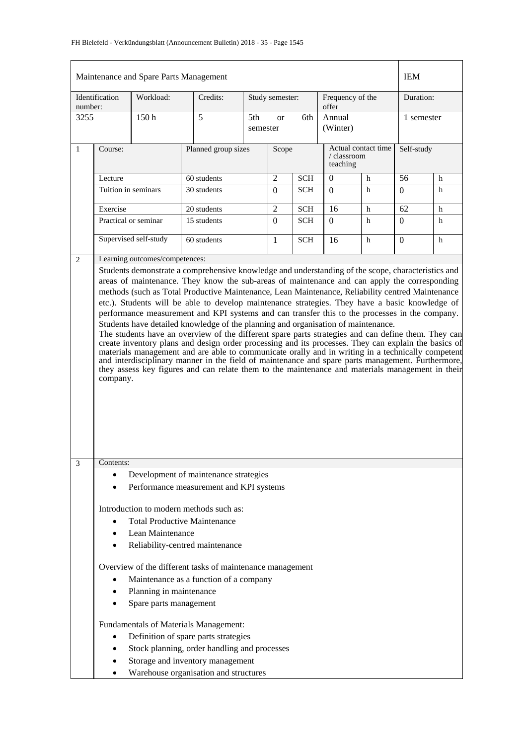|                                                                                                                                                                                                                                                                                                                                                                                                                                                                                                                                                                                                                                                                                                                                                                                                                                                                                                                                    |                                                                                                                                                                                               | Maintenance and Spare Parts Management            |                                                                                                                                                                                                            |                     |                                         |            |                           |                     | <b>IEM</b>     |   |
|------------------------------------------------------------------------------------------------------------------------------------------------------------------------------------------------------------------------------------------------------------------------------------------------------------------------------------------------------------------------------------------------------------------------------------------------------------------------------------------------------------------------------------------------------------------------------------------------------------------------------------------------------------------------------------------------------------------------------------------------------------------------------------------------------------------------------------------------------------------------------------------------------------------------------------|-----------------------------------------------------------------------------------------------------------------------------------------------------------------------------------------------|---------------------------------------------------|------------------------------------------------------------------------------------------------------------------------------------------------------------------------------------------------------------|---------------------|-----------------------------------------|------------|---------------------------|---------------------|----------------|---|
| number:                                                                                                                                                                                                                                                                                                                                                                                                                                                                                                                                                                                                                                                                                                                                                                                                                                                                                                                            | Identification                                                                                                                                                                                | Workload:                                         | Credits:                                                                                                                                                                                                   |                     | Study semester:                         |            | Frequency of the<br>offer |                     | Duration:      |   |
| 3255                                                                                                                                                                                                                                                                                                                                                                                                                                                                                                                                                                                                                                                                                                                                                                                                                                                                                                                               |                                                                                                                                                                                               | 150 <sub>h</sub>                                  | 5                                                                                                                                                                                                          |                     | 5th<br>6th<br><sub>or</sub><br>semester |            | Annual<br>(Winter)        |                     | 1 semester     |   |
| 1                                                                                                                                                                                                                                                                                                                                                                                                                                                                                                                                                                                                                                                                                                                                                                                                                                                                                                                                  | Course:                                                                                                                                                                                       |                                                   |                                                                                                                                                                                                            | Planned group sizes |                                         |            | / classroom<br>teaching   | Actual contact time | Self-study     |   |
|                                                                                                                                                                                                                                                                                                                                                                                                                                                                                                                                                                                                                                                                                                                                                                                                                                                                                                                                    | Lecture                                                                                                                                                                                       |                                                   | 60 students                                                                                                                                                                                                |                     | $\mathfrak 2$                           | <b>SCH</b> | $\theta$                  | h                   | 56             | h |
|                                                                                                                                                                                                                                                                                                                                                                                                                                                                                                                                                                                                                                                                                                                                                                                                                                                                                                                                    | Tuition in seminars                                                                                                                                                                           |                                                   | 30 students                                                                                                                                                                                                |                     | $\Omega$                                | <b>SCH</b> | $\Omega$                  | h                   | $\Omega$       | h |
|                                                                                                                                                                                                                                                                                                                                                                                                                                                                                                                                                                                                                                                                                                                                                                                                                                                                                                                                    | Exercise                                                                                                                                                                                      |                                                   | 20 students                                                                                                                                                                                                |                     | $\overline{2}$                          | <b>SCH</b> | 16                        | h                   | 62             | h |
|                                                                                                                                                                                                                                                                                                                                                                                                                                                                                                                                                                                                                                                                                                                                                                                                                                                                                                                                    |                                                                                                                                                                                               | Practical or seminar                              | 15 students                                                                                                                                                                                                |                     | $\Omega$                                | <b>SCH</b> | $\theta$                  | h                   | $\Omega$       | h |
|                                                                                                                                                                                                                                                                                                                                                                                                                                                                                                                                                                                                                                                                                                                                                                                                                                                                                                                                    | Supervised self-study                                                                                                                                                                         |                                                   | 60 students                                                                                                                                                                                                |                     | $\mathbf{1}$                            | <b>SCH</b> | 16                        | h                   | $\overline{0}$ | h |
| 2                                                                                                                                                                                                                                                                                                                                                                                                                                                                                                                                                                                                                                                                                                                                                                                                                                                                                                                                  |                                                                                                                                                                                               | Learning outcomes/competences:                    |                                                                                                                                                                                                            |                     |                                         |            |                           |                     |                |   |
| methods (such as Total Productive Maintenance, Lean Maintenance, Reliability centred Maintenance<br>etc.). Students will be able to develop maintenance strategies. They have a basic knowledge of<br>performance measurement and KPI systems and can transfer this to the processes in the company.<br>Students have detailed knowledge of the planning and organisation of maintenance.<br>The students have an overview of the different spare parts strategies and can define them. They can<br>create inventory plans and design order processing and its processes. They can explain the basics of<br>materials management and are able to communicate orally and in writing in a technically competent<br>and interdisciplinary manner in the field of maintenance and spare parts management. Furthermore,<br>they assess key figures and can relate them to the maintenance and materials management in their<br>company. |                                                                                                                                                                                               |                                                   |                                                                                                                                                                                                            |                     |                                         |            |                           |                     |                |   |
| $\mathfrak{Z}$                                                                                                                                                                                                                                                                                                                                                                                                                                                                                                                                                                                                                                                                                                                                                                                                                                                                                                                     | Contents:                                                                                                                                                                                     |                                                   |                                                                                                                                                                                                            |                     |                                         |            |                           |                     |                |   |
|                                                                                                                                                                                                                                                                                                                                                                                                                                                                                                                                                                                                                                                                                                                                                                                                                                                                                                                                    |                                                                                                                                                                                               |                                                   | Development of maintenance strategies                                                                                                                                                                      |                     |                                         |            |                           |                     |                |   |
|                                                                                                                                                                                                                                                                                                                                                                                                                                                                                                                                                                                                                                                                                                                                                                                                                                                                                                                                    | Performance measurement and KPI systems<br>Introduction to modern methods such as:<br><b>Total Productive Maintenance</b><br>$\bullet$<br>Lean Maintenance<br>Reliability-centred maintenance |                                                   |                                                                                                                                                                                                            |                     |                                         |            |                           |                     |                |   |
|                                                                                                                                                                                                                                                                                                                                                                                                                                                                                                                                                                                                                                                                                                                                                                                                                                                                                                                                    | $\bullet$                                                                                                                                                                                     | Planning in maintenance<br>Spare parts management | Overview of the different tasks of maintenance management<br>Maintenance as a function of a company                                                                                                        |                     |                                         |            |                           |                     |                |   |
|                                                                                                                                                                                                                                                                                                                                                                                                                                                                                                                                                                                                                                                                                                                                                                                                                                                                                                                                    | $\bullet$<br>$\bullet$                                                                                                                                                                        |                                                   | Fundamentals of Materials Management:<br>Definition of spare parts strategies<br>Stock planning, order handling and processes<br>Storage and inventory management<br>Warehouse organisation and structures |                     |                                         |            |                           |                     |                |   |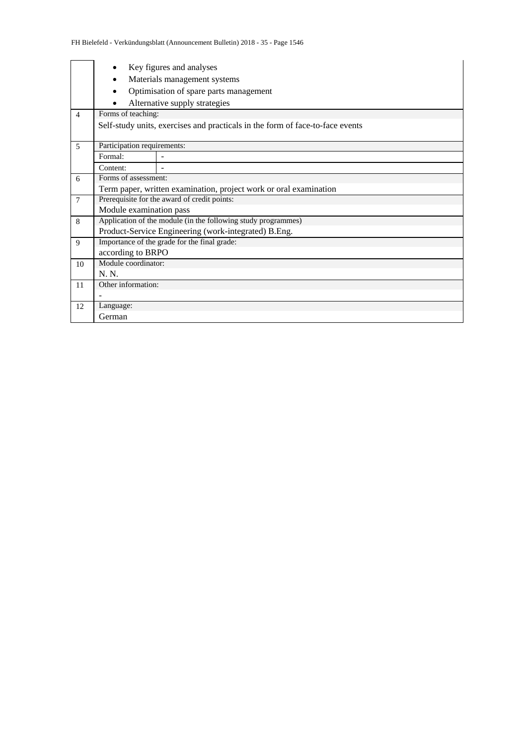|                |                                                                               | Key figures and analyses                                          |  |  |  |  |  |  |  |  |
|----------------|-------------------------------------------------------------------------------|-------------------------------------------------------------------|--|--|--|--|--|--|--|--|
|                | $\bullet$                                                                     | Materials management systems                                      |  |  |  |  |  |  |  |  |
|                | $\bullet$                                                                     | Optimisation of spare parts management                            |  |  |  |  |  |  |  |  |
|                |                                                                               | Alternative supply strategies                                     |  |  |  |  |  |  |  |  |
| $\overline{4}$ | Forms of teaching:                                                            |                                                                   |  |  |  |  |  |  |  |  |
|                | Self-study units, exercises and practicals in the form of face-to-face events |                                                                   |  |  |  |  |  |  |  |  |
| $\overline{5}$ | Participation requirements:                                                   |                                                                   |  |  |  |  |  |  |  |  |
|                | Formal:                                                                       |                                                                   |  |  |  |  |  |  |  |  |
|                | Content:                                                                      |                                                                   |  |  |  |  |  |  |  |  |
| 6              | Forms of assessment:                                                          |                                                                   |  |  |  |  |  |  |  |  |
|                |                                                                               | Term paper, written examination, project work or oral examination |  |  |  |  |  |  |  |  |
| $\overline{7}$ |                                                                               | Prerequisite for the award of credit points:                      |  |  |  |  |  |  |  |  |
|                | Module examination pass                                                       |                                                                   |  |  |  |  |  |  |  |  |
| 8              |                                                                               | Application of the module (in the following study programmes)     |  |  |  |  |  |  |  |  |
|                |                                                                               | Product-Service Engineering (work-integrated) B.Eng.              |  |  |  |  |  |  |  |  |
| 9              |                                                                               | Importance of the grade for the final grade:                      |  |  |  |  |  |  |  |  |
|                | according to BRPO                                                             |                                                                   |  |  |  |  |  |  |  |  |
| 10             | Module coordinator:                                                           |                                                                   |  |  |  |  |  |  |  |  |
|                | N. N.                                                                         |                                                                   |  |  |  |  |  |  |  |  |
| 11             | Other information:                                                            |                                                                   |  |  |  |  |  |  |  |  |
|                |                                                                               |                                                                   |  |  |  |  |  |  |  |  |
| 12             | Language:                                                                     |                                                                   |  |  |  |  |  |  |  |  |
|                | German                                                                        |                                                                   |  |  |  |  |  |  |  |  |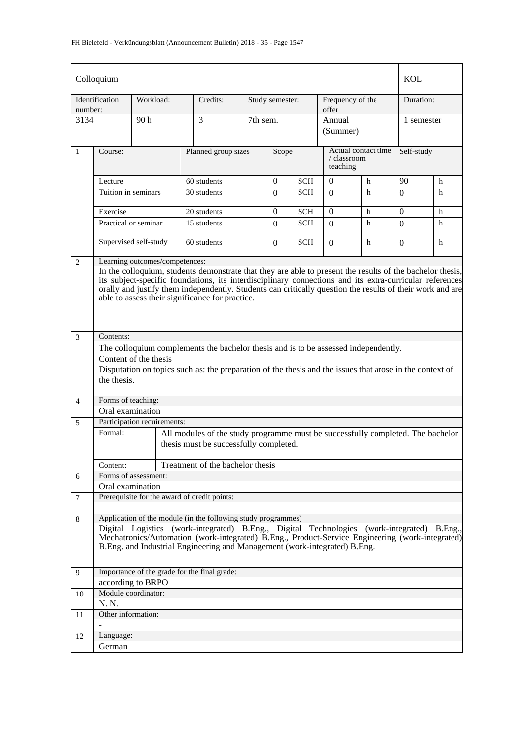|                | Colloquium                                                                                                                                                                                                                                                                                                                                                                                                             |                             |                                                                                                                                                                                               |                              |                 |            |                                                |   | <b>KOL</b> |   |  |
|----------------|------------------------------------------------------------------------------------------------------------------------------------------------------------------------------------------------------------------------------------------------------------------------------------------------------------------------------------------------------------------------------------------------------------------------|-----------------------------|-----------------------------------------------------------------------------------------------------------------------------------------------------------------------------------------------|------------------------------|-----------------|------------|------------------------------------------------|---|------------|---|--|
| number:        | Identification                                                                                                                                                                                                                                                                                                                                                                                                         | Workload:                   | Credits:                                                                                                                                                                                      |                              | Study semester: |            | Frequency of the<br>offer                      |   | Duration:  |   |  |
| 3134           |                                                                                                                                                                                                                                                                                                                                                                                                                        | 90 h                        | 3                                                                                                                                                                                             | 7th sem.                     |                 |            | Annual<br>(Summer)                             |   | 1 semester |   |  |
| $\mathbf{1}$   | Course:                                                                                                                                                                                                                                                                                                                                                                                                                |                             |                                                                                                                                                                                               | Planned group sizes<br>Scope |                 |            | Actual contact time<br>/ classroom<br>teaching |   | Self-study |   |  |
|                | Lecture                                                                                                                                                                                                                                                                                                                                                                                                                |                             | 60 students                                                                                                                                                                                   |                              | $\overline{0}$  | <b>SCH</b> | $\Omega$                                       | h | 90         | h |  |
|                | Tuition in seminars                                                                                                                                                                                                                                                                                                                                                                                                    |                             | 30 students                                                                                                                                                                                   |                              | $\Omega$        | <b>SCH</b> | $\Omega$                                       | h | $\Omega$   | h |  |
|                | Exercise                                                                                                                                                                                                                                                                                                                                                                                                               |                             | 20 students                                                                                                                                                                                   |                              | $\Omega$        | <b>SCH</b> | $\Omega$                                       | h | $\Omega$   | h |  |
|                |                                                                                                                                                                                                                                                                                                                                                                                                                        | Practical or seminar        | 15 students                                                                                                                                                                                   |                              | $\Omega$        | <b>SCH</b> | $\Omega$                                       | h | $\Omega$   | h |  |
|                |                                                                                                                                                                                                                                                                                                                                                                                                                        | Supervised self-study       | 60 students                                                                                                                                                                                   |                              | $\Omega$        | <b>SCH</b> | $\Omega$                                       | h | $\Omega$   | h |  |
| 2              | Learning outcomes/competences:<br>In the colloquium, students demonstrate that they are able to present the results of the bachelor thesis,<br>its subject-specific foundations, its interdisciplinary connections and its extra-curricular references<br>orally and justify them independently. Students can critically question the results of their work and are<br>able to assess their significance for practice. |                             |                                                                                                                                                                                               |                              |                 |            |                                                |   |            |   |  |
| 3              | Contents:                                                                                                                                                                                                                                                                                                                                                                                                              |                             |                                                                                                                                                                                               |                              |                 |            |                                                |   |            |   |  |
|                |                                                                                                                                                                                                                                                                                                                                                                                                                        |                             | The colloquium complements the bachelor thesis and is to be assessed independently.                                                                                                           |                              |                 |            |                                                |   |            |   |  |
|                |                                                                                                                                                                                                                                                                                                                                                                                                                        | Content of the thesis       |                                                                                                                                                                                               |                              |                 |            |                                                |   |            |   |  |
|                | the thesis.                                                                                                                                                                                                                                                                                                                                                                                                            |                             | Disputation on topics such as: the preparation of the thesis and the issues that arose in the context of                                                                                      |                              |                 |            |                                                |   |            |   |  |
| $\overline{4}$ | Forms of teaching:                                                                                                                                                                                                                                                                                                                                                                                                     |                             |                                                                                                                                                                                               |                              |                 |            |                                                |   |            |   |  |
|                | Oral examination                                                                                                                                                                                                                                                                                                                                                                                                       |                             |                                                                                                                                                                                               |                              |                 |            |                                                |   |            |   |  |
| 5              |                                                                                                                                                                                                                                                                                                                                                                                                                        | Participation requirements: |                                                                                                                                                                                               |                              |                 |            |                                                |   |            |   |  |
|                | Formal:                                                                                                                                                                                                                                                                                                                                                                                                                |                             | All modules of the study programme must be successfully completed. The bachelor<br>thesis must be successfully completed.                                                                     |                              |                 |            |                                                |   |            |   |  |
|                | Content:                                                                                                                                                                                                                                                                                                                                                                                                               |                             | Treatment of the bachelor thesis                                                                                                                                                              |                              |                 |            |                                                |   |            |   |  |
| 6              |                                                                                                                                                                                                                                                                                                                                                                                                                        | Forms of assessment:        |                                                                                                                                                                                               |                              |                 |            |                                                |   |            |   |  |
|                | Oral examination                                                                                                                                                                                                                                                                                                                                                                                                       |                             |                                                                                                                                                                                               |                              |                 |            |                                                |   |            |   |  |
| 7              |                                                                                                                                                                                                                                                                                                                                                                                                                        |                             | Prerequisite for the award of credit points:                                                                                                                                                  |                              |                 |            |                                                |   |            |   |  |
| 8              |                                                                                                                                                                                                                                                                                                                                                                                                                        |                             | Application of the module (in the following study programmes)                                                                                                                                 |                              |                 |            |                                                |   |            |   |  |
|                |                                                                                                                                                                                                                                                                                                                                                                                                                        |                             | Digital Logistics (work-integrated) B.Eng., Digital Technologies (work-integrated) B.Eng.,<br>Mechatronics/Automation (work-integrated) B.Eng., Product-Service Engineering (work-integrated) |                              |                 |            |                                                |   |            |   |  |
|                |                                                                                                                                                                                                                                                                                                                                                                                                                        |                             | B.Eng. and Industrial Engineering and Management (work-integrated) B.Eng.                                                                                                                     |                              |                 |            |                                                |   |            |   |  |
| 9              |                                                                                                                                                                                                                                                                                                                                                                                                                        |                             | Importance of the grade for the final grade:                                                                                                                                                  |                              |                 |            |                                                |   |            |   |  |
|                |                                                                                                                                                                                                                                                                                                                                                                                                                        | according to BRPO           |                                                                                                                                                                                               |                              |                 |            |                                                |   |            |   |  |
| 10             |                                                                                                                                                                                                                                                                                                                                                                                                                        | Module coordinator:         |                                                                                                                                                                                               |                              |                 |            |                                                |   |            |   |  |
|                | N. N.                                                                                                                                                                                                                                                                                                                                                                                                                  |                             |                                                                                                                                                                                               |                              |                 |            |                                                |   |            |   |  |
| 11             | Other information:                                                                                                                                                                                                                                                                                                                                                                                                     |                             |                                                                                                                                                                                               |                              |                 |            |                                                |   |            |   |  |
| 12             | Language:                                                                                                                                                                                                                                                                                                                                                                                                              |                             |                                                                                                                                                                                               |                              |                 |            |                                                |   |            |   |  |
|                | German                                                                                                                                                                                                                                                                                                                                                                                                                 |                             |                                                                                                                                                                                               |                              |                 |            |                                                |   |            |   |  |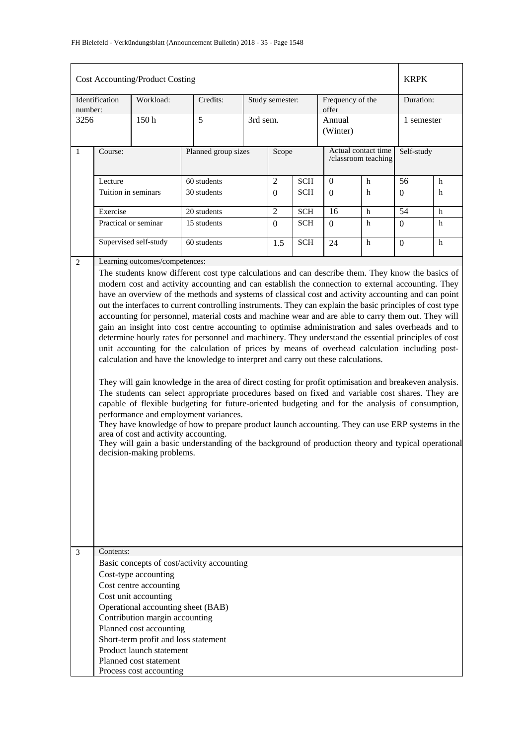|                                                                                                                                                                                                                                                                                                                                                                                                                                                                                                                                                                                                                                                                                                                                                                                                                                                                                                                                                                                                                                                                                                                                                                                                                                                                                                                                                                                                                                                                                                                                                                                                                          |                                                                                                                                                                                                                                                                                                                                         | <b>Cost Accounting/Product Costing</b> |             |                     |                 |            |                           |                                            | <b>KRPK</b>      |            |
|--------------------------------------------------------------------------------------------------------------------------------------------------------------------------------------------------------------------------------------------------------------------------------------------------------------------------------------------------------------------------------------------------------------------------------------------------------------------------------------------------------------------------------------------------------------------------------------------------------------------------------------------------------------------------------------------------------------------------------------------------------------------------------------------------------------------------------------------------------------------------------------------------------------------------------------------------------------------------------------------------------------------------------------------------------------------------------------------------------------------------------------------------------------------------------------------------------------------------------------------------------------------------------------------------------------------------------------------------------------------------------------------------------------------------------------------------------------------------------------------------------------------------------------------------------------------------------------------------------------------------|-----------------------------------------------------------------------------------------------------------------------------------------------------------------------------------------------------------------------------------------------------------------------------------------------------------------------------------------|----------------------------------------|-------------|---------------------|-----------------|------------|---------------------------|--------------------------------------------|------------------|------------|
| number:                                                                                                                                                                                                                                                                                                                                                                                                                                                                                                                                                                                                                                                                                                                                                                                                                                                                                                                                                                                                                                                                                                                                                                                                                                                                                                                                                                                                                                                                                                                                                                                                                  | Identification                                                                                                                                                                                                                                                                                                                          | Workload:                              | Credits:    |                     | Study semester: |            | Frequency of the<br>offer |                                            | Duration:        |            |
| 3256                                                                                                                                                                                                                                                                                                                                                                                                                                                                                                                                                                                                                                                                                                                                                                                                                                                                                                                                                                                                                                                                                                                                                                                                                                                                                                                                                                                                                                                                                                                                                                                                                     |                                                                                                                                                                                                                                                                                                                                         | 150h                                   | 5           | 3rd sem.            |                 |            | Annual<br>(Winter)        |                                            |                  | 1 semester |
| $\mathbf{1}$                                                                                                                                                                                                                                                                                                                                                                                                                                                                                                                                                                                                                                                                                                                                                                                                                                                                                                                                                                                                                                                                                                                                                                                                                                                                                                                                                                                                                                                                                                                                                                                                             | Course:                                                                                                                                                                                                                                                                                                                                 |                                        |             | Planned group sizes |                 |            |                           | Actual contact time<br>/classroom teaching | Self-study       |            |
|                                                                                                                                                                                                                                                                                                                                                                                                                                                                                                                                                                                                                                                                                                                                                                                                                                                                                                                                                                                                                                                                                                                                                                                                                                                                                                                                                                                                                                                                                                                                                                                                                          | Lecture                                                                                                                                                                                                                                                                                                                                 |                                        | 60 students |                     | $\mathfrak{2}$  | <b>SCH</b> | $\boldsymbol{0}$          | h                                          | 56               | h          |
|                                                                                                                                                                                                                                                                                                                                                                                                                                                                                                                                                                                                                                                                                                                                                                                                                                                                                                                                                                                                                                                                                                                                                                                                                                                                                                                                                                                                                                                                                                                                                                                                                          | Tuition in seminars                                                                                                                                                                                                                                                                                                                     |                                        | 30 students |                     | $\overline{0}$  | <b>SCH</b> | $\Omega$                  | h                                          | $\overline{0}$   | h          |
|                                                                                                                                                                                                                                                                                                                                                                                                                                                                                                                                                                                                                                                                                                                                                                                                                                                                                                                                                                                                                                                                                                                                                                                                                                                                                                                                                                                                                                                                                                                                                                                                                          | Exercise                                                                                                                                                                                                                                                                                                                                |                                        | 20 students |                     | $\overline{2}$  | <b>SCH</b> | 16                        | h                                          | 54               | h          |
|                                                                                                                                                                                                                                                                                                                                                                                                                                                                                                                                                                                                                                                                                                                                                                                                                                                                                                                                                                                                                                                                                                                                                                                                                                                                                                                                                                                                                                                                                                                                                                                                                          |                                                                                                                                                                                                                                                                                                                                         | Practical or seminar                   | 15 students |                     | $\mathbf{0}$    | <b>SCH</b> | $\Omega$                  | h                                          | $\boldsymbol{0}$ | h          |
|                                                                                                                                                                                                                                                                                                                                                                                                                                                                                                                                                                                                                                                                                                                                                                                                                                                                                                                                                                                                                                                                                                                                                                                                                                                                                                                                                                                                                                                                                                                                                                                                                          |                                                                                                                                                                                                                                                                                                                                         | Supervised self-study                  | 60 students |                     | 1.5             | <b>SCH</b> | 24                        | h                                          | $\Omega$         | h          |
| Learning outcomes/competences:<br>2<br>The students know different cost type calculations and can describe them. They know the basics of<br>modern cost and activity accounting and can establish the connection to external accounting. They<br>have an overview of the methods and systems of classical cost and activity accounting and can point<br>out the interfaces to current controlling instruments. They can explain the basic principles of cost type<br>accounting for personnel, material costs and machine wear and are able to carry them out. They will<br>gain an insight into cost centre accounting to optimise administration and sales overheads and to<br>determine hourly rates for personnel and machinery. They understand the essential principles of cost<br>unit accounting for the calculation of prices by means of overhead calculation including post-<br>calculation and have the knowledge to interpret and carry out these calculations.<br>They will gain knowledge in the area of direct costing for profit optimisation and breakeven analysis.<br>The students can select appropriate procedures based on fixed and variable cost shares. They are<br>capable of flexible budgeting for future-oriented budgeting and for the analysis of consumption,<br>performance and employment variances.<br>They have knowledge of how to prepare product launch accounting. They can use ERP systems in the<br>area of cost and activity accounting.<br>They will gain a basic understanding of the background of production theory and typical operational<br>decision-making problems. |                                                                                                                                                                                                                                                                                                                                         |                                        |             |                     |                 |            |                           |                                            |                  |            |
|                                                                                                                                                                                                                                                                                                                                                                                                                                                                                                                                                                                                                                                                                                                                                                                                                                                                                                                                                                                                                                                                                                                                                                                                                                                                                                                                                                                                                                                                                                                                                                                                                          | Contents:<br>3<br>Basic concepts of cost/activity accounting<br>Cost-type accounting<br>Cost centre accounting<br>Cost unit accounting<br>Operational accounting sheet (BAB)<br>Contribution margin accounting<br>Planned cost accounting<br>Short-term profit and loss statement<br>Product launch statement<br>Planned cost statement |                                        |             |                     |                 |            |                           |                                            |                  |            |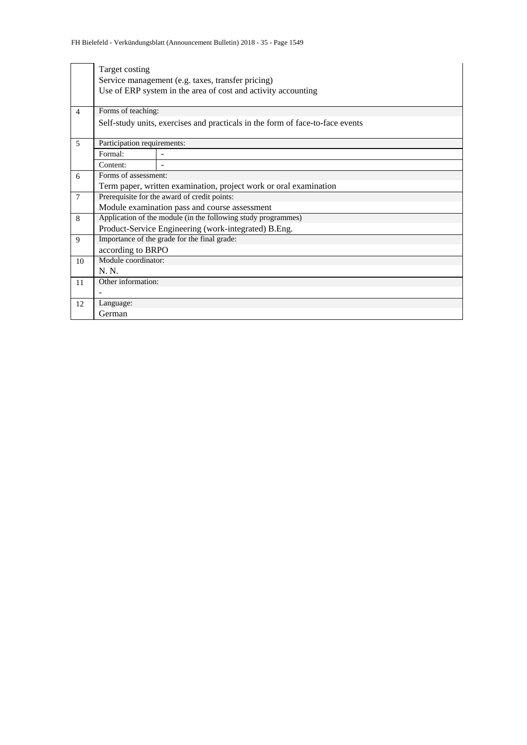|                 | Target costing                                                                |                                                                   |  |  |  |  |  |  |
|-----------------|-------------------------------------------------------------------------------|-------------------------------------------------------------------|--|--|--|--|--|--|
|                 |                                                                               | Service management (e.g. taxes, transfer pricing)                 |  |  |  |  |  |  |
|                 |                                                                               | Use of ERP system in the area of cost and activity accounting     |  |  |  |  |  |  |
|                 |                                                                               |                                                                   |  |  |  |  |  |  |
| $\overline{4}$  | Forms of teaching:                                                            |                                                                   |  |  |  |  |  |  |
|                 | Self-study units, exercises and practicals in the form of face-to-face events |                                                                   |  |  |  |  |  |  |
| 5               | Participation requirements:                                                   |                                                                   |  |  |  |  |  |  |
|                 | Formal:                                                                       |                                                                   |  |  |  |  |  |  |
|                 | Content:                                                                      |                                                                   |  |  |  |  |  |  |
| 6               | Forms of assessment:                                                          |                                                                   |  |  |  |  |  |  |
|                 |                                                                               | Term paper, written examination, project work or oral examination |  |  |  |  |  |  |
| $7\phantom{.0}$ |                                                                               | Prerequisite for the award of credit points:                      |  |  |  |  |  |  |
|                 |                                                                               | Module examination pass and course assessment                     |  |  |  |  |  |  |
| 8               |                                                                               | Application of the module (in the following study programmes)     |  |  |  |  |  |  |
|                 |                                                                               | Product-Service Engineering (work-integrated) B.Eng.              |  |  |  |  |  |  |
| $\mathbf{Q}$    |                                                                               | Importance of the grade for the final grade:                      |  |  |  |  |  |  |
|                 | according to BRPO                                                             |                                                                   |  |  |  |  |  |  |
| 10              | Module coordinator:                                                           |                                                                   |  |  |  |  |  |  |
|                 | N. N.                                                                         |                                                                   |  |  |  |  |  |  |
| 11              | Other information:                                                            |                                                                   |  |  |  |  |  |  |
|                 |                                                                               |                                                                   |  |  |  |  |  |  |
| 12              | Language:                                                                     |                                                                   |  |  |  |  |  |  |
|                 | German                                                                        |                                                                   |  |  |  |  |  |  |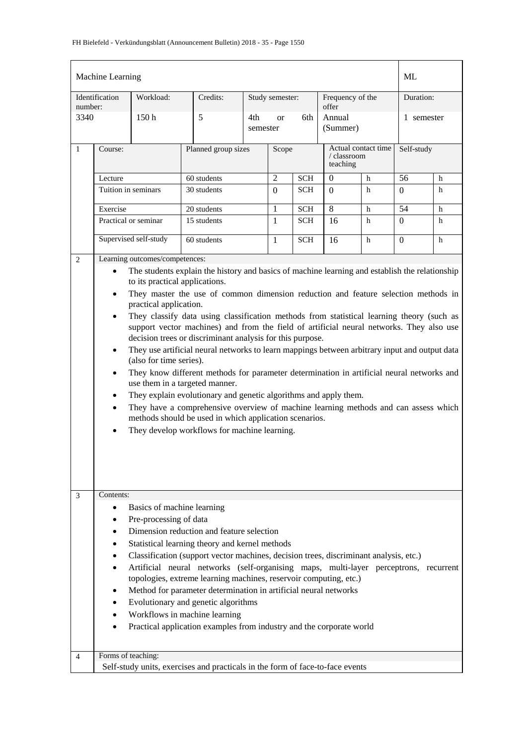| Identification<br>Workload:<br>Credits:<br>Study semester:<br>Frequency of the<br>Duration:<br>number:<br>offer<br>5<br>3340<br>150 <sub>h</sub><br>Annual<br>4th<br>6th<br>1 semester<br><sub>or</sub><br>(Summer)<br>semester<br>Actual contact time<br>Self-study<br>$\mathbf{1}$<br>Planned group sizes<br>Scope<br>Course:<br>/ classroom<br>teaching<br>$\overline{2}$<br>56<br>60 students<br>$\mathbf{0}$<br><b>SCH</b><br>h<br>Lecture<br>h<br>30 students<br>Tuition in seminars<br>SCH<br>h<br>$\Omega$<br>h<br>$\Omega$<br>$\Omega$<br>8<br>54<br>20 students<br>Exercise<br>1<br><b>SCH</b><br>h<br>h<br>15 students<br>Practical or seminar<br>SCH<br>h<br>$\mathbf{1}$<br>h<br>$\Omega$<br>16<br>Supervised self-study<br>60 students<br>h<br><b>SCH</b><br>16<br>h<br>1<br>$\Omega$<br>Learning outcomes/competences:<br>$\overline{2}$<br>The students explain the history and basics of machine learning and establish the relationship<br>$\bullet$<br>to its practical applications.<br>They master the use of common dimension reduction and feature selection methods in<br>$\bullet$<br>practical application.<br>They classify data using classification methods from statistical learning theory (such as<br>$\bullet$<br>support vector machines) and from the field of artificial neural networks. They also use<br>decision trees or discriminant analysis for this purpose.<br>They use artificial neural networks to learn mappings between arbitrary input and output data<br>$\bullet$<br>(also for time series).<br>They know different methods for parameter determination in artificial neural networks and<br>$\bullet$<br>use them in a targeted manner.<br>They explain evolutionary and genetic algorithms and apply them.<br>$\bullet$<br>They have a comprehensive overview of machine learning methods and can assess which<br>methods should be used in which application scenarios.<br>They develop workflows for machine learning.<br>Contents:<br>3<br>Basics of machine learning<br>$\bullet$<br>Pre-processing of data<br>٠<br>Dimension reduction and feature selection<br>Statistical learning theory and kernel methods<br>Classification (support vector machines, decision trees, discriminant analysis, etc.)<br>Artificial neural networks (self-organising maps, multi-layer perceptrons, recurrent<br>topologies, extreme learning machines, reservoir computing, etc.)<br>Method for parameter determination in artificial neural networks<br>Evolutionary and genetic algorithms<br>Workflows in machine learning<br>Practical application examples from industry and the corporate world<br>Forms of teaching:<br>$\overline{4}$<br>Self-study units, exercises and practicals in the form of face-to-face events | Machine Learning |  |  |  |  |  |  |  | ML |  |
|-------------------------------------------------------------------------------------------------------------------------------------------------------------------------------------------------------------------------------------------------------------------------------------------------------------------------------------------------------------------------------------------------------------------------------------------------------------------------------------------------------------------------------------------------------------------------------------------------------------------------------------------------------------------------------------------------------------------------------------------------------------------------------------------------------------------------------------------------------------------------------------------------------------------------------------------------------------------------------------------------------------------------------------------------------------------------------------------------------------------------------------------------------------------------------------------------------------------------------------------------------------------------------------------------------------------------------------------------------------------------------------------------------------------------------------------------------------------------------------------------------------------------------------------------------------------------------------------------------------------------------------------------------------------------------------------------------------------------------------------------------------------------------------------------------------------------------------------------------------------------------------------------------------------------------------------------------------------------------------------------------------------------------------------------------------------------------------------------------------------------------------------------------------------------------------------------------------------------------------------------------------------------------------------------------------------------------------------------------------------------------------------------------------------------------------------------------------------------------------------------------------------------------------------------------------------------------------------------------------------------------------------------------------------------------------------------------------------------------------------------------------------------------|------------------|--|--|--|--|--|--|--|----|--|
|                                                                                                                                                                                                                                                                                                                                                                                                                                                                                                                                                                                                                                                                                                                                                                                                                                                                                                                                                                                                                                                                                                                                                                                                                                                                                                                                                                                                                                                                                                                                                                                                                                                                                                                                                                                                                                                                                                                                                                                                                                                                                                                                                                                                                                                                                                                                                                                                                                                                                                                                                                                                                                                                                                                                                                               |                  |  |  |  |  |  |  |  |    |  |
|                                                                                                                                                                                                                                                                                                                                                                                                                                                                                                                                                                                                                                                                                                                                                                                                                                                                                                                                                                                                                                                                                                                                                                                                                                                                                                                                                                                                                                                                                                                                                                                                                                                                                                                                                                                                                                                                                                                                                                                                                                                                                                                                                                                                                                                                                                                                                                                                                                                                                                                                                                                                                                                                                                                                                                               |                  |  |  |  |  |  |  |  |    |  |
|                                                                                                                                                                                                                                                                                                                                                                                                                                                                                                                                                                                                                                                                                                                                                                                                                                                                                                                                                                                                                                                                                                                                                                                                                                                                                                                                                                                                                                                                                                                                                                                                                                                                                                                                                                                                                                                                                                                                                                                                                                                                                                                                                                                                                                                                                                                                                                                                                                                                                                                                                                                                                                                                                                                                                                               |                  |  |  |  |  |  |  |  |    |  |
|                                                                                                                                                                                                                                                                                                                                                                                                                                                                                                                                                                                                                                                                                                                                                                                                                                                                                                                                                                                                                                                                                                                                                                                                                                                                                                                                                                                                                                                                                                                                                                                                                                                                                                                                                                                                                                                                                                                                                                                                                                                                                                                                                                                                                                                                                                                                                                                                                                                                                                                                                                                                                                                                                                                                                                               |                  |  |  |  |  |  |  |  |    |  |
|                                                                                                                                                                                                                                                                                                                                                                                                                                                                                                                                                                                                                                                                                                                                                                                                                                                                                                                                                                                                                                                                                                                                                                                                                                                                                                                                                                                                                                                                                                                                                                                                                                                                                                                                                                                                                                                                                                                                                                                                                                                                                                                                                                                                                                                                                                                                                                                                                                                                                                                                                                                                                                                                                                                                                                               |                  |  |  |  |  |  |  |  |    |  |
|                                                                                                                                                                                                                                                                                                                                                                                                                                                                                                                                                                                                                                                                                                                                                                                                                                                                                                                                                                                                                                                                                                                                                                                                                                                                                                                                                                                                                                                                                                                                                                                                                                                                                                                                                                                                                                                                                                                                                                                                                                                                                                                                                                                                                                                                                                                                                                                                                                                                                                                                                                                                                                                                                                                                                                               |                  |  |  |  |  |  |  |  |    |  |
|                                                                                                                                                                                                                                                                                                                                                                                                                                                                                                                                                                                                                                                                                                                                                                                                                                                                                                                                                                                                                                                                                                                                                                                                                                                                                                                                                                                                                                                                                                                                                                                                                                                                                                                                                                                                                                                                                                                                                                                                                                                                                                                                                                                                                                                                                                                                                                                                                                                                                                                                                                                                                                                                                                                                                                               |                  |  |  |  |  |  |  |  |    |  |
|                                                                                                                                                                                                                                                                                                                                                                                                                                                                                                                                                                                                                                                                                                                                                                                                                                                                                                                                                                                                                                                                                                                                                                                                                                                                                                                                                                                                                                                                                                                                                                                                                                                                                                                                                                                                                                                                                                                                                                                                                                                                                                                                                                                                                                                                                                                                                                                                                                                                                                                                                                                                                                                                                                                                                                               |                  |  |  |  |  |  |  |  |    |  |
|                                                                                                                                                                                                                                                                                                                                                                                                                                                                                                                                                                                                                                                                                                                                                                                                                                                                                                                                                                                                                                                                                                                                                                                                                                                                                                                                                                                                                                                                                                                                                                                                                                                                                                                                                                                                                                                                                                                                                                                                                                                                                                                                                                                                                                                                                                                                                                                                                                                                                                                                                                                                                                                                                                                                                                               |                  |  |  |  |  |  |  |  |    |  |
|                                                                                                                                                                                                                                                                                                                                                                                                                                                                                                                                                                                                                                                                                                                                                                                                                                                                                                                                                                                                                                                                                                                                                                                                                                                                                                                                                                                                                                                                                                                                                                                                                                                                                                                                                                                                                                                                                                                                                                                                                                                                                                                                                                                                                                                                                                                                                                                                                                                                                                                                                                                                                                                                                                                                                                               |                  |  |  |  |  |  |  |  |    |  |
|                                                                                                                                                                                                                                                                                                                                                                                                                                                                                                                                                                                                                                                                                                                                                                                                                                                                                                                                                                                                                                                                                                                                                                                                                                                                                                                                                                                                                                                                                                                                                                                                                                                                                                                                                                                                                                                                                                                                                                                                                                                                                                                                                                                                                                                                                                                                                                                                                                                                                                                                                                                                                                                                                                                                                                               |                  |  |  |  |  |  |  |  |    |  |
|                                                                                                                                                                                                                                                                                                                                                                                                                                                                                                                                                                                                                                                                                                                                                                                                                                                                                                                                                                                                                                                                                                                                                                                                                                                                                                                                                                                                                                                                                                                                                                                                                                                                                                                                                                                                                                                                                                                                                                                                                                                                                                                                                                                                                                                                                                                                                                                                                                                                                                                                                                                                                                                                                                                                                                               |                  |  |  |  |  |  |  |  |    |  |
|                                                                                                                                                                                                                                                                                                                                                                                                                                                                                                                                                                                                                                                                                                                                                                                                                                                                                                                                                                                                                                                                                                                                                                                                                                                                                                                                                                                                                                                                                                                                                                                                                                                                                                                                                                                                                                                                                                                                                                                                                                                                                                                                                                                                                                                                                                                                                                                                                                                                                                                                                                                                                                                                                                                                                                               |                  |  |  |  |  |  |  |  |    |  |
|                                                                                                                                                                                                                                                                                                                                                                                                                                                                                                                                                                                                                                                                                                                                                                                                                                                                                                                                                                                                                                                                                                                                                                                                                                                                                                                                                                                                                                                                                                                                                                                                                                                                                                                                                                                                                                                                                                                                                                                                                                                                                                                                                                                                                                                                                                                                                                                                                                                                                                                                                                                                                                                                                                                                                                               |                  |  |  |  |  |  |  |  |    |  |
|                                                                                                                                                                                                                                                                                                                                                                                                                                                                                                                                                                                                                                                                                                                                                                                                                                                                                                                                                                                                                                                                                                                                                                                                                                                                                                                                                                                                                                                                                                                                                                                                                                                                                                                                                                                                                                                                                                                                                                                                                                                                                                                                                                                                                                                                                                                                                                                                                                                                                                                                                                                                                                                                                                                                                                               |                  |  |  |  |  |  |  |  |    |  |
|                                                                                                                                                                                                                                                                                                                                                                                                                                                                                                                                                                                                                                                                                                                                                                                                                                                                                                                                                                                                                                                                                                                                                                                                                                                                                                                                                                                                                                                                                                                                                                                                                                                                                                                                                                                                                                                                                                                                                                                                                                                                                                                                                                                                                                                                                                                                                                                                                                                                                                                                                                                                                                                                                                                                                                               |                  |  |  |  |  |  |  |  |    |  |
|                                                                                                                                                                                                                                                                                                                                                                                                                                                                                                                                                                                                                                                                                                                                                                                                                                                                                                                                                                                                                                                                                                                                                                                                                                                                                                                                                                                                                                                                                                                                                                                                                                                                                                                                                                                                                                                                                                                                                                                                                                                                                                                                                                                                                                                                                                                                                                                                                                                                                                                                                                                                                                                                                                                                                                               |                  |  |  |  |  |  |  |  |    |  |
|                                                                                                                                                                                                                                                                                                                                                                                                                                                                                                                                                                                                                                                                                                                                                                                                                                                                                                                                                                                                                                                                                                                                                                                                                                                                                                                                                                                                                                                                                                                                                                                                                                                                                                                                                                                                                                                                                                                                                                                                                                                                                                                                                                                                                                                                                                                                                                                                                                                                                                                                                                                                                                                                                                                                                                               |                  |  |  |  |  |  |  |  |    |  |
|                                                                                                                                                                                                                                                                                                                                                                                                                                                                                                                                                                                                                                                                                                                                                                                                                                                                                                                                                                                                                                                                                                                                                                                                                                                                                                                                                                                                                                                                                                                                                                                                                                                                                                                                                                                                                                                                                                                                                                                                                                                                                                                                                                                                                                                                                                                                                                                                                                                                                                                                                                                                                                                                                                                                                                               |                  |  |  |  |  |  |  |  |    |  |
|                                                                                                                                                                                                                                                                                                                                                                                                                                                                                                                                                                                                                                                                                                                                                                                                                                                                                                                                                                                                                                                                                                                                                                                                                                                                                                                                                                                                                                                                                                                                                                                                                                                                                                                                                                                                                                                                                                                                                                                                                                                                                                                                                                                                                                                                                                                                                                                                                                                                                                                                                                                                                                                                                                                                                                               |                  |  |  |  |  |  |  |  |    |  |
|                                                                                                                                                                                                                                                                                                                                                                                                                                                                                                                                                                                                                                                                                                                                                                                                                                                                                                                                                                                                                                                                                                                                                                                                                                                                                                                                                                                                                                                                                                                                                                                                                                                                                                                                                                                                                                                                                                                                                                                                                                                                                                                                                                                                                                                                                                                                                                                                                                                                                                                                                                                                                                                                                                                                                                               |                  |  |  |  |  |  |  |  |    |  |
|                                                                                                                                                                                                                                                                                                                                                                                                                                                                                                                                                                                                                                                                                                                                                                                                                                                                                                                                                                                                                                                                                                                                                                                                                                                                                                                                                                                                                                                                                                                                                                                                                                                                                                                                                                                                                                                                                                                                                                                                                                                                                                                                                                                                                                                                                                                                                                                                                                                                                                                                                                                                                                                                                                                                                                               |                  |  |  |  |  |  |  |  |    |  |
|                                                                                                                                                                                                                                                                                                                                                                                                                                                                                                                                                                                                                                                                                                                                                                                                                                                                                                                                                                                                                                                                                                                                                                                                                                                                                                                                                                                                                                                                                                                                                                                                                                                                                                                                                                                                                                                                                                                                                                                                                                                                                                                                                                                                                                                                                                                                                                                                                                                                                                                                                                                                                                                                                                                                                                               |                  |  |  |  |  |  |  |  |    |  |
|                                                                                                                                                                                                                                                                                                                                                                                                                                                                                                                                                                                                                                                                                                                                                                                                                                                                                                                                                                                                                                                                                                                                                                                                                                                                                                                                                                                                                                                                                                                                                                                                                                                                                                                                                                                                                                                                                                                                                                                                                                                                                                                                                                                                                                                                                                                                                                                                                                                                                                                                                                                                                                                                                                                                                                               |                  |  |  |  |  |  |  |  |    |  |
|                                                                                                                                                                                                                                                                                                                                                                                                                                                                                                                                                                                                                                                                                                                                                                                                                                                                                                                                                                                                                                                                                                                                                                                                                                                                                                                                                                                                                                                                                                                                                                                                                                                                                                                                                                                                                                                                                                                                                                                                                                                                                                                                                                                                                                                                                                                                                                                                                                                                                                                                                                                                                                                                                                                                                                               |                  |  |  |  |  |  |  |  |    |  |
|                                                                                                                                                                                                                                                                                                                                                                                                                                                                                                                                                                                                                                                                                                                                                                                                                                                                                                                                                                                                                                                                                                                                                                                                                                                                                                                                                                                                                                                                                                                                                                                                                                                                                                                                                                                                                                                                                                                                                                                                                                                                                                                                                                                                                                                                                                                                                                                                                                                                                                                                                                                                                                                                                                                                                                               |                  |  |  |  |  |  |  |  |    |  |
|                                                                                                                                                                                                                                                                                                                                                                                                                                                                                                                                                                                                                                                                                                                                                                                                                                                                                                                                                                                                                                                                                                                                                                                                                                                                                                                                                                                                                                                                                                                                                                                                                                                                                                                                                                                                                                                                                                                                                                                                                                                                                                                                                                                                                                                                                                                                                                                                                                                                                                                                                                                                                                                                                                                                                                               |                  |  |  |  |  |  |  |  |    |  |
|                                                                                                                                                                                                                                                                                                                                                                                                                                                                                                                                                                                                                                                                                                                                                                                                                                                                                                                                                                                                                                                                                                                                                                                                                                                                                                                                                                                                                                                                                                                                                                                                                                                                                                                                                                                                                                                                                                                                                                                                                                                                                                                                                                                                                                                                                                                                                                                                                                                                                                                                                                                                                                                                                                                                                                               |                  |  |  |  |  |  |  |  |    |  |
|                                                                                                                                                                                                                                                                                                                                                                                                                                                                                                                                                                                                                                                                                                                                                                                                                                                                                                                                                                                                                                                                                                                                                                                                                                                                                                                                                                                                                                                                                                                                                                                                                                                                                                                                                                                                                                                                                                                                                                                                                                                                                                                                                                                                                                                                                                                                                                                                                                                                                                                                                                                                                                                                                                                                                                               |                  |  |  |  |  |  |  |  |    |  |
|                                                                                                                                                                                                                                                                                                                                                                                                                                                                                                                                                                                                                                                                                                                                                                                                                                                                                                                                                                                                                                                                                                                                                                                                                                                                                                                                                                                                                                                                                                                                                                                                                                                                                                                                                                                                                                                                                                                                                                                                                                                                                                                                                                                                                                                                                                                                                                                                                                                                                                                                                                                                                                                                                                                                                                               |                  |  |  |  |  |  |  |  |    |  |
|                                                                                                                                                                                                                                                                                                                                                                                                                                                                                                                                                                                                                                                                                                                                                                                                                                                                                                                                                                                                                                                                                                                                                                                                                                                                                                                                                                                                                                                                                                                                                                                                                                                                                                                                                                                                                                                                                                                                                                                                                                                                                                                                                                                                                                                                                                                                                                                                                                                                                                                                                                                                                                                                                                                                                                               |                  |  |  |  |  |  |  |  |    |  |
|                                                                                                                                                                                                                                                                                                                                                                                                                                                                                                                                                                                                                                                                                                                                                                                                                                                                                                                                                                                                                                                                                                                                                                                                                                                                                                                                                                                                                                                                                                                                                                                                                                                                                                                                                                                                                                                                                                                                                                                                                                                                                                                                                                                                                                                                                                                                                                                                                                                                                                                                                                                                                                                                                                                                                                               |                  |  |  |  |  |  |  |  |    |  |
|                                                                                                                                                                                                                                                                                                                                                                                                                                                                                                                                                                                                                                                                                                                                                                                                                                                                                                                                                                                                                                                                                                                                                                                                                                                                                                                                                                                                                                                                                                                                                                                                                                                                                                                                                                                                                                                                                                                                                                                                                                                                                                                                                                                                                                                                                                                                                                                                                                                                                                                                                                                                                                                                                                                                                                               |                  |  |  |  |  |  |  |  |    |  |
|                                                                                                                                                                                                                                                                                                                                                                                                                                                                                                                                                                                                                                                                                                                                                                                                                                                                                                                                                                                                                                                                                                                                                                                                                                                                                                                                                                                                                                                                                                                                                                                                                                                                                                                                                                                                                                                                                                                                                                                                                                                                                                                                                                                                                                                                                                                                                                                                                                                                                                                                                                                                                                                                                                                                                                               |                  |  |  |  |  |  |  |  |    |  |
|                                                                                                                                                                                                                                                                                                                                                                                                                                                                                                                                                                                                                                                                                                                                                                                                                                                                                                                                                                                                                                                                                                                                                                                                                                                                                                                                                                                                                                                                                                                                                                                                                                                                                                                                                                                                                                                                                                                                                                                                                                                                                                                                                                                                                                                                                                                                                                                                                                                                                                                                                                                                                                                                                                                                                                               |                  |  |  |  |  |  |  |  |    |  |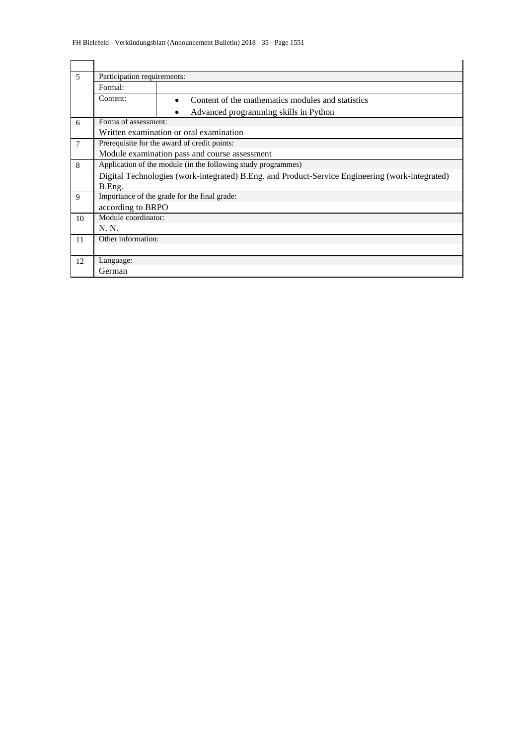| $\overline{5}$ | Participation requirements:                                   |                                                                                                 |  |
|----------------|---------------------------------------------------------------|-------------------------------------------------------------------------------------------------|--|
|                | Formal:                                                       |                                                                                                 |  |
|                | Content:                                                      | Content of the mathematics modules and statistics                                               |  |
|                |                                                               | Advanced programming skills in Python                                                           |  |
| 6              |                                                               | Forms of assessment:<br>Written examination or oral examination                                 |  |
|                |                                                               |                                                                                                 |  |
| 7              |                                                               | Prerequisite for the award of credit points:                                                    |  |
|                |                                                               | Module examination pass and course assessment                                                   |  |
| 8              | Application of the module (in the following study programmes) |                                                                                                 |  |
|                |                                                               | Digital Technologies (work-integrated) B.Eng. and Product-Service Engineering (work-integrated) |  |
|                | B.Eng.                                                        |                                                                                                 |  |
| 9              |                                                               | Importance of the grade for the final grade:                                                    |  |
|                |                                                               | according to BRPO                                                                               |  |
| 10             | Module coordinator:                                           |                                                                                                 |  |
|                | N. N.                                                         |                                                                                                 |  |
| 11             | Other information:                                            |                                                                                                 |  |
|                |                                                               |                                                                                                 |  |
| 12             | Language:                                                     |                                                                                                 |  |
|                | German                                                        |                                                                                                 |  |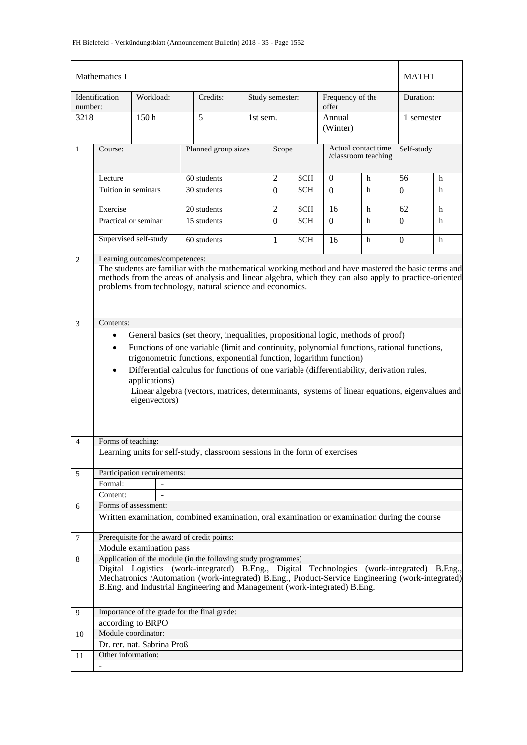|                | Mathematics I                                                                                                                                                                                                                                                                                                                                                                                                                                                                                                                                                                                                                                                                                                                                                                                                         |                             |                                                                                                                                                                                                                                                                                                                                              |                              |                 |            |                           |                                            |            | MATH1 |  |
|----------------|-----------------------------------------------------------------------------------------------------------------------------------------------------------------------------------------------------------------------------------------------------------------------------------------------------------------------------------------------------------------------------------------------------------------------------------------------------------------------------------------------------------------------------------------------------------------------------------------------------------------------------------------------------------------------------------------------------------------------------------------------------------------------------------------------------------------------|-----------------------------|----------------------------------------------------------------------------------------------------------------------------------------------------------------------------------------------------------------------------------------------------------------------------------------------------------------------------------------------|------------------------------|-----------------|------------|---------------------------|--------------------------------------------|------------|-------|--|
| number:        | Identification                                                                                                                                                                                                                                                                                                                                                                                                                                                                                                                                                                                                                                                                                                                                                                                                        | Workload:                   | Credits:                                                                                                                                                                                                                                                                                                                                     |                              | Study semester: |            | Frequency of the<br>offer |                                            | Duration:  |       |  |
| 3218           |                                                                                                                                                                                                                                                                                                                                                                                                                                                                                                                                                                                                                                                                                                                                                                                                                       | 150 <sub>h</sub>            | 5                                                                                                                                                                                                                                                                                                                                            | 1st sem.                     |                 |            | Annual<br>(Winter)        |                                            | 1 semester |       |  |
| $\mathbf{1}$   | Course:                                                                                                                                                                                                                                                                                                                                                                                                                                                                                                                                                                                                                                                                                                                                                                                                               |                             |                                                                                                                                                                                                                                                                                                                                              | Planned group sizes<br>Scope |                 |            |                           | Actual contact time<br>/classroom teaching | Self-study |       |  |
|                | Lecture                                                                                                                                                                                                                                                                                                                                                                                                                                                                                                                                                                                                                                                                                                                                                                                                               |                             | 60 students                                                                                                                                                                                                                                                                                                                                  | 2                            | <b>SCH</b>      | $\Omega$   | h                         | 56                                         | h          |       |  |
|                | Tuition in seminars                                                                                                                                                                                                                                                                                                                                                                                                                                                                                                                                                                                                                                                                                                                                                                                                   |                             | 30 students                                                                                                                                                                                                                                                                                                                                  |                              | $\Omega$        | <b>SCH</b> | $\Omega$                  | h                                          | 0          | h     |  |
|                | Exercise                                                                                                                                                                                                                                                                                                                                                                                                                                                                                                                                                                                                                                                                                                                                                                                                              |                             | 20 students                                                                                                                                                                                                                                                                                                                                  |                              | 2               | <b>SCH</b> | 16                        | h                                          | 62         | h     |  |
|                | Practical or seminar                                                                                                                                                                                                                                                                                                                                                                                                                                                                                                                                                                                                                                                                                                                                                                                                  |                             | 15 students                                                                                                                                                                                                                                                                                                                                  |                              | $\Omega$        | <b>SCH</b> | $\Omega$                  | h                                          | $\Omega$   | h     |  |
|                |                                                                                                                                                                                                                                                                                                                                                                                                                                                                                                                                                                                                                                                                                                                                                                                                                       | Supervised self-study       | 60 students                                                                                                                                                                                                                                                                                                                                  |                              | 1               | <b>SCH</b> | 16                        | h                                          | 0          | h     |  |
| 3              | The students are familiar with the mathematical working method and have mastered the basic terms and<br>methods from the areas of analysis and linear algebra, which they can also apply to practice-oriented<br>problems from technology, natural science and economics.<br>Contents:<br>General basics (set theory, inequalities, propositional logic, methods of proof)<br>$\bullet$<br>Functions of one variable (limit and continuity, polynomial functions, rational functions,<br>$\bullet$<br>trigonometric functions, exponential function, logarithm function)<br>Differential calculus for functions of one variable (differentiability, derivation rules,<br>$\bullet$<br>applications)<br>Linear algebra (vectors, matrices, determinants, systems of linear equations, eigenvalues and<br>eigenvectors) |                             |                                                                                                                                                                                                                                                                                                                                              |                              |                 |            |                           |                                            |            |       |  |
| 4              | Forms of teaching:                                                                                                                                                                                                                                                                                                                                                                                                                                                                                                                                                                                                                                                                                                                                                                                                    |                             |                                                                                                                                                                                                                                                                                                                                              |                              |                 |            |                           |                                            |            |       |  |
|                |                                                                                                                                                                                                                                                                                                                                                                                                                                                                                                                                                                                                                                                                                                                                                                                                                       |                             | Learning units for self-study, classroom sessions in the form of exercises                                                                                                                                                                                                                                                                   |                              |                 |            |                           |                                            |            |       |  |
| 5              |                                                                                                                                                                                                                                                                                                                                                                                                                                                                                                                                                                                                                                                                                                                                                                                                                       | Participation requirements: |                                                                                                                                                                                                                                                                                                                                              |                              |                 |            |                           |                                            |            |       |  |
|                | Formal:                                                                                                                                                                                                                                                                                                                                                                                                                                                                                                                                                                                                                                                                                                                                                                                                               |                             |                                                                                                                                                                                                                                                                                                                                              |                              |                 |            |                           |                                            |            |       |  |
|                | Content:                                                                                                                                                                                                                                                                                                                                                                                                                                                                                                                                                                                                                                                                                                                                                                                                              |                             |                                                                                                                                                                                                                                                                                                                                              |                              |                 |            |                           |                                            |            |       |  |
| 6              |                                                                                                                                                                                                                                                                                                                                                                                                                                                                                                                                                                                                                                                                                                                                                                                                                       | Forms of assessment:        |                                                                                                                                                                                                                                                                                                                                              |                              |                 |            |                           |                                            |            |       |  |
|                |                                                                                                                                                                                                                                                                                                                                                                                                                                                                                                                                                                                                                                                                                                                                                                                                                       |                             | Written examination, combined examination, oral examination or examination during the course                                                                                                                                                                                                                                                 |                              |                 |            |                           |                                            |            |       |  |
| $\overline{7}$ |                                                                                                                                                                                                                                                                                                                                                                                                                                                                                                                                                                                                                                                                                                                                                                                                                       |                             | Prerequisite for the award of credit points:                                                                                                                                                                                                                                                                                                 |                              |                 |            |                           |                                            |            |       |  |
|                |                                                                                                                                                                                                                                                                                                                                                                                                                                                                                                                                                                                                                                                                                                                                                                                                                       | Module examination pass     |                                                                                                                                                                                                                                                                                                                                              |                              |                 |            |                           |                                            |            |       |  |
| 8              |                                                                                                                                                                                                                                                                                                                                                                                                                                                                                                                                                                                                                                                                                                                                                                                                                       |                             | Application of the module (in the following study programmes)<br>Digital Logistics (work-integrated) B.Eng., Digital Technologies (work-integrated) B.Eng.,<br>Mechatronics /Automation (work-integrated) B.Eng., Product-Service Engineering (work-integrated)<br>B.Eng. and Industrial Engineering and Management (work-integrated) B.Eng. |                              |                 |            |                           |                                            |            |       |  |
| 9              |                                                                                                                                                                                                                                                                                                                                                                                                                                                                                                                                                                                                                                                                                                                                                                                                                       |                             | Importance of the grade for the final grade:                                                                                                                                                                                                                                                                                                 |                              |                 |            |                           |                                            |            |       |  |
|                |                                                                                                                                                                                                                                                                                                                                                                                                                                                                                                                                                                                                                                                                                                                                                                                                                       | according to BRPO           |                                                                                                                                                                                                                                                                                                                                              |                              |                 |            |                           |                                            |            |       |  |
| 10             |                                                                                                                                                                                                                                                                                                                                                                                                                                                                                                                                                                                                                                                                                                                                                                                                                       | Module coordinator:         |                                                                                                                                                                                                                                                                                                                                              |                              |                 |            |                           |                                            |            |       |  |
|                |                                                                                                                                                                                                                                                                                                                                                                                                                                                                                                                                                                                                                                                                                                                                                                                                                       | Dr. rer. nat. Sabrina Proß  |                                                                                                                                                                                                                                                                                                                                              |                              |                 |            |                           |                                            |            |       |  |
| 11             | Other information:                                                                                                                                                                                                                                                                                                                                                                                                                                                                                                                                                                                                                                                                                                                                                                                                    |                             |                                                                                                                                                                                                                                                                                                                                              |                              |                 |            |                           |                                            |            |       |  |
|                |                                                                                                                                                                                                                                                                                                                                                                                                                                                                                                                                                                                                                                                                                                                                                                                                                       |                             |                                                                                                                                                                                                                                                                                                                                              |                              |                 |            |                           |                                            |            |       |  |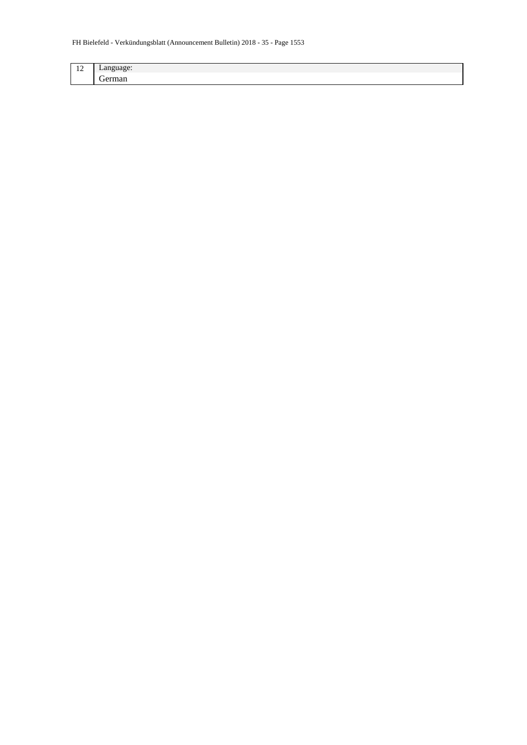| $\sim$ $\sim$<br>-- | --     |
|---------------------|--------|
|                     | $\sim$ |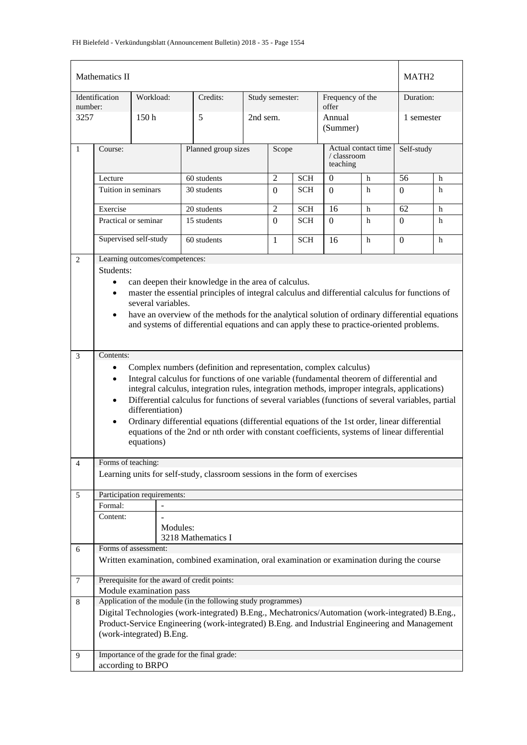|                | Mathematics II         |                                |                                                                                                                                                        |                              |                 |            |                           |                     |                | MATH <sub>2</sub> |  |
|----------------|------------------------|--------------------------------|--------------------------------------------------------------------------------------------------------------------------------------------------------|------------------------------|-----------------|------------|---------------------------|---------------------|----------------|-------------------|--|
| number:        | Identification         | Workload:                      | Credits:                                                                                                                                               |                              | Study semester: |            | Frequency of the<br>offer |                     | Duration:      |                   |  |
| 3257           |                        | 150 <sub>h</sub>               | 5                                                                                                                                                      | 2nd sem.                     |                 |            | Annual<br>(Summer)        |                     | 1 semester     |                   |  |
| $\mathbf{1}$   | Course:                |                                |                                                                                                                                                        | Planned group sizes<br>Scope |                 |            | / classroom<br>teaching   | Actual contact time | Self-study     |                   |  |
|                | Lecture                |                                | 60 students                                                                                                                                            |                              | $\overline{2}$  | <b>SCH</b> | $\boldsymbol{0}$          | h                   | 56             | h                 |  |
|                | Tuition in seminars    |                                | 30 students                                                                                                                                            |                              | $\Omega$        | SCH        | $\Omega$                  | h                   | $\Omega$       | h                 |  |
|                | Exercise               |                                | 20 students                                                                                                                                            |                              | 2               | <b>SCH</b> | 16                        | h                   | 62             | h                 |  |
|                | Practical or seminar   |                                | 15 students                                                                                                                                            |                              | $\Omega$        | <b>SCH</b> | $\Omega$                  | h                   | $\Omega$       | h                 |  |
|                |                        | Supervised self-study          | 60 students                                                                                                                                            |                              | 1               | <b>SCH</b> | 16                        | h                   | $\overline{0}$ | h                 |  |
| $\overline{2}$ |                        | Learning outcomes/competences: |                                                                                                                                                        |                              |                 |            |                           |                     |                |                   |  |
|                | Students:              |                                |                                                                                                                                                        |                              |                 |            |                           |                     |                |                   |  |
|                | $\bullet$<br>$\bullet$ |                                | can deepen their knowledge in the area of calculus.<br>master the essential principles of integral calculus and differential calculus for functions of |                              |                 |            |                           |                     |                |                   |  |
|                |                        | several variables.             |                                                                                                                                                        |                              |                 |            |                           |                     |                |                   |  |
|                | $\bullet$              |                                | have an overview of the methods for the analytical solution of ordinary differential equations                                                         |                              |                 |            |                           |                     |                |                   |  |
|                |                        |                                | and systems of differential equations and can apply these to practice-oriented problems.                                                               |                              |                 |            |                           |                     |                |                   |  |
|                |                        |                                |                                                                                                                                                        |                              |                 |            |                           |                     |                |                   |  |
| 3              | Contents:              |                                |                                                                                                                                                        |                              |                 |            |                           |                     |                |                   |  |
|                | ٠                      |                                | Complex numbers (definition and representation, complex calculus)                                                                                      |                              |                 |            |                           |                     |                |                   |  |
|                | $\bullet$              |                                | Integral calculus for functions of one variable (fundamental theorem of differential and                                                               |                              |                 |            |                           |                     |                |                   |  |
|                |                        |                                | integral calculus, integration rules, integration methods, improper integrals, applications)                                                           |                              |                 |            |                           |                     |                |                   |  |
|                | $\bullet$              | differentiation)               | Differential calculus for functions of several variables (functions of several variables, partial                                                      |                              |                 |            |                           |                     |                |                   |  |
|                | $\bullet$              |                                | Ordinary differential equations (differential equations of the 1st order, linear differential                                                          |                              |                 |            |                           |                     |                |                   |  |
|                |                        |                                | equations of the 2nd or nth order with constant coefficients, systems of linear differential                                                           |                              |                 |            |                           |                     |                |                   |  |
|                |                        | equations)                     |                                                                                                                                                        |                              |                 |            |                           |                     |                |                   |  |
|                |                        |                                |                                                                                                                                                        |                              |                 |            |                           |                     |                |                   |  |
| $\overline{4}$ | Forms of teaching:     |                                |                                                                                                                                                        |                              |                 |            |                           |                     |                |                   |  |
|                |                        |                                | Learning units for self-study, classroom sessions in the form of exercises                                                                             |                              |                 |            |                           |                     |                |                   |  |
| 5              |                        | Participation requirements:    |                                                                                                                                                        |                              |                 |            |                           |                     |                |                   |  |
|                | Formal:                |                                |                                                                                                                                                        |                              |                 |            |                           |                     |                |                   |  |
|                | Content:               |                                |                                                                                                                                                        |                              |                 |            |                           |                     |                |                   |  |
|                |                        | Modules:                       |                                                                                                                                                        |                              |                 |            |                           |                     |                |                   |  |
|                |                        | Forms of assessment:           | 3218 Mathematics I                                                                                                                                     |                              |                 |            |                           |                     |                |                   |  |
| 6              |                        |                                | Written examination, combined examination, oral examination or examination during the course                                                           |                              |                 |            |                           |                     |                |                   |  |
|                |                        |                                |                                                                                                                                                        |                              |                 |            |                           |                     |                |                   |  |
| $\tau$         |                        |                                | Prerequisite for the award of credit points:                                                                                                           |                              |                 |            |                           |                     |                |                   |  |
|                |                        | Module examination pass        |                                                                                                                                                        |                              |                 |            |                           |                     |                |                   |  |
| 8              |                        |                                | Application of the module (in the following study programmes)                                                                                          |                              |                 |            |                           |                     |                |                   |  |
|                |                        |                                | Digital Technologies (work-integrated) B.Eng., Mechatronics/Automation (work-integrated) B.Eng.,                                                       |                              |                 |            |                           |                     |                |                   |  |
|                |                        | (work-integrated) B.Eng.       | Product-Service Engineering (work-integrated) B.Eng. and Industrial Engineering and Management                                                         |                              |                 |            |                           |                     |                |                   |  |
|                |                        |                                |                                                                                                                                                        |                              |                 |            |                           |                     |                |                   |  |
| 9              |                        |                                | Importance of the grade for the final grade:                                                                                                           |                              |                 |            |                           |                     |                |                   |  |
|                |                        | according to BRPO              |                                                                                                                                                        |                              |                 |            |                           |                     |                |                   |  |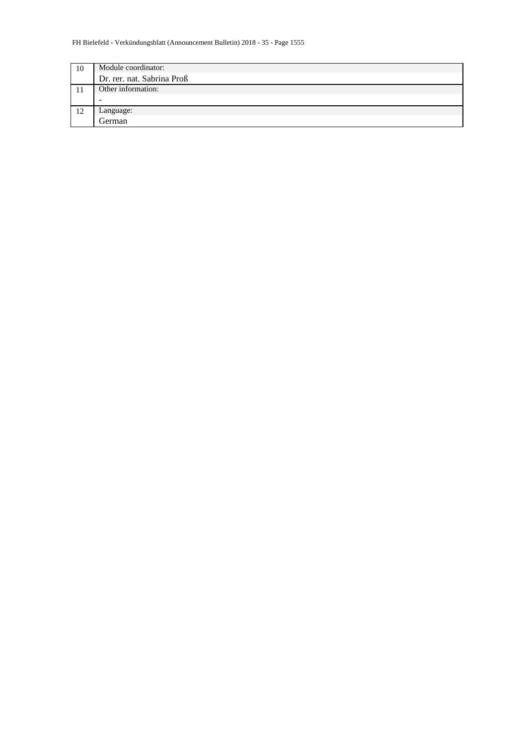| 10 | Module coordinator:        |
|----|----------------------------|
|    | Dr. rer. nat. Sabrina Proß |
|    | Other information:         |
|    |                            |
| 12 | Language:                  |
|    | German                     |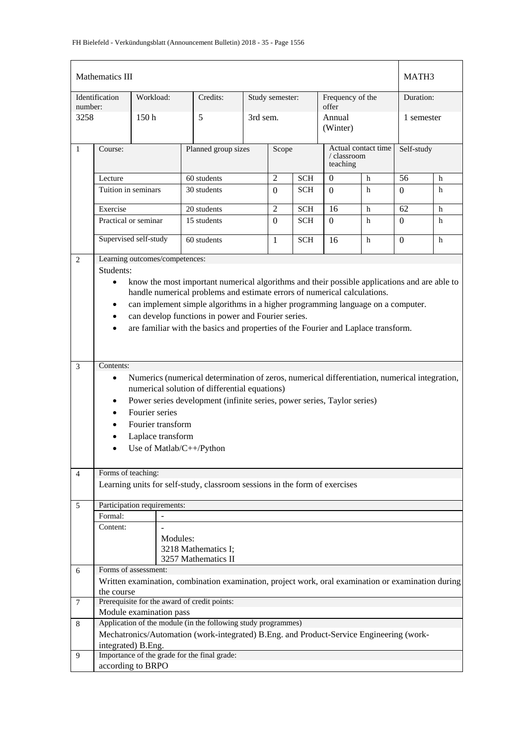|                 | Mathematics III                                                                                                                                                                                                                                                                                                                                                                                                                               |           |          |                                                                                                    |          |                  |            |                           |                     |                  | MATH3 |  |
|-----------------|-----------------------------------------------------------------------------------------------------------------------------------------------------------------------------------------------------------------------------------------------------------------------------------------------------------------------------------------------------------------------------------------------------------------------------------------------|-----------|----------|----------------------------------------------------------------------------------------------------|----------|------------------|------------|---------------------------|---------------------|------------------|-------|--|
|                 | Identification                                                                                                                                                                                                                                                                                                                                                                                                                                | Workload: |          | Credits:                                                                                           |          | Study semester:  |            | Frequency of the<br>offer |                     | Duration:        |       |  |
| number:<br>3258 |                                                                                                                                                                                                                                                                                                                                                                                                                                               | 150h      |          | 5                                                                                                  | 3rd sem. |                  |            | Annual<br>(Winter)        |                     | 1 semester       |       |  |
| $\mathbf{1}$    | Course:                                                                                                                                                                                                                                                                                                                                                                                                                                       |           |          | Planned group sizes                                                                                |          | Scope            |            | / classroom<br>teaching   | Actual contact time | Self-study       |       |  |
|                 | 60 students<br>Lecture                                                                                                                                                                                                                                                                                                                                                                                                                        |           |          |                                                                                                    |          | $\overline{2}$   | <b>SCH</b> | $\mathbf{0}$              | h                   | 56               | h     |  |
|                 | Tuition in seminars                                                                                                                                                                                                                                                                                                                                                                                                                           |           |          | 30 students                                                                                        |          | $\overline{0}$   | <b>SCH</b> | $\overline{0}$            | $\mathbf h$         | $\Omega$         | h     |  |
|                 | Exercise                                                                                                                                                                                                                                                                                                                                                                                                                                      |           |          | 20 students                                                                                        |          | $\overline{2}$   | <b>SCH</b> | 16                        | h                   | 62               | h     |  |
|                 | Practical or seminar                                                                                                                                                                                                                                                                                                                                                                                                                          |           |          | 15 students                                                                                        |          | $\boldsymbol{0}$ | <b>SCH</b> | $\Omega$                  | h                   | $\boldsymbol{0}$ | h     |  |
|                 | Supervised self-study                                                                                                                                                                                                                                                                                                                                                                                                                         |           |          | 60 students                                                                                        |          | 1                | <b>SCH</b> | 16                        | $\mathbf h$         | $\mathbf{0}$     | h     |  |
| $\overline{2}$  | Learning outcomes/competences:                                                                                                                                                                                                                                                                                                                                                                                                                |           |          |                                                                                                    |          |                  |            |                           |                     |                  |       |  |
|                 | Students:                                                                                                                                                                                                                                                                                                                                                                                                                                     |           |          |                                                                                                    |          |                  |            |                           |                     |                  |       |  |
|                 | know the most important numerical algorithms and their possible applications and are able to<br>$\bullet$<br>handle numerical problems and estimate errors of numerical calculations.<br>can implement simple algorithms in a higher programming language on a computer.<br>$\bullet$<br>can develop functions in power and Fourier series.<br>$\bullet$<br>are familiar with the basics and properties of the Fourier and Laplace transform. |           |          |                                                                                                    |          |                  |            |                           |                     |                  |       |  |
| 3               |                                                                                                                                                                                                                                                                                                                                                                                                                                               |           |          |                                                                                                    |          |                  |            |                           |                     |                  |       |  |
|                 | Contents:<br>Numerics (numerical determination of zeros, numerical differentiation, numerical integration,<br>$\bullet$<br>numerical solution of differential equations)<br>Power series development (infinite series, power series, Taylor series)<br>$\bullet$<br>Fourier series<br>$\bullet$<br>Fourier transform<br>Laplace transform<br>Use of Matlab/C++/Python                                                                         |           |          |                                                                                                    |          |                  |            |                           |                     |                  |       |  |
| $\overline{4}$  | Forms of teaching:                                                                                                                                                                                                                                                                                                                                                                                                                            |           |          |                                                                                                    |          |                  |            |                           |                     |                  |       |  |
|                 |                                                                                                                                                                                                                                                                                                                                                                                                                                               |           |          | Learning units for self-study, classroom sessions in the form of exercises                         |          |                  |            |                           |                     |                  |       |  |
| 5               | Participation requirements:                                                                                                                                                                                                                                                                                                                                                                                                                   |           |          |                                                                                                    |          |                  |            |                           |                     |                  |       |  |
|                 | Formal:                                                                                                                                                                                                                                                                                                                                                                                                                                       |           |          |                                                                                                    |          |                  |            |                           |                     |                  |       |  |
|                 | Content:                                                                                                                                                                                                                                                                                                                                                                                                                                      |           | Modules: | 3218 Mathematics I:<br>3257 Mathematics II                                                         |          |                  |            |                           |                     |                  |       |  |
| 6               | Forms of assessment:                                                                                                                                                                                                                                                                                                                                                                                                                          |           |          |                                                                                                    |          |                  |            |                           |                     |                  |       |  |
|                 |                                                                                                                                                                                                                                                                                                                                                                                                                                               |           |          | Written examination, combination examination, project work, oral examination or examination during |          |                  |            |                           |                     |                  |       |  |
| 7               | the course                                                                                                                                                                                                                                                                                                                                                                                                                                    |           |          | Prerequisite for the award of credit points:                                                       |          |                  |            |                           |                     |                  |       |  |
|                 | Module examination pass                                                                                                                                                                                                                                                                                                                                                                                                                       |           |          |                                                                                                    |          |                  |            |                           |                     |                  |       |  |
| 8               |                                                                                                                                                                                                                                                                                                                                                                                                                                               |           |          | Application of the module (in the following study programmes)                                      |          |                  |            |                           |                     |                  |       |  |
|                 |                                                                                                                                                                                                                                                                                                                                                                                                                                               |           |          | Mechatronics/Automation (work-integrated) B.Eng. and Product-Service Engineering (work-            |          |                  |            |                           |                     |                  |       |  |
|                 | integrated) B.Eng.                                                                                                                                                                                                                                                                                                                                                                                                                            |           |          |                                                                                                    |          |                  |            |                           |                     |                  |       |  |
| 9               |                                                                                                                                                                                                                                                                                                                                                                                                                                               |           |          | Importance of the grade for the final grade:                                                       |          |                  |            |                           |                     |                  |       |  |
|                 | according to BRPO                                                                                                                                                                                                                                                                                                                                                                                                                             |           |          |                                                                                                    |          |                  |            |                           |                     |                  |       |  |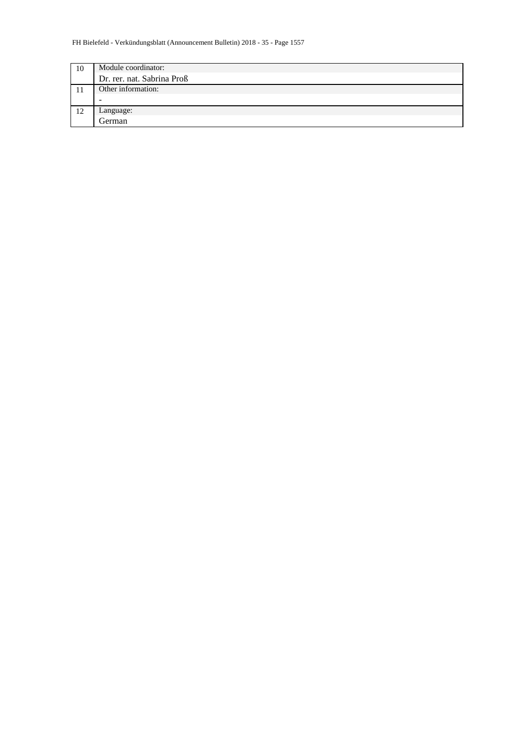| 10 | Module coordinator:        |
|----|----------------------------|
|    | Dr. rer. nat. Sabrina Proß |
|    | Other information:         |
|    | $\overline{\phantom{a}}$   |
| 12 | Language:                  |
|    | German                     |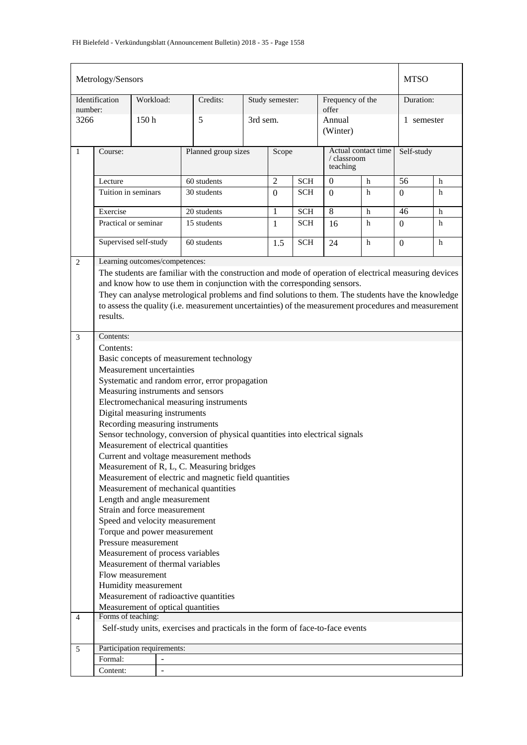|                | Metrology/Sensors                                             |                  |                          |                                                                                                       |                              |                 |            |                           |                     | <b>MTSO</b>    |   |
|----------------|---------------------------------------------------------------|------------------|--------------------------|-------------------------------------------------------------------------------------------------------|------------------------------|-----------------|------------|---------------------------|---------------------|----------------|---|
| number:        | Identification                                                | Workload:        |                          | Credits:                                                                                              |                              | Study semester: |            | Frequency of the<br>offer |                     | Duration:      |   |
| 3266           |                                                               | 150 <sub>h</sub> |                          | 5                                                                                                     |                              | 3rd sem.        |            | Annual<br>(Winter)        |                     | 1 semester     |   |
| $\mathbf{1}$   | Course:                                                       |                  |                          |                                                                                                       | Planned group sizes<br>Scope |                 |            | / classroom<br>teaching   | Actual contact time | Self-study     |   |
|                | Lecture                                                       |                  |                          | 60 students                                                                                           |                              | $\overline{2}$  | <b>SCH</b> | $\boldsymbol{0}$          | h                   | 56             | h |
|                | Tuition in seminars                                           |                  |                          | 30 students                                                                                           |                              | $\Omega$        | <b>SCH</b> | $\Omega$                  | h                   | $\Omega$       | h |
|                | Exercise                                                      |                  |                          | 20 students                                                                                           |                              | $\mathbf{1}$    | <b>SCH</b> | $\overline{8}$            | $\mathbf h$         | 46             | h |
|                | Practical or seminar                                          |                  |                          | 15 students                                                                                           |                              | 1               | <b>SCH</b> | 16                        | h                   | $\Omega$       | h |
|                | Supervised self-study                                         |                  |                          | 60 students                                                                                           |                              | 1.5             | <b>SCH</b> | 24                        | h                   | $\overline{0}$ | h |
| 2              | Learning outcomes/competences:                                |                  |                          |                                                                                                       |                              |                 |            |                           |                     |                |   |
|                |                                                               |                  |                          | The students are familiar with the construction and mode of operation of electrical measuring devices |                              |                 |            |                           |                     |                |   |
|                |                                                               |                  |                          | and know how to use them in conjunction with the corresponding sensors.                               |                              |                 |            |                           |                     |                |   |
|                |                                                               |                  |                          | They can analyse metrological problems and find solutions to them. The students have the knowledge    |                              |                 |            |                           |                     |                |   |
|                | results.                                                      |                  |                          | to assess the quality (i.e. measurement uncertainties) of the measurement procedures and measurement  |                              |                 |            |                           |                     |                |   |
|                |                                                               |                  |                          |                                                                                                       |                              |                 |            |                           |                     |                |   |
| 3              | Contents:                                                     |                  |                          |                                                                                                       |                              |                 |            |                           |                     |                |   |
|                | Contents:                                                     |                  |                          |                                                                                                       |                              |                 |            |                           |                     |                |   |
|                |                                                               |                  |                          | Basic concepts of measurement technology                                                              |                              |                 |            |                           |                     |                |   |
|                | Measurement uncertainties                                     |                  |                          |                                                                                                       |                              |                 |            |                           |                     |                |   |
|                |                                                               |                  |                          | Systematic and random error, error propagation<br>Measuring instruments and sensors                   |                              |                 |            |                           |                     |                |   |
|                |                                                               |                  |                          | Electromechanical measuring instruments                                                               |                              |                 |            |                           |                     |                |   |
|                | Digital measuring instruments                                 |                  |                          |                                                                                                       |                              |                 |            |                           |                     |                |   |
|                |                                                               |                  |                          | Recording measuring instruments                                                                       |                              |                 |            |                           |                     |                |   |
|                |                                                               |                  |                          | Sensor technology, conversion of physical quantities into electrical signals                          |                              |                 |            |                           |                     |                |   |
|                |                                                               |                  |                          | Measurement of electrical quantities                                                                  |                              |                 |            |                           |                     |                |   |
|                |                                                               |                  |                          | Current and voltage measurement methods                                                               |                              |                 |            |                           |                     |                |   |
|                |                                                               |                  |                          | Measurement of R, L, C. Measuring bridges<br>Measurement of electric and magnetic field quantities    |                              |                 |            |                           |                     |                |   |
|                |                                                               |                  |                          | Measurement of mechanical quantities                                                                  |                              |                 |            |                           |                     |                |   |
|                | Length and angle measurement                                  |                  |                          |                                                                                                       |                              |                 |            |                           |                     |                |   |
|                | Strain and force measurement                                  |                  |                          |                                                                                                       |                              |                 |            |                           |                     |                |   |
|                | Speed and velocity measurement                                |                  |                          |                                                                                                       |                              |                 |            |                           |                     |                |   |
|                | Torque and power measurement                                  |                  |                          |                                                                                                       |                              |                 |            |                           |                     |                |   |
|                | Pressure measurement                                          |                  |                          |                                                                                                       |                              |                 |            |                           |                     |                |   |
|                |                                                               |                  |                          | Measurement of process variables                                                                      |                              |                 |            |                           |                     |                |   |
|                |                                                               |                  |                          | Measurement of thermal variables                                                                      |                              |                 |            |                           |                     |                |   |
|                | Flow measurement                                              |                  |                          |                                                                                                       |                              |                 |            |                           |                     |                |   |
|                | Humidity measurement<br>Measurement of radioactive quantities |                  |                          |                                                                                                       |                              |                 |            |                           |                     |                |   |
|                |                                                               |                  |                          | Measurement of optical quantities                                                                     |                              |                 |            |                           |                     |                |   |
| $\overline{4}$ | Forms of teaching:                                            |                  |                          |                                                                                                       |                              |                 |            |                           |                     |                |   |
|                |                                                               |                  |                          | Self-study units, exercises and practicals in the form of face-to-face events                         |                              |                 |            |                           |                     |                |   |
| 5              | Participation requirements:                                   |                  |                          |                                                                                                       |                              |                 |            |                           |                     |                |   |
|                | Formal:                                                       |                  |                          |                                                                                                       |                              |                 |            |                           |                     |                |   |
|                | Content:                                                      |                  | $\overline{\phantom{a}}$ |                                                                                                       |                              |                 |            |                           |                     |                |   |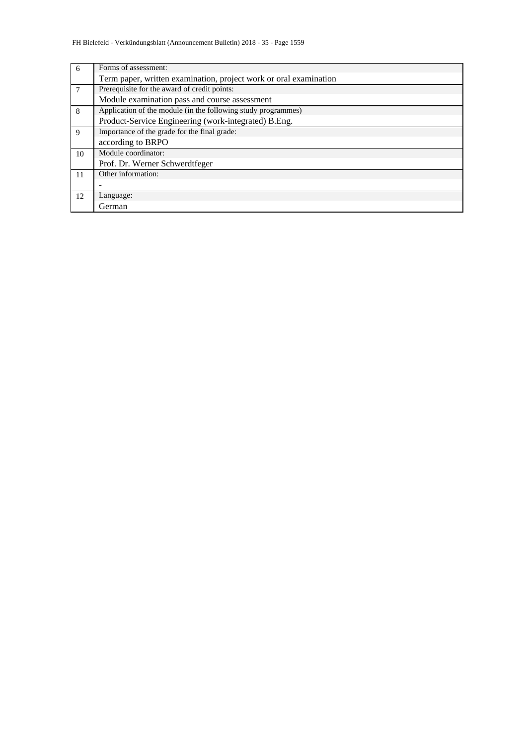| 6  | Forms of assessment:                                              |
|----|-------------------------------------------------------------------|
|    | Term paper, written examination, project work or oral examination |
|    | Prerequisite for the award of credit points:                      |
|    | Module examination pass and course assessment                     |
| 8  | Application of the module (in the following study programmes)     |
|    | Product-Service Engineering (work-integrated) B.Eng.              |
| 9  | Importance of the grade for the final grade:                      |
|    | according to BRPO                                                 |
| 10 | Module coordinator:                                               |
|    | Prof. Dr. Werner Schwerdtfeger                                    |
| 11 | Other information:                                                |
|    |                                                                   |
| 12 | Language:                                                         |
|    | German                                                            |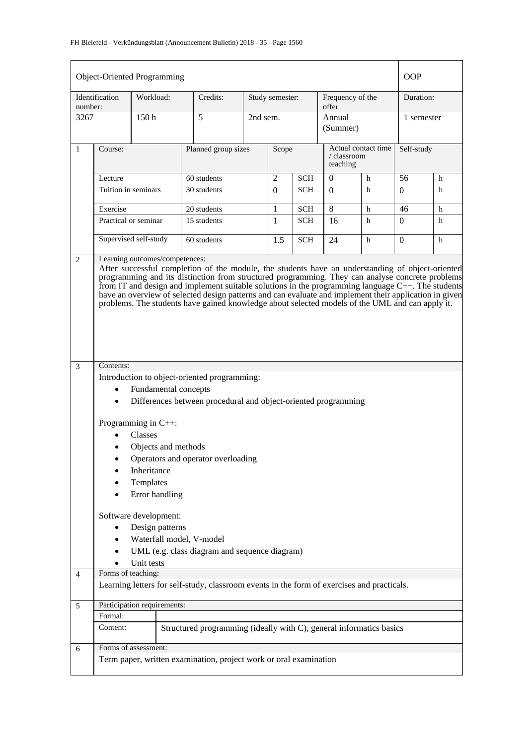| Object-Oriented Programming |                                                                                                                                                                                                                                                                                                                                                                                                                                                                                                                                       |                                                                                                               |                                                                                            |          |                 |            |                                                |   | <b>OOP</b> |   |  |
|-----------------------------|---------------------------------------------------------------------------------------------------------------------------------------------------------------------------------------------------------------------------------------------------------------------------------------------------------------------------------------------------------------------------------------------------------------------------------------------------------------------------------------------------------------------------------------|---------------------------------------------------------------------------------------------------------------|--------------------------------------------------------------------------------------------|----------|-----------------|------------|------------------------------------------------|---|------------|---|--|
| number:                     | Identification                                                                                                                                                                                                                                                                                                                                                                                                                                                                                                                        | Workload:                                                                                                     | Credits:                                                                                   |          | Study semester: |            | Frequency of the<br>offer                      |   | Duration:  |   |  |
| 3267                        |                                                                                                                                                                                                                                                                                                                                                                                                                                                                                                                                       | 150 <sub>h</sub>                                                                                              | 5                                                                                          | 2nd sem. |                 |            | Annual<br>(Summer)                             |   | 1 semester |   |  |
| $\mathbf{1}$                | Course:                                                                                                                                                                                                                                                                                                                                                                                                                                                                                                                               |                                                                                                               | Planned group sizes                                                                        | Scope    |                 |            | Actual contact time<br>/ classroom<br>teaching |   | Self-study |   |  |
|                             | Lecture                                                                                                                                                                                                                                                                                                                                                                                                                                                                                                                               |                                                                                                               | 60 students                                                                                |          | $\overline{2}$  | <b>SCH</b> | $\theta$                                       | h | 56         | h |  |
|                             | Tuition in seminars                                                                                                                                                                                                                                                                                                                                                                                                                                                                                                                   |                                                                                                               | 30 students                                                                                |          | $\overline{0}$  | <b>SCH</b> | $\Omega$                                       | h | $\Omega$   | h |  |
|                             | Exercise                                                                                                                                                                                                                                                                                                                                                                                                                                                                                                                              |                                                                                                               | 20 students                                                                                |          | 1               | <b>SCH</b> | 8                                              | h | 46         | h |  |
|                             | Practical or seminar                                                                                                                                                                                                                                                                                                                                                                                                                                                                                                                  |                                                                                                               | 15 students                                                                                |          | $\mathbf{1}$    | <b>SCH</b> | 16                                             | h | $\Omega$   | h |  |
|                             |                                                                                                                                                                                                                                                                                                                                                                                                                                                                                                                                       | Supervised self-study                                                                                         | 60 students                                                                                |          | 1.5             | <b>SCH</b> | 24                                             | h | 0          | h |  |
| $\overline{3}$              | After successful completion of the module, the students have an understanding of object-oriented<br>programming and its distinction from structured programming. They can analyse concrete problems<br>from IT and design and implement suitable solutions in the programming language $C++$ . The students<br>have an overview of selected design patterns and can evaluate and implement their application in given<br>problems. The students have gained knowledge about selected models of the UML and can apply it.<br>Contents: |                                                                                                               |                                                                                            |          |                 |            |                                                |   |            |   |  |
|                             |                                                                                                                                                                                                                                                                                                                                                                                                                                                                                                                                       |                                                                                                               | Introduction to object-oriented programming:                                               |          |                 |            |                                                |   |            |   |  |
|                             |                                                                                                                                                                                                                                                                                                                                                                                                                                                                                                                                       | Fundamental concepts                                                                                          |                                                                                            |          |                 |            |                                                |   |            |   |  |
|                             | $\bullet$                                                                                                                                                                                                                                                                                                                                                                                                                                                                                                                             |                                                                                                               | Differences between procedural and object-oriented programming                             |          |                 |            |                                                |   |            |   |  |
|                             |                                                                                                                                                                                                                                                                                                                                                                                                                                                                                                                                       | Programming in $C++$ :<br><b>Classes</b><br>Objects and methods<br>Inheritance<br>Templates<br>Error handling | Operators and operator overloading                                                         |          |                 |            |                                                |   |            |   |  |
|                             |                                                                                                                                                                                                                                                                                                                                                                                                                                                                                                                                       | Software development:                                                                                         |                                                                                            |          |                 |            |                                                |   |            |   |  |
|                             |                                                                                                                                                                                                                                                                                                                                                                                                                                                                                                                                       | Design patterns                                                                                               |                                                                                            |          |                 |            |                                                |   |            |   |  |
|                             |                                                                                                                                                                                                                                                                                                                                                                                                                                                                                                                                       | Waterfall model, V-model                                                                                      |                                                                                            |          |                 |            |                                                |   |            |   |  |
|                             |                                                                                                                                                                                                                                                                                                                                                                                                                                                                                                                                       |                                                                                                               | UML (e.g. class diagram and sequence diagram)                                              |          |                 |            |                                                |   |            |   |  |
|                             |                                                                                                                                                                                                                                                                                                                                                                                                                                                                                                                                       | Unit tests                                                                                                    |                                                                                            |          |                 |            |                                                |   |            |   |  |
| $\overline{4}$              | Forms of teaching:                                                                                                                                                                                                                                                                                                                                                                                                                                                                                                                    |                                                                                                               |                                                                                            |          |                 |            |                                                |   |            |   |  |
|                             |                                                                                                                                                                                                                                                                                                                                                                                                                                                                                                                                       |                                                                                                               | Learning letters for self-study, classroom events in the form of exercises and practicals. |          |                 |            |                                                |   |            |   |  |
| 5                           |                                                                                                                                                                                                                                                                                                                                                                                                                                                                                                                                       | Participation requirements:                                                                                   |                                                                                            |          |                 |            |                                                |   |            |   |  |
|                             | Formal:                                                                                                                                                                                                                                                                                                                                                                                                                                                                                                                               |                                                                                                               |                                                                                            |          |                 |            |                                                |   |            |   |  |
|                             | Content:                                                                                                                                                                                                                                                                                                                                                                                                                                                                                                                              |                                                                                                               | Structured programming (ideally with C), general informatics basics                        |          |                 |            |                                                |   |            |   |  |
| 6                           |                                                                                                                                                                                                                                                                                                                                                                                                                                                                                                                                       | Forms of assessment:                                                                                          |                                                                                            |          |                 |            |                                                |   |            |   |  |
|                             |                                                                                                                                                                                                                                                                                                                                                                                                                                                                                                                                       |                                                                                                               | Term paper, written examination, project work or oral examination                          |          |                 |            |                                                |   |            |   |  |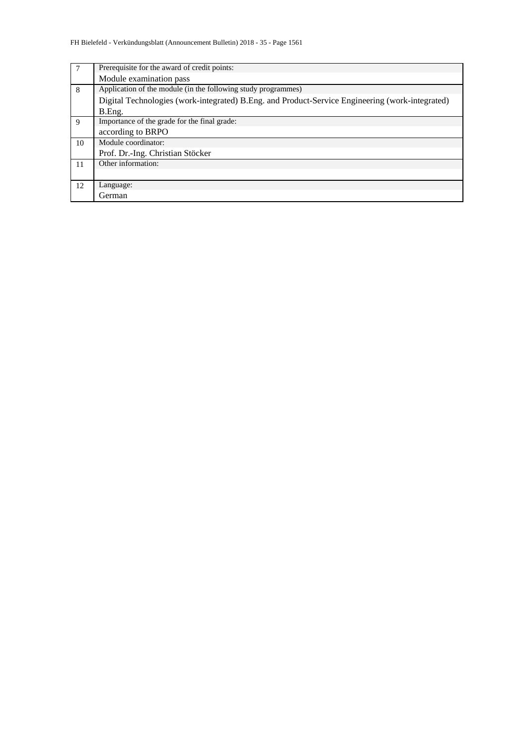| 7  | Prerequisite for the award of credit points:                                                    |
|----|-------------------------------------------------------------------------------------------------|
|    | Module examination pass                                                                         |
| 8  | Application of the module (in the following study programmes)                                   |
|    | Digital Technologies (work-integrated) B.Eng. and Product-Service Engineering (work-integrated) |
|    | B.Eng.                                                                                          |
| 9  | Importance of the grade for the final grade:                                                    |
|    | according to BRPO                                                                               |
| 10 | Module coordinator:                                                                             |
|    | Prof. Dr.-Ing. Christian Stöcker                                                                |
| 11 | Other information:                                                                              |
|    |                                                                                                 |
| 12 | Language:                                                                                       |
|    | German                                                                                          |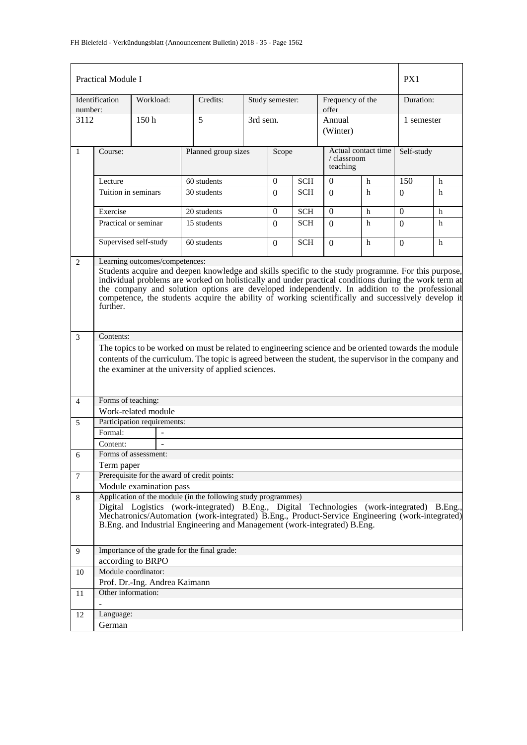|                | Practical Module I                                                                                                                                                                                                                                                                                                                                                                                                                                                |                               |                                                                                                                                                                                                                                                                                                                                             |          |                 |                    |                                                |            | PX1        |   |
|----------------|-------------------------------------------------------------------------------------------------------------------------------------------------------------------------------------------------------------------------------------------------------------------------------------------------------------------------------------------------------------------------------------------------------------------------------------------------------------------|-------------------------------|---------------------------------------------------------------------------------------------------------------------------------------------------------------------------------------------------------------------------------------------------------------------------------------------------------------------------------------------|----------|-----------------|--------------------|------------------------------------------------|------------|------------|---|
| number:        | Identification                                                                                                                                                                                                                                                                                                                                                                                                                                                    | Workload:                     | Credits:                                                                                                                                                                                                                                                                                                                                    |          | Study semester: |                    | Frequency of the<br>offer                      |            | Duration:  |   |
| 3112           |                                                                                                                                                                                                                                                                                                                                                                                                                                                                   | 150 <sub>h</sub>              | 5                                                                                                                                                                                                                                                                                                                                           | 3rd sem. |                 | Annual<br>(Winter) |                                                | 1 semester |            |   |
| $\mathbf{1}$   | Course:                                                                                                                                                                                                                                                                                                                                                                                                                                                           |                               | Planned group sizes                                                                                                                                                                                                                                                                                                                         |          | Scope           |                    | Actual contact time<br>/ classroom<br>teaching |            | Self-study |   |
|                | Lecture                                                                                                                                                                                                                                                                                                                                                                                                                                                           |                               | 60 students                                                                                                                                                                                                                                                                                                                                 |          | $\Omega$        | <b>SCH</b>         | $\Omega$<br>$\mathbf{h}$                       |            | 150        | h |
|                | Tuition in seminars                                                                                                                                                                                                                                                                                                                                                                                                                                               |                               | 30 students                                                                                                                                                                                                                                                                                                                                 |          | $\Omega$        | <b>SCH</b>         | $\Omega$                                       | h          | 0          | h |
|                | Exercise                                                                                                                                                                                                                                                                                                                                                                                                                                                          |                               | 20 students                                                                                                                                                                                                                                                                                                                                 |          | $\Omega$        | <b>SCH</b>         | $\Omega$                                       | h          | $\Omega$   | h |
|                | Practical or seminar                                                                                                                                                                                                                                                                                                                                                                                                                                              |                               | 15 students                                                                                                                                                                                                                                                                                                                                 |          | $\Omega$        | <b>SCH</b>         | $\Omega$                                       | h          | $\Omega$   | h |
|                |                                                                                                                                                                                                                                                                                                                                                                                                                                                                   | Supervised self-study         | 60 students                                                                                                                                                                                                                                                                                                                                 |          | $\left($        | <b>SCH</b>         | $\Omega$                                       | h          | $\Omega$   | h |
| $\overline{2}$ | Learning outcomes/competences:<br>Students acquire and deepen knowledge and skills specific to the study programme. For this purpose,<br>individual problems are worked on holistically and under practical conditions during the work term at<br>the company and solution options are developed independently. In addition to the professional<br>competence, the students acquire the ability of working scientifically and successively develop it<br>further. |                               |                                                                                                                                                                                                                                                                                                                                             |          |                 |                    |                                                |            |            |   |
| $\mathfrak{Z}$ | Contents:                                                                                                                                                                                                                                                                                                                                                                                                                                                         |                               |                                                                                                                                                                                                                                                                                                                                             |          |                 |                    |                                                |            |            |   |
|                |                                                                                                                                                                                                                                                                                                                                                                                                                                                                   |                               | The topics to be worked on must be related to engineering science and be oriented towards the module                                                                                                                                                                                                                                        |          |                 |                    |                                                |            |            |   |
|                |                                                                                                                                                                                                                                                                                                                                                                                                                                                                   |                               | contents of the curriculum. The topic is agreed between the student, the supervisor in the company and<br>the examiner at the university of applied sciences.                                                                                                                                                                               |          |                 |                    |                                                |            |            |   |
| $\overline{4}$ | Forms of teaching:                                                                                                                                                                                                                                                                                                                                                                                                                                                |                               |                                                                                                                                                                                                                                                                                                                                             |          |                 |                    |                                                |            |            |   |
|                |                                                                                                                                                                                                                                                                                                                                                                                                                                                                   | Work-related module           |                                                                                                                                                                                                                                                                                                                                             |          |                 |                    |                                                |            |            |   |
| 5              |                                                                                                                                                                                                                                                                                                                                                                                                                                                                   | Participation requirements:   |                                                                                                                                                                                                                                                                                                                                             |          |                 |                    |                                                |            |            |   |
|                | Formal:                                                                                                                                                                                                                                                                                                                                                                                                                                                           |                               |                                                                                                                                                                                                                                                                                                                                             |          |                 |                    |                                                |            |            |   |
|                | Content:                                                                                                                                                                                                                                                                                                                                                                                                                                                          |                               |                                                                                                                                                                                                                                                                                                                                             |          |                 |                    |                                                |            |            |   |
| 6              | Term paper                                                                                                                                                                                                                                                                                                                                                                                                                                                        | Forms of assessment:          |                                                                                                                                                                                                                                                                                                                                             |          |                 |                    |                                                |            |            |   |
| $\tau$         |                                                                                                                                                                                                                                                                                                                                                                                                                                                                   |                               | Prerequisite for the award of credit points:                                                                                                                                                                                                                                                                                                |          |                 |                    |                                                |            |            |   |
|                |                                                                                                                                                                                                                                                                                                                                                                                                                                                                   | Module examination pass       |                                                                                                                                                                                                                                                                                                                                             |          |                 |                    |                                                |            |            |   |
| 8              |                                                                                                                                                                                                                                                                                                                                                                                                                                                                   |                               | Application of the module (in the following study programmes)<br>Digital Logistics (work-integrated) B.Eng., Digital Technologies (work-integrated) B.Eng.,<br>Mechatronics/Automation (work-integrated) B.Eng., Product-Service Engineering (work-integrated)<br>B.Eng. and Industrial Engineering and Management (work-integrated) B.Eng. |          |                 |                    |                                                |            |            |   |
| 9              |                                                                                                                                                                                                                                                                                                                                                                                                                                                                   |                               | Importance of the grade for the final grade:                                                                                                                                                                                                                                                                                                |          |                 |                    |                                                |            |            |   |
|                |                                                                                                                                                                                                                                                                                                                                                                                                                                                                   | according to BRPO             |                                                                                                                                                                                                                                                                                                                                             |          |                 |                    |                                                |            |            |   |
| 10             |                                                                                                                                                                                                                                                                                                                                                                                                                                                                   | Module coordinator:           |                                                                                                                                                                                                                                                                                                                                             |          |                 |                    |                                                |            |            |   |
| 11             | Other information:                                                                                                                                                                                                                                                                                                                                                                                                                                                | Prof. Dr.-Ing. Andrea Kaimann |                                                                                                                                                                                                                                                                                                                                             |          |                 |                    |                                                |            |            |   |
|                |                                                                                                                                                                                                                                                                                                                                                                                                                                                                   |                               |                                                                                                                                                                                                                                                                                                                                             |          |                 |                    |                                                |            |            |   |
| 12             | Language:                                                                                                                                                                                                                                                                                                                                                                                                                                                         |                               |                                                                                                                                                                                                                                                                                                                                             |          |                 |                    |                                                |            |            |   |
|                | German                                                                                                                                                                                                                                                                                                                                                                                                                                                            |                               |                                                                                                                                                                                                                                                                                                                                             |          |                 |                    |                                                |            |            |   |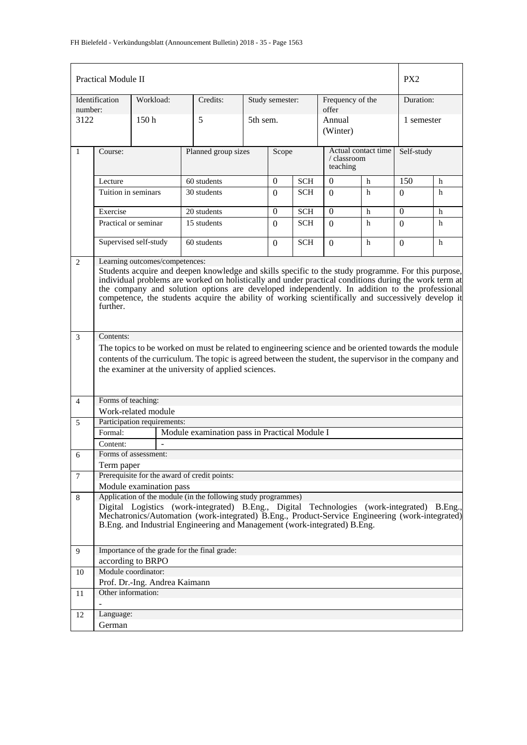|                | <b>Practical Module II</b>                                                                                                                                                                                                                                                                                                                                                                                                                                        |                               |                                                                                                                                                                                                                                                                                                                                             |          |                 |            |                           |                     | PX <sub>2</sub> |   |  |
|----------------|-------------------------------------------------------------------------------------------------------------------------------------------------------------------------------------------------------------------------------------------------------------------------------------------------------------------------------------------------------------------------------------------------------------------------------------------------------------------|-------------------------------|---------------------------------------------------------------------------------------------------------------------------------------------------------------------------------------------------------------------------------------------------------------------------------------------------------------------------------------------|----------|-----------------|------------|---------------------------|---------------------|-----------------|---|--|
| number:        | Identification                                                                                                                                                                                                                                                                                                                                                                                                                                                    | Workload:                     | Credits:                                                                                                                                                                                                                                                                                                                                    |          | Study semester: |            | Frequency of the<br>offer |                     | Duration:       |   |  |
| 3122           |                                                                                                                                                                                                                                                                                                                                                                                                                                                                   | 150 <sub>h</sub>              | 5                                                                                                                                                                                                                                                                                                                                           | 5th sem. |                 |            | Annual<br>(Winter)        |                     | 1 semester      |   |  |
| $\mathbf{1}$   | Course:                                                                                                                                                                                                                                                                                                                                                                                                                                                           |                               | Planned group sizes                                                                                                                                                                                                                                                                                                                         |          | Scope           |            | / classroom<br>teaching   | Actual contact time | Self-study      |   |  |
|                | Lecture                                                                                                                                                                                                                                                                                                                                                                                                                                                           |                               | 60 students                                                                                                                                                                                                                                                                                                                                 |          | $\Omega$        | <b>SCH</b> | $\Omega$<br>$h$           |                     | 150             | h |  |
|                | Tuition in seminars                                                                                                                                                                                                                                                                                                                                                                                                                                               |                               | 30 students                                                                                                                                                                                                                                                                                                                                 |          | $\Omega$        | <b>SCH</b> | $\Omega$                  | h                   | 0               | h |  |
|                | Exercise                                                                                                                                                                                                                                                                                                                                                                                                                                                          |                               | 20 students                                                                                                                                                                                                                                                                                                                                 |          | $\Omega$        | <b>SCH</b> | $\Omega$                  | h                   | $\Omega$        | h |  |
|                | Practical or seminar                                                                                                                                                                                                                                                                                                                                                                                                                                              |                               | 15 students                                                                                                                                                                                                                                                                                                                                 |          | $\Omega$        | <b>SCH</b> | $\Omega$                  | h                   | $\Omega$        | h |  |
|                |                                                                                                                                                                                                                                                                                                                                                                                                                                                                   | Supervised self-study         | 60 students                                                                                                                                                                                                                                                                                                                                 |          | $\left($        | <b>SCH</b> | $\Omega$                  | h                   | $\Omega$        | h |  |
| $\overline{2}$ | Learning outcomes/competences:<br>Students acquire and deepen knowledge and skills specific to the study programme. For this purpose,<br>individual problems are worked on holistically and under practical conditions during the work term at<br>the company and solution options are developed independently. In addition to the professional<br>competence, the students acquire the ability of working scientifically and successively develop it<br>further. |                               |                                                                                                                                                                                                                                                                                                                                             |          |                 |            |                           |                     |                 |   |  |
| $\mathfrak{Z}$ | Contents:                                                                                                                                                                                                                                                                                                                                                                                                                                                         |                               |                                                                                                                                                                                                                                                                                                                                             |          |                 |            |                           |                     |                 |   |  |
|                |                                                                                                                                                                                                                                                                                                                                                                                                                                                                   |                               | The topics to be worked on must be related to engineering science and be oriented towards the module                                                                                                                                                                                                                                        |          |                 |            |                           |                     |                 |   |  |
|                |                                                                                                                                                                                                                                                                                                                                                                                                                                                                   |                               | contents of the curriculum. The topic is agreed between the student, the supervisor in the company and<br>the examiner at the university of applied sciences.                                                                                                                                                                               |          |                 |            |                           |                     |                 |   |  |
| $\overline{4}$ | Forms of teaching:                                                                                                                                                                                                                                                                                                                                                                                                                                                |                               |                                                                                                                                                                                                                                                                                                                                             |          |                 |            |                           |                     |                 |   |  |
|                |                                                                                                                                                                                                                                                                                                                                                                                                                                                                   | Work-related module           |                                                                                                                                                                                                                                                                                                                                             |          |                 |            |                           |                     |                 |   |  |
| 5              |                                                                                                                                                                                                                                                                                                                                                                                                                                                                   | Participation requirements:   |                                                                                                                                                                                                                                                                                                                                             |          |                 |            |                           |                     |                 |   |  |
|                | Formal:                                                                                                                                                                                                                                                                                                                                                                                                                                                           |                               | Module examination pass in Practical Module I                                                                                                                                                                                                                                                                                               |          |                 |            |                           |                     |                 |   |  |
|                | Content:                                                                                                                                                                                                                                                                                                                                                                                                                                                          | Forms of assessment:          |                                                                                                                                                                                                                                                                                                                                             |          |                 |            |                           |                     |                 |   |  |
| 6              | Term paper                                                                                                                                                                                                                                                                                                                                                                                                                                                        |                               |                                                                                                                                                                                                                                                                                                                                             |          |                 |            |                           |                     |                 |   |  |
| $\tau$         |                                                                                                                                                                                                                                                                                                                                                                                                                                                                   |                               | Prerequisite for the award of credit points:                                                                                                                                                                                                                                                                                                |          |                 |            |                           |                     |                 |   |  |
|                |                                                                                                                                                                                                                                                                                                                                                                                                                                                                   | Module examination pass       |                                                                                                                                                                                                                                                                                                                                             |          |                 |            |                           |                     |                 |   |  |
| 8              |                                                                                                                                                                                                                                                                                                                                                                                                                                                                   |                               | Application of the module (in the following study programmes)<br>Digital Logistics (work-integrated) B.Eng., Digital Technologies (work-integrated) B.Eng.,<br>Mechatronics/Automation (work-integrated) B.Eng., Product-Service Engineering (work-integrated)<br>B.Eng. and Industrial Engineering and Management (work-integrated) B.Eng. |          |                 |            |                           |                     |                 |   |  |
| 9              |                                                                                                                                                                                                                                                                                                                                                                                                                                                                   |                               | Importance of the grade for the final grade:                                                                                                                                                                                                                                                                                                |          |                 |            |                           |                     |                 |   |  |
|                |                                                                                                                                                                                                                                                                                                                                                                                                                                                                   | according to BRPO             |                                                                                                                                                                                                                                                                                                                                             |          |                 |            |                           |                     |                 |   |  |
| 10             |                                                                                                                                                                                                                                                                                                                                                                                                                                                                   | Module coordinator:           |                                                                                                                                                                                                                                                                                                                                             |          |                 |            |                           |                     |                 |   |  |
| 11             | Other information:                                                                                                                                                                                                                                                                                                                                                                                                                                                | Prof. Dr.-Ing. Andrea Kaimann |                                                                                                                                                                                                                                                                                                                                             |          |                 |            |                           |                     |                 |   |  |
|                |                                                                                                                                                                                                                                                                                                                                                                                                                                                                   |                               |                                                                                                                                                                                                                                                                                                                                             |          |                 |            |                           |                     |                 |   |  |
| 12             | Language:                                                                                                                                                                                                                                                                                                                                                                                                                                                         |                               |                                                                                                                                                                                                                                                                                                                                             |          |                 |            |                           |                     |                 |   |  |
|                | German                                                                                                                                                                                                                                                                                                                                                                                                                                                            |                               |                                                                                                                                                                                                                                                                                                                                             |          |                 |            |                           |                     |                 |   |  |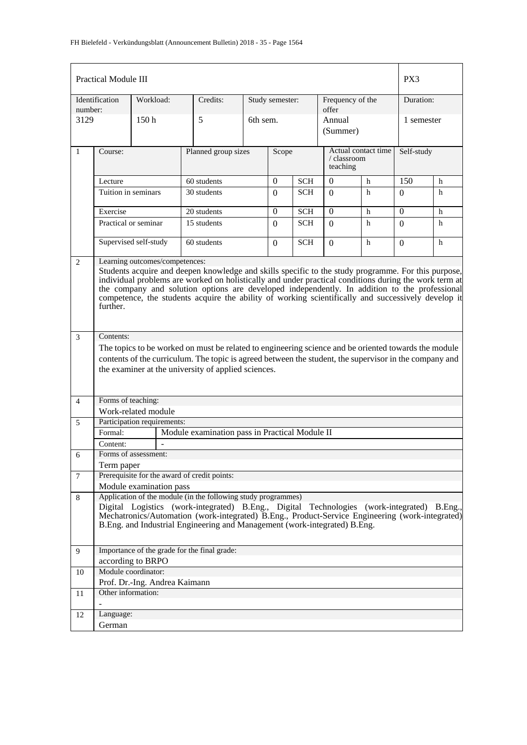|                | <b>Practical Module III</b>                                                                                                                                                                                                                                                                                                                                                                                                                                       |                               |                                                                                                                                                                                                                                                                                                                                             |          |                 |            |                           |                     |            |   |  |  |
|----------------|-------------------------------------------------------------------------------------------------------------------------------------------------------------------------------------------------------------------------------------------------------------------------------------------------------------------------------------------------------------------------------------------------------------------------------------------------------------------|-------------------------------|---------------------------------------------------------------------------------------------------------------------------------------------------------------------------------------------------------------------------------------------------------------------------------------------------------------------------------------------|----------|-----------------|------------|---------------------------|---------------------|------------|---|--|--|
| number:        | Identification                                                                                                                                                                                                                                                                                                                                                                                                                                                    | Workload:                     | Credits:                                                                                                                                                                                                                                                                                                                                    |          | Study semester: |            | Frequency of the<br>offer |                     | Duration:  |   |  |  |
| 3129           |                                                                                                                                                                                                                                                                                                                                                                                                                                                                   | 150 <sub>h</sub>              | 5                                                                                                                                                                                                                                                                                                                                           | 6th sem. |                 |            | Annual<br>(Summer)        |                     | 1 semester |   |  |  |
| $\mathbf{1}$   | Planned group sizes<br>Course:                                                                                                                                                                                                                                                                                                                                                                                                                                    |                               |                                                                                                                                                                                                                                                                                                                                             |          | Scope           |            | / classroom<br>teaching   | Actual contact time | Self-study |   |  |  |
|                | Lecture                                                                                                                                                                                                                                                                                                                                                                                                                                                           |                               | 60 students                                                                                                                                                                                                                                                                                                                                 |          | $\Omega$        | <b>SCH</b> | $\Omega$<br>$h$           |                     | 150        | h |  |  |
|                | Tuition in seminars                                                                                                                                                                                                                                                                                                                                                                                                                                               |                               | 30 students                                                                                                                                                                                                                                                                                                                                 |          | $\Omega$        | SCH        | $\Omega$                  | h                   | 0          | h |  |  |
|                | Exercise                                                                                                                                                                                                                                                                                                                                                                                                                                                          |                               | 20 students                                                                                                                                                                                                                                                                                                                                 |          | $\Omega$        | <b>SCH</b> | $\Omega$                  | h                   | $\Omega$   | h |  |  |
|                | Practical or seminar                                                                                                                                                                                                                                                                                                                                                                                                                                              |                               | 15 students                                                                                                                                                                                                                                                                                                                                 |          | $\Omega$        | <b>SCH</b> | $\Omega$                  | h                   | $\Omega$   | h |  |  |
|                |                                                                                                                                                                                                                                                                                                                                                                                                                                                                   | Supervised self-study         | 60 students                                                                                                                                                                                                                                                                                                                                 |          | $\left($        | <b>SCH</b> | $\Omega$                  | h                   | $\Omega$   | h |  |  |
| $\overline{2}$ | Learning outcomes/competences:<br>Students acquire and deepen knowledge and skills specific to the study programme. For this purpose,<br>individual problems are worked on holistically and under practical conditions during the work term at<br>the company and solution options are developed independently. In addition to the professional<br>competence, the students acquire the ability of working scientifically and successively develop it<br>further. |                               |                                                                                                                                                                                                                                                                                                                                             |          |                 |            |                           |                     |            |   |  |  |
| $\mathfrak{Z}$ | Contents:                                                                                                                                                                                                                                                                                                                                                                                                                                                         |                               |                                                                                                                                                                                                                                                                                                                                             |          |                 |            |                           |                     |            |   |  |  |
|                |                                                                                                                                                                                                                                                                                                                                                                                                                                                                   |                               | The topics to be worked on must be related to engineering science and be oriented towards the module                                                                                                                                                                                                                                        |          |                 |            |                           |                     |            |   |  |  |
|                |                                                                                                                                                                                                                                                                                                                                                                                                                                                                   |                               | contents of the curriculum. The topic is agreed between the student, the supervisor in the company and<br>the examiner at the university of applied sciences.                                                                                                                                                                               |          |                 |            |                           |                     |            |   |  |  |
| $\overline{4}$ | Forms of teaching:                                                                                                                                                                                                                                                                                                                                                                                                                                                |                               |                                                                                                                                                                                                                                                                                                                                             |          |                 |            |                           |                     |            |   |  |  |
|                |                                                                                                                                                                                                                                                                                                                                                                                                                                                                   | Work-related module           |                                                                                                                                                                                                                                                                                                                                             |          |                 |            |                           |                     |            |   |  |  |
| 5              |                                                                                                                                                                                                                                                                                                                                                                                                                                                                   | Participation requirements:   |                                                                                                                                                                                                                                                                                                                                             |          |                 |            |                           |                     |            |   |  |  |
|                | Formal:                                                                                                                                                                                                                                                                                                                                                                                                                                                           |                               | Module examination pass in Practical Module II                                                                                                                                                                                                                                                                                              |          |                 |            |                           |                     |            |   |  |  |
|                | Content:                                                                                                                                                                                                                                                                                                                                                                                                                                                          | Forms of assessment:          |                                                                                                                                                                                                                                                                                                                                             |          |                 |            |                           |                     |            |   |  |  |
| 6              | Term paper                                                                                                                                                                                                                                                                                                                                                                                                                                                        |                               |                                                                                                                                                                                                                                                                                                                                             |          |                 |            |                           |                     |            |   |  |  |
| $\tau$         |                                                                                                                                                                                                                                                                                                                                                                                                                                                                   |                               | Prerequisite for the award of credit points:                                                                                                                                                                                                                                                                                                |          |                 |            |                           |                     |            |   |  |  |
|                |                                                                                                                                                                                                                                                                                                                                                                                                                                                                   | Module examination pass       |                                                                                                                                                                                                                                                                                                                                             |          |                 |            |                           |                     |            |   |  |  |
| 8              |                                                                                                                                                                                                                                                                                                                                                                                                                                                                   |                               | Application of the module (in the following study programmes)<br>Digital Logistics (work-integrated) B.Eng., Digital Technologies (work-integrated) B.Eng.,<br>Mechatronics/Automation (work-integrated) B.Eng., Product-Service Engineering (work-integrated)<br>B.Eng. and Industrial Engineering and Management (work-integrated) B.Eng. |          |                 |            |                           |                     |            |   |  |  |
| 9              |                                                                                                                                                                                                                                                                                                                                                                                                                                                                   |                               | Importance of the grade for the final grade:                                                                                                                                                                                                                                                                                                |          |                 |            |                           |                     |            |   |  |  |
|                |                                                                                                                                                                                                                                                                                                                                                                                                                                                                   | according to BRPO             |                                                                                                                                                                                                                                                                                                                                             |          |                 |            |                           |                     |            |   |  |  |
| 10             |                                                                                                                                                                                                                                                                                                                                                                                                                                                                   | Module coordinator:           |                                                                                                                                                                                                                                                                                                                                             |          |                 |            |                           |                     |            |   |  |  |
| 11             | Other information:                                                                                                                                                                                                                                                                                                                                                                                                                                                | Prof. Dr.-Ing. Andrea Kaimann |                                                                                                                                                                                                                                                                                                                                             |          |                 |            |                           |                     |            |   |  |  |
|                |                                                                                                                                                                                                                                                                                                                                                                                                                                                                   |                               |                                                                                                                                                                                                                                                                                                                                             |          |                 |            |                           |                     |            |   |  |  |
| 12             | Language:                                                                                                                                                                                                                                                                                                                                                                                                                                                         |                               |                                                                                                                                                                                                                                                                                                                                             |          |                 |            |                           |                     |            |   |  |  |
|                | German                                                                                                                                                                                                                                                                                                                                                                                                                                                            |                               |                                                                                                                                                                                                                                                                                                                                             |          |                 |            |                           |                     |            |   |  |  |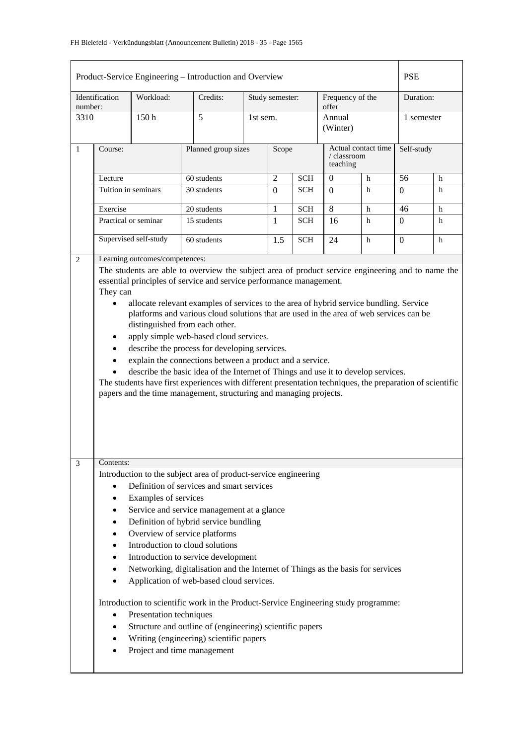|                                                                                                                                                                                                                                                                                                                                                                                                                                                                                                                                                                                                                                                                                                                                                                                                                                                                                                            |                                                                           |                                                 | Product-Service Engineering - Introduction and Overview                                                                                                                                                                                                                                                                                                                                                                                                                                                                                                                                                                                                                    |                 |            |            |                           |                     | <b>PSE</b>     |   |
|------------------------------------------------------------------------------------------------------------------------------------------------------------------------------------------------------------------------------------------------------------------------------------------------------------------------------------------------------------------------------------------------------------------------------------------------------------------------------------------------------------------------------------------------------------------------------------------------------------------------------------------------------------------------------------------------------------------------------------------------------------------------------------------------------------------------------------------------------------------------------------------------------------|---------------------------------------------------------------------------|-------------------------------------------------|----------------------------------------------------------------------------------------------------------------------------------------------------------------------------------------------------------------------------------------------------------------------------------------------------------------------------------------------------------------------------------------------------------------------------------------------------------------------------------------------------------------------------------------------------------------------------------------------------------------------------------------------------------------------------|-----------------|------------|------------|---------------------------|---------------------|----------------|---|
| number:                                                                                                                                                                                                                                                                                                                                                                                                                                                                                                                                                                                                                                                                                                                                                                                                                                                                                                    | Identification                                                            | Workload:                                       | Credits:                                                                                                                                                                                                                                                                                                                                                                                                                                                                                                                                                                                                                                                                   | Study semester: |            |            | Frequency of the<br>offer |                     | Duration:      |   |
| 3310                                                                                                                                                                                                                                                                                                                                                                                                                                                                                                                                                                                                                                                                                                                                                                                                                                                                                                       |                                                                           | 150h                                            | 5                                                                                                                                                                                                                                                                                                                                                                                                                                                                                                                                                                                                                                                                          | 1st sem.        |            |            | Annual<br>(Winter)        |                     | 1 semester     |   |
| $\mathbf{1}$                                                                                                                                                                                                                                                                                                                                                                                                                                                                                                                                                                                                                                                                                                                                                                                                                                                                                               | Course:                                                                   |                                                 | Planned group sizes                                                                                                                                                                                                                                                                                                                                                                                                                                                                                                                                                                                                                                                        |                 | Scope      |            | / classroom<br>teaching   | Actual contact time | Self-study     |   |
|                                                                                                                                                                                                                                                                                                                                                                                                                                                                                                                                                                                                                                                                                                                                                                                                                                                                                                            | Lecture                                                                   |                                                 | 60 students                                                                                                                                                                                                                                                                                                                                                                                                                                                                                                                                                                                                                                                                |                 | $\sqrt{2}$ | <b>SCH</b> | $\overline{0}$            | h                   | 56             | h |
|                                                                                                                                                                                                                                                                                                                                                                                                                                                                                                                                                                                                                                                                                                                                                                                                                                                                                                            | Tuition in seminars                                                       |                                                 | 30 students                                                                                                                                                                                                                                                                                                                                                                                                                                                                                                                                                                                                                                                                |                 | $\Omega$   | <b>SCH</b> | $\Omega$                  | h                   | $\Omega$       | h |
|                                                                                                                                                                                                                                                                                                                                                                                                                                                                                                                                                                                                                                                                                                                                                                                                                                                                                                            | Exercise                                                                  |                                                 | 20 students                                                                                                                                                                                                                                                                                                                                                                                                                                                                                                                                                                                                                                                                |                 | 1          | <b>SCH</b> | 8                         | h                   | 46             | h |
|                                                                                                                                                                                                                                                                                                                                                                                                                                                                                                                                                                                                                                                                                                                                                                                                                                                                                                            |                                                                           | Practical or seminar                            | 15 students                                                                                                                                                                                                                                                                                                                                                                                                                                                                                                                                                                                                                                                                |                 | 1          | <b>SCH</b> | 16                        | h                   | $\Omega$       | h |
|                                                                                                                                                                                                                                                                                                                                                                                                                                                                                                                                                                                                                                                                                                                                                                                                                                                                                                            |                                                                           | Supervised self-study                           | 60 students                                                                                                                                                                                                                                                                                                                                                                                                                                                                                                                                                                                                                                                                |                 | 1.5        | <b>SCH</b> | 24                        | h                   | $\overline{0}$ | h |
| Learning outcomes/competences:<br>2<br>The students are able to overview the subject area of product service engineering and to name the<br>essential principles of service and service performance management.<br>They can<br>allocate relevant examples of services to the area of hybrid service bundling. Service<br>$\bullet$<br>platforms and various cloud solutions that are used in the area of web services can be<br>distinguished from each other.<br>apply simple web-based cloud services.<br>describe the process for developing services.<br>explain the connections between a product and a service.<br>$\bullet$<br>describe the basic idea of the Internet of Things and use it to develop services.<br>The students have first experiences with different presentation techniques, the preparation of scientific<br>papers and the time management, structuring and managing projects. |                                                                           |                                                 |                                                                                                                                                                                                                                                                                                                                                                                                                                                                                                                                                                                                                                                                            |                 |            |            |                           |                     |                |   |
| 3                                                                                                                                                                                                                                                                                                                                                                                                                                                                                                                                                                                                                                                                                                                                                                                                                                                                                                          | Contents:<br>٠<br>٠<br>٠<br>٠<br>$\bullet$<br>٠<br>$\bullet$<br>$\bullet$ | Examples of services<br>Presentation techniques | Introduction to the subject area of product-service engineering<br>Definition of services and smart services<br>Service and service management at a glance<br>Definition of hybrid service bundling<br>Overview of service platforms<br>Introduction to cloud solutions<br>Introduction to service development<br>Networking, digitalisation and the Internet of Things as the basis for services<br>Application of web-based cloud services.<br>Introduction to scientific work in the Product-Service Engineering study programme:<br>Structure and outline of (engineering) scientific papers<br>Writing (engineering) scientific papers<br>Project and time management |                 |            |            |                           |                     |                |   |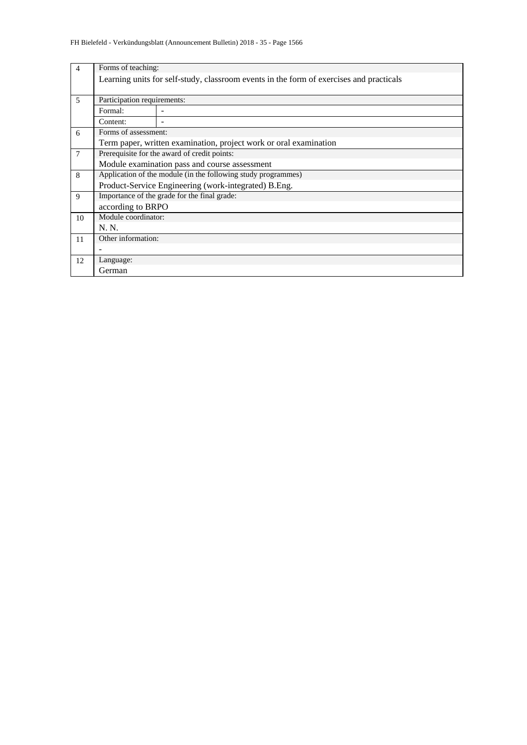| $\overline{4}$ | Forms of teaching:                                            |                                                                                         |  |  |  |  |  |  |  |  |
|----------------|---------------------------------------------------------------|-----------------------------------------------------------------------------------------|--|--|--|--|--|--|--|--|
|                |                                                               | Learning units for self-study, classroom events in the form of exercises and practicals |  |  |  |  |  |  |  |  |
|                |                                                               |                                                                                         |  |  |  |  |  |  |  |  |
| 5              | Participation requirements:                                   |                                                                                         |  |  |  |  |  |  |  |  |
|                | Formal:                                                       |                                                                                         |  |  |  |  |  |  |  |  |
|                | Content:                                                      |                                                                                         |  |  |  |  |  |  |  |  |
| 6              | Forms of assessment:                                          |                                                                                         |  |  |  |  |  |  |  |  |
|                |                                                               | Term paper, written examination, project work or oral examination                       |  |  |  |  |  |  |  |  |
| 7              |                                                               | Prerequisite for the award of credit points:                                            |  |  |  |  |  |  |  |  |
|                |                                                               | Module examination pass and course assessment                                           |  |  |  |  |  |  |  |  |
| 8              | Application of the module (in the following study programmes) |                                                                                         |  |  |  |  |  |  |  |  |
|                |                                                               | Product-Service Engineering (work-integrated) B.Eng.                                    |  |  |  |  |  |  |  |  |
| 9              |                                                               | Importance of the grade for the final grade:                                            |  |  |  |  |  |  |  |  |
|                | according to BRPO                                             |                                                                                         |  |  |  |  |  |  |  |  |
| 10             | Module coordinator:                                           |                                                                                         |  |  |  |  |  |  |  |  |
|                | N. N.                                                         |                                                                                         |  |  |  |  |  |  |  |  |
| 11             | Other information:                                            |                                                                                         |  |  |  |  |  |  |  |  |
|                |                                                               |                                                                                         |  |  |  |  |  |  |  |  |
| 12             | Language:                                                     |                                                                                         |  |  |  |  |  |  |  |  |
|                | German                                                        |                                                                                         |  |  |  |  |  |  |  |  |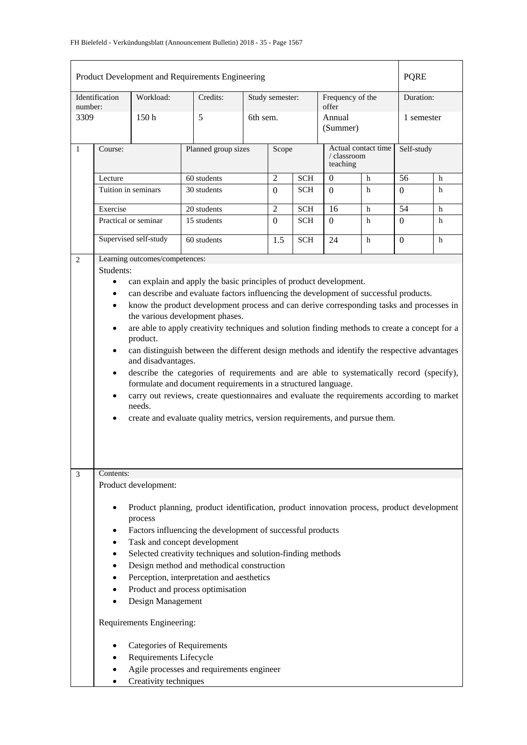| Product Development and Requirements Engineering<br><b>PQRE</b><br>Identification<br>Study semester:                                                                                                                                                                                                                                                                                                                                                                                                                                                                                                                                                                                  |                                                                                                                                                                                                                                                                                                                                                                                                                                                                                                                                                                                                                                                                                                                                                                                                                                                                                                                                                                                                                     |                      |                     |          |                |                         |                           |            |                  |   |
|---------------------------------------------------------------------------------------------------------------------------------------------------------------------------------------------------------------------------------------------------------------------------------------------------------------------------------------------------------------------------------------------------------------------------------------------------------------------------------------------------------------------------------------------------------------------------------------------------------------------------------------------------------------------------------------|---------------------------------------------------------------------------------------------------------------------------------------------------------------------------------------------------------------------------------------------------------------------------------------------------------------------------------------------------------------------------------------------------------------------------------------------------------------------------------------------------------------------------------------------------------------------------------------------------------------------------------------------------------------------------------------------------------------------------------------------------------------------------------------------------------------------------------------------------------------------------------------------------------------------------------------------------------------------------------------------------------------------|----------------------|---------------------|----------|----------------|-------------------------|---------------------------|------------|------------------|---|
| number:                                                                                                                                                                                                                                                                                                                                                                                                                                                                                                                                                                                                                                                                               |                                                                                                                                                                                                                                                                                                                                                                                                                                                                                                                                                                                                                                                                                                                                                                                                                                                                                                                                                                                                                     | Workload:            | Credits:            |          |                |                         | Frequency of the<br>offer |            | Duration:        |   |
| 3309                                                                                                                                                                                                                                                                                                                                                                                                                                                                                                                                                                                                                                                                                  |                                                                                                                                                                                                                                                                                                                                                                                                                                                                                                                                                                                                                                                                                                                                                                                                                                                                                                                                                                                                                     | 150 <sub>h</sub>     | 5                   | 6th sem. |                |                         | Annual<br>(Summer)        |            | 1 semester       |   |
| $\mathbf{1}$                                                                                                                                                                                                                                                                                                                                                                                                                                                                                                                                                                                                                                                                          | Course:                                                                                                                                                                                                                                                                                                                                                                                                                                                                                                                                                                                                                                                                                                                                                                                                                                                                                                                                                                                                             |                      | Planned group sizes | Scope    |                | / classroom<br>teaching | Actual contact time       | Self-study |                  |   |
|                                                                                                                                                                                                                                                                                                                                                                                                                                                                                                                                                                                                                                                                                       | Lecture                                                                                                                                                                                                                                                                                                                                                                                                                                                                                                                                                                                                                                                                                                                                                                                                                                                                                                                                                                                                             |                      | 60 students         |          | $\overline{2}$ | <b>SCH</b>              | $\mathbf{0}$              | h          | 56               | h |
|                                                                                                                                                                                                                                                                                                                                                                                                                                                                                                                                                                                                                                                                                       |                                                                                                                                                                                                                                                                                                                                                                                                                                                                                                                                                                                                                                                                                                                                                                                                                                                                                                                                                                                                                     | Tuition in seminars  | 30 students         |          | $\Omega$       | <b>SCH</b>              | $\Omega$                  | h          | $\Omega$         | h |
|                                                                                                                                                                                                                                                                                                                                                                                                                                                                                                                                                                                                                                                                                       | Exercise                                                                                                                                                                                                                                                                                                                                                                                                                                                                                                                                                                                                                                                                                                                                                                                                                                                                                                                                                                                                            |                      | 20 students         |          | $\overline{2}$ | <b>SCH</b>              | 16                        | h          | 54               | h |
|                                                                                                                                                                                                                                                                                                                                                                                                                                                                                                                                                                                                                                                                                       |                                                                                                                                                                                                                                                                                                                                                                                                                                                                                                                                                                                                                                                                                                                                                                                                                                                                                                                                                                                                                     | Practical or seminar | 15 students         |          | $\Omega$       | <b>SCH</b>              | $\Omega$                  | h          | $\boldsymbol{0}$ | h |
|                                                                                                                                                                                                                                                                                                                                                                                                                                                                                                                                                                                                                                                                                       | Supervised self-study                                                                                                                                                                                                                                                                                                                                                                                                                                                                                                                                                                                                                                                                                                                                                                                                                                                                                                                                                                                               |                      | 60 students         |          | 1.5            | <b>SCH</b>              | 24                        | h          | $\Omega$         | h |
| 2                                                                                                                                                                                                                                                                                                                                                                                                                                                                                                                                                                                                                                                                                     | Learning outcomes/competences:<br>Students:<br>can explain and apply the basic principles of product development.<br>$\bullet$<br>can describe and evaluate factors influencing the development of successful products.<br>٠<br>know the product development process and can derive corresponding tasks and processes in<br>$\bullet$<br>the various development phases.<br>are able to apply creativity techniques and solution finding methods to create a concept for a<br>$\bullet$<br>product.<br>can distinguish between the different design methods and identify the respective advantages<br>$\bullet$<br>and disadvantages.<br>describe the categories of requirements and are able to systematically record (specify),<br>$\bullet$<br>formulate and document requirements in a structured language.<br>carry out reviews, create questionnaires and evaluate the requirements according to market<br>$\bullet$<br>needs.<br>create and evaluate quality metrics, version requirements, and pursue them. |                      |                     |          |                |                         |                           |            |                  |   |
| Contents:<br>3<br>Product development:<br>Product planning, product identification, product innovation process, product development<br>$\bullet$<br>process<br>Factors influencing the development of successful products<br>٠<br>Task and concept development<br>٠<br>Selected creativity techniques and solution-finding methods<br>٠<br>Design method and methodical construction<br>٠<br>Perception, interpretation and aesthetics<br>٠<br>Product and process optimisation<br>٠<br>Design Management<br>Requirements Engineering:<br><b>Categories of Requirements</b><br>٠<br>Requirements Lifecycle<br>٠<br>Agile processes and requirements engineer<br>Creativity techniques |                                                                                                                                                                                                                                                                                                                                                                                                                                                                                                                                                                                                                                                                                                                                                                                                                                                                                                                                                                                                                     |                      |                     |          |                |                         |                           |            |                  |   |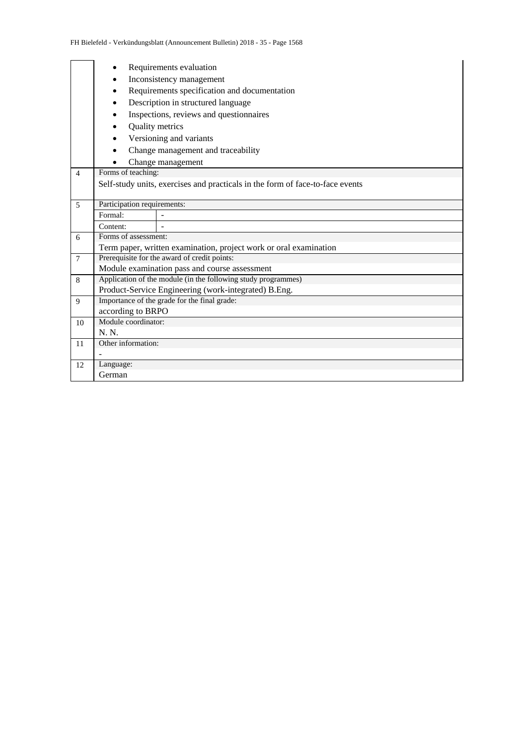|                |                             | Requirements evaluation                                                       |  |  |  |  |  |  |  |  |  |
|----------------|-----------------------------|-------------------------------------------------------------------------------|--|--|--|--|--|--|--|--|--|
|                |                             | Inconsistency management                                                      |  |  |  |  |  |  |  |  |  |
|                |                             | Requirements specification and documentation                                  |  |  |  |  |  |  |  |  |  |
|                |                             | Description in structured language                                            |  |  |  |  |  |  |  |  |  |
|                |                             | Inspections, reviews and questionnaires                                       |  |  |  |  |  |  |  |  |  |
|                | Quality metrics             |                                                                               |  |  |  |  |  |  |  |  |  |
|                |                             | Versioning and variants                                                       |  |  |  |  |  |  |  |  |  |
|                |                             | Change management and traceability                                            |  |  |  |  |  |  |  |  |  |
|                |                             | Change management                                                             |  |  |  |  |  |  |  |  |  |
| $\overline{4}$ | Forms of teaching:          |                                                                               |  |  |  |  |  |  |  |  |  |
|                |                             | Self-study units, exercises and practicals in the form of face-to-face events |  |  |  |  |  |  |  |  |  |
|                |                             |                                                                               |  |  |  |  |  |  |  |  |  |
| 5              | Participation requirements: |                                                                               |  |  |  |  |  |  |  |  |  |
|                | Formal:                     |                                                                               |  |  |  |  |  |  |  |  |  |
|                | Content:                    |                                                                               |  |  |  |  |  |  |  |  |  |
| 6              | Forms of assessment:        |                                                                               |  |  |  |  |  |  |  |  |  |
|                |                             | Term paper, written examination, project work or oral examination             |  |  |  |  |  |  |  |  |  |
| $\overline{7}$ |                             | Prerequisite for the award of credit points:                                  |  |  |  |  |  |  |  |  |  |
|                |                             | Module examination pass and course assessment                                 |  |  |  |  |  |  |  |  |  |
| 8              |                             | Application of the module (in the following study programmes)                 |  |  |  |  |  |  |  |  |  |
|                |                             | Product-Service Engineering (work-integrated) B.Eng.                          |  |  |  |  |  |  |  |  |  |
| 9              | according to BRPO           | Importance of the grade for the final grade:                                  |  |  |  |  |  |  |  |  |  |
| 10             | Module coordinator:         |                                                                               |  |  |  |  |  |  |  |  |  |
|                | N. N.                       |                                                                               |  |  |  |  |  |  |  |  |  |
| 11             | Other information:          |                                                                               |  |  |  |  |  |  |  |  |  |
|                |                             |                                                                               |  |  |  |  |  |  |  |  |  |
| 12             | Language:                   |                                                                               |  |  |  |  |  |  |  |  |  |
|                | German                      |                                                                               |  |  |  |  |  |  |  |  |  |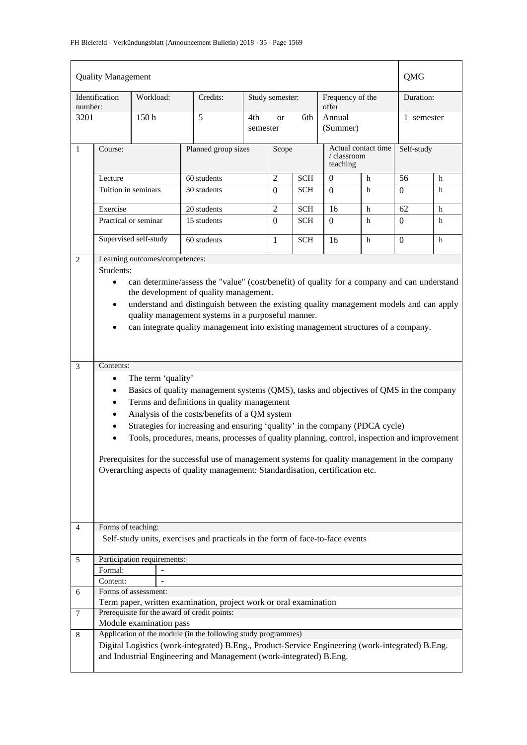| <b>Quality Management</b> | QMG                                                               |                                |                                                                                                  |                     |                 |            |                                                |   |                |   |
|---------------------------|-------------------------------------------------------------------|--------------------------------|--------------------------------------------------------------------------------------------------|---------------------|-----------------|------------|------------------------------------------------|---|----------------|---|
|                           | Identification                                                    | Workload:                      | Credits:                                                                                         |                     | Study semester: |            | Frequency of the<br>offer                      |   | Duration:      |   |
| number:<br>3201           |                                                                   | 150h                           | 5                                                                                                | 4th<br>semester     | <sub>or</sub>   | 6th        | Annual<br>(Summer)                             |   | 1 semester     |   |
| $\mathbf{1}$              | Course:                                                           |                                |                                                                                                  | Planned group sizes |                 |            | Actual contact time<br>/ classroom<br>teaching |   | Self-study     |   |
|                           | Lecture                                                           |                                | 60 students                                                                                      |                     |                 |            | $\Omega$                                       | h | 56             | h |
|                           | Tuition in seminars                                               |                                | 30 students                                                                                      |                     | $\Omega$        | <b>SCH</b> | $\Omega$                                       | h | $\Omega$       | h |
|                           | Exercise                                                          |                                | 20 students                                                                                      |                     | $\overline{c}$  | <b>SCH</b> | 16                                             | h | 62             | h |
|                           |                                                                   | Practical or seminar           | 15 students                                                                                      |                     | $\Omega$        | <b>SCH</b> | $\Omega$                                       | h | $\overline{0}$ | h |
|                           |                                                                   | Supervised self-study          | 60 students                                                                                      |                     | $\mathbf{1}$    | <b>SCH</b> | 16                                             | h | $\Omega$       | h |
| 2                         |                                                                   | Learning outcomes/competences: |                                                                                                  |                     |                 |            |                                                |   |                |   |
|                           | Students:                                                         |                                |                                                                                                  |                     |                 |            |                                                |   |                |   |
|                           | $\bullet$                                                         |                                | can determine/assess the "value" (cost/benefit) of quality for a company and can understand      |                     |                 |            |                                                |   |                |   |
|                           |                                                                   |                                | the development of quality management.                                                           |                     |                 |            |                                                |   |                |   |
|                           | $\bullet$                                                         |                                | understand and distinguish between the existing quality management models and can apply          |                     |                 |            |                                                |   |                |   |
|                           | quality management systems in a purposeful manner.                |                                |                                                                                                  |                     |                 |            |                                                |   |                |   |
|                           | $\bullet$                                                         |                                | can integrate quality management into existing management structures of a company.               |                     |                 |            |                                                |   |                |   |
|                           |                                                                   |                                |                                                                                                  |                     |                 |            |                                                |   |                |   |
|                           |                                                                   |                                |                                                                                                  |                     |                 |            |                                                |   |                |   |
| 3                         | Contents:                                                         |                                |                                                                                                  |                     |                 |            |                                                |   |                |   |
|                           | $\bullet$                                                         | The term 'quality'             |                                                                                                  |                     |                 |            |                                                |   |                |   |
|                           | $\bullet$                                                         |                                | Basics of quality management systems (QMS), tasks and objectives of QMS in the company           |                     |                 |            |                                                |   |                |   |
|                           | $\bullet$                                                         |                                | Terms and definitions in quality management                                                      |                     |                 |            |                                                |   |                |   |
|                           | $\bullet$                                                         |                                | Analysis of the costs/benefits of a QM system                                                    |                     |                 |            |                                                |   |                |   |
|                           |                                                                   |                                | Strategies for increasing and ensuring 'quality' in the company (PDCA cycle)                     |                     |                 |            |                                                |   |                |   |
|                           |                                                                   |                                | Tools, procedures, means, processes of quality planning, control, inspection and improvement     |                     |                 |            |                                                |   |                |   |
|                           |                                                                   |                                | Prerequisites for the successful use of management systems for quality management in the company |                     |                 |            |                                                |   |                |   |
|                           |                                                                   |                                | Overarching aspects of quality management: Standardisation, certification etc.                   |                     |                 |            |                                                |   |                |   |
|                           |                                                                   |                                |                                                                                                  |                     |                 |            |                                                |   |                |   |
|                           |                                                                   |                                |                                                                                                  |                     |                 |            |                                                |   |                |   |
|                           |                                                                   |                                |                                                                                                  |                     |                 |            |                                                |   |                |   |
|                           |                                                                   |                                |                                                                                                  |                     |                 |            |                                                |   |                |   |
| $\overline{4}$            | Forms of teaching:                                                |                                |                                                                                                  |                     |                 |            |                                                |   |                |   |
|                           |                                                                   |                                | Self-study units, exercises and practicals in the form of face-to-face events                    |                     |                 |            |                                                |   |                |   |
| 5                         |                                                                   | Participation requirements:    |                                                                                                  |                     |                 |            |                                                |   |                |   |
|                           | Formal:                                                           |                                |                                                                                                  |                     |                 |            |                                                |   |                |   |
|                           | Content:                                                          |                                |                                                                                                  |                     |                 |            |                                                |   |                |   |
| 6                         |                                                                   | Forms of assessment:           |                                                                                                  |                     |                 |            |                                                |   |                |   |
|                           | Term paper, written examination, project work or oral examination |                                |                                                                                                  |                     |                 |            |                                                |   |                |   |
| 7                         |                                                                   |                                | Prerequisite for the award of credit points:                                                     |                     |                 |            |                                                |   |                |   |
|                           |                                                                   | Module examination pass        |                                                                                                  |                     |                 |            |                                                |   |                |   |
| 8                         |                                                                   |                                | Application of the module (in the following study programmes)                                    |                     |                 |            |                                                |   |                |   |
|                           |                                                                   |                                | Digital Logistics (work-integrated) B.Eng., Product-Service Engineering (work-integrated) B.Eng. |                     |                 |            |                                                |   |                |   |
|                           |                                                                   |                                | and Industrial Engineering and Management (work-integrated) B.Eng.                               |                     |                 |            |                                                |   |                |   |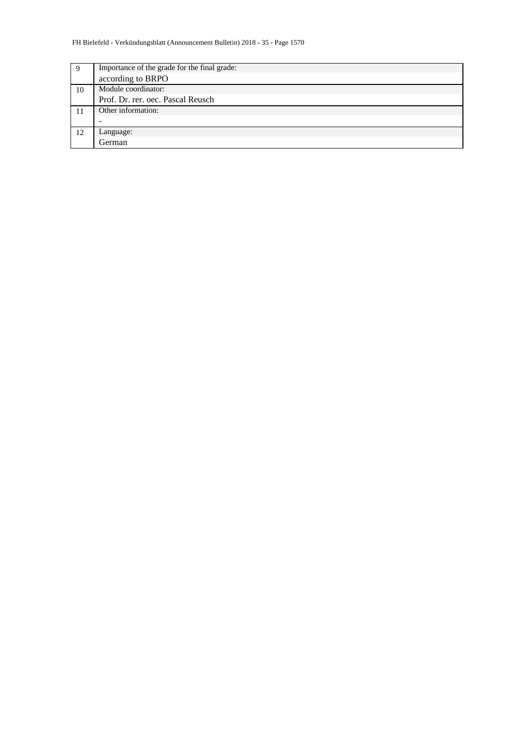| 9  | Importance of the grade for the final grade: |
|----|----------------------------------------------|
|    | according to BRPO                            |
| 10 | Module coordinator:                          |
|    | Prof. Dr. rer. oec. Pascal Reusch            |
| 11 | Other information:                           |
|    |                                              |
| 12 | Language:                                    |
|    | German                                       |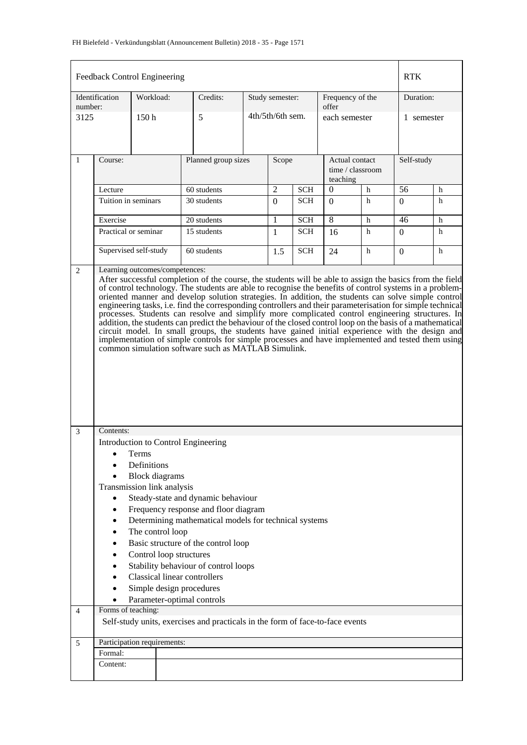|                | Feedback Control Engineering                                                                                                                                                                                                                                                                                                                                                                                                                                                                                                                                                                                                                                                                                                                                                                                                                                                                                              |                                     |  |                                                                               |          |                  |            |                            |                  |            |   |  |  |
|----------------|---------------------------------------------------------------------------------------------------------------------------------------------------------------------------------------------------------------------------------------------------------------------------------------------------------------------------------------------------------------------------------------------------------------------------------------------------------------------------------------------------------------------------------------------------------------------------------------------------------------------------------------------------------------------------------------------------------------------------------------------------------------------------------------------------------------------------------------------------------------------------------------------------------------------------|-------------------------------------|--|-------------------------------------------------------------------------------|----------|------------------|------------|----------------------------|------------------|------------|---|--|--|
| number:        | Identification                                                                                                                                                                                                                                                                                                                                                                                                                                                                                                                                                                                                                                                                                                                                                                                                                                                                                                            | Workload:                           |  | Credits:                                                                      |          | Study semester:  |            | Frequency of the<br>offer  |                  | Duration:  |   |  |  |
| 3125           |                                                                                                                                                                                                                                                                                                                                                                                                                                                                                                                                                                                                                                                                                                                                                                                                                                                                                                                           | 150 <sub>h</sub>                    |  | 5                                                                             |          | 4th/5th/6th sem. |            | each semester              |                  | 1 semester |   |  |  |
| $\mathbf{1}$   | Course:                                                                                                                                                                                                                                                                                                                                                                                                                                                                                                                                                                                                                                                                                                                                                                                                                                                                                                                   |                                     |  | Planned group sizes                                                           |          | Scope            |            | Actual contact<br>teaching | time / classroom | Self-study |   |  |  |
|                | Lecture                                                                                                                                                                                                                                                                                                                                                                                                                                                                                                                                                                                                                                                                                                                                                                                                                                                                                                                   |                                     |  | 60 students                                                                   |          | 2                | <b>SCH</b> | $\Omega$                   | h                | 56         | h |  |  |
|                |                                                                                                                                                                                                                                                                                                                                                                                                                                                                                                                                                                                                                                                                                                                                                                                                                                                                                                                           | Tuition in seminars<br>30 students  |  |                                                                               | $\Omega$ | <b>SCH</b>       | $\Omega$   | h                          | 0                | h          |   |  |  |
|                | Exercise                                                                                                                                                                                                                                                                                                                                                                                                                                                                                                                                                                                                                                                                                                                                                                                                                                                                                                                  |                                     |  | 20 students                                                                   |          | 1                | <b>SCH</b> | 8                          | h                | 46         | h |  |  |
|                | Practical or seminar                                                                                                                                                                                                                                                                                                                                                                                                                                                                                                                                                                                                                                                                                                                                                                                                                                                                                                      |                                     |  | 15 students                                                                   |          | 1                | <b>SCH</b> | 16                         | h                | 0          | h |  |  |
|                | Supervised self-study                                                                                                                                                                                                                                                                                                                                                                                                                                                                                                                                                                                                                                                                                                                                                                                                                                                                                                     |                                     |  | 60 students                                                                   |          | 1.5              | <b>SCH</b> | 24                         | h                | $\Omega$   | h |  |  |
|                | After successful completion of the course, the students will be able to assign the basics from the field<br>of control technology. The students are able to recognise the benefits of control systems in a problem-<br>oriented manner and develop solution strategies. In addition, the students can solve simple control<br>engineering tasks, i.e. find the corresponding controllers and their parameterisation for simple technical<br>processes. Students can resolve and simplify more complicated control engineering structures. In<br>addition, the students can predict the behaviour of the closed control loop on the basis of a mathematical<br>circuit model. In small groups, the students have gained initial experience with the design and<br>implementation of simple controls for simple processes and have implemented and tested them using<br>common simulation software such as MATLAB Simulink. |                                     |  |                                                                               |          |                  |            |                            |                  |            |   |  |  |
| $\mathfrak{Z}$ | Contents:                                                                                                                                                                                                                                                                                                                                                                                                                                                                                                                                                                                                                                                                                                                                                                                                                                                                                                                 |                                     |  |                                                                               |          |                  |            |                            |                  |            |   |  |  |
|                |                                                                                                                                                                                                                                                                                                                                                                                                                                                                                                                                                                                                                                                                                                                                                                                                                                                                                                                           |                                     |  | Introduction to Control Engineering                                           |          |                  |            |                            |                  |            |   |  |  |
|                |                                                                                                                                                                                                                                                                                                                                                                                                                                                                                                                                                                                                                                                                                                                                                                                                                                                                                                                           | Terms                               |  |                                                                               |          |                  |            |                            |                  |            |   |  |  |
|                |                                                                                                                                                                                                                                                                                                                                                                                                                                                                                                                                                                                                                                                                                                                                                                                                                                                                                                                           | Definitions                         |  |                                                                               |          |                  |            |                            |                  |            |   |  |  |
|                | Transmission link analysis                                                                                                                                                                                                                                                                                                                                                                                                                                                                                                                                                                                                                                                                                                                                                                                                                                                                                                | <b>Block</b> diagrams               |  |                                                                               |          |                  |            |                            |                  |            |   |  |  |
|                | $\bullet$                                                                                                                                                                                                                                                                                                                                                                                                                                                                                                                                                                                                                                                                                                                                                                                                                                                                                                                 |                                     |  | Steady-state and dynamic behaviour                                            |          |                  |            |                            |                  |            |   |  |  |
|                | $\bullet$                                                                                                                                                                                                                                                                                                                                                                                                                                                                                                                                                                                                                                                                                                                                                                                                                                                                                                                 |                                     |  | Frequency response and floor diagram                                          |          |                  |            |                            |                  |            |   |  |  |
|                | $\bullet$                                                                                                                                                                                                                                                                                                                                                                                                                                                                                                                                                                                                                                                                                                                                                                                                                                                                                                                 |                                     |  | Determining mathematical models for technical systems                         |          |                  |            |                            |                  |            |   |  |  |
|                |                                                                                                                                                                                                                                                                                                                                                                                                                                                                                                                                                                                                                                                                                                                                                                                                                                                                                                                           | The control loop                    |  |                                                                               |          |                  |            |                            |                  |            |   |  |  |
|                |                                                                                                                                                                                                                                                                                                                                                                                                                                                                                                                                                                                                                                                                                                                                                                                                                                                                                                                           |                                     |  | Basic structure of the control loop                                           |          |                  |            |                            |                  |            |   |  |  |
|                |                                                                                                                                                                                                                                                                                                                                                                                                                                                                                                                                                                                                                                                                                                                                                                                                                                                                                                                           | Control loop structures             |  | Stability behaviour of control loops                                          |          |                  |            |                            |                  |            |   |  |  |
|                |                                                                                                                                                                                                                                                                                                                                                                                                                                                                                                                                                                                                                                                                                                                                                                                                                                                                                                                           | <b>Classical linear controllers</b> |  |                                                                               |          |                  |            |                            |                  |            |   |  |  |
|                |                                                                                                                                                                                                                                                                                                                                                                                                                                                                                                                                                                                                                                                                                                                                                                                                                                                                                                                           | Simple design procedures            |  |                                                                               |          |                  |            |                            |                  |            |   |  |  |
|                |                                                                                                                                                                                                                                                                                                                                                                                                                                                                                                                                                                                                                                                                                                                                                                                                                                                                                                                           |                                     |  | Parameter-optimal controls                                                    |          |                  |            |                            |                  |            |   |  |  |
| 4              | Forms of teaching:                                                                                                                                                                                                                                                                                                                                                                                                                                                                                                                                                                                                                                                                                                                                                                                                                                                                                                        |                                     |  |                                                                               |          |                  |            |                            |                  |            |   |  |  |
|                |                                                                                                                                                                                                                                                                                                                                                                                                                                                                                                                                                                                                                                                                                                                                                                                                                                                                                                                           |                                     |  | Self-study units, exercises and practicals in the form of face-to-face events |          |                  |            |                            |                  |            |   |  |  |
| 5              | Participation requirements:                                                                                                                                                                                                                                                                                                                                                                                                                                                                                                                                                                                                                                                                                                                                                                                                                                                                                               |                                     |  |                                                                               |          |                  |            |                            |                  |            |   |  |  |
|                | Formal:<br>Content:                                                                                                                                                                                                                                                                                                                                                                                                                                                                                                                                                                                                                                                                                                                                                                                                                                                                                                       |                                     |  |                                                                               |          |                  |            |                            |                  |            |   |  |  |
|                |                                                                                                                                                                                                                                                                                                                                                                                                                                                                                                                                                                                                                                                                                                                                                                                                                                                                                                                           |                                     |  |                                                                               |          |                  |            |                            |                  |            |   |  |  |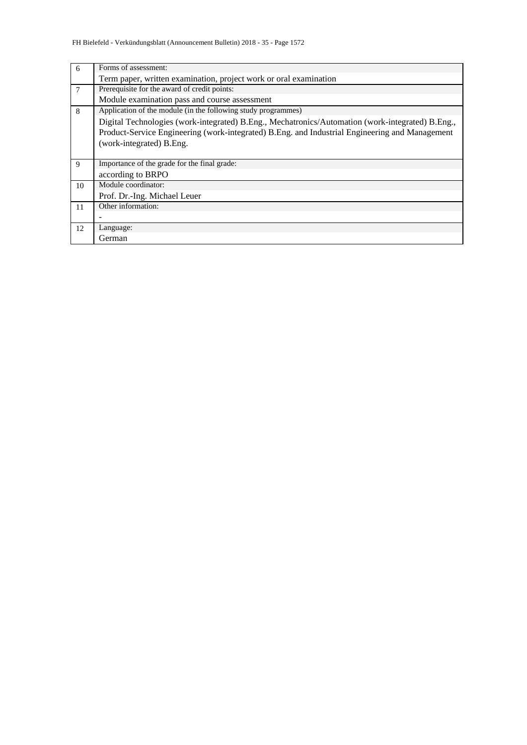| 6              | Forms of assessment:                                                                             |
|----------------|--------------------------------------------------------------------------------------------------|
|                | Term paper, written examination, project work or oral examination                                |
| $\overline{7}$ | Prerequisite for the award of credit points:                                                     |
|                | Module examination pass and course assessment                                                    |
| 8              | Application of the module (in the following study programmes)                                    |
|                | Digital Technologies (work-integrated) B.Eng., Mechatronics/Automation (work-integrated) B.Eng., |
|                | Product-Service Engineering (work-integrated) B.Eng. and Industrial Engineering and Management   |
|                | (work-integrated) B.Eng.                                                                         |
|                |                                                                                                  |
| 9              | Importance of the grade for the final grade:                                                     |
|                | according to BRPO                                                                                |
| 10             | Module coordinator:                                                                              |
|                | Prof. Dr.-Ing. Michael Leuer                                                                     |
| 11             | Other information:                                                                               |
|                |                                                                                                  |
| 12             | Language:                                                                                        |
|                | German                                                                                           |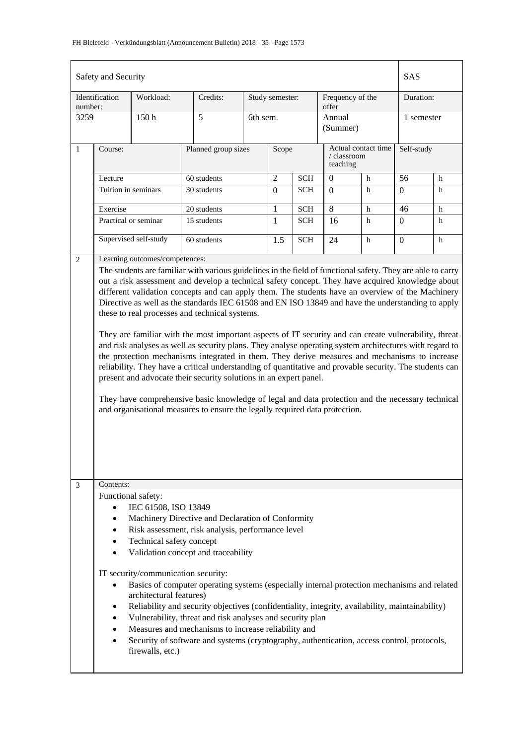|                                                                                                                                                                                                                                                                                                                                                                                                                                                                                                                                                                                                                                                                                                                                                                                                                                                                                                                                                 | Safety and Security |                                |                     |          |                 |            |                                                |   | <b>SAS</b>     |   |
|-------------------------------------------------------------------------------------------------------------------------------------------------------------------------------------------------------------------------------------------------------------------------------------------------------------------------------------------------------------------------------------------------------------------------------------------------------------------------------------------------------------------------------------------------------------------------------------------------------------------------------------------------------------------------------------------------------------------------------------------------------------------------------------------------------------------------------------------------------------------------------------------------------------------------------------------------|---------------------|--------------------------------|---------------------|----------|-----------------|------------|------------------------------------------------|---|----------------|---|
| number:                                                                                                                                                                                                                                                                                                                                                                                                                                                                                                                                                                                                                                                                                                                                                                                                                                                                                                                                         | Identification      | Workload:                      | Credits:            |          | Study semester: |            | Frequency of the<br>offer                      |   | Duration:      |   |
| 3259                                                                                                                                                                                                                                                                                                                                                                                                                                                                                                                                                                                                                                                                                                                                                                                                                                                                                                                                            |                     | 150h                           | 5                   | 6th sem. |                 |            | Annual<br>(Summer)                             |   | 1 semester     |   |
| $\mathbf{1}$                                                                                                                                                                                                                                                                                                                                                                                                                                                                                                                                                                                                                                                                                                                                                                                                                                                                                                                                    | Course:             |                                | Planned group sizes |          | Scope           |            | Actual contact time<br>/ classroom<br>teaching |   | Self-study     |   |
|                                                                                                                                                                                                                                                                                                                                                                                                                                                                                                                                                                                                                                                                                                                                                                                                                                                                                                                                                 | Lecture             |                                | 60 students         |          | $\overline{c}$  | <b>SCH</b> | $\theta$<br>h                                  |   | 56             | h |
|                                                                                                                                                                                                                                                                                                                                                                                                                                                                                                                                                                                                                                                                                                                                                                                                                                                                                                                                                 | Tuition in seminars |                                | 30 students         |          | $\Omega$        | <b>SCH</b> | $\Omega$                                       | h | $\Omega$       | h |
|                                                                                                                                                                                                                                                                                                                                                                                                                                                                                                                                                                                                                                                                                                                                                                                                                                                                                                                                                 | Exercise            |                                | 20 students         |          | 1               | <b>SCH</b> | $\overline{8}$                                 | h | 46             | h |
|                                                                                                                                                                                                                                                                                                                                                                                                                                                                                                                                                                                                                                                                                                                                                                                                                                                                                                                                                 |                     | Practical or seminar           | 15 students         |          | $\mathbf{1}$    | <b>SCH</b> | 16                                             | h | $\overline{0}$ | h |
|                                                                                                                                                                                                                                                                                                                                                                                                                                                                                                                                                                                                                                                                                                                                                                                                                                                                                                                                                 |                     | Supervised self-study          | 60 students         |          | 1.5             | <b>SCH</b> | 24                                             | h | $\overline{0}$ | h |
| 2                                                                                                                                                                                                                                                                                                                                                                                                                                                                                                                                                                                                                                                                                                                                                                                                                                                                                                                                               |                     | Learning outcomes/competences: |                     |          |                 |            |                                                |   |                |   |
| different validation concepts and can apply them. The students have an overview of the Machinery<br>Directive as well as the standards IEC 61508 and EN ISO 13849 and have the understanding to apply<br>these to real processes and technical systems.<br>They are familiar with the most important aspects of IT security and can create vulnerability, threat<br>and risk analyses as well as security plans. They analyse operating system architectures with regard to<br>the protection mechanisms integrated in them. They derive measures and mechanisms to increase<br>reliability. They have a critical understanding of quantitative and provable security. The students can<br>present and advocate their security solutions in an expert panel.<br>They have comprehensive basic knowledge of legal and data protection and the necessary technical<br>and organisational measures to ensure the legally required data protection. |                     |                                |                     |          |                 |            |                                                |   |                |   |
| Contents:<br>3<br>Functional safety:<br>IEC 61508, ISO 13849<br>$\bullet$<br>Machinery Directive and Declaration of Conformity<br>Risk assessment, risk analysis, performance level<br>٠<br>Technical safety concept<br>$\bullet$<br>Validation concept and traceability<br>IT security/communication security:<br>Basics of computer operating systems (especially internal protection mechanisms and related<br>$\bullet$<br>architectural features)<br>Reliability and security objectives (confidentiality, integrity, availability, maintainability)<br>٠<br>Vulnerability, threat and risk analyses and security plan<br>٠<br>Measures and mechanisms to increase reliability and<br>Security of software and systems (cryptography, authentication, access control, protocols,<br>firewalls, etc.)                                                                                                                                       |                     |                                |                     |          |                 |            |                                                |   |                |   |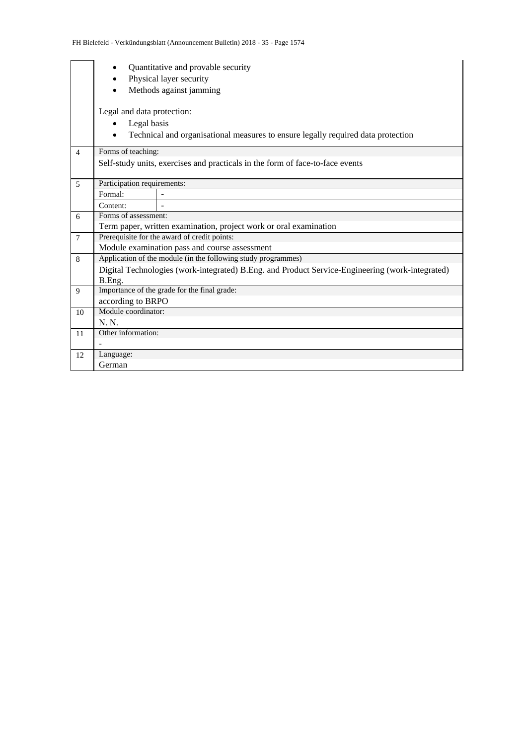|                | Quantitative and provable security<br>Physical layer security                                   |  |  |  |  |  |  |  |  |  |  |
|----------------|-------------------------------------------------------------------------------------------------|--|--|--|--|--|--|--|--|--|--|
|                | Methods against jamming                                                                         |  |  |  |  |  |  |  |  |  |  |
|                | Legal and data protection:                                                                      |  |  |  |  |  |  |  |  |  |  |
|                | Legal basis                                                                                     |  |  |  |  |  |  |  |  |  |  |
|                | Technical and organisational measures to ensure legally required data protection                |  |  |  |  |  |  |  |  |  |  |
| $\overline{4}$ | Forms of teaching:                                                                              |  |  |  |  |  |  |  |  |  |  |
|                | Self-study units, exercises and practicals in the form of face-to-face events                   |  |  |  |  |  |  |  |  |  |  |
| 5              | Participation requirements:                                                                     |  |  |  |  |  |  |  |  |  |  |
|                | Formal:                                                                                         |  |  |  |  |  |  |  |  |  |  |
|                | Content:                                                                                        |  |  |  |  |  |  |  |  |  |  |
| 6              | Forms of assessment:                                                                            |  |  |  |  |  |  |  |  |  |  |
|                | Term paper, written examination, project work or oral examination                               |  |  |  |  |  |  |  |  |  |  |
| $\overline{7}$ | Prerequisite for the award of credit points:                                                    |  |  |  |  |  |  |  |  |  |  |
|                | Module examination pass and course assessment                                                   |  |  |  |  |  |  |  |  |  |  |
| 8              | Application of the module (in the following study programmes)                                   |  |  |  |  |  |  |  |  |  |  |
|                | Digital Technologies (work-integrated) B.Eng. and Product Service-Engineering (work-integrated) |  |  |  |  |  |  |  |  |  |  |
|                | B.Eng.                                                                                          |  |  |  |  |  |  |  |  |  |  |
| 9              | Importance of the grade for the final grade:                                                    |  |  |  |  |  |  |  |  |  |  |
|                | according to BRPO                                                                               |  |  |  |  |  |  |  |  |  |  |
| 10             | Module coordinator:                                                                             |  |  |  |  |  |  |  |  |  |  |
|                | N. N.                                                                                           |  |  |  |  |  |  |  |  |  |  |
| 11             | Other information:                                                                              |  |  |  |  |  |  |  |  |  |  |
|                |                                                                                                 |  |  |  |  |  |  |  |  |  |  |
| 12             | Language:                                                                                       |  |  |  |  |  |  |  |  |  |  |
|                | German                                                                                          |  |  |  |  |  |  |  |  |  |  |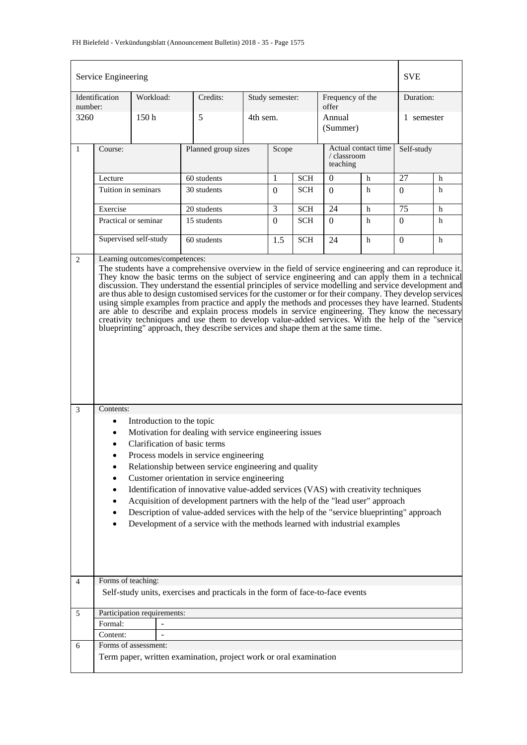## FH Bielefeld - Verkündungsblatt (Announcement Bulletin) 2018 - 35 - Page 1575

| Service Engineering | <b>SVE</b>                                                                                                                                                                                                                                                                                                                                                                                                                                                                                                                                                                                                                                                                                                                                                                                                                                                                                                                                                                                                                                                                                                                                                                                                                                                                                                                                                                                                                                                                                                                                     |                      |  |                                                                               |          |                 |            |                           |                     |              |   |
|---------------------|------------------------------------------------------------------------------------------------------------------------------------------------------------------------------------------------------------------------------------------------------------------------------------------------------------------------------------------------------------------------------------------------------------------------------------------------------------------------------------------------------------------------------------------------------------------------------------------------------------------------------------------------------------------------------------------------------------------------------------------------------------------------------------------------------------------------------------------------------------------------------------------------------------------------------------------------------------------------------------------------------------------------------------------------------------------------------------------------------------------------------------------------------------------------------------------------------------------------------------------------------------------------------------------------------------------------------------------------------------------------------------------------------------------------------------------------------------------------------------------------------------------------------------------------|----------------------|--|-------------------------------------------------------------------------------|----------|-----------------|------------|---------------------------|---------------------|--------------|---|
| number:             | Identification                                                                                                                                                                                                                                                                                                                                                                                                                                                                                                                                                                                                                                                                                                                                                                                                                                                                                                                                                                                                                                                                                                                                                                                                                                                                                                                                                                                                                                                                                                                                 | Workload:            |  | Credits:                                                                      |          | Study semester: |            | Frequency of the<br>offer |                     | Duration:    |   |
| 3260                |                                                                                                                                                                                                                                                                                                                                                                                                                                                                                                                                                                                                                                                                                                                                                                                                                                                                                                                                                                                                                                                                                                                                                                                                                                                                                                                                                                                                                                                                                                                                                | 150 <sub>h</sub>     |  | 5                                                                             | 4th sem. |                 |            | Annual<br>(Summer)        |                     | 1 semester   |   |
| $\mathbf{1}$        | Course:                                                                                                                                                                                                                                                                                                                                                                                                                                                                                                                                                                                                                                                                                                                                                                                                                                                                                                                                                                                                                                                                                                                                                                                                                                                                                                                                                                                                                                                                                                                                        |                      |  | Planned group sizes                                                           |          | Scope           |            | / classroom<br>teaching   | Actual contact time | Self-study   |   |
|                     | Lecture                                                                                                                                                                                                                                                                                                                                                                                                                                                                                                                                                                                                                                                                                                                                                                                                                                                                                                                                                                                                                                                                                                                                                                                                                                                                                                                                                                                                                                                                                                                                        |                      |  | 60 students                                                                   |          | 1               | <b>SCH</b> | $\overline{0}$            | h                   | 27           | h |
|                     | Tuition in seminars                                                                                                                                                                                                                                                                                                                                                                                                                                                                                                                                                                                                                                                                                                                                                                                                                                                                                                                                                                                                                                                                                                                                                                                                                                                                                                                                                                                                                                                                                                                            |                      |  | 30 students                                                                   |          | $\Omega$        | <b>SCH</b> | $\Omega$                  | h                   | $\Omega$     | h |
|                     | Exercise                                                                                                                                                                                                                                                                                                                                                                                                                                                                                                                                                                                                                                                                                                                                                                                                                                                                                                                                                                                                                                                                                                                                                                                                                                                                                                                                                                                                                                                                                                                                       |                      |  | 20 students                                                                   |          | 3               | <b>SCH</b> | 24                        | h                   | 75           | h |
|                     |                                                                                                                                                                                                                                                                                                                                                                                                                                                                                                                                                                                                                                                                                                                                                                                                                                                                                                                                                                                                                                                                                                                                                                                                                                                                                                                                                                                                                                                                                                                                                | Practical or seminar |  | 15 students                                                                   |          | $\Omega$        | <b>SCH</b> | 0                         | h                   | $\Omega$     | h |
|                     | Supervised self-study                                                                                                                                                                                                                                                                                                                                                                                                                                                                                                                                                                                                                                                                                                                                                                                                                                                                                                                                                                                                                                                                                                                                                                                                                                                                                                                                                                                                                                                                                                                          |                      |  | 60 students                                                                   |          | 1.5             | <b>SCH</b> | 24                        | h                   | $\mathbf{0}$ | h |
| 3<br>4              | Learning outcomes/competences:<br>The students have a comprehensive overview in the field of service engineering and can reproduce it.<br>They know the basic terms on the subject of service engineering and can apply them in a technical<br>discussion. They understand the essential principles of service modelling and service development and<br>are thus able to design customised services for the customer or for their company. They develop services<br>using simple examples from practice and apply the methods and processes they have learned. Students<br>are able to describe and explain process models in service engineering. They know the necessary<br>creativity techniques and use them to develop value-added services. With the help of the "service"<br>blueprinting" approach, they describe services and shape them at the same time.<br>Contents:<br>Introduction to the topic<br>٠<br>Motivation for dealing with service engineering issues<br>Clarification of basic terms<br>Process models in service engineering<br>Relationship between service engineering and quality<br>$\bullet$<br>Customer orientation in service engineering<br>٠<br>Identification of innovative value-added services (VAS) with creativity techniques<br>٠<br>Acquisition of development partners with the help of the "lead user" approach<br>٠<br>Description of value-added services with the help of the "service blueprinting" approach<br>٠<br>Development of a service with the methods learned with industrial examples |                      |  |                                                                               |          |                 |            |                           |                     |              |   |
|                     |                                                                                                                                                                                                                                                                                                                                                                                                                                                                                                                                                                                                                                                                                                                                                                                                                                                                                                                                                                                                                                                                                                                                                                                                                                                                                                                                                                                                                                                                                                                                                |                      |  | Self-study units, exercises and practicals in the form of face-to-face events |          |                 |            |                           |                     |              |   |
|                     |                                                                                                                                                                                                                                                                                                                                                                                                                                                                                                                                                                                                                                                                                                                                                                                                                                                                                                                                                                                                                                                                                                                                                                                                                                                                                                                                                                                                                                                                                                                                                |                      |  |                                                                               |          |                 |            |                           |                     |              |   |
| 5                   | Participation requirements:<br>Formal:                                                                                                                                                                                                                                                                                                                                                                                                                                                                                                                                                                                                                                                                                                                                                                                                                                                                                                                                                                                                                                                                                                                                                                                                                                                                                                                                                                                                                                                                                                         |                      |  |                                                                               |          |                 |            |                           |                     |              |   |
|                     | Content:                                                                                                                                                                                                                                                                                                                                                                                                                                                                                                                                                                                                                                                                                                                                                                                                                                                                                                                                                                                                                                                                                                                                                                                                                                                                                                                                                                                                                                                                                                                                       |                      |  |                                                                               |          |                 |            |                           |                     |              |   |
| 6                   |                                                                                                                                                                                                                                                                                                                                                                                                                                                                                                                                                                                                                                                                                                                                                                                                                                                                                                                                                                                                                                                                                                                                                                                                                                                                                                                                                                                                                                                                                                                                                | Forms of assessment: |  |                                                                               |          |                 |            |                           |                     |              |   |
|                     |                                                                                                                                                                                                                                                                                                                                                                                                                                                                                                                                                                                                                                                                                                                                                                                                                                                                                                                                                                                                                                                                                                                                                                                                                                                                                                                                                                                                                                                                                                                                                |                      |  | Term paper, written examination, project work or oral examination             |          |                 |            |                           |                     |              |   |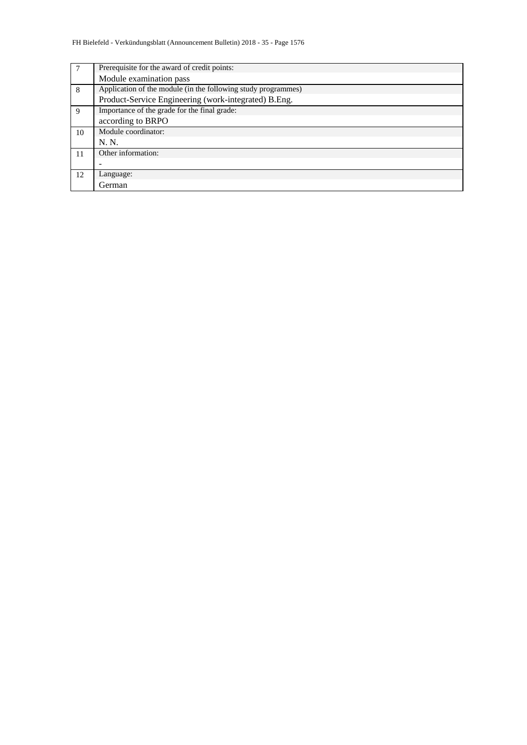| 7  | Prerequisite for the award of credit points:                  |  |  |  |  |  |  |
|----|---------------------------------------------------------------|--|--|--|--|--|--|
|    | Module examination pass                                       |  |  |  |  |  |  |
| 8  | Application of the module (in the following study programmes) |  |  |  |  |  |  |
|    | Product-Service Engineering (work-integrated) B.Eng.          |  |  |  |  |  |  |
| 9  | Importance of the grade for the final grade:                  |  |  |  |  |  |  |
|    | according to BRPO                                             |  |  |  |  |  |  |
| 10 | Module coordinator:                                           |  |  |  |  |  |  |
|    | N. N.                                                         |  |  |  |  |  |  |
| 11 | Other information:                                            |  |  |  |  |  |  |
|    |                                                               |  |  |  |  |  |  |
| 12 | Language:                                                     |  |  |  |  |  |  |
|    | German                                                        |  |  |  |  |  |  |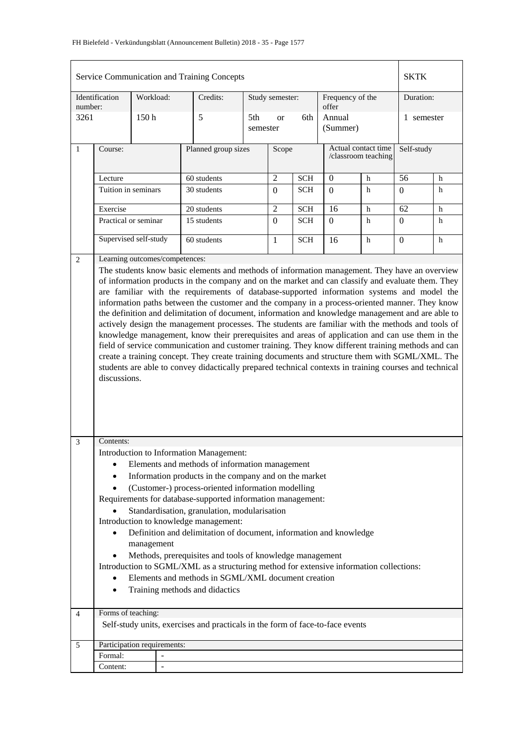|                                                                                                                                                                                                                                                                                                                                                                                                                                                                                                                                                                                                                                              |                                                                                                                                                                                                                                                                                                                                                                                                                                                                                                                                                                                                                                                    |           |                                | Service Communication and Training Concepts                                                                                                                           |  |                  |            |                           |                                            | <b>SKTK</b>      |   |
|----------------------------------------------------------------------------------------------------------------------------------------------------------------------------------------------------------------------------------------------------------------------------------------------------------------------------------------------------------------------------------------------------------------------------------------------------------------------------------------------------------------------------------------------------------------------------------------------------------------------------------------------|----------------------------------------------------------------------------------------------------------------------------------------------------------------------------------------------------------------------------------------------------------------------------------------------------------------------------------------------------------------------------------------------------------------------------------------------------------------------------------------------------------------------------------------------------------------------------------------------------------------------------------------------------|-----------|--------------------------------|-----------------------------------------------------------------------------------------------------------------------------------------------------------------------|--|------------------|------------|---------------------------|--------------------------------------------|------------------|---|
| number:                                                                                                                                                                                                                                                                                                                                                                                                                                                                                                                                                                                                                                      | Identification                                                                                                                                                                                                                                                                                                                                                                                                                                                                                                                                                                                                                                     | Workload: |                                | Credits:                                                                                                                                                              |  | Study semester:  |            | Frequency of the<br>offer |                                            | Duration:        |   |
| 3261                                                                                                                                                                                                                                                                                                                                                                                                                                                                                                                                                                                                                                         |                                                                                                                                                                                                                                                                                                                                                                                                                                                                                                                                                                                                                                                    | 150h      |                                | 5<br>5th<br>semester                                                                                                                                                  |  | <b>or</b>        | 6th        | Annual<br>(Summer)        |                                            | 1 semester       |   |
| $\mathbf{1}$                                                                                                                                                                                                                                                                                                                                                                                                                                                                                                                                                                                                                                 | Course:                                                                                                                                                                                                                                                                                                                                                                                                                                                                                                                                                                                                                                            |           |                                | Planned group sizes                                                                                                                                                   |  | Scope            |            |                           | Actual contact time<br>/classroom teaching | Self-study       |   |
|                                                                                                                                                                                                                                                                                                                                                                                                                                                                                                                                                                                                                                              | Lecture                                                                                                                                                                                                                                                                                                                                                                                                                                                                                                                                                                                                                                            |           |                                | 60 students                                                                                                                                                           |  | $\overline{2}$   | <b>SCH</b> | $\boldsymbol{0}$          | $\mathbf h$                                | 56               | h |
|                                                                                                                                                                                                                                                                                                                                                                                                                                                                                                                                                                                                                                              | Tuition in seminars                                                                                                                                                                                                                                                                                                                                                                                                                                                                                                                                                                                                                                |           |                                | 30 students                                                                                                                                                           |  | $\boldsymbol{0}$ | <b>SCH</b> | $\Omega$                  | h                                          | $\boldsymbol{0}$ | h |
|                                                                                                                                                                                                                                                                                                                                                                                                                                                                                                                                                                                                                                              |                                                                                                                                                                                                                                                                                                                                                                                                                                                                                                                                                                                                                                                    |           |                                |                                                                                                                                                                       |  |                  |            |                           |                                            |                  |   |
|                                                                                                                                                                                                                                                                                                                                                                                                                                                                                                                                                                                                                                              | Exercise                                                                                                                                                                                                                                                                                                                                                                                                                                                                                                                                                                                                                                           |           |                                | 20 students<br>15 students                                                                                                                                            |  | $\overline{2}$   | SCH        | $\overline{16}$           | $\mathbf h$                                | $\overline{62}$  | h |
|                                                                                                                                                                                                                                                                                                                                                                                                                                                                                                                                                                                                                                              | Practical or seminar                                                                                                                                                                                                                                                                                                                                                                                                                                                                                                                                                                                                                               |           |                                |                                                                                                                                                                       |  | $\boldsymbol{0}$ | <b>SCH</b> | $\Omega$                  | h                                          | $\overline{0}$   | h |
|                                                                                                                                                                                                                                                                                                                                                                                                                                                                                                                                                                                                                                              | Supervised self-study                                                                                                                                                                                                                                                                                                                                                                                                                                                                                                                                                                                                                              |           |                                | 60 students                                                                                                                                                           |  | $\mathbf{1}$     | <b>SCH</b> | 16                        | $\mathbf h$                                | $\overline{0}$   | h |
| 2                                                                                                                                                                                                                                                                                                                                                                                                                                                                                                                                                                                                                                            |                                                                                                                                                                                                                                                                                                                                                                                                                                                                                                                                                                                                                                                    |           | Learning outcomes/competences: | The students know basic elements and methods of information management. They have an overview                                                                         |  |                  |            |                           |                                            |                  |   |
| the definition and delimitation of document, information and knowledge management and are able to<br>actively design the management processes. The students are familiar with the methods and tools of<br>knowledge management, know their prerequisites and areas of application and can use them in the<br>field of service communication and customer training. They know different training methods and can<br>create a training concept. They create training documents and structure them with SGML/XML. The<br>students are able to convey didactically prepared technical contexts in training courses and technical<br>discussions. |                                                                                                                                                                                                                                                                                                                                                                                                                                                                                                                                                                                                                                                    |           |                                |                                                                                                                                                                       |  |                  |            |                           |                                            |                  |   |
| 3                                                                                                                                                                                                                                                                                                                                                                                                                                                                                                                                                                                                                                            | Contents:<br>Introduction to Information Management:<br>Elements and methods of information management<br>Information products in the company and on the market<br>(Customer-) process-oriented information modelling<br>$\bullet$<br>Requirements for database-supported information management:<br>Standardisation, granulation, modularisation<br>Introduction to knowledge management:<br>Definition and delimitation of document, information and knowledge<br>management<br>Methods, prerequisites and tools of knowledge management<br>$\bullet$<br>Introduction to SGML/XML as a structuring method for extensive information collections: |           |                                |                                                                                                                                                                       |  |                  |            |                           |                                            |                  |   |
| $\overline{4}$                                                                                                                                                                                                                                                                                                                                                                                                                                                                                                                                                                                                                               | $\bullet$<br>Forms of teaching:                                                                                                                                                                                                                                                                                                                                                                                                                                                                                                                                                                                                                    |           |                                | Elements and methods in SGML/XML document creation<br>Training methods and didactics<br>Self-study units, exercises and practicals in the form of face-to-face events |  |                  |            |                           |                                            |                  |   |
|                                                                                                                                                                                                                                                                                                                                                                                                                                                                                                                                                                                                                                              |                                                                                                                                                                                                                                                                                                                                                                                                                                                                                                                                                                                                                                                    |           |                                |                                                                                                                                                                       |  |                  |            |                           |                                            |                  |   |
| 5                                                                                                                                                                                                                                                                                                                                                                                                                                                                                                                                                                                                                                            |                                                                                                                                                                                                                                                                                                                                                                                                                                                                                                                                                                                                                                                    |           | Participation requirements:    |                                                                                                                                                                       |  |                  |            |                           |                                            |                  |   |
|                                                                                                                                                                                                                                                                                                                                                                                                                                                                                                                                                                                                                                              | Formal:                                                                                                                                                                                                                                                                                                                                                                                                                                                                                                                                                                                                                                            |           | $\qquad \qquad \blacksquare$   |                                                                                                                                                                       |  |                  |            |                           |                                            |                  |   |
|                                                                                                                                                                                                                                                                                                                                                                                                                                                                                                                                                                                                                                              | Content:                                                                                                                                                                                                                                                                                                                                                                                                                                                                                                                                                                                                                                           |           |                                |                                                                                                                                                                       |  |                  |            |                           |                                            |                  |   |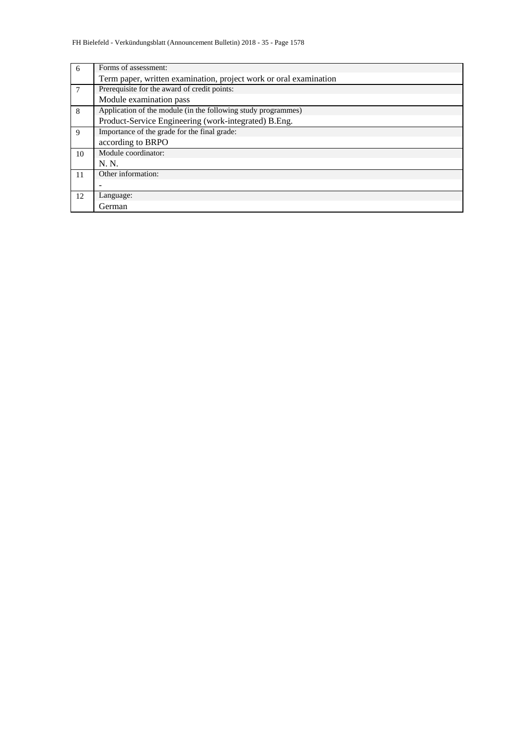| 6  | Forms of assessment:                                              |
|----|-------------------------------------------------------------------|
|    | Term paper, written examination, project work or oral examination |
| 7  | Prerequisite for the award of credit points:                      |
|    | Module examination pass                                           |
| 8  | Application of the module (in the following study programmes)     |
|    | Product-Service Engineering (work-integrated) B.Eng.              |
| 9  | Importance of the grade for the final grade:                      |
|    | according to BRPO                                                 |
| 10 | Module coordinator:                                               |
|    | N. N.                                                             |
| 11 | Other information:                                                |
|    |                                                                   |
| 12 | Language:                                                         |
|    | German                                                            |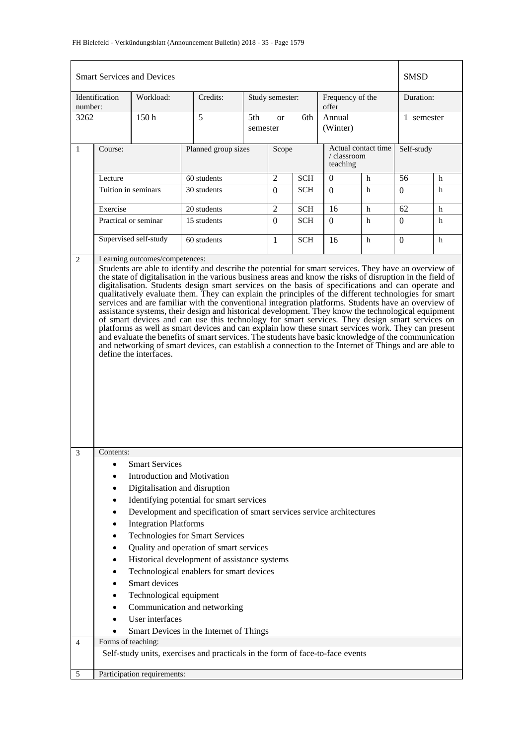## FH Bielefeld - Verkündungsblatt (Announcement Bulletin) 2018 - 35 - Page 1579

|                                                                                                                                                                                                                                                                                                                                                                                                                                                                                                                                                                                                                                                                                                                                                                     |                                                                                                                                                                                                                                                                                                                                                                                                                                                                                                                                                                  | <b>Smart Services and Devices</b> |             |                     |                      |            |                           |                     | <b>SMSD</b>     |             |
|---------------------------------------------------------------------------------------------------------------------------------------------------------------------------------------------------------------------------------------------------------------------------------------------------------------------------------------------------------------------------------------------------------------------------------------------------------------------------------------------------------------------------------------------------------------------------------------------------------------------------------------------------------------------------------------------------------------------------------------------------------------------|------------------------------------------------------------------------------------------------------------------------------------------------------------------------------------------------------------------------------------------------------------------------------------------------------------------------------------------------------------------------------------------------------------------------------------------------------------------------------------------------------------------------------------------------------------------|-----------------------------------|-------------|---------------------|----------------------|------------|---------------------------|---------------------|-----------------|-------------|
| number:                                                                                                                                                                                                                                                                                                                                                                                                                                                                                                                                                                                                                                                                                                                                                             | Identification                                                                                                                                                                                                                                                                                                                                                                                                                                                                                                                                                   | Workload:                         | Credits:    |                     | Study semester:      |            | Frequency of the<br>offer |                     | Duration:       |             |
| 3262                                                                                                                                                                                                                                                                                                                                                                                                                                                                                                                                                                                                                                                                                                                                                                |                                                                                                                                                                                                                                                                                                                                                                                                                                                                                                                                                                  | 150 <sub>h</sub>                  | 5           | 5th<br>semester     | 6th<br><sub>or</sub> |            | Annual<br>(Winter)        |                     | 1 semester      |             |
| $\mathbf{1}$                                                                                                                                                                                                                                                                                                                                                                                                                                                                                                                                                                                                                                                                                                                                                        | Course:                                                                                                                                                                                                                                                                                                                                                                                                                                                                                                                                                          |                                   |             | Planned group sizes |                      |            | / classroom<br>teaching   | Actual contact time | Self-study      |             |
|                                                                                                                                                                                                                                                                                                                                                                                                                                                                                                                                                                                                                                                                                                                                                                     | Lecture                                                                                                                                                                                                                                                                                                                                                                                                                                                                                                                                                          |                                   | 60 students |                     | $\overline{2}$       | <b>SCH</b> | $\boldsymbol{0}$          | h                   | 56              | h           |
|                                                                                                                                                                                                                                                                                                                                                                                                                                                                                                                                                                                                                                                                                                                                                                     |                                                                                                                                                                                                                                                                                                                                                                                                                                                                                                                                                                  | Tuition in seminars               | 30 students |                     | $\Omega$             | <b>SCH</b> | $\boldsymbol{0}$          | $\mathbf h$         | $\Omega$        | h           |
|                                                                                                                                                                                                                                                                                                                                                                                                                                                                                                                                                                                                                                                                                                                                                                     | Exercise                                                                                                                                                                                                                                                                                                                                                                                                                                                                                                                                                         |                                   | 20 students |                     | $\overline{2}$       | <b>SCH</b> | 16                        | h                   | $\overline{62}$ | $\mathbf h$ |
|                                                                                                                                                                                                                                                                                                                                                                                                                                                                                                                                                                                                                                                                                                                                                                     |                                                                                                                                                                                                                                                                                                                                                                                                                                                                                                                                                                  | Practical or seminar              | 15 students |                     | $\Omega$             | <b>SCH</b> | $\overline{0}$            | h                   | $\Omega$        | h           |
|                                                                                                                                                                                                                                                                                                                                                                                                                                                                                                                                                                                                                                                                                                                                                                     |                                                                                                                                                                                                                                                                                                                                                                                                                                                                                                                                                                  | Supervised self-study             | 60 students |                     | 1                    | <b>SCH</b> | 16                        | $\mathbf h$         | $\Omega$        | h           |
| qualitatively evaluate them. They can explain the principles of the different technologies for smart<br>services and are familiar with the conventional integration platforms. Students have an overview of<br>assistance systems, their design and historical development. They know the technological equipment<br>of smart devices and can use this technology for smart services. They design smart services on<br>platforms as well as smart devices and can explain how these smart services work. They can present<br>and evaluate the benefits of smart services. The students have basic knowledge of the communication<br>and networking of smart devices, can establish a connection to the Internet of Things and are able to<br>define the interfaces. |                                                                                                                                                                                                                                                                                                                                                                                                                                                                                                                                                                  |                                   |             |                     |                      |            |                           |                     |                 |             |
| $\overline{3}$                                                                                                                                                                                                                                                                                                                                                                                                                                                                                                                                                                                                                                                                                                                                                      | Contents:<br><b>Smart Services</b><br>$\bullet$<br><b>Introduction and Motivation</b><br>Digitalisation and disruption<br>Identifying potential for smart services<br>٠<br>Development and specification of smart services service architectures<br><b>Integration Platforms</b><br><b>Technologies for Smart Services</b><br>Quality and operation of smart services<br>Historical development of assistance systems<br>Technological enablers for smart devices<br>Smart devices<br>Technological equipment<br>Communication and networking<br>User interfaces |                                   |             |                     |                      |            |                           |                     |                 |             |
|                                                                                                                                                                                                                                                                                                                                                                                                                                                                                                                                                                                                                                                                                                                                                                     | Smart Devices in the Internet of Things<br>Forms of teaching:<br>Self-study units, exercises and practicals in the form of face-to-face events                                                                                                                                                                                                                                                                                                                                                                                                                   |                                   |             |                     |                      |            |                           |                     |                 |             |
| $\overline{4}$                                                                                                                                                                                                                                                                                                                                                                                                                                                                                                                                                                                                                                                                                                                                                      |                                                                                                                                                                                                                                                                                                                                                                                                                                                                                                                                                                  |                                   |             |                     |                      |            |                           |                     |                 |             |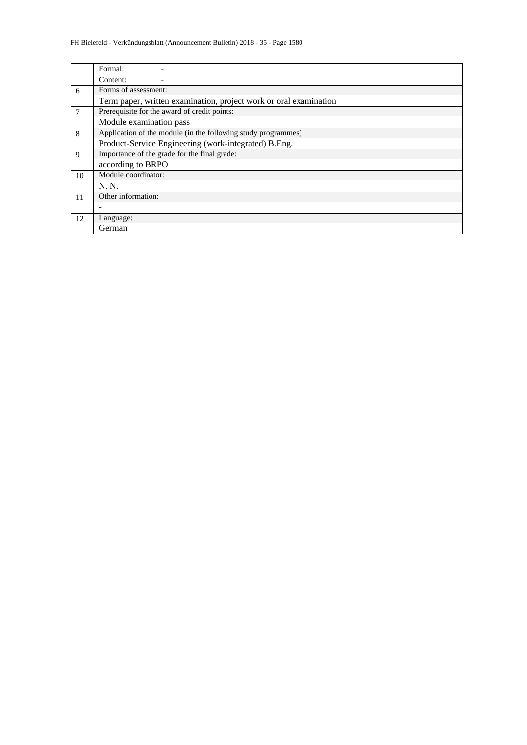|    | Formal:                                                           |                                                               |  |  |  |  |  |  |  |
|----|-------------------------------------------------------------------|---------------------------------------------------------------|--|--|--|--|--|--|--|
|    | Content:                                                          |                                                               |  |  |  |  |  |  |  |
| 6  | Forms of assessment:                                              |                                                               |  |  |  |  |  |  |  |
|    | Term paper, written examination, project work or oral examination |                                                               |  |  |  |  |  |  |  |
| 7  | Prerequisite for the award of credit points:                      |                                                               |  |  |  |  |  |  |  |
|    | Module examination pass                                           |                                                               |  |  |  |  |  |  |  |
| 8  |                                                                   | Application of the module (in the following study programmes) |  |  |  |  |  |  |  |
|    |                                                                   | Product-Service Engineering (work-integrated) B.Eng.          |  |  |  |  |  |  |  |
| 9  |                                                                   | Importance of the grade for the final grade:                  |  |  |  |  |  |  |  |
|    | according to BRPO                                                 |                                                               |  |  |  |  |  |  |  |
| 10 | Module coordinator:                                               |                                                               |  |  |  |  |  |  |  |
|    | N. N.                                                             |                                                               |  |  |  |  |  |  |  |
| 11 | Other information:                                                |                                                               |  |  |  |  |  |  |  |
|    |                                                                   |                                                               |  |  |  |  |  |  |  |
| 12 | Language:                                                         |                                                               |  |  |  |  |  |  |  |
|    | German                                                            |                                                               |  |  |  |  |  |  |  |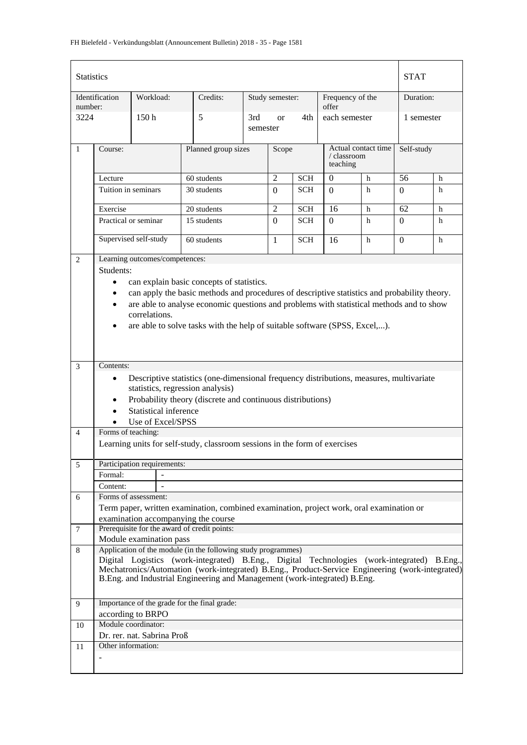| <b>Statistics</b> |                     |                                |                                                                                                 |                 |                 |            |                           |                     | <b>STAT</b> |   |  |
|-------------------|---------------------|--------------------------------|-------------------------------------------------------------------------------------------------|-----------------|-----------------|------------|---------------------------|---------------------|-------------|---|--|
| number:           | Identification      | Workload:                      | Credits:                                                                                        |                 | Study semester: |            | Frequency of the<br>offer |                     | Duration:   |   |  |
| 3224              |                     | 150 <sub>h</sub>               | 5                                                                                               | 3rd<br>semester | <sub>or</sub>   | 4th        | each semester             |                     | 1 semester  |   |  |
| $\mathbf{1}$      | Course:             |                                | Planned group sizes                                                                             |                 | Scope           |            | / classroom<br>teaching   | Actual contact time | Self-study  |   |  |
|                   | Lecture             |                                | 60 students                                                                                     |                 | $\overline{2}$  | <b>SCH</b> | $\theta$                  | h                   | 56          | h |  |
|                   | Tuition in seminars |                                | 30 students                                                                                     |                 | $\Omega$        | <b>SCH</b> | $\Omega$                  | h                   | $\Omega$    | h |  |
|                   | Exercise            |                                | 20 students                                                                                     |                 | $\overline{2}$  | <b>SCH</b> | 16                        | h                   | 62          | h |  |
|                   |                     | Practical or seminar           | 15 students                                                                                     |                 | $\Omega$        | <b>SCH</b> | $\Omega$                  | h                   | $\Omega$    | h |  |
|                   |                     | Supervised self-study          | 60 students                                                                                     |                 | $\mathbf{1}$    | <b>SCH</b> | 16                        | h                   | $\Omega$    | h |  |
| 2                 |                     | Learning outcomes/competences: |                                                                                                 |                 |                 |            |                           |                     |             |   |  |
|                   | Students:           |                                |                                                                                                 |                 |                 |            |                           |                     |             |   |  |
|                   | $\bullet$           |                                | can explain basic concepts of statistics.                                                       |                 |                 |            |                           |                     |             |   |  |
|                   |                     |                                | can apply the basic methods and procedures of descriptive statistics and probability theory.    |                 |                 |            |                           |                     |             |   |  |
|                   | ٠                   |                                | are able to analyse economic questions and problems with statistical methods and to show        |                 |                 |            |                           |                     |             |   |  |
|                   |                     | correlations.                  |                                                                                                 |                 |                 |            |                           |                     |             |   |  |
|                   |                     |                                | are able to solve tasks with the help of suitable software (SPSS, Excel,).                      |                 |                 |            |                           |                     |             |   |  |
|                   |                     |                                |                                                                                                 |                 |                 |            |                           |                     |             |   |  |
|                   |                     |                                |                                                                                                 |                 |                 |            |                           |                     |             |   |  |
| 3                 | Contents:           |                                |                                                                                                 |                 |                 |            |                           |                     |             |   |  |
|                   | $\bullet$           |                                | Descriptive statistics (one-dimensional frequency distributions, measures, multivariate         |                 |                 |            |                           |                     |             |   |  |
|                   |                     |                                | statistics, regression analysis)                                                                |                 |                 |            |                           |                     |             |   |  |
|                   | $\bullet$           |                                | Probability theory (discrete and continuous distributions)                                      |                 |                 |            |                           |                     |             |   |  |
|                   | $\bullet$           | Statistical inference          |                                                                                                 |                 |                 |            |                           |                     |             |   |  |
|                   |                     | Use of Excel/SPSS              |                                                                                                 |                 |                 |            |                           |                     |             |   |  |
| $\overline{4}$    | Forms of teaching:  |                                |                                                                                                 |                 |                 |            |                           |                     |             |   |  |
|                   |                     |                                | Learning units for self-study, classroom sessions in the form of exercises                      |                 |                 |            |                           |                     |             |   |  |
| 5                 |                     | Participation requirements:    |                                                                                                 |                 |                 |            |                           |                     |             |   |  |
|                   | Formal:             |                                |                                                                                                 |                 |                 |            |                           |                     |             |   |  |
|                   | Content:            |                                |                                                                                                 |                 |                 |            |                           |                     |             |   |  |
| 6                 |                     | Forms of assessment:           |                                                                                                 |                 |                 |            |                           |                     |             |   |  |
|                   |                     |                                | Term paper, written examination, combined examination, project work, oral examination or        |                 |                 |            |                           |                     |             |   |  |
|                   |                     |                                | examination accompanying the course                                                             |                 |                 |            |                           |                     |             |   |  |
| 7                 |                     |                                | Prerequisite for the award of credit points:                                                    |                 |                 |            |                           |                     |             |   |  |
| 8                 |                     | Module examination pass        | Application of the module (in the following study programmes)                                   |                 |                 |            |                           |                     |             |   |  |
|                   |                     |                                | Digital Logistics (work-integrated) B.Eng., Digital Technologies (work-integrated) B.Eng.,      |                 |                 |            |                           |                     |             |   |  |
|                   |                     |                                | Mechatronics/Automation (work-integrated) B.Eng., Product-Service Engineering (work-integrated) |                 |                 |            |                           |                     |             |   |  |
|                   |                     |                                | B.Eng. and Industrial Engineering and Management (work-integrated) B.Eng.                       |                 |                 |            |                           |                     |             |   |  |
|                   |                     |                                |                                                                                                 |                 |                 |            |                           |                     |             |   |  |
| 9                 |                     |                                | Importance of the grade for the final grade:                                                    |                 |                 |            |                           |                     |             |   |  |
|                   |                     | according to BRPO              |                                                                                                 |                 |                 |            |                           |                     |             |   |  |
| 10                |                     | Module coordinator:            |                                                                                                 |                 |                 |            |                           |                     |             |   |  |
|                   |                     | Dr. rer. nat. Sabrina Proß     |                                                                                                 |                 |                 |            |                           |                     |             |   |  |
| 11                | Other information:  |                                |                                                                                                 |                 |                 |            |                           |                     |             |   |  |
|                   |                     |                                |                                                                                                 |                 |                 |            |                           |                     |             |   |  |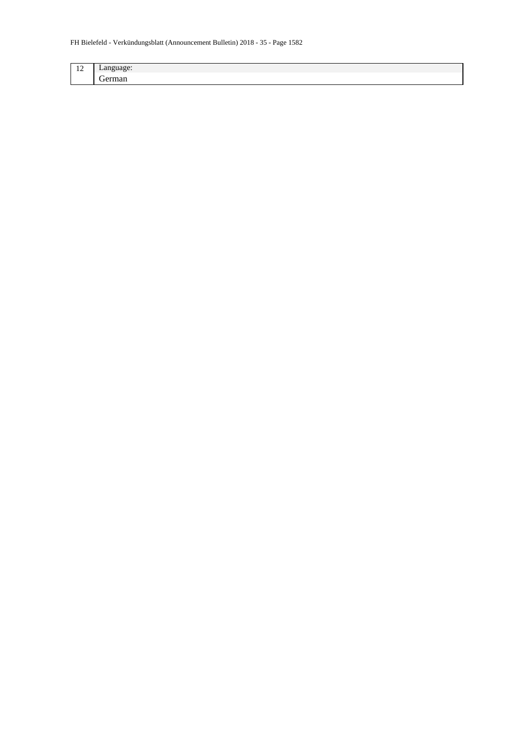| $\overline{\phantom{a}}$<br>-4<br>--<br>-- | $-$  |
|--------------------------------------------|------|
|                                            | $ -$ |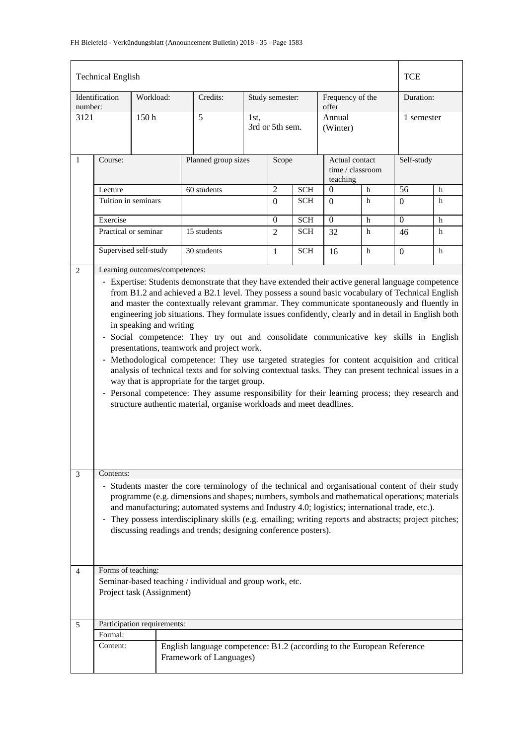|                                                                                                                                                                                                                                                                                                                                                                                                                                                                                                                                                                                                                                                                                                                                                                                                                                                                                                                                                                                                                                                             | <b>Technical English</b>                                                                                                                                                                                                                                                                                                                                                                                                                                                                       |                             |                                                                                                   |                     |                         |            |                           |                                    | <b>TCE</b> |            |  |
|-------------------------------------------------------------------------------------------------------------------------------------------------------------------------------------------------------------------------------------------------------------------------------------------------------------------------------------------------------------------------------------------------------------------------------------------------------------------------------------------------------------------------------------------------------------------------------------------------------------------------------------------------------------------------------------------------------------------------------------------------------------------------------------------------------------------------------------------------------------------------------------------------------------------------------------------------------------------------------------------------------------------------------------------------------------|------------------------------------------------------------------------------------------------------------------------------------------------------------------------------------------------------------------------------------------------------------------------------------------------------------------------------------------------------------------------------------------------------------------------------------------------------------------------------------------------|-----------------------------|---------------------------------------------------------------------------------------------------|---------------------|-------------------------|------------|---------------------------|------------------------------------|------------|------------|--|
| number:                                                                                                                                                                                                                                                                                                                                                                                                                                                                                                                                                                                                                                                                                                                                                                                                                                                                                                                                                                                                                                                     | Identification                                                                                                                                                                                                                                                                                                                                                                                                                                                                                 | Workload:                   | Credits:                                                                                          |                     | Study semester:         |            | Frequency of the<br>offer |                                    |            | Duration:  |  |
| 3121                                                                                                                                                                                                                                                                                                                                                                                                                                                                                                                                                                                                                                                                                                                                                                                                                                                                                                                                                                                                                                                        |                                                                                                                                                                                                                                                                                                                                                                                                                                                                                                | 150 <sub>h</sub><br>5       |                                                                                                   |                     | 1st.<br>3rd or 5th sem. |            |                           | Annual<br>(Winter)                 |            | 1 semester |  |
| $\mathbf{1}$                                                                                                                                                                                                                                                                                                                                                                                                                                                                                                                                                                                                                                                                                                                                                                                                                                                                                                                                                                                                                                                | Course:                                                                                                                                                                                                                                                                                                                                                                                                                                                                                        |                             |                                                                                                   | Planned group sizes |                         |            | teaching                  | Actual contact<br>time / classroom | Self-study |            |  |
|                                                                                                                                                                                                                                                                                                                                                                                                                                                                                                                                                                                                                                                                                                                                                                                                                                                                                                                                                                                                                                                             | Lecture                                                                                                                                                                                                                                                                                                                                                                                                                                                                                        |                             | 60 students                                                                                       |                     | $\overline{2}$          | <b>SCH</b> | $\mathbf{0}$              | $\mathbf h$                        | 56         | h          |  |
|                                                                                                                                                                                                                                                                                                                                                                                                                                                                                                                                                                                                                                                                                                                                                                                                                                                                                                                                                                                                                                                             | Tuition in seminars                                                                                                                                                                                                                                                                                                                                                                                                                                                                            |                             |                                                                                                   |                     | $\Omega$                | <b>SCH</b> | $\Omega$                  | h                                  | $\Omega$   | h          |  |
|                                                                                                                                                                                                                                                                                                                                                                                                                                                                                                                                                                                                                                                                                                                                                                                                                                                                                                                                                                                                                                                             | Exercise                                                                                                                                                                                                                                                                                                                                                                                                                                                                                       |                             |                                                                                                   |                     | $\Omega$                | <b>SCH</b> | $\overline{0}$            | h                                  | $\Omega$   | h          |  |
|                                                                                                                                                                                                                                                                                                                                                                                                                                                                                                                                                                                                                                                                                                                                                                                                                                                                                                                                                                                                                                                             |                                                                                                                                                                                                                                                                                                                                                                                                                                                                                                | Practical or seminar        | 15 students                                                                                       |                     | $\overline{2}$          | <b>SCH</b> | 32                        | h                                  | 46         | h          |  |
|                                                                                                                                                                                                                                                                                                                                                                                                                                                                                                                                                                                                                                                                                                                                                                                                                                                                                                                                                                                                                                                             |                                                                                                                                                                                                                                                                                                                                                                                                                                                                                                | Supervised self-study       | 30 students                                                                                       |                     | 1                       | <b>SCH</b> | 16                        | h                                  | $\Omega$   | h          |  |
| Learning outcomes/competences:<br>2<br>- Expertise: Students demonstrate that they have extended their active general language competence<br>from B1.2 and achieved a B2.1 level. They possess a sound basic vocabulary of Technical English<br>and master the contextually relevant grammar. They communicate spontaneously and fluently in<br>engineering job situations. They formulate issues confidently, clearly and in detail in English both<br>in speaking and writing<br>- Social competence: They try out and consolidate communicative key skills in English<br>presentations, teamwork and project work.<br>- Methodological competence: They use targeted strategies for content acquisition and critical<br>analysis of technical texts and for solving contextual tasks. They can present technical issues in a<br>way that is appropriate for the target group.<br>- Personal competence: They assume responsibility for their learning process; they research and<br>structure authentic material, organise workloads and meet deadlines. |                                                                                                                                                                                                                                                                                                                                                                                                                                                                                                |                             |                                                                                                   |                     |                         |            |                           |                                    |            |            |  |
| 3                                                                                                                                                                                                                                                                                                                                                                                                                                                                                                                                                                                                                                                                                                                                                                                                                                                                                                                                                                                                                                                           | Contents:<br>- Students master the core terminology of the technical and organisational content of their study<br>programme (e.g. dimensions and shapes; numbers, symbols and mathematical operations; materials<br>and manufacturing; automated systems and Industry 4.0; logistics; international trade, etc.).<br>- They possess interdisciplinary skills (e.g. emailing; writing reports and abstracts; project pitches;<br>discussing readings and trends; designing conference posters). |                             |                                                                                                   |                     |                         |            |                           |                                    |            |            |  |
| 4                                                                                                                                                                                                                                                                                                                                                                                                                                                                                                                                                                                                                                                                                                                                                                                                                                                                                                                                                                                                                                                           | Forms of teaching:                                                                                                                                                                                                                                                                                                                                                                                                                                                                             |                             |                                                                                                   |                     |                         |            |                           |                                    |            |            |  |
|                                                                                                                                                                                                                                                                                                                                                                                                                                                                                                                                                                                                                                                                                                                                                                                                                                                                                                                                                                                                                                                             |                                                                                                                                                                                                                                                                                                                                                                                                                                                                                                | Project task (Assignment)   | Seminar-based teaching / individual and group work, etc.                                          |                     |                         |            |                           |                                    |            |            |  |
| 5                                                                                                                                                                                                                                                                                                                                                                                                                                                                                                                                                                                                                                                                                                                                                                                                                                                                                                                                                                                                                                                           |                                                                                                                                                                                                                                                                                                                                                                                                                                                                                                | Participation requirements: |                                                                                                   |                     |                         |            |                           |                                    |            |            |  |
|                                                                                                                                                                                                                                                                                                                                                                                                                                                                                                                                                                                                                                                                                                                                                                                                                                                                                                                                                                                                                                                             | Formal:                                                                                                                                                                                                                                                                                                                                                                                                                                                                                        |                             |                                                                                                   |                     |                         |            |                           |                                    |            |            |  |
|                                                                                                                                                                                                                                                                                                                                                                                                                                                                                                                                                                                                                                                                                                                                                                                                                                                                                                                                                                                                                                                             | Content:                                                                                                                                                                                                                                                                                                                                                                                                                                                                                       |                             | English language competence: B1.2 (according to the European Reference<br>Framework of Languages) |                     |                         |            |                           |                                    |            |            |  |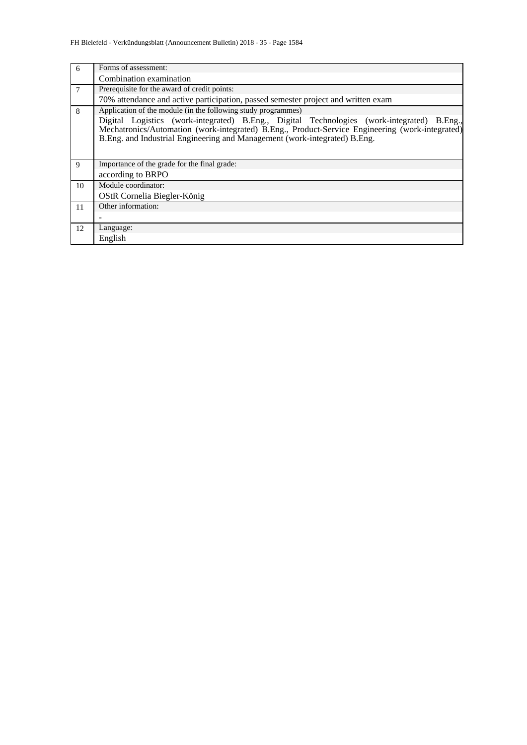| 6  | Forms of assessment:                                                                                                                                                                                                                                                       |  |  |  |  |  |  |  |
|----|----------------------------------------------------------------------------------------------------------------------------------------------------------------------------------------------------------------------------------------------------------------------------|--|--|--|--|--|--|--|
|    | Combination examination                                                                                                                                                                                                                                                    |  |  |  |  |  |  |  |
| 7  | Prerequisite for the award of credit points:                                                                                                                                                                                                                               |  |  |  |  |  |  |  |
|    | 70% attendance and active participation, passed semester project and written exam                                                                                                                                                                                          |  |  |  |  |  |  |  |
| 8  | Application of the module (in the following study programmes)                                                                                                                                                                                                              |  |  |  |  |  |  |  |
|    | Digital Logistics (work-integrated) B.Eng., Digital Technologies (work-integrated) B.Eng.,<br>Mechatronics/Automation (work-integrated) B.Eng., Product-Service Engineering (work-integrated)<br>B.Eng. and Industrial Engineering and Management (work-integrated) B.Eng. |  |  |  |  |  |  |  |
| 9  | Importance of the grade for the final grade:                                                                                                                                                                                                                               |  |  |  |  |  |  |  |
|    | according to BRPO                                                                                                                                                                                                                                                          |  |  |  |  |  |  |  |
| 10 | Module coordinator:                                                                                                                                                                                                                                                        |  |  |  |  |  |  |  |
|    | OStR Cornelia Biegler-König                                                                                                                                                                                                                                                |  |  |  |  |  |  |  |
| 11 | Other information:                                                                                                                                                                                                                                                         |  |  |  |  |  |  |  |
|    |                                                                                                                                                                                                                                                                            |  |  |  |  |  |  |  |
| 12 | Language:                                                                                                                                                                                                                                                                  |  |  |  |  |  |  |  |
|    | English                                                                                                                                                                                                                                                                    |  |  |  |  |  |  |  |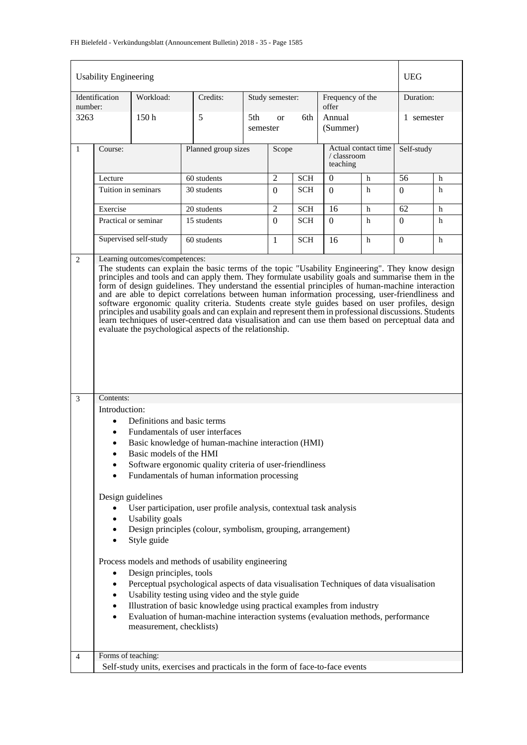## FH Bielefeld - Verkündungsblatt (Announcement Bulletin) 2018 - 35 - Page 1585

|                                                                                                                                                                                                                                                                                                                                                                                                                                    | <b>Usability Engineering</b>                                                                                                                                                                                                                                                                                                                                                                                                                                                                                                                                                                                                                                                                                                                                                               |                       |                                                                               |                 |                 |            |                           |                     | <b>UEG</b>   |   |
|------------------------------------------------------------------------------------------------------------------------------------------------------------------------------------------------------------------------------------------------------------------------------------------------------------------------------------------------------------------------------------------------------------------------------------|--------------------------------------------------------------------------------------------------------------------------------------------------------------------------------------------------------------------------------------------------------------------------------------------------------------------------------------------------------------------------------------------------------------------------------------------------------------------------------------------------------------------------------------------------------------------------------------------------------------------------------------------------------------------------------------------------------------------------------------------------------------------------------------------|-----------------------|-------------------------------------------------------------------------------|-----------------|-----------------|------------|---------------------------|---------------------|--------------|---|
| number:                                                                                                                                                                                                                                                                                                                                                                                                                            | Identification                                                                                                                                                                                                                                                                                                                                                                                                                                                                                                                                                                                                                                                                                                                                                                             | Workload:             | Credits:                                                                      |                 | Study semester: |            | Frequency of the<br>offer |                     | Duration:    |   |
| 3263                                                                                                                                                                                                                                                                                                                                                                                                                               |                                                                                                                                                                                                                                                                                                                                                                                                                                                                                                                                                                                                                                                                                                                                                                                            | 150h                  | 5                                                                             | 5th<br>semester | <sub>or</sub>   | 6th        | Annual<br>(Summer)        |                     | 1 semester   |   |
| 1                                                                                                                                                                                                                                                                                                                                                                                                                                  | Course:                                                                                                                                                                                                                                                                                                                                                                                                                                                                                                                                                                                                                                                                                                                                                                                    |                       | Planned group sizes                                                           |                 | Scope           |            | / classroom<br>teaching   | Actual contact time | Self-study   |   |
|                                                                                                                                                                                                                                                                                                                                                                                                                                    | Lecture                                                                                                                                                                                                                                                                                                                                                                                                                                                                                                                                                                                                                                                                                                                                                                                    |                       | 60 students                                                                   |                 | $\overline{2}$  | <b>SCH</b> | $\overline{0}$            | h                   | 56           | h |
|                                                                                                                                                                                                                                                                                                                                                                                                                                    | Tuition in seminars                                                                                                                                                                                                                                                                                                                                                                                                                                                                                                                                                                                                                                                                                                                                                                        |                       | 30 students                                                                   |                 | $\overline{0}$  | <b>SCH</b> | $\Omega$                  | h                   | $\Omega$     | h |
|                                                                                                                                                                                                                                                                                                                                                                                                                                    | Exercise                                                                                                                                                                                                                                                                                                                                                                                                                                                                                                                                                                                                                                                                                                                                                                                   |                       | 20 students                                                                   |                 | $\overline{2}$  | <b>SCH</b> | 16                        | h                   | 62           | h |
|                                                                                                                                                                                                                                                                                                                                                                                                                                    |                                                                                                                                                                                                                                                                                                                                                                                                                                                                                                                                                                                                                                                                                                                                                                                            | Practical or seminar  | 15 students                                                                   |                 | $\Omega$        | <b>SCH</b> | $\Omega$                  | h                   | $\theta$     | h |
|                                                                                                                                                                                                                                                                                                                                                                                                                                    |                                                                                                                                                                                                                                                                                                                                                                                                                                                                                                                                                                                                                                                                                                                                                                                            | Supervised self-study | 60 students                                                                   |                 | $\mathbf{1}$    | <b>SCH</b> | 16                        | h                   | $\mathbf{0}$ | h |
|                                                                                                                                                                                                                                                                                                                                                                                                                                    | The students can explain the basic terms of the topic "Usability Engineering". They know design<br>principles and tools and can apply them. They formulate usability goals and summarise them in the<br>form of design guidelines. They understand the essential principles of human-machine interaction<br>and are able to depict correlations between human information processing, user-friendliness and<br>software ergonomic quality criteria. Students create style guides based on user profiles, design<br>principles and usability goals and can explain and represent them in professional discussions. Students<br>learn techniques of user-centred data visualisation and can use them based on perceptual data and<br>evaluate the psychological aspects of the relationship. |                       |                                                                               |                 |                 |            |                           |                     |              |   |
|                                                                                                                                                                                                                                                                                                                                                                                                                                    |                                                                                                                                                                                                                                                                                                                                                                                                                                                                                                                                                                                                                                                                                                                                                                                            |                       |                                                                               |                 |                 |            |                           |                     |              |   |
| 3                                                                                                                                                                                                                                                                                                                                                                                                                                  | Contents:<br>Introduction:<br>Definitions and basic terms<br>$\bullet$<br>Fundamentals of user interfaces<br>$\bullet$<br>Basic knowledge of human-machine interaction (HMI)<br>Basic models of the HMI<br>Software ergonomic quality criteria of user-friendliness<br>٠<br>Fundamentals of human information processing<br>$\bullet$                                                                                                                                                                                                                                                                                                                                                                                                                                                      |                       |                                                                               |                 |                 |            |                           |                     |              |   |
|                                                                                                                                                                                                                                                                                                                                                                                                                                    | Design guidelines<br>User participation, user profile analysis, contextual task analysis<br>$\bullet$<br><b>Usability</b> goals<br>٠<br>Design principles (colour, symbolism, grouping, arrangement)<br>٠<br>Style guide<br>$\bullet$<br>Process models and methods of usability engineering<br>Design principles, tools<br>$\bullet$                                                                                                                                                                                                                                                                                                                                                                                                                                                      |                       |                                                                               |                 |                 |            |                           |                     |              |   |
| Perceptual psychological aspects of data visualisation Techniques of data visualisation<br>$\bullet$<br>Usability testing using video and the style guide<br>$\bullet$<br>Illustration of basic knowledge using practical examples from industry<br>$\bullet$<br>Evaluation of human-machine interaction systems (evaluation methods, performance<br>$\bullet$<br>measurement, checklists)<br>Forms of teaching:<br>$\overline{4}$ |                                                                                                                                                                                                                                                                                                                                                                                                                                                                                                                                                                                                                                                                                                                                                                                            |                       |                                                                               |                 |                 |            |                           |                     |              |   |
|                                                                                                                                                                                                                                                                                                                                                                                                                                    |                                                                                                                                                                                                                                                                                                                                                                                                                                                                                                                                                                                                                                                                                                                                                                                            |                       | Self-study units, exercises and practicals in the form of face-to-face events |                 |                 |            |                           |                     |              |   |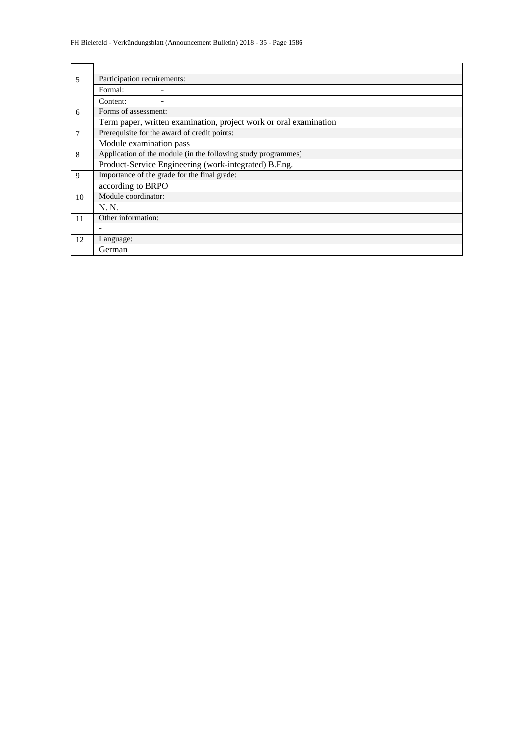| 5  | Participation requirements:                                   |                                                                   |  |  |  |  |  |  |
|----|---------------------------------------------------------------|-------------------------------------------------------------------|--|--|--|--|--|--|
|    | Formal:                                                       |                                                                   |  |  |  |  |  |  |
|    | Content:                                                      |                                                                   |  |  |  |  |  |  |
| 6  | Forms of assessment:                                          |                                                                   |  |  |  |  |  |  |
|    |                                                               | Term paper, written examination, project work or oral examination |  |  |  |  |  |  |
| 7  |                                                               | Prerequisite for the award of credit points:                      |  |  |  |  |  |  |
|    | Module examination pass                                       |                                                                   |  |  |  |  |  |  |
| 8  | Application of the module (in the following study programmes) |                                                                   |  |  |  |  |  |  |
|    |                                                               | Product-Service Engineering (work-integrated) B.Eng.              |  |  |  |  |  |  |
| 9  |                                                               | Importance of the grade for the final grade:                      |  |  |  |  |  |  |
|    | according to BRPO                                             |                                                                   |  |  |  |  |  |  |
| 10 | Module coordinator:                                           |                                                                   |  |  |  |  |  |  |
|    | N. N.                                                         |                                                                   |  |  |  |  |  |  |
| 11 | Other information:                                            |                                                                   |  |  |  |  |  |  |
|    |                                                               |                                                                   |  |  |  |  |  |  |
| 12 | Language:                                                     |                                                                   |  |  |  |  |  |  |
|    | German                                                        |                                                                   |  |  |  |  |  |  |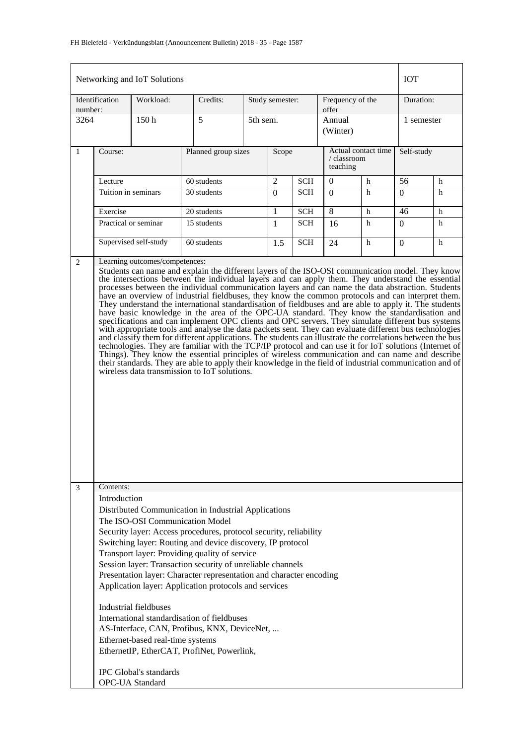|                                                                                                                                                                                                                                                                                                                                                                                                                                                                                                                                                                                                                                                                                                                                                                                                                                                                                                                                                                                                                                                                                                                                                                                                                          |                           | Networking and IoT Solutions                                                                                         |                                                                                                                                                                                                                                                                                                                                                                                                                                                                                                                                                                                                                        |                 |                |            |                           |                     | <b>IOT</b>     |   |
|--------------------------------------------------------------------------------------------------------------------------------------------------------------------------------------------------------------------------------------------------------------------------------------------------------------------------------------------------------------------------------------------------------------------------------------------------------------------------------------------------------------------------------------------------------------------------------------------------------------------------------------------------------------------------------------------------------------------------------------------------------------------------------------------------------------------------------------------------------------------------------------------------------------------------------------------------------------------------------------------------------------------------------------------------------------------------------------------------------------------------------------------------------------------------------------------------------------------------|---------------------------|----------------------------------------------------------------------------------------------------------------------|------------------------------------------------------------------------------------------------------------------------------------------------------------------------------------------------------------------------------------------------------------------------------------------------------------------------------------------------------------------------------------------------------------------------------------------------------------------------------------------------------------------------------------------------------------------------------------------------------------------------|-----------------|----------------|------------|---------------------------|---------------------|----------------|---|
| number:                                                                                                                                                                                                                                                                                                                                                                                                                                                                                                                                                                                                                                                                                                                                                                                                                                                                                                                                                                                                                                                                                                                                                                                                                  | Identification            | Workload:                                                                                                            | Credits:                                                                                                                                                                                                                                                                                                                                                                                                                                                                                                                                                                                                               | Study semester: |                |            | Frequency of the<br>offer |                     | Duration:      |   |
| 3264                                                                                                                                                                                                                                                                                                                                                                                                                                                                                                                                                                                                                                                                                                                                                                                                                                                                                                                                                                                                                                                                                                                                                                                                                     |                           | 150 <sub>h</sub>                                                                                                     | 5                                                                                                                                                                                                                                                                                                                                                                                                                                                                                                                                                                                                                      | 5th sem.        |                |            | Annual<br>(Winter)        |                     | 1 semester     |   |
| $\mathbf{1}$                                                                                                                                                                                                                                                                                                                                                                                                                                                                                                                                                                                                                                                                                                                                                                                                                                                                                                                                                                                                                                                                                                                                                                                                             | Course:                   |                                                                                                                      | Planned group sizes                                                                                                                                                                                                                                                                                                                                                                                                                                                                                                                                                                                                    |                 | Scope          |            | / classroom<br>teaching   | Actual contact time | Self-study     |   |
|                                                                                                                                                                                                                                                                                                                                                                                                                                                                                                                                                                                                                                                                                                                                                                                                                                                                                                                                                                                                                                                                                                                                                                                                                          | Lecture                   |                                                                                                                      | 60 students                                                                                                                                                                                                                                                                                                                                                                                                                                                                                                                                                                                                            |                 | $\overline{2}$ | <b>SCH</b> | $\mathbf{0}$              | $\mathbf h$         | 56             | h |
|                                                                                                                                                                                                                                                                                                                                                                                                                                                                                                                                                                                                                                                                                                                                                                                                                                                                                                                                                                                                                                                                                                                                                                                                                          | Tuition in seminars       |                                                                                                                      | 30 students                                                                                                                                                                                                                                                                                                                                                                                                                                                                                                                                                                                                            |                 | $\Omega$       | <b>SCH</b> | $\Omega$                  | h                   | $\Omega$       | h |
|                                                                                                                                                                                                                                                                                                                                                                                                                                                                                                                                                                                                                                                                                                                                                                                                                                                                                                                                                                                                                                                                                                                                                                                                                          | Exercise                  |                                                                                                                      | 20 students                                                                                                                                                                                                                                                                                                                                                                                                                                                                                                                                                                                                            |                 | 1              | <b>SCH</b> | 8                         | $\mathbf h$         | 46             | h |
|                                                                                                                                                                                                                                                                                                                                                                                                                                                                                                                                                                                                                                                                                                                                                                                                                                                                                                                                                                                                                                                                                                                                                                                                                          |                           | Practical or seminar                                                                                                 | 15 students                                                                                                                                                                                                                                                                                                                                                                                                                                                                                                                                                                                                            |                 | $\mathbf{1}$   | <b>SCH</b> | 16                        | h                   | $\Omega$       | h |
|                                                                                                                                                                                                                                                                                                                                                                                                                                                                                                                                                                                                                                                                                                                                                                                                                                                                                                                                                                                                                                                                                                                                                                                                                          |                           | Supervised self-study                                                                                                | 60 students                                                                                                                                                                                                                                                                                                                                                                                                                                                                                                                                                                                                            |                 | 1.5            | <b>SCH</b> | 24                        | h                   | $\overline{0}$ | h |
| the intersections between the individual layers and can apply them. They understand the essential<br>processes between the individual communication layers and can name the data abstraction. Students<br>have an overview of industrial fieldbuses, they know the common protocols and can interpret them.<br>They understand the international standardisation of fieldbuses and are able to apply it. The students<br>have basic knowledge in the area of the OPC-UA standard. They know the standardisation and<br>specifications and can implement OPC clients and OPC servers. They simulate different bus systems<br>with appropriate tools and analyse the data packets sent. They can evaluate different bus technologies<br>and classify them for different applications. The students can illustrate the correlations between the bus<br>technologies. They are familiar with the TCP/IP protocol and can use it for IoT solutions (Internet of<br>Things). They know the essential principles of wireless communication and can name and describe<br>their standards. They are able to apply their knowledge in the field of industrial communication and of<br>wireless data transmission to IoT solutions. |                           |                                                                                                                      |                                                                                                                                                                                                                                                                                                                                                                                                                                                                                                                                                                                                                        |                 |                |            |                           |                     |                |   |
| 3                                                                                                                                                                                                                                                                                                                                                                                                                                                                                                                                                                                                                                                                                                                                                                                                                                                                                                                                                                                                                                                                                                                                                                                                                        | Contents:<br>Introduction | Industrial fieldbuses<br>Ethernet-based real-time systems<br><b>IPC</b> Global's standards<br><b>OPC-UA Standard</b> | Distributed Communication in Industrial Applications<br>The ISO-OSI Communication Model<br>Security layer: Access procedures, protocol security, reliability<br>Switching layer: Routing and device discovery, IP protocol<br>Transport layer: Providing quality of service<br>Session layer: Transaction security of unreliable channels<br>Presentation layer: Character representation and character encoding<br>Application layer: Application protocols and services<br>International standardisation of fieldbuses<br>AS-Interface, CAN, Profibus, KNX, DeviceNet,<br>EthernetIP, EtherCAT, ProfiNet, Powerlink, |                 |                |            |                           |                     |                |   |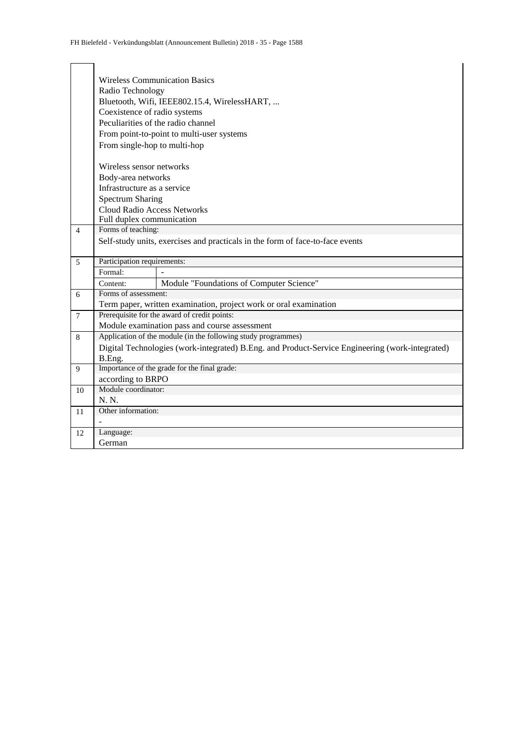|                |                                           | <b>Wireless Communication Basics</b>                                                            |  |  |  |  |  |  |  |  |  |
|----------------|-------------------------------------------|-------------------------------------------------------------------------------------------------|--|--|--|--|--|--|--|--|--|
|                | Radio Technology                          |                                                                                                 |  |  |  |  |  |  |  |  |  |
|                |                                           | Bluetooth, Wifi, IEEE802.15.4, WirelessHART,                                                    |  |  |  |  |  |  |  |  |  |
|                | Coexistence of radio systems              |                                                                                                 |  |  |  |  |  |  |  |  |  |
|                | Peculiarities of the radio channel        |                                                                                                 |  |  |  |  |  |  |  |  |  |
|                | From point-to-point to multi-user systems |                                                                                                 |  |  |  |  |  |  |  |  |  |
|                | From single-hop to multi-hop              |                                                                                                 |  |  |  |  |  |  |  |  |  |
|                |                                           |                                                                                                 |  |  |  |  |  |  |  |  |  |
|                | Wireless sensor networks                  |                                                                                                 |  |  |  |  |  |  |  |  |  |
|                | Body-area networks                        |                                                                                                 |  |  |  |  |  |  |  |  |  |
|                | Infrastructure as a service               |                                                                                                 |  |  |  |  |  |  |  |  |  |
|                | <b>Spectrum Sharing</b>                   |                                                                                                 |  |  |  |  |  |  |  |  |  |
|                | <b>Cloud Radio Access Networks</b>        |                                                                                                 |  |  |  |  |  |  |  |  |  |
|                | Full duplex communication                 |                                                                                                 |  |  |  |  |  |  |  |  |  |
| $\overline{4}$ | Forms of teaching:                        |                                                                                                 |  |  |  |  |  |  |  |  |  |
|                |                                           | Self-study units, exercises and practicals in the form of face-to-face events                   |  |  |  |  |  |  |  |  |  |
|                |                                           |                                                                                                 |  |  |  |  |  |  |  |  |  |
|                |                                           |                                                                                                 |  |  |  |  |  |  |  |  |  |
| 5              | Participation requirements:               |                                                                                                 |  |  |  |  |  |  |  |  |  |
|                | Formal:                                   |                                                                                                 |  |  |  |  |  |  |  |  |  |
|                | Content:                                  | Module "Foundations of Computer Science"                                                        |  |  |  |  |  |  |  |  |  |
| 6              | Forms of assessment:                      |                                                                                                 |  |  |  |  |  |  |  |  |  |
|                |                                           | Term paper, written examination, project work or oral examination                               |  |  |  |  |  |  |  |  |  |
| $\tau$         |                                           | Prerequisite for the award of credit points:                                                    |  |  |  |  |  |  |  |  |  |
|                |                                           | Module examination pass and course assessment                                                   |  |  |  |  |  |  |  |  |  |
| 8              |                                           | Application of the module (in the following study programmes)                                   |  |  |  |  |  |  |  |  |  |
|                |                                           | Digital Technologies (work-integrated) B.Eng. and Product-Service Engineering (work-integrated) |  |  |  |  |  |  |  |  |  |
|                | B.Eng.                                    |                                                                                                 |  |  |  |  |  |  |  |  |  |
| 9              |                                           | Importance of the grade for the final grade:                                                    |  |  |  |  |  |  |  |  |  |
|                | according to BRPO<br>Module coordinator:  |                                                                                                 |  |  |  |  |  |  |  |  |  |
| 10             | N. N.                                     |                                                                                                 |  |  |  |  |  |  |  |  |  |
|                | Other information:                        |                                                                                                 |  |  |  |  |  |  |  |  |  |
| 11             |                                           |                                                                                                 |  |  |  |  |  |  |  |  |  |
| 12             | Language:                                 |                                                                                                 |  |  |  |  |  |  |  |  |  |
|                | German                                    |                                                                                                 |  |  |  |  |  |  |  |  |  |

 $\overline{1}$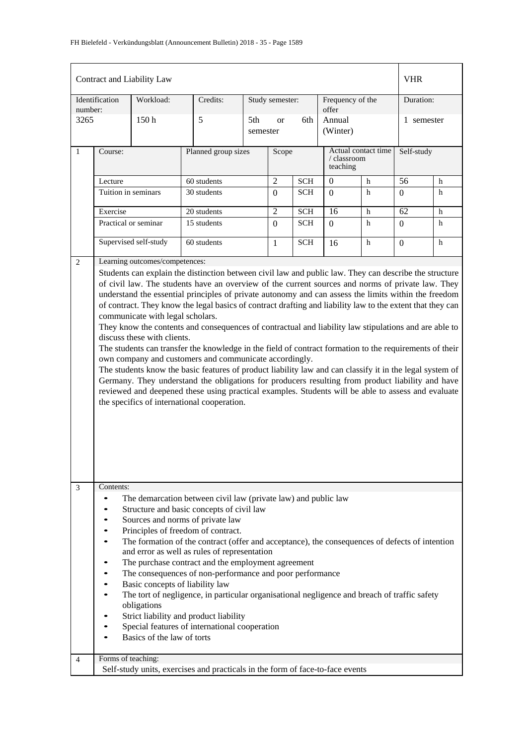| Identification<br>Workload:<br>Credits:<br>Study semester:<br>Frequency of the<br>Duration:<br>number:<br>offer<br>Annual<br>3265<br>150h<br>5<br>5th<br>6th<br>1 semester<br><sub>or</sub><br>(Winter)<br>semester<br>Actual contact time<br>Self-study<br>$\mathbf{1}$<br>Course:<br>Planned group sizes<br>Scope<br>/ classroom<br>teaching<br>2<br>$\mathbf{0}$<br>56<br>60 students<br><b>SCH</b><br>Lecture<br>h<br>h<br>30 students<br>Tuition in seminars<br><b>SCH</b><br>h<br>$\overline{0}$<br>h<br>$\Omega$<br>$\boldsymbol{0}$<br>$\overline{2}$<br>Exercise<br>20 students<br><b>SCH</b><br>62<br>16<br>h<br>h<br>15 students<br>Practical or seminar<br><b>SCH</b><br>$\overline{0}$<br>$\overline{0}$<br>h<br>$\boldsymbol{0}$<br>h<br>Supervised self-study<br>60 students<br><b>SCH</b><br>h<br>h<br>$\overline{0}$<br>1<br>16<br>Learning outcomes/competences:<br>2<br>Students can explain the distinction between civil law and public law. They can describe the structure<br>of civil law. The students have an overview of the current sources and norms of private law. They<br>understand the essential principles of private autonomy and can assess the limits within the freedom<br>of contract. They know the legal basics of contract drafting and liability law to the extent that they can<br>communicate with legal scholars.<br>They know the contents and consequences of contractual and liability law stipulations and are able to<br>discuss these with clients.<br>The students can transfer the knowledge in the field of contract formation to the requirements of their<br>own company and customers and communicate accordingly.<br>The students know the basic features of product liability law and can classify it in the legal system of<br>Germany. They understand the obligations for producers resulting from product liability and have<br>reviewed and deepened these using practical examples. Students will be able to assess and evaluate<br>the specifics of international cooperation.<br>Contents:<br>3<br>The demarcation between civil law (private law) and public law<br>$\bullet$<br>Structure and basic concepts of civil law<br>Sources and norms of private law<br>٠<br>Principles of freedom of contract.<br>The formation of the contract (offer and acceptance), the consequences of defects of intention<br>and error as well as rules of representation<br>The purchase contract and the employment agreement<br>The consequences of non-performance and poor performance<br>Basic concepts of liability law<br>$\bullet$<br>The tort of negligence, in particular organisational negligence and breach of traffic safety<br>obligations<br>Strict liability and product liability<br>Special features of international cooperation<br>Basics of the law of torts |  | Contract and Liability Law |  |  |  |  |  |  | <b>VHR</b> |  |
|---------------------------------------------------------------------------------------------------------------------------------------------------------------------------------------------------------------------------------------------------------------------------------------------------------------------------------------------------------------------------------------------------------------------------------------------------------------------------------------------------------------------------------------------------------------------------------------------------------------------------------------------------------------------------------------------------------------------------------------------------------------------------------------------------------------------------------------------------------------------------------------------------------------------------------------------------------------------------------------------------------------------------------------------------------------------------------------------------------------------------------------------------------------------------------------------------------------------------------------------------------------------------------------------------------------------------------------------------------------------------------------------------------------------------------------------------------------------------------------------------------------------------------------------------------------------------------------------------------------------------------------------------------------------------------------------------------------------------------------------------------------------------------------------------------------------------------------------------------------------------------------------------------------------------------------------------------------------------------------------------------------------------------------------------------------------------------------------------------------------------------------------------------------------------------------------------------------------------------------------------------------------------------------------------------------------------------------------------------------------------------------------------------------------------------------------------------------------------------------------------------------------------------------------------------------------------------------------------------------------------------------------------------------------------------------------------------------------------------------------------------------------------------------------------------------------------------------------|--|----------------------------|--|--|--|--|--|--|------------|--|
|                                                                                                                                                                                                                                                                                                                                                                                                                                                                                                                                                                                                                                                                                                                                                                                                                                                                                                                                                                                                                                                                                                                                                                                                                                                                                                                                                                                                                                                                                                                                                                                                                                                                                                                                                                                                                                                                                                                                                                                                                                                                                                                                                                                                                                                                                                                                                                                                                                                                                                                                                                                                                                                                                                                                                                                                                                             |  |                            |  |  |  |  |  |  |            |  |
|                                                                                                                                                                                                                                                                                                                                                                                                                                                                                                                                                                                                                                                                                                                                                                                                                                                                                                                                                                                                                                                                                                                                                                                                                                                                                                                                                                                                                                                                                                                                                                                                                                                                                                                                                                                                                                                                                                                                                                                                                                                                                                                                                                                                                                                                                                                                                                                                                                                                                                                                                                                                                                                                                                                                                                                                                                             |  |                            |  |  |  |  |  |  |            |  |
|                                                                                                                                                                                                                                                                                                                                                                                                                                                                                                                                                                                                                                                                                                                                                                                                                                                                                                                                                                                                                                                                                                                                                                                                                                                                                                                                                                                                                                                                                                                                                                                                                                                                                                                                                                                                                                                                                                                                                                                                                                                                                                                                                                                                                                                                                                                                                                                                                                                                                                                                                                                                                                                                                                                                                                                                                                             |  |                            |  |  |  |  |  |  |            |  |
|                                                                                                                                                                                                                                                                                                                                                                                                                                                                                                                                                                                                                                                                                                                                                                                                                                                                                                                                                                                                                                                                                                                                                                                                                                                                                                                                                                                                                                                                                                                                                                                                                                                                                                                                                                                                                                                                                                                                                                                                                                                                                                                                                                                                                                                                                                                                                                                                                                                                                                                                                                                                                                                                                                                                                                                                                                             |  |                            |  |  |  |  |  |  |            |  |
|                                                                                                                                                                                                                                                                                                                                                                                                                                                                                                                                                                                                                                                                                                                                                                                                                                                                                                                                                                                                                                                                                                                                                                                                                                                                                                                                                                                                                                                                                                                                                                                                                                                                                                                                                                                                                                                                                                                                                                                                                                                                                                                                                                                                                                                                                                                                                                                                                                                                                                                                                                                                                                                                                                                                                                                                                                             |  |                            |  |  |  |  |  |  |            |  |
|                                                                                                                                                                                                                                                                                                                                                                                                                                                                                                                                                                                                                                                                                                                                                                                                                                                                                                                                                                                                                                                                                                                                                                                                                                                                                                                                                                                                                                                                                                                                                                                                                                                                                                                                                                                                                                                                                                                                                                                                                                                                                                                                                                                                                                                                                                                                                                                                                                                                                                                                                                                                                                                                                                                                                                                                                                             |  |                            |  |  |  |  |  |  |            |  |
|                                                                                                                                                                                                                                                                                                                                                                                                                                                                                                                                                                                                                                                                                                                                                                                                                                                                                                                                                                                                                                                                                                                                                                                                                                                                                                                                                                                                                                                                                                                                                                                                                                                                                                                                                                                                                                                                                                                                                                                                                                                                                                                                                                                                                                                                                                                                                                                                                                                                                                                                                                                                                                                                                                                                                                                                                                             |  |                            |  |  |  |  |  |  |            |  |
|                                                                                                                                                                                                                                                                                                                                                                                                                                                                                                                                                                                                                                                                                                                                                                                                                                                                                                                                                                                                                                                                                                                                                                                                                                                                                                                                                                                                                                                                                                                                                                                                                                                                                                                                                                                                                                                                                                                                                                                                                                                                                                                                                                                                                                                                                                                                                                                                                                                                                                                                                                                                                                                                                                                                                                                                                                             |  |                            |  |  |  |  |  |  |            |  |
|                                                                                                                                                                                                                                                                                                                                                                                                                                                                                                                                                                                                                                                                                                                                                                                                                                                                                                                                                                                                                                                                                                                                                                                                                                                                                                                                                                                                                                                                                                                                                                                                                                                                                                                                                                                                                                                                                                                                                                                                                                                                                                                                                                                                                                                                                                                                                                                                                                                                                                                                                                                                                                                                                                                                                                                                                                             |  |                            |  |  |  |  |  |  |            |  |
| Forms of teaching:<br>4                                                                                                                                                                                                                                                                                                                                                                                                                                                                                                                                                                                                                                                                                                                                                                                                                                                                                                                                                                                                                                                                                                                                                                                                                                                                                                                                                                                                                                                                                                                                                                                                                                                                                                                                                                                                                                                                                                                                                                                                                                                                                                                                                                                                                                                                                                                                                                                                                                                                                                                                                                                                                                                                                                                                                                                                                     |  |                            |  |  |  |  |  |  |            |  |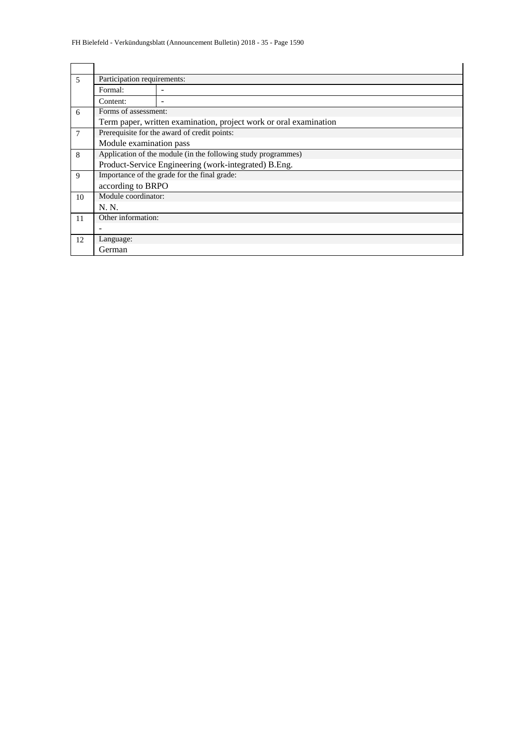| $\overline{\phantom{0}}$ | Participation requirements:                                   |                                                                   |  |  |  |  |  |  |  |  |
|--------------------------|---------------------------------------------------------------|-------------------------------------------------------------------|--|--|--|--|--|--|--|--|
|                          | Formal:                                                       |                                                                   |  |  |  |  |  |  |  |  |
|                          | Content:                                                      |                                                                   |  |  |  |  |  |  |  |  |
| 6                        | Forms of assessment:                                          |                                                                   |  |  |  |  |  |  |  |  |
|                          |                                                               | Term paper, written examination, project work or oral examination |  |  |  |  |  |  |  |  |
| 7                        | Prerequisite for the award of credit points:                  |                                                                   |  |  |  |  |  |  |  |  |
|                          | Module examination pass                                       |                                                                   |  |  |  |  |  |  |  |  |
| 8                        | Application of the module (in the following study programmes) |                                                                   |  |  |  |  |  |  |  |  |
|                          |                                                               | Product-Service Engineering (work-integrated) B.Eng.              |  |  |  |  |  |  |  |  |
| 9                        | Importance of the grade for the final grade:                  |                                                                   |  |  |  |  |  |  |  |  |
|                          | according to BRPO                                             |                                                                   |  |  |  |  |  |  |  |  |
| 10                       | Module coordinator:                                           |                                                                   |  |  |  |  |  |  |  |  |
|                          | N. N.                                                         |                                                                   |  |  |  |  |  |  |  |  |
| 11                       | Other information:                                            |                                                                   |  |  |  |  |  |  |  |  |
|                          |                                                               |                                                                   |  |  |  |  |  |  |  |  |
| 12                       | Language:                                                     |                                                                   |  |  |  |  |  |  |  |  |
|                          | German                                                        |                                                                   |  |  |  |  |  |  |  |  |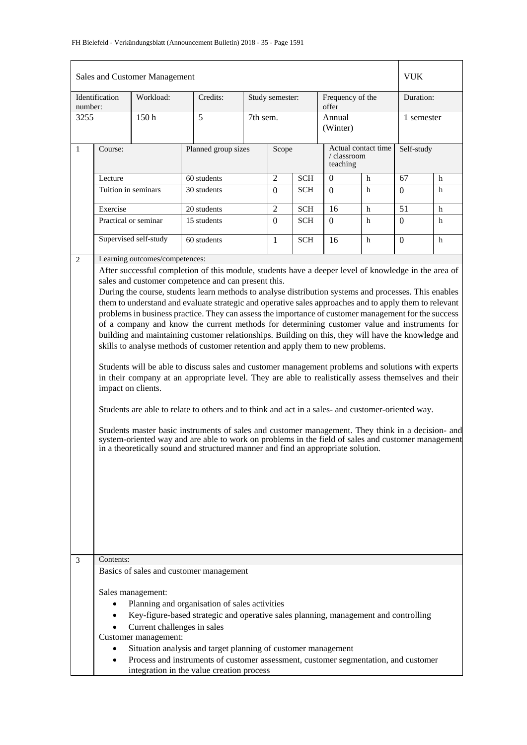| number:<br>3255 | Identification                                                                                                                                                                                                                                                                                                                                                                                                                                                                                                                                                                                                                                                                                                                                                                                                                                                                                                                                                                                                                                                                                                                                                                                                                                                                                                                                                                                                           | Workload:                      |                     |                 |                |                                                |                    | Sales and Customer Management |                  |   |  |  |  |  |  |  |
|-----------------|--------------------------------------------------------------------------------------------------------------------------------------------------------------------------------------------------------------------------------------------------------------------------------------------------------------------------------------------------------------------------------------------------------------------------------------------------------------------------------------------------------------------------------------------------------------------------------------------------------------------------------------------------------------------------------------------------------------------------------------------------------------------------------------------------------------------------------------------------------------------------------------------------------------------------------------------------------------------------------------------------------------------------------------------------------------------------------------------------------------------------------------------------------------------------------------------------------------------------------------------------------------------------------------------------------------------------------------------------------------------------------------------------------------------------|--------------------------------|---------------------|-----------------|----------------|------------------------------------------------|--------------------|-------------------------------|------------------|---|--|--|--|--|--|--|
|                 |                                                                                                                                                                                                                                                                                                                                                                                                                                                                                                                                                                                                                                                                                                                                                                                                                                                                                                                                                                                                                                                                                                                                                                                                                                                                                                                                                                                                                          |                                | Credits:            | Study semester: |                | Frequency of the<br>offer                      |                    | Duration:                     |                  |   |  |  |  |  |  |  |
|                 |                                                                                                                                                                                                                                                                                                                                                                                                                                                                                                                                                                                                                                                                                                                                                                                                                                                                                                                                                                                                                                                                                                                                                                                                                                                                                                                                                                                                                          | 150 <sub>h</sub>               | 5                   |                 | 7th sem.       |                                                | Annual<br>(Winter) |                               | 1 semester       |   |  |  |  |  |  |  |
| $\mathbf{1}$    | Course:                                                                                                                                                                                                                                                                                                                                                                                                                                                                                                                                                                                                                                                                                                                                                                                                                                                                                                                                                                                                                                                                                                                                                                                                                                                                                                                                                                                                                  |                                | Planned group sizes | Scope           |                | Actual contact time<br>/ classroom<br>teaching |                    | Self-study                    |                  |   |  |  |  |  |  |  |
|                 | Lecture                                                                                                                                                                                                                                                                                                                                                                                                                                                                                                                                                                                                                                                                                                                                                                                                                                                                                                                                                                                                                                                                                                                                                                                                                                                                                                                                                                                                                  |                                | 60 students         |                 | $\overline{c}$ | <b>SCH</b>                                     | $\theta$           | h                             | 67               | h |  |  |  |  |  |  |
|                 | Tuition in seminars                                                                                                                                                                                                                                                                                                                                                                                                                                                                                                                                                                                                                                                                                                                                                                                                                                                                                                                                                                                                                                                                                                                                                                                                                                                                                                                                                                                                      |                                | 30 students         |                 | $\mathbf{0}$   | <b>SCH</b>                                     | $\Omega$           | h                             | $\boldsymbol{0}$ | h |  |  |  |  |  |  |
|                 | Exercise                                                                                                                                                                                                                                                                                                                                                                                                                                                                                                                                                                                                                                                                                                                                                                                                                                                                                                                                                                                                                                                                                                                                                                                                                                                                                                                                                                                                                 |                                | 20 students         |                 | $\overline{2}$ | <b>SCH</b>                                     | 16                 | h                             | $\overline{51}$  | h |  |  |  |  |  |  |
|                 |                                                                                                                                                                                                                                                                                                                                                                                                                                                                                                                                                                                                                                                                                                                                                                                                                                                                                                                                                                                                                                                                                                                                                                                                                                                                                                                                                                                                                          | Practical or seminar           | 15 students         |                 | $\mathbf{0}$   | <b>SCH</b>                                     | $\Omega$           | h                             | $\boldsymbol{0}$ | h |  |  |  |  |  |  |
|                 |                                                                                                                                                                                                                                                                                                                                                                                                                                                                                                                                                                                                                                                                                                                                                                                                                                                                                                                                                                                                                                                                                                                                                                                                                                                                                                                                                                                                                          | Supervised self-study          | 60 students         |                 | $\mathbf{1}$   | <b>SCH</b>                                     | 16                 | h                             | $\Omega$         | h |  |  |  |  |  |  |
| 2               |                                                                                                                                                                                                                                                                                                                                                                                                                                                                                                                                                                                                                                                                                                                                                                                                                                                                                                                                                                                                                                                                                                                                                                                                                                                                                                                                                                                                                          | Learning outcomes/competences: |                     |                 |                |                                                |                    |                               |                  |   |  |  |  |  |  |  |
|                 | After successful completion of this module, students have a deeper level of knowledge in the area of<br>sales and customer competence and can present this.<br>During the course, students learn methods to analyse distribution systems and processes. This enables<br>them to understand and evaluate strategic and operative sales approaches and to apply them to relevant<br>problems in business practice. They can assess the importance of customer management for the success<br>of a company and know the current methods for determining customer value and instruments for<br>building and maintaining customer relationships. Building on this, they will have the knowledge and<br>skills to analyse methods of customer retention and apply them to new problems.<br>Students will be able to discuss sales and customer management problems and solutions with experts<br>in their company at an appropriate level. They are able to realistically assess themselves and their<br>impact on clients.<br>Students are able to relate to others and to think and act in a sales- and customer-oriented way.<br>Students master basic instruments of sales and customer management. They think in a decision- and<br>system-oriented way and are able to work on problems in the field of sales and customer management<br>in a theoretically sound and structured manner and find an appropriate solution. |                                |                     |                 |                |                                                |                    |                               |                  |   |  |  |  |  |  |  |
| $\mathfrak{Z}$  | Contents:<br>Basics of sales and customer management<br>Sales management:<br>Planning and organisation of sales activities<br>$\bullet$<br>Key-figure-based strategic and operative sales planning, management and controlling<br>$\bullet$<br>Current challenges in sales<br>Customer management:<br>Situation analysis and target planning of customer management<br>Process and instruments of customer assessment, customer segmentation, and customer                                                                                                                                                                                                                                                                                                                                                                                                                                                                                                                                                                                                                                                                                                                                                                                                                                                                                                                                                               |                                |                     |                 |                |                                                |                    |                               |                  |   |  |  |  |  |  |  |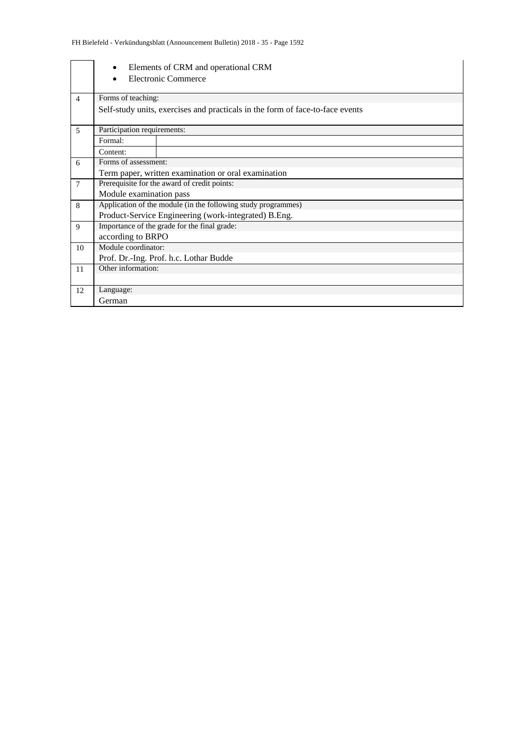|                | Elements of CRM and operational CRM                                           |  |  |  |  |  |  |  |  |  |
|----------------|-------------------------------------------------------------------------------|--|--|--|--|--|--|--|--|--|
|                | Electronic Commerce                                                           |  |  |  |  |  |  |  |  |  |
|                |                                                                               |  |  |  |  |  |  |  |  |  |
| $\overline{4}$ | Forms of teaching:                                                            |  |  |  |  |  |  |  |  |  |
|                | Self-study units, exercises and practicals in the form of face-to-face events |  |  |  |  |  |  |  |  |  |
|                |                                                                               |  |  |  |  |  |  |  |  |  |
| $\overline{5}$ | Participation requirements:                                                   |  |  |  |  |  |  |  |  |  |
|                | Formal:                                                                       |  |  |  |  |  |  |  |  |  |
|                | Content:                                                                      |  |  |  |  |  |  |  |  |  |
| 6              | Forms of assessment:                                                          |  |  |  |  |  |  |  |  |  |
|                | Term paper, written examination or oral examination                           |  |  |  |  |  |  |  |  |  |
| $\overline{7}$ | Prerequisite for the award of credit points:                                  |  |  |  |  |  |  |  |  |  |
|                | Module examination pass                                                       |  |  |  |  |  |  |  |  |  |
| 8              | Application of the module (in the following study programmes)                 |  |  |  |  |  |  |  |  |  |
|                | Product-Service Engineering (work-integrated) B.Eng.                          |  |  |  |  |  |  |  |  |  |
| 9              | Importance of the grade for the final grade:                                  |  |  |  |  |  |  |  |  |  |
|                | according to BRPO                                                             |  |  |  |  |  |  |  |  |  |
| 10             | Module coordinator:                                                           |  |  |  |  |  |  |  |  |  |
|                | Prof. Dr.-Ing. Prof. h.c. Lothar Budde                                        |  |  |  |  |  |  |  |  |  |
| 11             | Other information:                                                            |  |  |  |  |  |  |  |  |  |
|                |                                                                               |  |  |  |  |  |  |  |  |  |
| 12             | Language:                                                                     |  |  |  |  |  |  |  |  |  |
|                | German                                                                        |  |  |  |  |  |  |  |  |  |